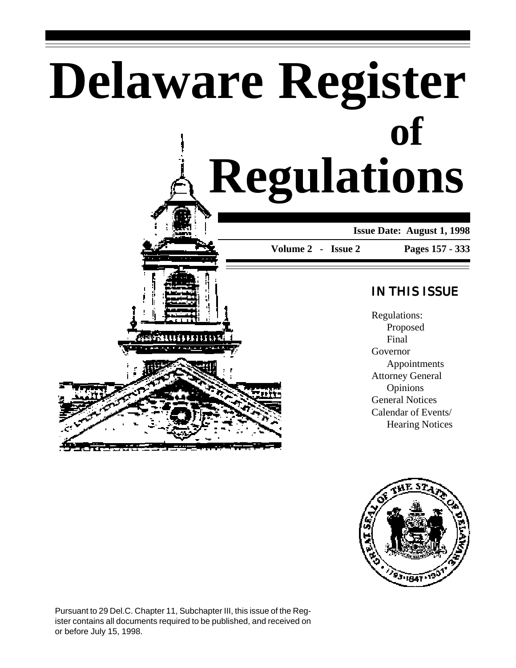# **Delaware Register Regulations of**

# **Issue Date: August 1, 1998**

**Volume 2 - Issue 2**

 **Pages 157 - 333**

# IN THIS ISSUE

Regulations: Proposed Final Governor Appointments Attorney General Opinions General Notices Calendar of Events/ Hearing Notices



Pursuant to 29 Del.C. Chapter 11, Subchapter III, this issue of the Register contains all documents required to be published, and received on or before July 15, 1998.

1111111111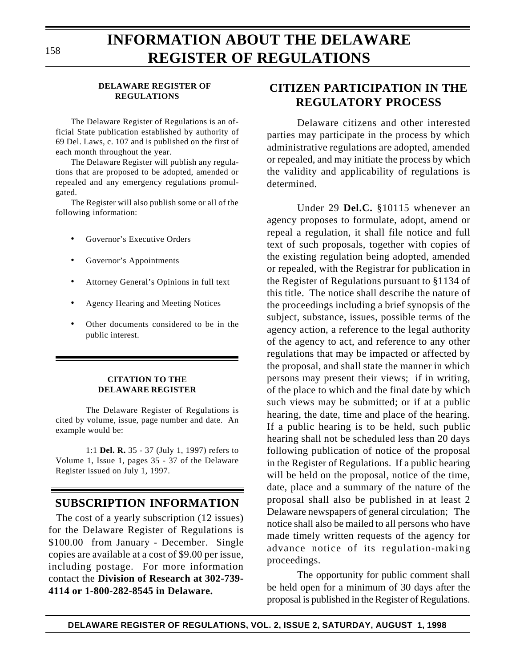# **INFORMATION ABOUT THE DELAWARE REGISTER OF REGULATIONS**

# **DELAWARE REGISTER OF REGULATIONS**

The Delaware Register of Regulations is an official State publication established by authority of 69 Del. Laws, c. 107 and is published on the first of each month throughout the year.

The Delaware Register will publish any regulations that are proposed to be adopted, amended or repealed and any emergency regulations promulgated.

The Register will also publish some or all of the following information:

- Governor's Executive Orders
- Governor's Appointments
- Attorney General's Opinions in full text
- Agency Hearing and Meeting Notices
- Other documents considered to be in the public interest.

# **CITATION TO THE DELAWARE REGISTER**

The Delaware Register of Regulations is cited by volume, issue, page number and date. An example would be:

1:1 **Del. R.** 35 - 37 (July 1, 1997) refers to Volume 1, Issue 1, pages 35 - 37 of the Delaware Register issued on July 1, 1997.

# **SUBSCRIPTION INFORMATION**

The cost of a yearly subscription (12 issues) for the Delaware Register of Regulations is \$100.00 from January - December. Single copies are available at a cost of \$9.00 per issue, including postage. For more information contact the **Division of Research at 302-739- 4114 or 1-800-282-8545 in Delaware.**

# **CITIZEN PARTICIPATION IN THE REGULATORY PROCESS**

Delaware citizens and other interested parties may participate in the process by which administrative regulations are adopted, amended or repealed, and may initiate the process by which the validity and applicability of regulations is determined.

Under 29 **Del.C.** §10115 whenever an agency proposes to formulate, adopt, amend or repeal a regulation, it shall file notice and full text of such proposals, together with copies of the existing regulation being adopted, amended or repealed, with the Registrar for publication in the Register of Regulations pursuant to §1134 of this title. The notice shall describe the nature of the proceedings including a brief synopsis of the subject, substance, issues, possible terms of the agency action, a reference to the legal authority of the agency to act, and reference to any other regulations that may be impacted or affected by the proposal, and shall state the manner in which persons may present their views; if in writing, of the place to which and the final date by which such views may be submitted; or if at a public hearing, the date, time and place of the hearing. If a public hearing is to be held, such public hearing shall not be scheduled less than 20 days following publication of notice of the proposal in the Register of Regulations. If a public hearing will be held on the proposal, notice of the time, date, place and a summary of the nature of the proposal shall also be published in at least 2 Delaware newspapers of general circulation; The notice shall also be mailed to all persons who have made timely written requests of the agency for advance notice of its regulation-making proceedings.

The opportunity for public comment shall be held open for a minimum of 30 days after the proposal is published in the Register of Regulations.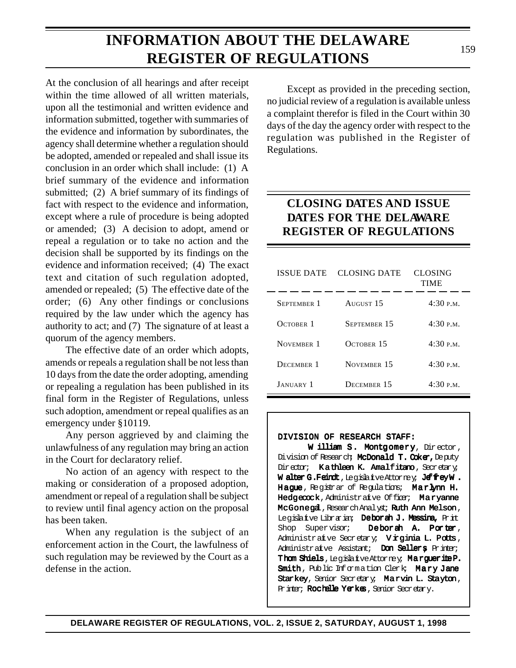# **INFORMATION ABOUT THE DELAWARE REGISTER OF REGULATIONS**

At the conclusion of all hearings and after receipt within the time allowed of all written materials, upon all the testimonial and written evidence and information submitted, together with summaries of the evidence and information by subordinates, the agency shall determine whether a regulation should be adopted, amended or repealed and shall issue its conclusion in an order which shall include: (1) A brief summary of the evidence and information submitted; (2) A brief summary of its findings of fact with respect to the evidence and information, except where a rule of procedure is being adopted or amended; (3) A decision to adopt, amend or repeal a regulation or to take no action and the decision shall be supported by its findings on the evidence and information received; (4) The exact text and citation of such regulation adopted, amended or repealed; (5) The effective date of the order; (6) Any other findings or conclusions required by the law under which the agency has authority to act; and (7) The signature of at least a quorum of the agency members.

The effective date of an order which adopts, amends or repeals a regulation shall be not less than 10 days from the date the order adopting, amending or repealing a regulation has been published in its final form in the Register of Regulations, unless such adoption, amendment or repeal qualifies as an emergency under §10119.

Any person aggrieved by and claiming the unlawfulness of any regulation may bring an action in the Court for declaratory relief.

No action of an agency with respect to the making or consideration of a proposed adoption, amendment or repeal of a regulation shall be subject to review until final agency action on the proposal has been taken.

When any regulation is the subject of an enforcement action in the Court, the lawfulness of such regulation may be reviewed by the Court as a defense in the action.

Except as provided in the preceding section, no judicial review of a regulation is available unless a complaint therefor is filed in the Court within 30 days of the day the agency order with respect to the regulation was published in the Register of Regulations.

# **CLOSING DATES AND ISSUE DATES FOR THE DELAWARE REGISTER OF REGULATIONS**

| ISSUE DATE         | CLOSING DATE       | CLOSING<br><b>TIME</b> |  |
|--------------------|--------------------|------------------------|--|
| <b>SEPTEMBER 1</b> | AUGUST 15          | 4:30P.M.               |  |
| OCTOBER 1          | SEPTEMBER 15       | 4:30P.M.               |  |
| NOVEMBER 1         | OCTOBER 15         | 4:30P.M.               |  |
| <b>DECEMBER 1</b>  | NOVEMBER 15        | 4:30P.M.               |  |
| <b>JANUARY</b> 1   | <b>DECEMBER 15</b> | 4:30P.M.               |  |

# DIVISION OF RESEARCH STAFF:

W illiam S. Montgomery, Director, Division of Research; McDonald T. Coker, Deputy Director; Kathleen K. Amalfitano, Secretary; W alter G.Feindt, Legislatve Attorney; JeffreyW. Hague, Registrar of Regulations; Marlynn H. Hedgecock, Administrative Officer; Maryanne McGonegal, Research Analyst; Ruth Ann Melson, Legislative Librarian; Deborah J. Messina, Print Shop Supervisor; **Deborah A. Porter**, Administrative Secretary; Virginia L. Potts, Administrative Assistant; Don Sellers, Printer; Thom Shiels, Legislative Attorney; Marquerite P. Smith, Public Information Clerk; Mary Jane Starkey, Senior Secretary; Marvin L. Stayton, Printer; Rochelle Yerkes, Senior Secretary.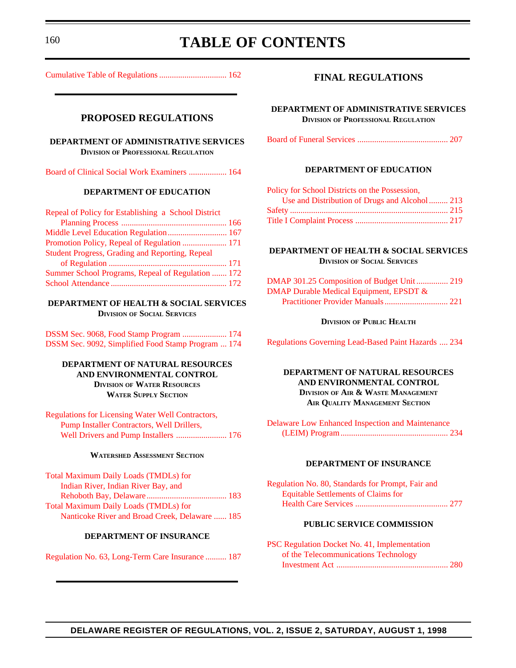# <span id="page-3-0"></span><sup>160</sup> **TABLE OF CONTENTS**

[Cumulative Table of Regulations................................](#page-5-0) 162

# **PROPOSED REGULATIONS**

**DEPARTMENT OF ADMINISTRATIVE SERVICES DIVISION OF PROFESSIONAL REGULATION**

[Board of Clinical Social Work Examiners](#page-7-0) .................. 164

#### **DEPARTMENT OF EDUCATION**

| Repeal of Policy for Establishing a School District |  |
|-----------------------------------------------------|--|
|                                                     |  |
| Middle Level Education Regulation 167               |  |
| Promotion Policy, Repeal of Regulation  171         |  |
| Student Progress, Grading and Reporting, Repeal     |  |
|                                                     |  |
| Summer School Programs, Repeal of Regulation  172   |  |
|                                                     |  |
|                                                     |  |

### **DEPARTMENT OF HEALTH & SOCIAL SERVICES DIVISION OF SOCIAL SERVICES**

[DSSM Sec. 9068, Food Stamp Program](#page-17-0) ..................... 174 [DSSM Sec. 9092, Simplified Food Stamp Program](#page-17-0) ... 174

### **DEPARTMENT OF NATURAL RESOURCES AND ENVIRONMENTAL CONTROL DIVISION OF WATER RESOURCES WATER SUPPLY SECTION**

| <b>Regulations for Licensing Water Well Contractors,</b> |  |
|----------------------------------------------------------|--|
| Pump Installer Contractors, Well Drillers,               |  |
|                                                          |  |

#### **WATERSHED ASSESSMENT SECTION**

| Total Maximum Daily Loads (TMDLs) for          |  |
|------------------------------------------------|--|
| Indian River, Indian River Bay, and            |  |
|                                                |  |
| <b>Total Maximum Daily Loads (TMDLs) for</b>   |  |
| Nanticoke River and Broad Creek, Delaware  185 |  |

#### **DEPARTMENT OF INSURANCE**

[Regulation No. 63, Long-Term Care Insurance](#page-30-0) .......... 187

# **FINAL REGULATIONS**

**DEPARTMENT OF ADMINISTRATIVE SERVICES DIVISION OF PROFESSIONAL REGULATION**

Board of Funeral Services [...........................................](#page-50-0) 207

### **DEPARTMENT OF EDUCATION**

| Policy for School Districts on the Possession, |  |
|------------------------------------------------|--|
| Use and Distribution of Drugs and Alcohol 213  |  |
|                                                |  |
|                                                |  |

# **DEPARTMENT OF HEALTH & SOCIAL SERVICES DIVISION OF SOCIAL SERVICES**

[DMAP 301.25 Composition of Budget Unit](#page-62-0) ............... 219 DMAP Durable Medical Equipment, EPSDT & [Practitioner Provider Manuals..............................](#page-64-0) 221

**DIVISION OF PUBLIC HEALTH**

[Regulations Governing Lead-Based Paint Hazards](#page-77-0) .... 234

### **DEPARTMENT OF NATURAL RESOURCES AND ENVIRONMENTAL CONTROL DIVISION OF AIR & WASTE MANAGEMENT AIR QUALITY MANAGEMENT SECTION**

[Delaware Low Enhanced Inspection and Maintenance](#page-77-0) (LEIM) Program................................................... 234

#### **DEPARTMENT OF INSURANCE**

| Regulation No. 80, Standards for Prompt, Fair and |  |
|---------------------------------------------------|--|
| Equitable Settlements of Claims for               |  |
|                                                   |  |

#### **PUBLIC SERVICE COMMISSION**

| PSC Regulation Docket No. 41, Implementation |  |
|----------------------------------------------|--|
| of the Telecommunications Technology         |  |
|                                              |  |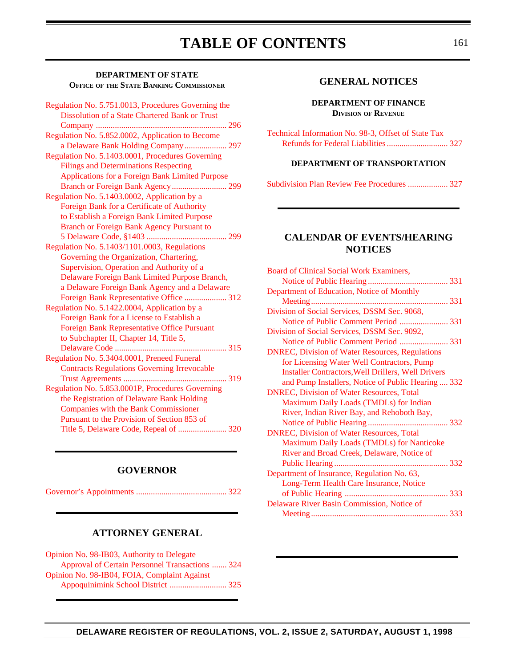# TABLE OF CONTENTS 161

### **DEPARTMENT OF STATE OFFICE OF THE STATE BANKING COMMISSIONER**

| Regulation No. 5.751.0013, Procedures Governing the |
|-----------------------------------------------------|
| Dissolution of a State Chartered Bank or Trust      |
|                                                     |
| Regulation No. 5.852.0002, Application to Become    |
| a Delaware Bank Holding Company 297                 |
| Regulation No. 5.1403.0001, Procedures Governing    |
| <b>Filings and Determinations Respecting</b>        |
| Applications for a Foreign Bank Limited Purpose     |
|                                                     |
| Regulation No. 5.1403.0002, Application by a        |
| Foreign Bank for a Certificate of Authority         |
| to Establish a Foreign Bank Limited Purpose         |
| <b>Branch or Foreign Bank Agency Pursuant to</b>    |
|                                                     |
| Regulation No. 5.1403/1101.0003, Regulations        |
| Governing the Organization, Chartering,             |
| Supervision, Operation and Authority of a           |
| Delaware Foreign Bank Limited Purpose Branch,       |
| a Delaware Foreign Bank Agency and a Delaware       |
| Foreign Bank Representative Office  312             |
| Regulation No. 5.1422.0004, Application by a        |
| Foreign Bank for a License to Establish a           |
| Foreign Bank Representative Office Pursuant         |
| to Subchapter II, Chapter 14, Title 5,              |
| Delaware Code<br>315                                |
| Regulation No. 5.3404.0001, Preneed Funeral         |
| <b>Contracts Regulations Governing Irrevocable</b>  |
|                                                     |
| Regulation No. 5.853.0001P, Procedures Governing    |
| the Registration of Delaware Bank Holding           |
| <b>Companies with the Bank Commissioner</b>         |
| Pursuant to the Provision of Section 853 of         |
| Title 5, Delaware Code, Repeal of  320              |
|                                                     |

# **GOVERNOR**

Governor's Appointments [...........................................](#page-165-0) 322

# **ATTORNEY GENERAL**

| Opinion No. 98-IB03, Authority to Delegate      |  |
|-------------------------------------------------|--|
| Approval of Certain Personnel Transactions  324 |  |
| Opinion No. 98-IB04, FOIA, Complaint Against    |  |
|                                                 |  |

# **GENERAL NOTICES**

#### **DEPARTMENT OF FINANCE DIVISION OF REVENUE**

[Technical Information No. 98-3, Offset of State Tax](#page-170-0) Refunds for Federal Liabilities............................. 327

# **DEPARTMENT OF TRANSPORTATION**

[Subdivision Plan Review Fee Procedures](#page-170-0) ................... 327

# **CALENDAR OF EVENTS/HEARING NOTICES**

| Board of Clinical Social Work Examiners,                  |  |
|-----------------------------------------------------------|--|
|                                                           |  |
| Department of Education, Notice of Monthly                |  |
|                                                           |  |
| Division of Social Services, DSSM Sec. 9068,              |  |
|                                                           |  |
| Division of Social Services, DSSM Sec. 9092,              |  |
| Notice of Public Comment Period  331                      |  |
| <b>DNREC, Division of Water Resources, Regulations</b>    |  |
| for Licensing Water Well Contractors, Pump                |  |
| <b>Installer Contractors, Well Drillers, Well Drivers</b> |  |
| and Pump Installers, Notice of Public Hearing  332        |  |
| <b>DNREC, Division of Water Resources, Total</b>          |  |
| Maximum Daily Loads (TMDLs) for Indian                    |  |
| River, Indian River Bay, and Rehoboth Bay,                |  |
|                                                           |  |
| <b>DNREC, Division of Water Resources, Total</b>          |  |
| Maximum Daily Loads (TMDLs) for Nanticoke                 |  |
| River and Broad Creek, Delaware, Notice of                |  |
|                                                           |  |
| Department of Insurance, Regulation No. 63,               |  |
| Long-Term Health Care Insurance, Notice                   |  |
|                                                           |  |
| Delaware River Basin Commission, Notice of                |  |
|                                                           |  |
|                                                           |  |

#### **DELAWARE REGISTER OF REGULATIONS, VOL. 2, ISSUE 2, SATURDAY, AUGUST 1, 1998**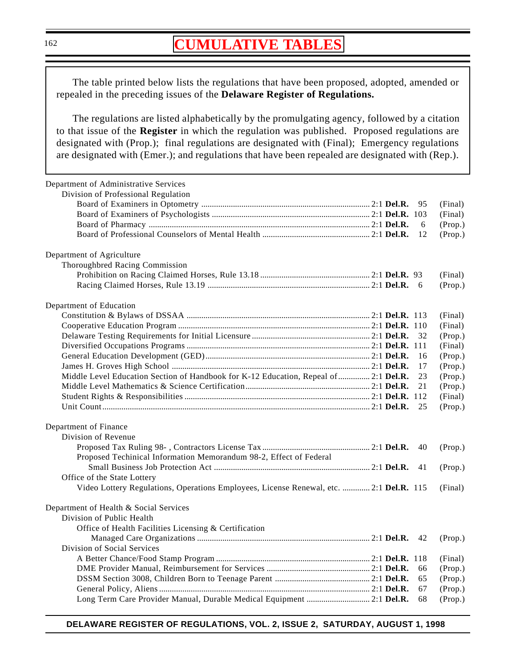# <span id="page-5-0"></span><sup>162</sup> **[CUMULATIVE TABLES](#page-3-0)**

The table printed below lists the regulations that have been proposed, adopted, amended or repealed in the preceding issues of the **Delaware Register of Regulations.**

The regulations are listed alphabetically by the promulgating agency, followed by a citation to that issue of the **Register** in which the regulation was published. Proposed regulations are designated with (Prop.); final regulations are designated with (Final); Emergency regulations are designated with (Emer.); and regulations that have been repealed are designated with (Rep.).

| Department of Administrative Services                                                  |  |    |         |
|----------------------------------------------------------------------------------------|--|----|---------|
| Division of Professional Regulation                                                    |  |    |         |
|                                                                                        |  | 95 | (Final) |
|                                                                                        |  |    | (Final) |
|                                                                                        |  | 6  | (Prop.) |
|                                                                                        |  | 12 | (Prop.) |
| Department of Agriculture                                                              |  |    |         |
| Thoroughbred Racing Commission                                                         |  |    |         |
|                                                                                        |  |    | (Final) |
|                                                                                        |  |    | (Prop.) |
| Department of Education                                                                |  |    |         |
|                                                                                        |  |    | (Final) |
|                                                                                        |  |    | (Final) |
|                                                                                        |  | 32 | (Prop.) |
|                                                                                        |  |    | (Final) |
|                                                                                        |  | 16 | (Prop.) |
|                                                                                        |  | 17 | (Prop.) |
| Middle Level Education Section of Handbook for K-12 Education, Repeal of  2:1 Del.R.   |  | 23 | (Prop.) |
|                                                                                        |  | 21 | (Prop.) |
|                                                                                        |  |    | (Final) |
|                                                                                        |  | 25 | (Prop.) |
| Department of Finance                                                                  |  |    |         |
| Division of Revenue                                                                    |  |    |         |
|                                                                                        |  | 40 | (Prop.) |
| Proposed Techinical Information Memorandum 98-2, Effect of Federal                     |  |    |         |
|                                                                                        |  | 41 | (Prop.) |
| Office of the State Lottery                                                            |  |    |         |
| Video Lottery Regulations, Operations Employees, License Renewal, etc.  2:1 Del.R. 115 |  |    | (Final) |
| Department of Health & Social Services                                                 |  |    |         |
| Division of Public Health                                                              |  |    |         |
| Office of Health Facilities Licensing & Certification                                  |  |    |         |
|                                                                                        |  |    | (Prop.) |
| Division of Social Services                                                            |  |    |         |
|                                                                                        |  |    | (Final) |
|                                                                                        |  | 66 | (Prop.) |
|                                                                                        |  | 65 | (Prop.) |
|                                                                                        |  | 67 | (Prop.) |
| Long Term Care Provider Manual, Durable Medical Equipment  2:1 Del.R.                  |  | 68 | (Prop.) |

### **DELAWARE REGISTER OF REGULATIONS, VOL. 2, ISSUE 2, SATURDAY, AUGUST 1, 1998**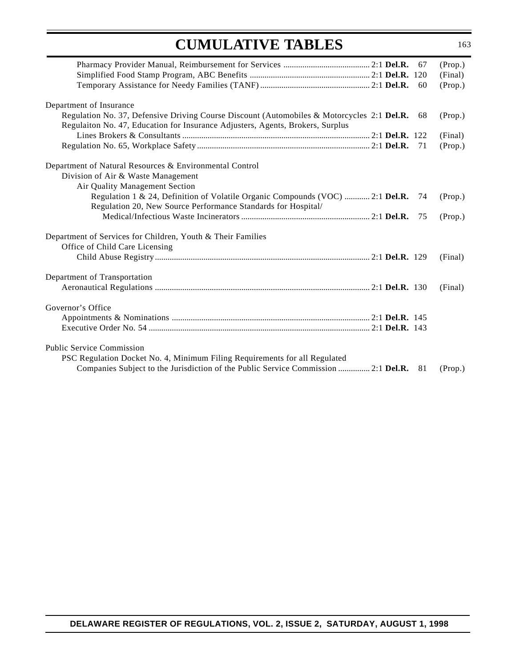# **CUMULATIVE TABLES** 163

|                                                                                                                                                   |    | (Prop.) |
|---------------------------------------------------------------------------------------------------------------------------------------------------|----|---------|
|                                                                                                                                                   |    | (Final) |
|                                                                                                                                                   | 60 | (Prop.) |
| Department of Insurance                                                                                                                           |    |         |
| Regulation No. 37, Defensive Driving Course Discount (Automobiles & Motorcycles 2:1 Del.R. 68                                                     |    | (Prop.) |
| Regulaiton No. 47, Education for Insurance Adjusters, Agents, Brokers, Surplus                                                                    |    |         |
|                                                                                                                                                   |    | (Final) |
|                                                                                                                                                   |    | (Prop.) |
| Department of Natural Resources & Environmental Control                                                                                           |    |         |
| Division of Air & Waste Management                                                                                                                |    |         |
| Air Quality Management Section                                                                                                                    |    |         |
| Regulation 1 & 24, Definition of Volatile Organic Compounds (VOC)  2:1 Del.R. 74<br>Regulation 20, New Source Performance Standards for Hospital/ |    | (Prop.) |
|                                                                                                                                                   | 75 | (Prop.) |
| Department of Services for Children, Youth & Their Families                                                                                       |    |         |
| Office of Child Care Licensing                                                                                                                    |    |         |
|                                                                                                                                                   |    | (Final) |
| Department of Transportation                                                                                                                      |    |         |
|                                                                                                                                                   |    | (Final) |
| Governor's Office                                                                                                                                 |    |         |
|                                                                                                                                                   |    |         |
|                                                                                                                                                   |    |         |
| <b>Public Service Commission</b>                                                                                                                  |    |         |
| PSC Regulation Docket No. 4, Minimum Filing Requirements for all Regulated                                                                        |    |         |
| Companies Subject to the Jurisdiction of the Public Service Commission  2:1 Del.R. 81                                                             |    | (Prop.) |

Ξ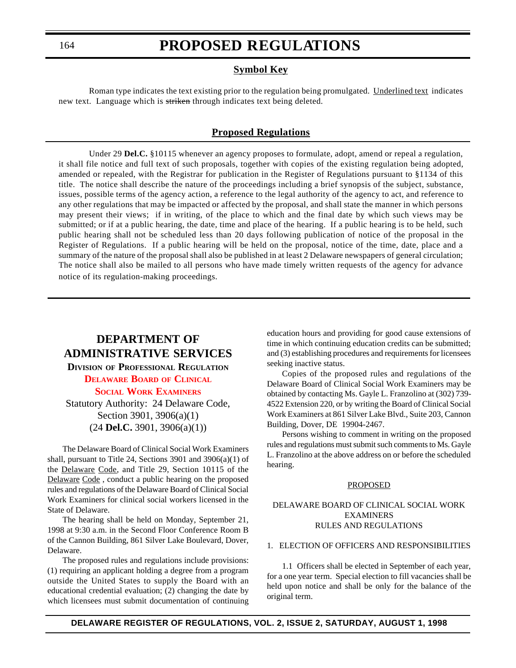# **Symbol Key**

<span id="page-7-0"></span>Roman type indicates the text existing prior to the regulation being promulgated. Underlined text indicates new text. Language which is striken through indicates text being deleted.

# **Proposed Regulations**

Under 29 **Del.C.** §10115 whenever an agency proposes to formulate, adopt, amend or repeal a regulation, it shall file notice and full text of such proposals, together with copies of the existing regulation being adopted, amended or repealed, with the Registrar for publication in the Register of Regulations pursuant to §1134 of this title. The notice shall describe the nature of the proceedings including a brief synopsis of the subject, substance, issues, possible terms of the agency action, a reference to the legal authority of the agency to act, and reference to any other regulations that may be impacted or affected by the proposal, and shall state the manner in which persons may present their views; if in writing, of the place to which and the final date by which such views may be submitted; or if at a public hearing, the date, time and place of the hearing. If a public hearing is to be held, such public hearing shall not be scheduled less than 20 days following publication of notice of the proposal in the Register of Regulations. If a public hearing will be held on the proposal, notice of the time, date, place and a summary of the nature of the proposal shall also be published in at least 2 Delaware newspapers of general circulation; The notice shall also be mailed to all persons who have made timely written requests of the agency for advance notice of its regulation-making proceedings.

# **DEPARTMENT OF ADMINISTRATIVE SERVICES**

**DIVISION OF PROFESSIONAL REGULATION DELAWARE BOARD OF CLINICAL**

**SOCIAL WORK [EXAMINERS](#page-3-0)**

Statutory Authority: 24 Delaware Code, Section 3901, 3906(a)(1) (24 **Del.C.** 3901, 3906(a)(1))

The Delaware Board of Clinical Social Work Examiners shall, pursuant to Title 24, Sections 3901 and 3906(a)(1) of the Delaware Code, and Title 29, Section 10115 of the Delaware Code , conduct a public hearing on the proposed rules and regulations of the Delaware Board of Clinical Social Work Examiners for clinical social workers licensed in the State of Delaware.

The hearing shall be held on Monday, September 21, 1998 at 9:30 a.m. in the Second Floor Conference Room B of the Cannon Building, 861 Silver Lake Boulevard, Dover, Delaware.

The proposed rules and regulations include provisions: (1) requiring an applicant holding a degree from a program outside the United States to supply the Board with an educational credential evaluation; (2) changing the date by which licensees must submit documentation of continuing education hours and providing for good cause extensions of time in which continuing education credits can be submitted; and (3) establishing procedures and requirements for licensees seeking inactive status.

Copies of the proposed rules and regulations of the Delaware Board of Clinical Social Work Examiners may be obtained by contacting Ms. Gayle L. Franzolino at (302) 739- 4522 Extension 220, or by writing the Board of Clinical Social Work Examiners at 861 Silver Lake Blvd., Suite 203, Cannon Building, Dover, DE 19904-2467.

Persons wishing to comment in writing on the proposed rules and regulations must submit such comments to Ms. Gayle L. Franzolino at the above address on or before the scheduled hearing.

#### PROPOSED

#### DELAWARE BOARD OF CLINICAL SOCIAL WORK EXAMINERS RULES AND REGULATIONS

#### 1. ELECTION OF OFFICERS AND RESPONSIBILITIES

1.1 Officers shall be elected in September of each year, for a one year term. Special election to fill vacancies shall be held upon notice and shall be only for the balance of the original term.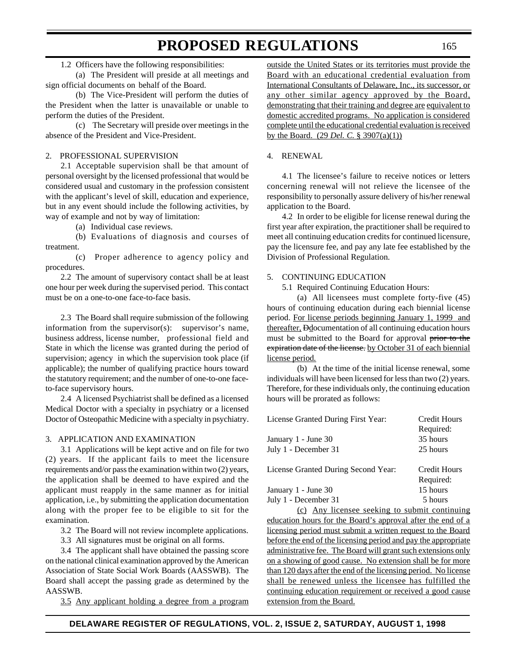1.2 Officers have the following responsibilities:

(a) The President will preside at all meetings and sign official documents on behalf of the Board.

(b) The Vice-President will perform the duties of the President when the latter is unavailable or unable to perform the duties of the President.

(c) The Secretary will preside over meetings in the absence of the President and Vice-President.

#### 2. PROFESSIONAL SUPERVISION

2.1 Acceptable supervision shall be that amount of personal oversight by the licensed professional that would be considered usual and customary in the profession consistent with the applicant's level of skill, education and experience, but in any event should include the following activities, by way of example and not by way of limitation:

(a) Individual case reviews.

(b) Evaluations of diagnosis and courses of treatment.

(c) Proper adherence to agency policy and procedures.

2.2 The amount of supervisory contact shall be at least one hour per week during the supervised period. This contact must be on a one-to-one face-to-face basis.

2.3 The Board shall require submission of the following information from the supervisor(s): supervisor's name, business address, license number, professional field and State in which the license was granted during the period of supervision; agency in which the supervision took place (if applicable); the number of qualifying practice hours toward the statutory requirement; and the number of one-to-one faceto-face supervisory hours.

2.4 A licensed Psychiatrist shall be defined as a licensed Medical Doctor with a specialty in psychiatry or a licensed Doctor of Osteopathic Medicine with a specialty in psychiatry.

#### 3. APPLICATION AND EXAMINATION

3.1 Applications will be kept active and on file for two (2) years. If the applicant fails to meet the licensure requirements and/or pass the examination within two (2) years, the application shall be deemed to have expired and the applicant must reapply in the same manner as for initial application, i.e., by submitting the application documentation along with the proper fee to be eligible to sit for the examination.

3.2 The Board will not review incomplete applications.

3.3 All signatures must be original on all forms.

3.4 The applicant shall have obtained the passing score on the national clinical examination approved by the American Association of State Social Work Boards (AASSWB). The Board shall accept the passing grade as determined by the AASSWB.

3.5 Any applicant holding a degree from a program

outside the United States or its territories must provide the Board with an educational credential evaluation from International Consultants of Delaware, Inc., its successor, or any other similar agency approved by the Board, demonstrating that their training and degree are equivalent to domestic accredited programs. No application is considered complete until the educational credential evaluation is received by the Board. (29 *Del. C.* § 3907(a)(1))

#### 4. RENEWAL

4.1 The licensee's failure to receive notices or letters concerning renewal will not relieve the licensee of the responsibility to personally assure delivery of his/her renewal application to the Board.

4.2 In order to be eligible for license renewal during the first year after expiration, the practitioner shall be required to meet all continuing education credits for continued licensure, pay the licensure fee, and pay any late fee established by the Division of Professional Regulation.

#### 5. CONTINUING EDUCATION

5.1 Required Continuing Education Hours:

(a) All licensees must complete forty-five (45) hours of continuing education during each biennial license period. For license periods beginning January 1, 1999 and thereafter, **Ddocumentation of all continuing education hours** must be submitted to the Board for approval prior to the expiration date of the license. by October 31 of each biennial license period*.*

(b) At the time of the initial license renewal, some individuals will have been licensed for less than two (2) years. Therefore, for these individuals only, the continuing education hours will be prorated as follows:

| License Granted During First Year:  | <b>Credit Hours</b> |
|-------------------------------------|---------------------|
|                                     | Required:           |
| January 1 - June 30                 | 35 hours            |
| July 1 - December 31                | 25 hours            |
|                                     |                     |
| License Granted During Second Year: | <b>Credit Hours</b> |
|                                     | Required:           |
| January 1 - June 30                 | 15 hours            |
| July 1 - December 31                | 5 hours             |

(c) Any licensee seeking to submit continuing education hours for the Board's approval after the end of a licensing period must submit a written request to the Board before the end of the licensing period and pay the appropriate administrative fee. The Board will grant such extensions only on a showing of good cause. No extension shall be for more than 120 days after the end of the licensing period. No license shall be renewed unless the licensee has fulfilled the continuing education requirement or received a good cause extension from the Board.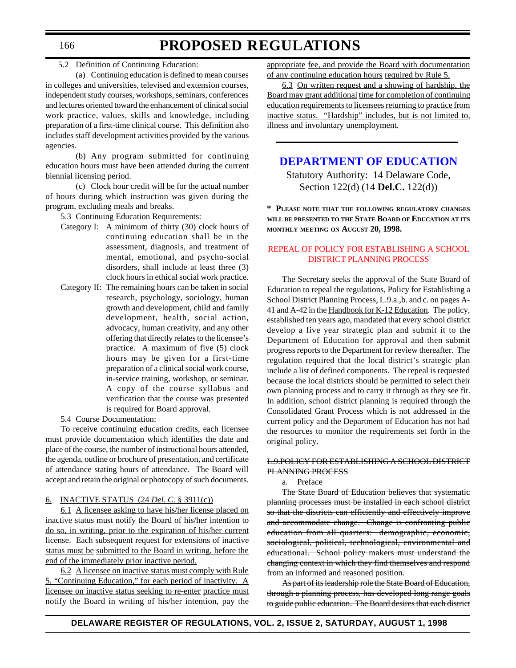<span id="page-9-0"></span>166

# **PROPOSED REGULATIONS**

# 5.2 Definition of Continuing Education:

(a) Continuing education is defined to mean courses in colleges and universities, televised and extension courses, independent study courses, workshops, seminars, conferences and lectures oriented toward the enhancement of clinical social work practice, values, skills and knowledge, including preparation of a first-time clinical course. This definition also includes staff development activities provided by the various agencies.

(b) Any program submitted for continuing education hours must have been attended during the current biennial licensing period.

(c) Clock hour credit will be for the actual number of hours during which instruction was given during the program, excluding meals and breaks.

5.3 Continuing Education Requirements:

- Category I: A minimum of thirty (30) clock hours of continuing education shall be in the assessment, diagnosis, and treatment of mental, emotional, and psycho-social disorders, shall include at least three (3) clock hours in ethical social work practice.
- Category II: The remaining hours can be taken in social research, psychology, sociology, human growth and development, child and family development, health, social action, advocacy, human creativity, and any other offering that directly relates to the licensee's practice. A maximum of five (5) clock hours may be given for a first-time preparation of a clinical social work course, in-service training, workshop, or seminar. A copy of the course syllabus and verification that the course was presented is required for Board approval.
- 5.4 Course Documentation:

To receive continuing education credits, each licensee must provide documentation which identifies the date and place of the course, the number of instructional hours attended, the agenda, outline or brochure of presentation, and certificate of attendance stating hours of attendance. The Board will accept and retain the original or photocopy of such documents.

### 6. INACTIVE STATUS (24 *Del. C.* § 3911(c))

6.1 A licensee asking to have his/her license placed on inactive status must notify the Board of his/her intention to do so, in writing, prior to the expiration of his/her current license. Each subsequent request for extensions of inactive status must be submitted to the Board in writing, before the end of the immediately prior inactive period.

6.2 A licensee on inactive status must comply with Rule 5, "Continuing Education," for each period of inactivity. A licensee on inactive status seeking to re-enter practice must notify the Board in writing of his/her intention, pay the

appropriate fee, and provide the Board with documentation of any continuing education hours required by Rule 5.

6.3 On written request and a showing of hardship, the Board may grant additional time for completion of continuing education requirements to licensees returning to practice from inactive status. "Hardship" includes, but is not limited to, illness and involuntary unemployment.

# **[DEPARTMENT OF EDUCATION](http://www.doe.state.de.us/)**

Statutory Authority: 14 Delaware Code, Section 122(d) (14 **Del.C.** 122(d))

**\* PLEASE NOTE THAT THE FOLLOWING REGULATORY CHANGES WILL BE PRESENTED TO THE STATE BOARD OF EDUCATION AT ITS MONTHLY MEETING ON AUGUST 20, 1998.**

### [REPEAL OF POLICY FOR ESTABLISHING A SCHOOL](#page-3-0) DISTRICT PLANNING PROCESS

The Secretary seeks the approval of the State Board of Education to repeal the regulations, Policy for Establishing a School District Planning Process, L.9.a.,b. and c. on pages A-41 and A-42 in the Handbook for K-12 Education. The policy, established ten years ago, mandated that every school district develop a five year strategic plan and submit it to the Department of Education for approval and then submit progress reports to the Department for review thereafter. The regulation required that the local district's strategic plan include a list of defined components. The repeal is requested because the local districts should be permitted to select their own planning process and to carry it through as they see fit. In addition, school district planning is required through the Consolidated Grant Process which is not addressed in the current policy and the Department of Education has not had the resources to monitor the requirements set forth in the original policy.

### L.9.POLICY FOR ESTABLISHING A SCHOOL DISTRICT PLANNING PROCESS

a. Preface

The State Board of Education believes that systematic planning processes must be installed in each school district so that the districts can efficiently and effectively improve and accommodate change. Change is confronting public education from all quarters: demographic, economic, sociological, political, technological, environmental and educational. School policy makers must understand the changing context in which they find themselves and respond from an informed and reasoned position.

As part of its leadership role the State Board of Education, through a planning process, has developed long range goals to guide public education. The Board desires that each district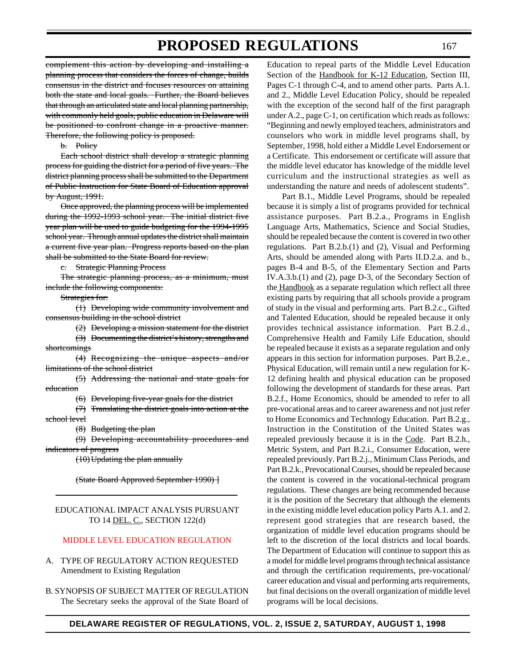<span id="page-10-0"></span>complement this action by developing and installing a planning process that considers the forces of change, builds consensus in the district and focuses resources on attaining both the state and local goals. Further, the Board believes that through an articulated state and local planning partnership, with commonly held goals, public education in Delaware will be positioned to confront change in a proactive manner. Therefore, the following policy is proposed.

b. Policy

Each school district shall develop a strategic planning process for guiding the district for a period of five years. The district planning process shall be submitted to the Department of Public Instruction for State Board of Education approval by August, 1991.

Once approved, the planning process will be implemented during the 1992-1993 school year. The initial district five year plan will be used to guide budgeting for the 1994-1995 school year. Through annual updates the district shall maintain a current five year plan. Progress reports based on the plan shall be submitted to the State Board for review.

c. Strategic Planning Process

The strategic planning process, as a minimum, must include the following components:

Strategies for:

(1) Developing wide community involvement and consensus building in the school district

(2) Developing a mission statement for the district

(3) Documenting the district's history, strengths and shortcomings

(4) Recognizing the unique aspects and/or limitations of the school district

(5) Addressing the national and state goals for education

(6) Developing five-year goals for the district

 $(7)$  Translating the district goals into action at the school level

(8) Budgeting the plan

(9) Developing accountability procedures and indicators of progress

 $(10)$  Updating the plan annually

(State Board Approved September 1990) ]

### EDUCATIONAL IMPACT ANALYSIS PURSUANT TO 14 DEL. C., SECTION 122(d)

#### [MIDDLE LEVEL EDUCATION REGULATION](#page-3-0)

A. TYPE OF REGULATORY ACTION REQUESTED Amendment to Existing Regulation

B. SYNOPSIS OF SUBJECT MATTER OF REGULATION The Secretary seeks the approval of the State Board of Education to repeal parts of the Middle Level Education Section of the Handbook for K-12 Education, Section III, Pages C-1 through C-4, and to amend other parts. Parts A.1. and 2., Middle Level Education Policy, should be repealed with the exception of the second half of the first paragraph under A.2., page C-1, on certification which reads as follows: "Beginning and newly employed teachers, administrators and counselors who work in middle level programs shall, by September, 1998, hold either a Middle Level Endorsement or a Certificate. This endorsement or certificate will assure that the middle level educator has knowledge of the middle level curriculum and the instructional strategies as well as understanding the nature and needs of adolescent students".

Part B.1., Middle Level Programs, should be repealed because it is simply a list of programs provided for technical assistance purposes. Part B.2.a., Programs in English Language Arts, Mathematics, Science and Social Studies, should be repealed because the content is covered in two other regulations. Part B.2.b.(1) and (2), Visual and Performing Arts, should be amended along with Parts II.D.2.a. and b., pages B-4 and B-5, of the Elementary Section and Parts IV.A.3.b.(1) and (2), page D-3, of the Secondary Section of the **Handbook** as a separate regulation which reflect all three existing parts by requiring that all schools provide a program of study in the visual and performing arts. Part B.2.c., Gifted and Talented Education, should be repealed because it only provides technical assistance information. Part B.2.d., Comprehensive Health and Family Life Education, should be repealed because it exists as a separate regulation and only appears in this section for information purposes. Part B.2.e., Physical Education, will remain until a new regulation for K-12 defining health and physical education can be proposed following the development of standards for these areas. Part B.2.f., Home Economics, should be amended to refer to all pre-vocational areas and to career awareness and not just refer to Home Economics and Technology Education. Part B.2.g., Instruction in the Constitution of the United States was repealed previously because it is in the Code. Part B.2.h., Metric System, and Part B.2.i., Consumer Education, were repealed previously. Part B.2.j., Minimum Class Periods, and Part B.2.k., Prevocational Courses, should be repealed because the content is covered in the vocational-technical program regulations. These changes are being recommended because it is the position of the Secretary that although the elements in the existing middle level education policy Parts A.1. and 2. represent good strategies that are research based, the organization of middle level education programs should be left to the discretion of the local districts and local boards. The Department of Education will continue to support this as a model for middle level programs through technical assistance and through the certification requirements, pre-vocational/ career education and visual and performing arts requirements, but final decisions on the overall organization of middle level programs will be local decisions.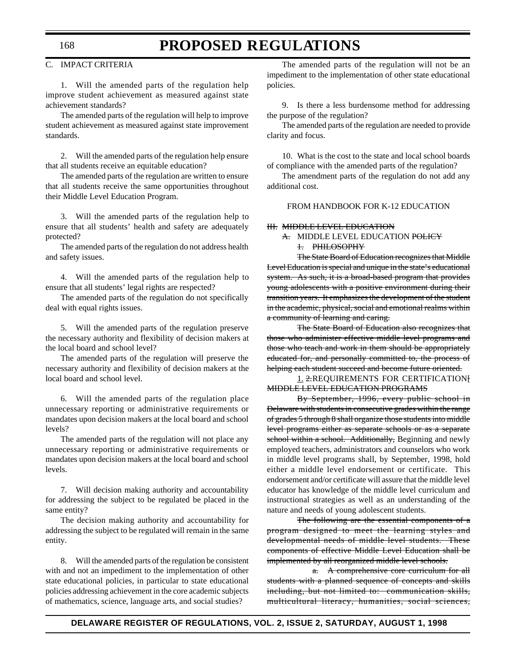### C. IMPACT CRITERIA

1. Will the amended parts of the regulation help improve student achievement as measured against state achievement standards?

The amended parts of the regulation will help to improve student achievement as measured against state improvement standards.

2. Will the amended parts of the regulation help ensure that all students receive an equitable education?

The amended parts of the regulation are written to ensure that all students receive the same opportunities throughout their Middle Level Education Program.

3. Will the amended parts of the regulation help to ensure that all students' health and safety are adequately protected?

The amended parts of the regulation do not address health and safety issues.

4. Will the amended parts of the regulation help to ensure that all students' legal rights are respected?

The amended parts of the regulation do not specifically deal with equal rights issues.

5. Will the amended parts of the regulation preserve the necessary authority and flexibility of decision makers at the local board and school level?

The amended parts of the regulation will preserve the necessary authority and flexibility of decision makers at the local board and school level.

6. Will the amended parts of the regulation place unnecessary reporting or administrative requirements or mandates upon decision makers at the local board and school levels?

The amended parts of the regulation will not place any unnecessary reporting or administrative requirements or mandates upon decision makers at the local board and school levels.

7. Will decision making authority and accountability for addressing the subject to be regulated be placed in the same entity?

The decision making authority and accountability for addressing the subject to be regulated will remain in the same entity.

8. Will the amended parts of the regulation be consistent with and not an impediment to the implementation of other state educational policies, in particular to state educational policies addressing achievement in the core academic subjects of mathematics, science, language arts, and social studies?

The amended parts of the regulation will not be an impediment to the implementation of other state educational policies.

9. Is there a less burdensome method for addressing the purpose of the regulation?

The amended parts of the regulation are needed to provide clarity and focus.

10. What is the cost to the state and local school boards of compliance with the amended parts of the regulation?

The amendment parts of the regulation do not add any additional cost.

#### FROM HANDBOOK FOR K-12 EDUCATION

#### III. MIDDLE LEVEL EDUCATION

A. MIDDLE LEVEL EDUCATION POLICY 1. PHILOSOPHY

The State Board of Education recognizes that Middle Level Education is special and unique in the state's educational system. As such, it is a broad-based program that provides young adolescents with a positive environment during their transition years. It emphasizes the development of the student in the academic, physical, social and emotional realms within a community of learning and caring.

The State Board of Education also recognizes that those who administer effective middle level programs and those who teach and work in them should be appropriately educated for, and personally committed to, the process of helping each student succeed and become future oriented.

1. 2. REQUIREMENTS FOR CERTIFICATION MIDDLE LEVEL EDUCATION PROGRAMS

By September, 1996, every public school in Delaware with students in consecutive grades within the range of grades 5 through 8 shall organize those students into middle level programs either as separate schools or as a separate school within a school. Additionally, Beginning and newly employed teachers, administrators and counselors who work in middle level programs shall, by September, 1998, hold either a middle level endorsement or certificate. This endorsement and/or certificate will assure that the middle level educator has knowledge of the middle level curriculum and instructional strategies as well as an understanding of the nature and needs of young adolescent students.

The following are the essential components of a program designed to meet the learning styles and developmental needs of middle level students. These components of effective Middle Level Education shall be implemented by all reorganized middle level schools.

a. A comprehensive core curriculum for all students with a planned sequence of concepts and skills including, but not limited to: communication skills, multicultural literacy, humanities, social sciences,

# 168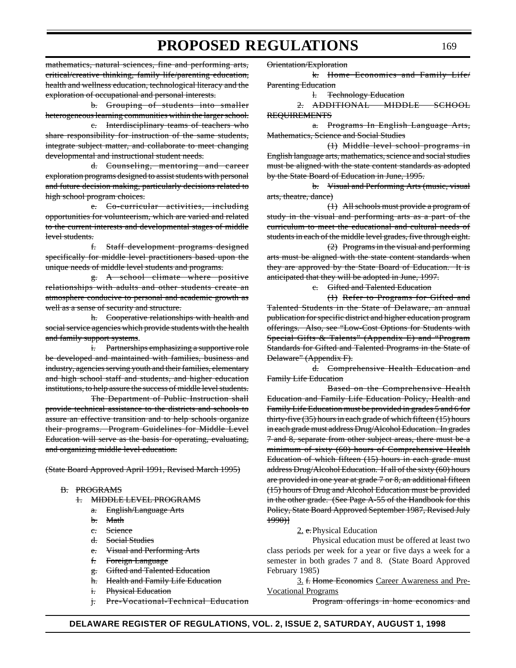mathematics, natural sciences, fine and performing arts, critical/creative thinking, family life/parenting education, health and wellness education, technological literacy and the exploration of occupational and personal interests.

b. Grouping of students into smaller heterogeneous learning communities within the larger school.

c. Interdisciplinary teams of teachers who share responsibility for instruction of the same students, integrate subject matter, and collaborate to meet changing developmental and instructional student needs.

d. Counseling, mentoring and career exploration programs designed to assist students with personal and future decision making, particularly decisions related to high school program choices.

e. Co-curricular activities, including opportunities for volunteerism, which are varied and related to the current interests and developmental stages of middle level students.

f. Staff development programs designed specifically for middle level practitioners based upon the unique needs of middle level students and programs.

g. A school climate where positive relationships with adults and other students create an atmosphere conducive to personal and academic growth as well as a sense of security and structure.

h. Cooperative relationships with health and social service agencies which provide students with the health and family support systems.

i. Partnerships emphasizing a supportive role be developed and maintained with families, business and industry, agencies serving youth and their families, elementary and high school staff and students, and higher education institutions, to help assure the success of middle level students.

The Department of Public Instruction shall provide technical assistance to the districts and schools to assure an effective transition and to help schools organize their programs. Program Guidelines for Middle Level Education will serve as the basis for operating, evaluating, and organizing middle level education.

(State Board Approved April 1991, Revised March 1995)

### B. PROGRAMS

- 1. MIDDLE LEVEL PROGRAMS
	- a. English/Language Arts
	- b. Math
	- c. Science
	- d. Social Studies
	- e. Visual and Performing Arts
	- f. Foreign Language
	- g. Gifted and Talented Education
	- h. Health and Family Life Education
	- i. Physical Education
	- j. Pre-Vocational-Technical Education

Orientation/Exploration

k. Home Economics and Family Life/ Parenting Education

l. Technology Education

2. ADDITIONAL MIDDLE SCHOOL **REQUIREMENTS** 

a. Programs In English Language Arts, Mathematics, Science and Social Studies

(1) Middle level school programs in English language arts, mathematics, science and social studies must be aligned with the state content standards as adopted by the State Board of Education in June, 1995.

b. Visual and Performing Arts (music, visual arts, theatre, dance)

 $(1)$  All schools must provide a program of study in the visual and performing arts as a part of the curriculum to meet the educational and cultural needs of students in each of the middle level grades, five through eight.

(2) Programs in the visual and performing arts must be aligned with the state content standards when they are approved by the State Board of Education. It is anticipated that they will be adopted in June, 1997.

c. Gifted and Talented Education

(1) Refer to Programs for Gifted and Talented Students in the State of Delaware, an annual publication for specific district and higher education program offerings. Also, see "Low-Cost Options for Students with Special Gifts & Talents" (Appendix E) and "Program Standards for Gifted and Talented Programs in the State of Delaware" (Appendix F).

d. Comprehensive Health Education and Family Life Education

Based on the Comprehensive Health Education and Family Life Education Policy, Health and Family Life Education must be provided in grades 5 and 6 for thirty-five (35) hours in each grade of which fifteen (15) hours in each grade must address Drug/Alcohol Education. In grades 7 and 8, separate from other subject areas, there must be a minimum of sixty (60) hours of Comprehensive Health Education of which fifteen (15) hours in each grade must address Drug/Alcohol Education. If all of the sixty (60) hours are provided in one year at grade 7 or 8, an additional fifteen (15) hours of Drug and Alcohol Education must be provided in the other grade. (See Page A-55 of the Handbook for this Policy, State Board Approved September 1987, Revised July 1990)]

2. e.Physical Education

Physical education must be offered at least two class periods per week for a year or five days a week for a semester in both grades 7 and 8. (State Board Approved February 1985)

3. f. Home Economics Career Awareness and Pre-Vocational Programs

Program offerings in home economics and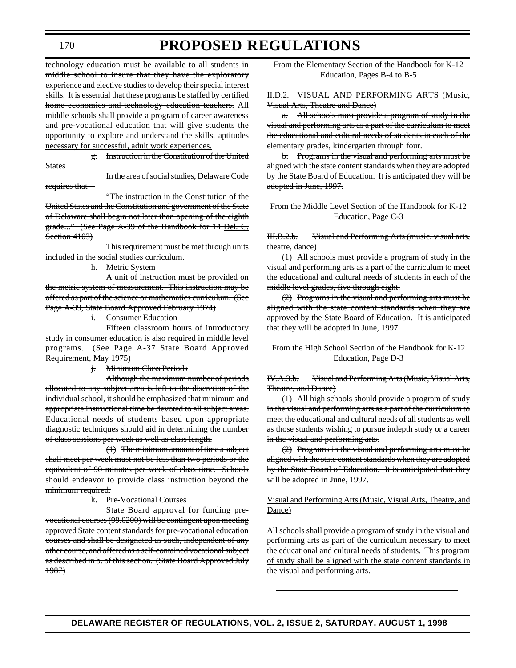170

# **PROPOSED REGULATIONS**

technology education must be available to all students in middle school to insure that they have the exploratory experience and elective studies to develop their special interest skills. It is essential that these programs be staffed by certified home economics and technology education teachers. All middle schools shall provide a program of career awareness and pre-vocational education that will give students the opportunity to explore and understand the skills, aptitudes necessary for successful, adult work experiences.

**States** 

requires that --

In the area of social studies, Delaware Code

g. Instruction in the Constitution of the United

"The instruction in the Constitution of the United States and the Constitution and government of the State of Delaware shall begin not later than opening of the eighth grade..." (See Page A-39 of the Handbook for 14 Del. C. Section 4103)

This requirement must be met through units included in the social studies curriculum.

h. Metric System

A unit of instruction must be provided on the metric system of measurement. This instruction may be offered as part of the science or mathematics curriculum. (See Page A-39, State Board Approved February 1974)

i. Consumer Education

Fifteen classroom hours of introductory study in consumer education is also required in middle level programs. (See Page A-37 State Board Approved Requirement, May 1975)

j. Minimum Class Periods

Although the maximum number of periods allocated to any subject area is left to the discretion of the individual school, it should be emphasized that minimum and appropriate instructional time be devoted to all subject areas. Educational needs of students based upon appropriate diagnostic techniques should aid in determining the number of class sessions per week as well as class length.

(1) The minimum amount of time a subject shall meet per week must not be less than two periods or the equivalent of 90 minutes per week of class time. Schools should endeavor to provide class instruction beyond the minimum required.

k. Pre-Vocational Courses

State Board approval for funding prevocational courses (99.0200) will be contingent upon meeting approved State content standards for pre-vocational education courses and shall be designated as such, independent of any other course, and offered as a self-contained vocational subject as described in b. of this section. (State Board Approved July 1987)

From the Elementary Section of the Handbook for K-12 Education, Pages B-4 to B-5

II.D.2. VISUAL AND PERFORMING ARTS (Music, Visual Arts, Theatre and Dance)

a. All schools must provide a program of study in the visual and performing arts as a part of the curriculum to meet the educational and cultural needs of students in each of the elementary grades, kindergarten through four.

b. Programs in the visual and performing arts must be aligned with the state content standards when they are adopted by the State Board of Education. It is anticipated they will be adopted in June, 1997.

From the Middle Level Section of the Handbook for K-12 Education, Page C-3

III.B.2.b. Visual and Performing Arts (music, visual arts, theatre, dance)

(1) All schools must provide a program of study in the visual and performing arts as a part of the curriculum to meet the educational and cultural needs of students in each of the middle level grades, five through eight.

(2) Programs in the visual and performing arts must be aligned with the state content standards when they are approved by the State Board of Education. It is anticipated that they will be adopted in June, 1997.

From the High School Section of the Handbook for K-12 Education, Page D-3

IV.A.3.b. Visual and Performing Arts (Music, Visual Arts, Theatre, and Dance)

(1) All high schools should provide a program of study in the visual and performing arts as a part of the curriculum to meet the educational and cultural needs of all students as well as those students wishing to pursue indepth study or a career in the visual and performing arts.

(2) Programs in the visual and performing arts must be aligned with the state content standards when they are adopted by the State Board of Education. It is anticipated that they will be adopted in June, 1997.

Visual and Performing Arts (Music, Visual Arts, Theatre, and Dance)

All schools shall provide a program of study in the visual and performing arts as part of the curriculum necessary to meet the educational and cultural needs of students. This program of study shall be aligned with the state content standards in the visual and performing arts.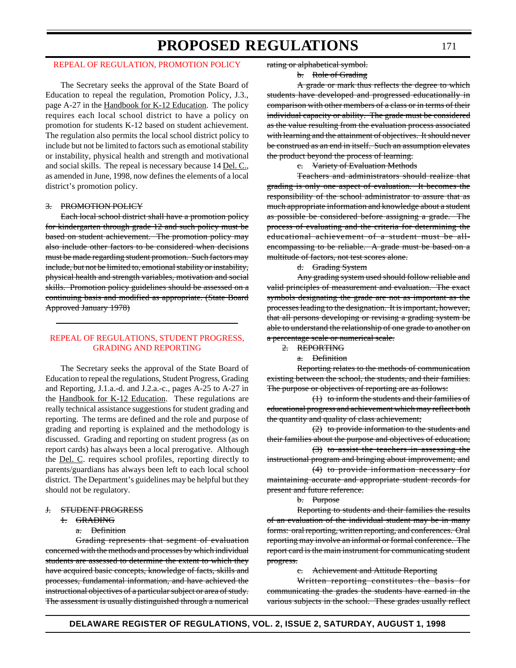### <span id="page-14-0"></span>[REPEAL OF REGULATION, PROMOTION POLICY](#page-3-0)

The Secretary seeks the approval of the State Board of Education to repeal the regulation, Promotion Policy, J.3., page A-27 in the Handbook for K-12 Education. The policy requires each local school district to have a policy on promotion for students K-12 based on student achievement. The regulation also permits the local school district policy to include but not be limited to factors such as emotional stability or instability, physical health and strength and motivational and social skills. The repeal is necessary because 14 Del. C., as amended in June, 1998, now defines the elements of a local district's promotion policy.

#### 3. PROMOTION POLICY

Each local school district shall have a promotion policy for kindergarten through grade 12 and such policy must be based on student achievement. The promotion policy may also include other factors to be considered when decisions must be made regarding student promotion. Such factors may include, but not be limited to, emotional stability or instability, physical health and strength variables, motivation and social skills. Promotion policy guidelines should be assessed on a continuing basis and modified as appropriate. (State Board Approved January 1978)

### [REPEAL OF REGULATIONS, STUDENT PROGRESS,](#page-3-0) GRADING AND REPORTING

The Secretary seeks the approval of the State Board of Education to repeal the regulations, Student Progress, Grading and Reporting, J.1.a.-d. and J.2.a.-c., pages A-25 to A-27 in the Handbook for K-12 Education. These regulations are really technical assistance suggestions for student grading and reporting. The terms are defined and the role and purpose of grading and reporting is explained and the methodology is discussed. Grading and reporting on student progress (as on report cards) has always been a local prerogative. Although the Del. C. requires school profiles, reporting directly to parents/guardians has always been left to each local school district. The Department's guidelines may be helpful but they should not be regulatory.

#### J. STUDENT PROGRESS

#### 1. GRADING

a. Definition

Grading represents that segment of evaluation concerned with the methods and processes by which individual students are assessed to determine the extent to which they have acquired basic concepts, knowledge of facts, skills and processes, fundamental information, and have achieved the instructional objectives of a particular subject or area of study. The assessment is usually distinguished through a numerical rating or alphabetical symbol.

#### b. Role of Grading

A grade or mark thus reflects the degree to which students have developed and progressed educationally in comparison with other members of a class or in terms of their individual capacity or ability. The grade must be considered as the value resulting from the evaluation process associated with learning and the attainment of objectives. It should never be construed as an end in itself. Such an assumption elevates the product beyond the process of learning.

c. Variety of Evaluation Methods

Teachers and administrators should realize that grading is only one aspect of evaluation. It becomes the responsibility of the school administrator to assure that as much appropriate information and knowledge about a student as possible be considered before assigning a grade. The process of evaluating and the criteria for determining the educational achievement of a student must be allencompassing to be reliable. A grade must be based on a multitude of factors, not test scores alone.

d. Grading System

Any grading system used should follow reliable and valid principles of measurement and evaluation. The exact symbols designating the grade are not as important as the processes leading to the designation. It is important, however, that all persons developing or revising a grading system be able to understand the relationship of one grade to another on a percentage scale or numerical scale.

2. REPORTING

a. Definition

Reporting relates to the methods of communication existing between the school, the students, and their families. The purpose or objectives of reporting are as follows:

(1) to inform the students and their families of educational progress and achievement which may reflect both the quantity and quality of class achievement;

(2) to provide information to the students and their families about the purpose and objectives of education;

(3) to assist the teachers in assessing the instructional program and bringing about improvement; and

(4) to provide information necessary for maintaining accurate and appropriate student records for present and future reference.

b. Purpose

Reporting to students and their families the results of an evaluation of the individual student may be in many forms: oral reporting, written reporting, and conferences. Oral reporting may involve an informal or formal conference. The report card is the main instrument for communicating student progress.

c. Achievement and Attitude Reporting

Written reporting constitutes the basis for communicating the grades the students have earned in the various subjects in the school. These grades usually reflect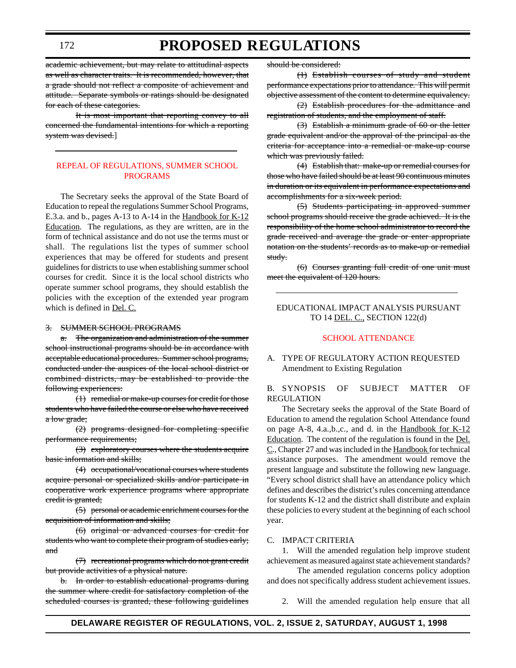#### <span id="page-15-0"></span>172

# **PROPOSED REGULATIONS**

academic achievement, but may relate to attitudinal aspects as well as character traits. It is recommended, however, that a grade should not reflect a composite of achievement and attitude. Separate symbols or ratings should be designated for each of these categories.

It is most important that reporting convey to all concerned the fundamental intentions for which a reporting system was devised.]

# [REPEAL OF REGULATIONS, SUMMER SCHOOL](#page-3-0) PROGRAMS

The Secretary seeks the approval of the State Board of Education to repeal the regulations Summer School Programs, E.3.a. and b., pages A-13 to A-14 in the Handbook for K-12 Education. The regulations, as they are written, are in the form of technical assistance and do not use the terms must or shall. The regulations list the types of summer school experiences that may be offered for students and present guidelines for districts to use when establishing summer school courses for credit. Since it is the local school districts who operate summer school programs, they should establish the policies with the exception of the extended year program which is defined in Del. C.

#### 3. SUMMER SCHOOL PROGRAMS

The organization and administration of the summer school instructional programs should be in accordance with acceptable educational procedures. Summer school programs, conducted under the auspices of the local school district or combined districts, may be established to provide the following experiences:

(1) remedial or make-up courses for credit for those students who have failed the course or else who have received a low grade;

(2) programs designed for completing specific performance requirements;

(3) exploratory courses where the students acquire basic information and skills;

(4) occupational/vocational courses where students acquire personal or specialized skills and/or participate in cooperative work experience programs where appropriate credit is granted;

(5) personal or academic enrichment courses for the acquisition of information and skills;

(6) original or advanced courses for credit for students who want to complete their program of studies early; and

(7) recreational programs which do not grant credit but provide activities of a physical nature.

b. In order to establish educational programs during the summer where credit for satisfactory completion of the scheduled courses is granted, these following guidelines should be considered:

(1) Establish courses of study and student performance expectations prior to attendance. This will permit objective assessment of the content to determine equivalency.

(2) Establish procedures for the admittance and registration of students, and the employment of staff.

(3) Establish a minimum grade of 60 or the letter grade equivalent and/or the approval of the principal as the criteria for acceptance into a remedial or make-up course which was previously failed.

(4) Establish that: make-up or remedial courses for those who have failed should be at least 90 continuous minutes in duration or its equivalent in performance expectations and accomplishments for a six-week period.

(5) Students participating in approved summer school programs should receive the grade achieved. It is the responsibility of the home school administrator to record the grade received and average the grade or enter appropriate notation on the students' records as to make-up or remedial study.

(6) Courses granting full credit of one unit must meet the equivalent of 120 hours.

### EDUCATIONAL IMPACT ANALYSIS PURSUANT TO 14 DEL. C., SECTION 122(d)

#### [SCHOOL ATTENDANCE](#page-3-0)

#### A. TYPE OF REGULATORY ACTION REQUESTED Amendment to Existing Regulation

### B. SYNOPSIS OF SUBJECT MATTER OF REGULATION

The Secretary seeks the approval of the State Board of Education to amend the regulation School Attendance found on page A-8, 4.a.,b.,c., and d. in the Handbook for K-12 Education. The content of the regulation is found in the Del. C., Chapter 27 and was included in the Handbook for technical assistance purposes. The amendment would remove the present language and substitute the following new language. "Every school district shall have an attendance policy which defines and describes the district's rules concerning attendance for students K-12 and the district shall distribute and explain these policies to every student at the beginning of each school year.

#### C. IMPACT CRITERIA

1. Will the amended regulation help improve student achievement as measured against state achievement standards?

The amended regulation concerns policy adoption and does not specifically address student achievement issues.

2. Will the amended regulation help ensure that all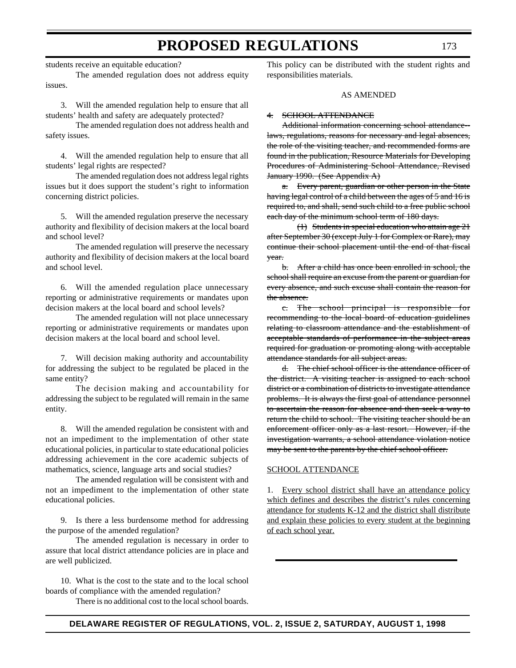students receive an equitable education?

The amended regulation does not address equity issues.

3. Will the amended regulation help to ensure that all students' health and safety are adequately protected?

The amended regulation does not address health and safety issues.

4. Will the amended regulation help to ensure that all students' legal rights are respected?

The amended regulation does not address legal rights issues but it does support the student's right to information concerning district policies.

5. Will the amended regulation preserve the necessary authority and flexibility of decision makers at the local board and school level?

The amended regulation will preserve the necessary authority and flexibility of decision makers at the local board and school level.

6. Will the amended regulation place unnecessary reporting or administrative requirements or mandates upon decision makers at the local board and school levels?

The amended regulation will not place unnecessary reporting or administrative requirements or mandates upon decision makers at the local board and school level.

7. Will decision making authority and accountability for addressing the subject to be regulated be placed in the same entity?

The decision making and accountability for addressing the subject to be regulated will remain in the same entity.

8. Will the amended regulation be consistent with and not an impediment to the implementation of other state educational policies, in particular to state educational policies addressing achievement in the core academic subjects of mathematics, science, language arts and social studies?

The amended regulation will be consistent with and not an impediment to the implementation of other state educational policies.

9. Is there a less burdensome method for addressing the purpose of the amended regulation?

The amended regulation is necessary in order to assure that local district attendance policies are in place and are well publicized.

10. What is the cost to the state and to the local school boards of compliance with the amended regulation?

There is no additional cost to the local school boards.

This policy can be distributed with the student rights and responsibilities materials.

#### AS AMENDED

#### 4. SCHOOL ATTENDANCE

Additional information concerning school attendance- laws, regulations, reasons for necessary and legal absences, the role of the visiting teacher, and recommended forms are found in the publication, Resource Materials for Developing Procedures of Administering School Attendance, Revised January 1990. (See Appendix A)

a. Every parent, guardian or other person in the State having legal control of a child between the ages of 5 and 16 is required to, and shall, send such child to a free public school each day of the minimum school term of 180 days.

(1) Students in special education who attain age 21 after September 30 (except July 1 for Complex or Rare), may continue their school placement until the end of that fiscal year.

b. After a child has once been enrolled in school, the school shall require an excuse from the parent or guardian for every absence, and such excuse shall contain the reason for the absence.

c. The school principal is responsible for recommending to the local board of education guidelines relating to classroom attendance and the establishment of acceptable standards of performance in the subject areas required for graduation or promoting along with acceptable attendance standards for all subject areas.

d. The chief school officer is the attendance officer of the district. A visiting teacher is assigned to each school district or a combination of districts to investigate attendance problems. It is always the first goal of attendance personnel to ascertain the reason for absence and then seek a way to return the child to school. The visiting teacher should be an enforcement officer only as a last resort. However, if the investigation warrants, a school attendance violation notice may be sent to the parents by the chief school officer.

#### SCHOOL ATTENDANCE

1. Every school district shall have an attendance policy which defines and describes the district's rules concerning attendance for students K-12 and the district shall distribute and explain these policies to every student at the beginning of each school year.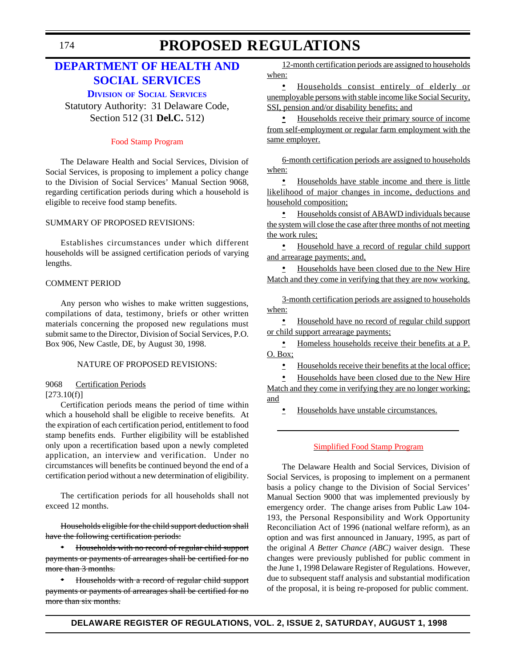# <span id="page-17-0"></span>**[DEPARTMENT OF HEALTH AND](http://www.state.de.us/govern/agencies/dhss/irm/dss/dsshome.htm) SOCIAL SERVICES**

**DIVISION OF SOCIAL SERVICES** Statutory Authority: 31 Delaware Code, Section 512 (31 **Del.C.** 512)

#### [Food Stamp Program](#page-3-0)

The Delaware Health and Social Services, Division of Social Services, is proposing to implement a policy change to the Division of Social Services' Manual Section 9068, regarding certification periods during which a household is eligible to receive food stamp benefits.

#### SUMMARY OF PROPOSED REVISIONS:

Establishes circumstances under which different households will be assigned certification periods of varying lengths.

### COMMENT PERIOD

Any person who wishes to make written suggestions, compilations of data, testimony, briefs or other written materials concerning the proposed new regulations must submit same to the Director, Division of Social Services, P.O. Box 906, New Castle, DE, by August 30, 1998.

#### NATURE OF PROPOSED REVISIONS:

# 9068 Certification Periods

### $[273.10(f)]$

Certification periods means the period of time within which a household shall be eligible to receive benefits. At the expiration of each certification period, entitlement to food stamp benefits ends. Further eligibility will be established only upon a recertification based upon a newly completed application, an interview and verification. Under no circumstances will benefits be continued beyond the end of a certification period without a new determination of eligibility.

The certification periods for all households shall not exceed 12 months.

Households eligible for the child support deduction shall have the following certification periods:

• Households with no record of regular child support payments or payments of arrearages shall be certified for no more than 3 months.

• Households with a record of regular child support payments or payments of arrearages shall be certified for no more than six months.

12-month certification periods are assigned to households when:

• Households consist entirely of elderly or unemployable persons with stable income like Social Security, SSI, pension and/or disability benefits; and

• Households receive their primary source of income from self-employment or regular farm employment with the same employer.

6-month certification periods are assigned to households when:

• Households have stable income and there is little likelihood of major changes in income, deductions and household composition;

• Households consist of ABAWD individuals because the system will close the case after three months of not meeting the work rules;

• Household have a record of regular child support and arrearage payments; and,

• Households have been closed due to the New Hire Match and they come in verifying that they are now working.

3-month certification periods are assigned to households when:

• Household have no record of regular child support or child support arrearage payments;

• Homeless households receive their benefits at a P. O. Box;

• Households receive their benefits at the local office;

• Households have been closed due to the New Hire Match and they come in verifying they are no longer working; and

• Households have unstable circumstances.

#### [Simplified Food Stamp Program](#page-3-0)

The Delaware Health and Social Services, Division of Social Services, is proposing to implement on a permanent basis a policy change to the Division of Social Services' Manual Section 9000 that was implemented previously by emergency order. The change arises from Public Law 104- 193, the Personal Responsibility and Work Opportunity Reconciliation Act of 1996 (national welfare reform), as an option and was first announced in January, 1995, as part of the original *A Better Chance (ABC)* waiver design. These changes were previously published for public comment in the June 1, 1998 Delaware Register of Regulations. However, due to subsequent staff analysis and substantial modification of the proposal, it is being re-proposed for public comment.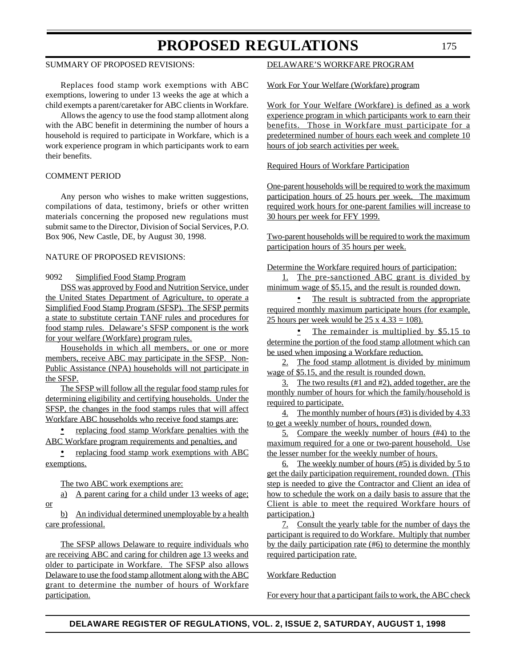#### SUMMARY OF PROPOSED REVISIONS:

Replaces food stamp work exemptions with ABC exemptions, lowering to under 13 weeks the age at which a child exempts a parent/caretaker for ABC clients in Workfare.

Allows the agency to use the food stamp allotment along with the ABC benefit in determining the number of hours a household is required to participate in Workfare, which is a work experience program in which participants work to earn their benefits.

# COMMENT PERIOD

Any person who wishes to make written suggestions, compilations of data, testimony, briefs or other written materials concerning the proposed new regulations must submit same to the Director, Division of Social Services, P.O. Box 906, New Castle, DE, by August 30, 1998.

### NATURE OF PROPOSED REVISIONS:

### 9092 Simplified Food Stamp Program

DSS was approved by Food and Nutrition Service, under the United States Department of Agriculture, to operate a Simplified Food Stamp Program (SFSP). The SFSP permits a state to substitute certain TANF rules and procedures for food stamp rules. Delaware's SFSP component is the work for your welfare (Workfare) program rules.

Households in which all members, or one or more members, receive ABC may participate in the SFSP. Non-Public Assistance (NPA) households will not participate in the SFSP.

The SFSP will follow all the regular food stamp rules for determining eligibility and certifying households. Under the SFSP, the changes in the food stamps rules that will affect Workfare ABC households who receive food stamps are:

replacing food stamp Workfare penalties with the ABC Workfare program requirements and penalties, and

• replacing food stamp work exemptions with ABC exemptions.

The two ABC work exemptions are:

a) A parent caring for a child under 13 weeks of age; or

b) An individual determined unemployable by a health care professional.

The SFSP allows Delaware to require individuals who are receiving ABC and caring for children age 13 weeks and older to participate in Workfare. The SFSP also allows Delaware to use the food stamp allotment along with the ABC grant to determine the number of hours of Workfare participation.

# DELAWARE'S WORKFARE PROGRAM

Work For Your Welfare (Workfare) program

Work for Your Welfare (Workfare) is defined as a work experience program in which participants work to earn their benefits. Those in Workfare must participate for a predetermined number of hours each week and complete 10 hours of job search activities per week.

Required Hours of Workfare Participation

One-parent households will be required to work the maximum participation hours of 25 hours per week. The maximum required work hours for one-parent families will increase to 30 hours per week for FFY 1999.

Two-parent households will be required to work the maximum participation hours of 35 hours per week.

Determine the Workfare required hours of participation: 1. The pre-sanctioned ABC grant is divided by

minimum wage of \$5.15, and the result is rounded down.

• The result is subtracted from the appropriate required monthly maximum participate hours (for example, 25 hours per week would be  $25 \times 4.33 = 108$ .

• The remainder is multiplied by \$5.15 to determine the portion of the food stamp allotment which can be used when imposing a Workfare reduction.

2. The food stamp allotment is divided by minimum wage of \$5.15, and the result is rounded down.

3. The two results (#1 and #2), added together, are the monthly number of hours for which the family/household is required to participate.

4. The monthly number of hours (#3) is divided by 4.33 to get a weekly number of hours, rounded down.

5. Compare the weekly number of hours (#4) to the maximum required for a one or two-parent household. Use the lesser number for the weekly number of hours.

6. The weekly number of hours (#5) is divided by 5 to get the daily participation requirement, rounded down. (This step is needed to give the Contractor and Client an idea of how to schedule the work on a daily basis to assure that the Client is able to meet the required Workfare hours of participation.)

7. Consult the yearly table for the number of days the participant is required to do Workfare. Multiply that number by the daily participation rate (#6) to determine the monthly required participation rate.

# Workfare Reduction

For every hour that a participant fails to work, the ABC check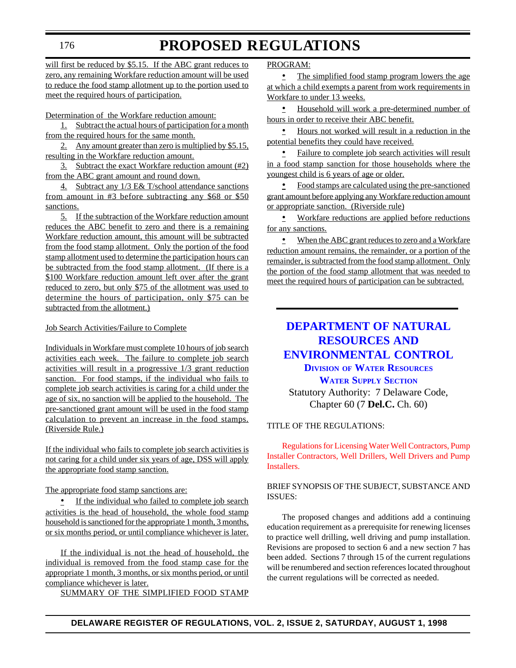will first be reduced by \$5.15. If the ABC grant reduces to zero, any remaining Workfare reduction amount will be used to reduce the food stamp allotment up to the portion used to meet the required hours of participation.

Determination of the Workfare reduction amount:

1. Subtract the actual hours of participation for a month from the required hours for the same month.

2. Any amount greater than zero is multiplied by \$5.15, resulting in the Workfare reduction amount.

3. Subtract the exact Workfare reduction amount (#2) from the ABC grant amount and round down.

4. Subtract any 1/3 E& T/school attendance sanctions from amount in #3 before subtracting any \$68 or \$50 sanctions.

5. If the subtraction of the Workfare reduction amount reduces the ABC benefit to zero and there is a remaining Workfare reduction amount, this amount will be subtracted from the food stamp allotment. Only the portion of the food stamp allotment used to determine the participation hours can be subtracted from the food stamp allotment. (If there is a \$100 Workfare reduction amount left over after the grant reduced to zero, but only \$75 of the allotment was used to determine the hours of participation, only \$75 can be subtracted from the allotment.)

#### Job Search Activities/Failure to Complete

Individuals in Workfare must complete 10 hours of job search activities each week. The failure to complete job search activities will result in a progressive 1/3 grant reduction sanction. For food stamps, if the individual who fails to complete job search activities is caring for a child under the age of six, no sanction will be applied to the household. The pre-sanctioned grant amount will be used in the food stamp calculation to prevent an increase in the food stamps. (Riverside Rule.)

If the individual who fails to complete job search activities is not caring for a child under six years of age, DSS will apply the appropriate food stamp sanction.

The appropriate food stamp sanctions are:

If the individual who failed to complete job search activities is the head of household, the whole food stamp household is sanctioned for the appropriate 1 month, 3 months, or six months period, or until compliance whichever is later.

If the individual is not the head of household, the individual is removed from the food stamp case for the appropriate 1 month, 3 months, or six months period, or until compliance whichever is later.

SUMMARY OF THE SIMPLIFIED FOOD STAMP

### PROGRAM:

• The simplified food stamp program lowers the age at which a child exempts a parent from work requirements in Workfare to under 13 weeks.

• Household will work a pre-determined number of hours in order to receive their ABC benefit.

• Hours not worked will result in a reduction in the potential benefits they could have received.

Failure to complete job search activities will result in a food stamp sanction for those households where the youngest child is 6 years of age or older.

• Food stamps are calculated using the pre-sanctioned grant amount before applying any Workfare reduction amount or appropriate sanction. (Riverside rule)

• Workfare reductions are applied before reductions for any sanctions.

When the ABC grant reduces to zero and a Workfare reduction amount remains, the remainder, or a portion of the remainder, is subtracted from the food stamp allotment. Only the portion of the food stamp allotment that was needed to meet the required hours of participation can be subtracted.

# **DEPARTMENT OF NATURAL RESOURCES AND [ENVIRONMENTAL CONTROL](http://www.dnrec.state.de.us/water.htm)**

**DIVISION OF WATER RESOURCES WATER SUPPLY SECTION** Statutory Authority: 7 Delaware Code, Chapter 60 (7 **Del.C.** Ch. 60)

### TITLE OF THE REGULATIONS:

Regulations for Licensing Water Well Contractors, Pump [Installer Contractors, Well Drillers, Well Drivers and Pump](#page-3-0) Installers.

### BRIEF SYNOPSIS OF THE SUBJECT, SUBSTANCE AND ISSUES:

The proposed changes and additions add a continuing education requirement as a prerequisite for renewing licenses to practice well drilling, well driving and pump installation. Revisions are proposed to section 6 and a new section 7 has been added. Sections 7 through 15 of the current regulations will be renumbered and section references located throughout the current regulations will be corrected as needed.

<span id="page-19-0"></span>176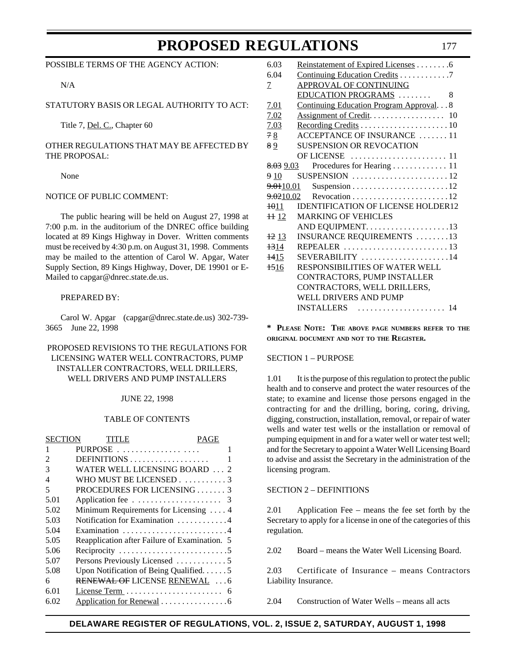N/A

STATUTORY BASIS OR LEGAL AUTHORITY TO ACT:

Title 7, Del. C., Chapter 60

### OTHER REGULATIONS THAT MAY BE AFFECTED BY THE PROPOSAL:

#### None

#### NOTICE OF PUBLIC COMMENT:

The public hearing will be held on August 27, 1998 at 7:00 p.m. in the auditorium of the DNREC office building located at 89 Kings Highway in Dover. Written comments must be received by 4:30 p.m. on August 31, 1998. Comments may be mailed to the attention of Carol W. Apgar, Water Supply Section, 89 Kings Highway, Dover, DE 19901 or E-Mailed to capgar@dnrec.state.de.us.

#### PREPARED BY:

Carol W. Apgar (capgar@dnrec.state.de.us) 302-739- 3665 June 22, 1998

### PROPOSED REVISIONS TO THE REGULATIONS FOR LICENSING WATER WELL CONTRACTORS, PUMP INSTALLER CONTRACTORS, WELL DRILLERS, WELL DRIVERS AND PUMP INSTALLERS

#### JUNE 22, 1998

#### TABLE OF CONTENTS

| SECTION<br><b>TITLE</b>                           | PAGE |
|---------------------------------------------------|------|
|                                                   |      |
| DEFINITIONS                                       |      |
| WATER WELL LICENSING BOARD  2                     |      |
| WHO MUST BE LICENSED. 3                           |      |
| PROCEDURES FOR LICENSING 3                        |      |
|                                                   |      |
| Minimum Requirements for Licensing  4             |      |
| Notification for Examination 4                    |      |
|                                                   |      |
| Reapplication after Failure of Examination. 5     |      |
|                                                   |      |
|                                                   |      |
| Upon Notification of Being Qualified. $\dots$ . 5 |      |
| RENEWAL OF LICENSE RENEWAL  6                     |      |
|                                                   |      |
| Application for Renewal 6                         |      |
|                                                   |      |

| 6.03                  | Reinstatement of Expired Licenses 6       |
|-----------------------|-------------------------------------------|
| 6.04                  | Continuing Education Credits 7            |
| $7\degree$            | <b>APPROVAL OF CONTINUING</b>             |
|                       | EDUCATION PROGRAMS<br>8                   |
| 7.01                  | Continuing Education Program Approval. 8  |
| 7.02                  | Assignment of Credit. 10                  |
| 7.03                  |                                           |
| 78                    | <b>ACCEPTANCE OF INSURANCE</b> 11         |
| 82                    | <b>SUSPENSION OR REVOCATION</b>           |
|                       |                                           |
| <del>8.03</del> 9.03  | Procedures for Hearing 11                 |
| 910                   | SUSPENSION 12                             |
| <del>9.01</del> 10.01 |                                           |
| <del>9.02</del> 10.02 |                                           |
| $\pm 011$             | <b>IDENTIFICATION OF LICENSE HOLDER12</b> |
| $\pm$ 12              | <b>MARKING OF VEHICLES</b>                |
|                       |                                           |
| $\frac{12}{13}$       | <b>INSURANCE REQUIREMENTS</b> 13          |
| 1314                  |                                           |
| $+415$                |                                           |
| $+516$                | RESPONSIBILITIES OF WATER WELL            |
|                       | CONTRACTORS, PUMP INSTALLER               |
|                       | CONTRACTORS, WELL DRILLERS,               |
|                       | WELL DRIVERS AND PUMP                     |
|                       | <b>INSTALLERS</b>                         |
|                       |                                           |

**\* PLEASE NOTE: THE ABOVE PAGE NUMBERS REFER TO THE ORIGINAL DOCUMENT AND NOT TO THE REGISTER.**

#### SECTION 1 – PURPOSE

1.01 It is the purpose of this regulation to protect the public health and to conserve and protect the water resources of the state; to examine and license those persons engaged in the contracting for and the drilling, boring, coring, driving, digging, construction, installation, removal, or repair of water wells and water test wells or the installation or removal of pumping equipment in and for a water well or water test well; and for the Secretary to appoint a Water Well Licensing Board to advise and assist the Secretary in the administration of the licensing program.

#### SECTION 2 – DEFINITIONS

2.01 Application Fee – means the fee set forth by the Secretary to apply for a license in one of the categories of this regulation.

2.02 Board – means the Water Well Licensing Board.

2.03 Certificate of Insurance – means Contractors Liability Insurance.

2.04 Construction of Water Wells – means all acts

**DELAWARE REGISTER OF REGULATIONS, VOL. 2, ISSUE 2, SATURDAY, AUGUST 1, 1998**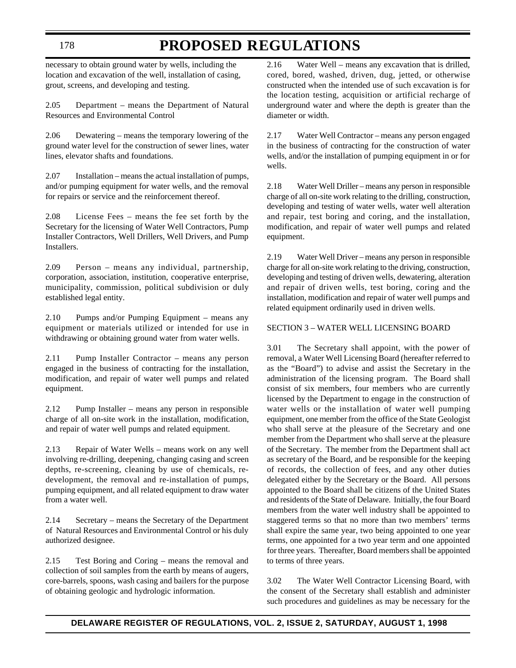necessary to obtain ground water by wells, including the location and excavation of the well, installation of casing, grout, screens, and developing and testing.

2.05 Department – means the Department of Natural Resources and Environmental Control

2.06 Dewatering – means the temporary lowering of the ground water level for the construction of sewer lines, water lines, elevator shafts and foundations.

2.07 Installation – means the actual installation of pumps, and/or pumping equipment for water wells, and the removal for repairs or service and the reinforcement thereof.

2.08 License Fees – means the fee set forth by the Secretary for the licensing of Water Well Contractors, Pump Installer Contractors, Well Drillers, Well Drivers, and Pump Installers.

2.09 Person – means any individual, partnership, corporation, association, institution, cooperative enterprise, municipality, commission, political subdivision or duly established legal entity.

2.10 Pumps and/or Pumping Equipment – means any equipment or materials utilized or intended for use in withdrawing or obtaining ground water from water wells.

2.11 Pump Installer Contractor – means any person engaged in the business of contracting for the installation, modification, and repair of water well pumps and related equipment.

2.12 Pump Installer – means any person in responsible charge of all on-site work in the installation, modification, and repair of water well pumps and related equipment.

2.13 Repair of Water Wells – means work on any well involving re-drilling, deepening, changing casing and screen depths, re-screening, cleaning by use of chemicals, redevelopment, the removal and re-installation of pumps, pumping equipment, and all related equipment to draw water from a water well.

2.14 Secretary – means the Secretary of the Department of Natural Resources and Environmental Control or his duly authorized designee.

2.15 Test Boring and Coring – means the removal and collection of soil samples from the earth by means of augers, core-barrels, spoons, wash casing and bailers for the purpose of obtaining geologic and hydrologic information.

2.16 Water Well – means any excavation that is drilled, cored, bored, washed, driven, dug, jetted, or otherwise constructed when the intended use of such excavation is for the location testing, acquisition or artificial recharge of underground water and where the depth is greater than the diameter or width.

2.17 Water Well Contractor – means any person engaged in the business of contracting for the construction of water wells, and/or the installation of pumping equipment in or for wells.

2.18 Water Well Driller – means any person in responsible charge of all on-site work relating to the drilling, construction, developing and testing of water wells, water well alteration and repair, test boring and coring, and the installation, modification, and repair of water well pumps and related equipment.

2.19 Water Well Driver – means any person in responsible charge for all on-site work relating to the driving, construction, developing and testing of driven wells, dewatering, alteration and repair of driven wells, test boring, coring and the installation, modification and repair of water well pumps and related equipment ordinarily used in driven wells.

# SECTION 3 – WATER WELL LICENSING BOARD

3.01 The Secretary shall appoint, with the power of removal, a Water Well Licensing Board (hereafter referred to as the "Board") to advise and assist the Secretary in the administration of the licensing program. The Board shall consist of six members, four members who are currently licensed by the Department to engage in the construction of water wells or the installation of water well pumping equipment, one member from the office of the State Geologist who shall serve at the pleasure of the Secretary and one member from the Department who shall serve at the pleasure of the Secretary. The member from the Department shall act as secretary of the Board, and be responsible for the keeping of records, the collection of fees, and any other duties delegated either by the Secretary or the Board. All persons appointed to the Board shall be citizens of the United States and residents of the State of Delaware. Initially, the four Board members from the water well industry shall be appointed to staggered terms so that no more than two members' terms shall expire the same year, two being appointed to one year terms, one appointed for a two year term and one appointed for three years. Thereafter, Board members shall be appointed to terms of three years.

3.02 The Water Well Contractor Licensing Board, with the consent of the Secretary shall establish and administer such procedures and guidelines as may be necessary for the

# 178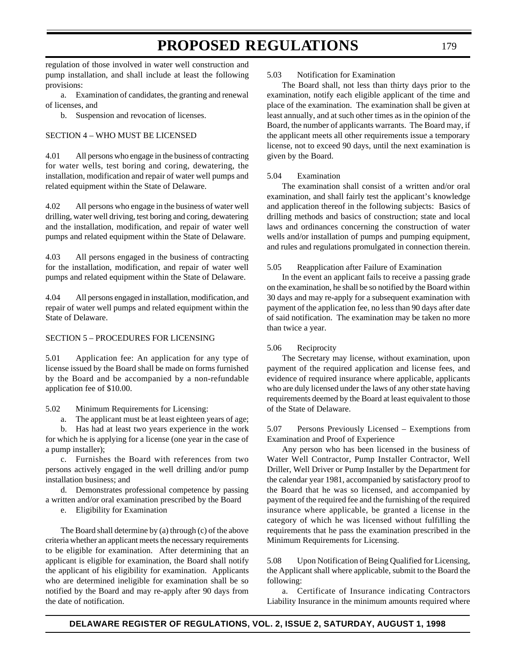179

regulation of those involved in water well construction and pump installation, and shall include at least the following provisions:

a. Examination of candidates, the granting and renewal of licenses, and

b. Suspension and revocation of licenses.

### SECTION 4 – WHO MUST BE LICENSED

4.01 All persons who engage in the business of contracting for water wells, test boring and coring, dewatering, the installation, modification and repair of water well pumps and related equipment within the State of Delaware.

4.02 All persons who engage in the business of water well drilling, water well driving, test boring and coring, dewatering and the installation, modification, and repair of water well pumps and related equipment within the State of Delaware.

4.03 All persons engaged in the business of contracting for the installation, modification, and repair of water well pumps and related equipment within the State of Delaware.

4.04 All persons engaged in installation, modification, and repair of water well pumps and related equipment within the State of Delaware.

### SECTION 5 – PROCEDURES FOR LICENSING

5.01 Application fee: An application for any type of license issued by the Board shall be made on forms furnished by the Board and be accompanied by a non-refundable application fee of \$10.00.

5.02 Minimum Requirements for Licensing:

a. The applicant must be at least eighteen years of age;

b. Has had at least two years experience in the work for which he is applying for a license (one year in the case of a pump installer);

c. Furnishes the Board with references from two persons actively engaged in the well drilling and/or pump installation business; and

d. Demonstrates professional competence by passing a written and/or oral examination prescribed by the Board

e. Eligibility for Examination

The Board shall determine by (a) through (c) of the above criteria whether an applicant meets the necessary requirements to be eligible for examination. After determining that an applicant is eligible for examination, the Board shall notify the applicant of his eligibility for examination. Applicants who are determined ineligible for examination shall be so notified by the Board and may re-apply after 90 days from the date of notification.

### 5.03 Notification for Examination

The Board shall, not less than thirty days prior to the examination, notify each eligible applicant of the time and place of the examination. The examination shall be given at least annually, and at such other times as in the opinion of the Board, the number of applicants warrants. The Board may, if the applicant meets all other requirements issue a temporary license, not to exceed 90 days, until the next examination is given by the Board.

# 5.04 Examination

The examination shall consist of a written and/or oral examination, and shall fairly test the applicant's knowledge and application thereof in the following subjects: Basics of drilling methods and basics of construction; state and local laws and ordinances concerning the construction of water wells and/or installation of pumps and pumping equipment, and rules and regulations promulgated in connection therein.

# 5.05 Reapplication after Failure of Examination

In the event an applicant fails to receive a passing grade on the examination, he shall be so notified by the Board within 30 days and may re-apply for a subsequent examination with payment of the application fee, no less than 90 days after date of said notification. The examination may be taken no more than twice a year.

# 5.06 Reciprocity

The Secretary may license, without examination, upon payment of the required application and license fees, and evidence of required insurance where applicable, applicants who are duly licensed under the laws of any other state having requirements deemed by the Board at least equivalent to those of the State of Delaware.

5.07 Persons Previously Licensed – Exemptions from Examination and Proof of Experience

Any person who has been licensed in the business of Water Well Contractor, Pump Installer Contractor, Well Driller, Well Driver or Pump Installer by the Department for the calendar year 1981, accompanied by satisfactory proof to the Board that he was so licensed, and accompanied by payment of the required fee and the furnishing of the required insurance where applicable, be granted a license in the category of which he was licensed without fulfilling the requirements that he pass the examination prescribed in the Minimum Requirements for Licensing.

5.08 Upon Notification of Being Qualified for Licensing, the Applicant shall where applicable, submit to the Board the following:

a. Certificate of Insurance indicating Contractors Liability Insurance in the minimum amounts required where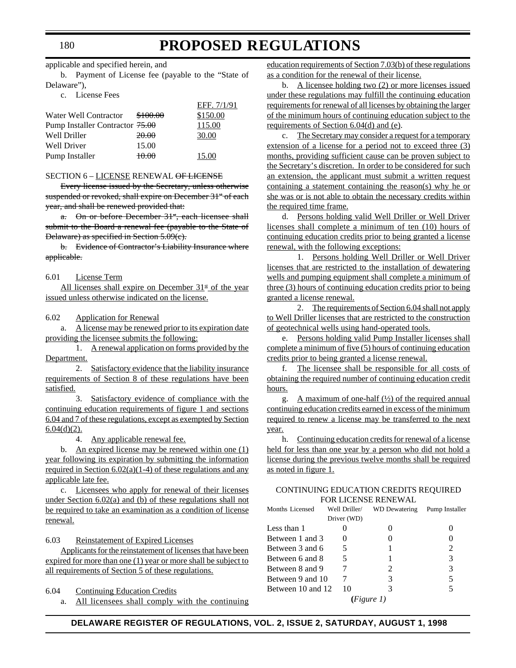applicable and specified herein, and

b. Payment of License fee (payable to the "State of Delaware"),

c. License Fees

|                                   |                  | EFF. 7/1/91 |
|-----------------------------------|------------------|-------------|
| Water Well Contractor             | \$100.00         | \$150.00    |
| Pump Installer Contractor $75.00$ |                  | 115.00      |
| <b>Well Driller</b>               | <del>20.00</del> | 30.00       |
| <b>Well Driver</b>                | 15.00            |             |
| Pump Installer                    | <del>10.00</del> | 15.00       |

#### SECTION 6 – LICENSE RENEWAL OF LICENSE

Every license issued by the Secretary, unless otherwise suspended or revoked, shall expire on December 31<sup>st</sup> of each year, and shall be renewed provided that:

a. On or before December  $31^*$ , each licensee shall submit to the Board a renewal fee (payable to the State of Delaware) as specified in Section 5.09(c).

b. Evidence of Contractor's Liability Insurance where applicable.

# 6.01 License Term

All licenses shall expire on December  $31<sup>st</sup>$  of the year issued unless otherwise indicated on the license.

6.02 Application for Renewal

a. A license may be renewed prior to its expiration date providing the licensee submits the following:

1. A renewal application on forms provided by the Department.

2. Satisfactory evidence that the liability insurance requirements of Section 8 of these regulations have been satisfied.

3. Satisfactory evidence of compliance with the continuing education requirements of figure 1 and sections 6.04 and 7 of these regulations, except as exempted by Section  $6.04(d)(2)$ .

4. Any applicable renewal fee.

b. An expired license may be renewed within one (1) year following its expiration by submitting the information required in Section  $6.02(a)(1-4)$  of these regulations and any applicable late fee.

c. Licensees who apply for renewal of their licenses under Section 6.02(a) and (b) of these regulations shall not be required to take an examination as a condition of license renewal.

6.03 Reinstatement of Expired Licenses

Applicants for the reinstatement of licenses that have been expired for more than one (1) year or more shall be subject to all requirements of Section 5 of these regulations.

6.04 Continuing Education Credits

a. All licensees shall comply with the continuing

education requirements of Section 7.03(b) of these regulations as a condition for the renewal of their license.

b. A licensee holding two (2) or more licenses issued under these regulations may fulfill the continuing education requirements for renewal of all licenses by obtaining the larger of the minimum hours of continuing education subject to the requirements of Section 6.04(d) and (e).

c. The Secretary may consider a request for a temporary extension of a license for a period not to exceed three (3) months, providing sufficient cause can be proven subject to the Secretary's discretion. In order to be considered for such an extension, the applicant must submit a written request containing a statement containing the reason(s) why he or she was or is not able to obtain the necessary credits within the required time frame.

d. Persons holding valid Well Driller or Well Driver licenses shall complete a minimum of ten (10) hours of continuing education credits prior to being granted a license renewal, with the following exceptions:

1. Persons holding Well Driller or Well Driver licenses that are restricted to the installation of dewatering wells and pumping equipment shall complete a minimum of three (3) hours of continuing education credits prior to being granted a license renewal.

2. The requirements of Section 6.04 shall not apply to Well Driller licenses that are restricted to the construction of geotechnical wells using hand-operated tools.

e. Persons holding valid Pump Installer licenses shall complete a minimum of five (5) hours of continuing education credits prior to being granted a license renewal.

f. The licensee shall be responsible for all costs of obtaining the required number of continuing education credit hours.

g. A maximum of one-half  $(\frac{1}{2})$  of the required annual continuing education credits earned in excess of the minimum required to renew a license may be transferred to the next year.

h. Continuing education credits for renewal of a license held for less than one year by a person who did not hold a license during the previous twelve months shall be required as noted in figure 1.

#### CONTINUING EDUCATION CREDITS REQUIRED FOR LICENSE RENEWAL

| Well Driller/   | WD Dewatering                                                                                  | Pump Installer |
|-----------------|------------------------------------------------------------------------------------------------|----------------|
| Driver (WD)     |                                                                                                |                |
|                 |                                                                                                |                |
|                 |                                                                                                |                |
| 5               |                                                                                                |                |
| 5               |                                                                                                | 3              |
|                 |                                                                                                | 3              |
|                 | 3                                                                                              |                |
| 10              | 3                                                                                              |                |
|                 |                                                                                                |                |
| Between 1 and 3 | Between 3 and 6<br>Between 6 and 8<br>Between 8 and 9<br>Between 9 and 10<br>Between 10 and 12 | (Figure I)     |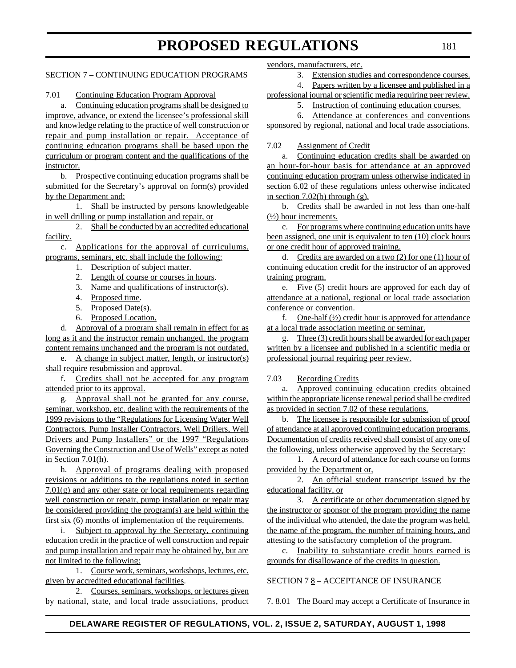### SECTION 7 – CONTINUING EDUCATION PROGRAMS

#### 7.01 Continuing Education Program Approval

a. Continuing education programs shall be designed to improve, advance, or extend the licensee's professional skill and knowledge relating to the practice of well construction or repair and pump installation or repair. Acceptance of continuing education programs shall be based upon the curriculum or program content and the qualifications of the instructor.

b. Prospective continuing education programs shall be submitted for the Secretary's approval on form(s) provided by the Department and:

1. Shall be instructed by persons knowledgeable in well drilling or pump installation and repair, or

2. Shall be conducted by an accredited educational facility.

c. Applications for the approval of curriculums, programs, seminars, etc. shall include the following:

1. Description of subject matter.

2. Length of course or courses in hours.

3. Name and qualifications of instructor(s).

- 4. Proposed time.
- 5. Proposed Date(s).
- 6. Proposed Location.

d. Approval of a program shall remain in effect for as long as it and the instructor remain unchanged, the program content remains unchanged and the program is not outdated.

e. A change in subject matter, length, or instructor(s) shall require resubmission and approval.

f. Credits shall not be accepted for any program attended prior to its approval.

g. Approval shall not be granted for any course, seminar, workshop, etc. dealing with the requirements of the 1999 revisions to the "Regulations for Licensing Water Well Contractors, Pump Installer Contractors, Well Drillers, Well Drivers and Pump Installers" or the 1997 "Regulations Governing the Construction and Use of Wells" except as noted in Section 7.01(h).

h. Approval of programs dealing with proposed revisions or additions to the regulations noted in section 7.01(g) and any other state or local requirements regarding well construction or repair, pump installation or repair may be considered providing the program(s) are held within the first six (6) months of implementation of the requirements.

i. Subject to approval by the Secretary, continuing education credit in the practice of well construction and repair and pump installation and repair may be obtained by, but are not limited to the following:

1. Course work, seminars, workshops, lectures, etc. given by accredited educational facilities.

2. Courses, seminars, workshops, or lectures given by national, state, and local trade associations, product vendors, manufacturers, etc.

3. Extension studies and correspondence courses.

4. Papers written by a licensee and published in a

professional journal or scientific media requiring peer review. 5. Instruction of continuing education courses.

6. Attendance at conferences and conventions sponsored by regional, national and local trade associations.

#### 7.02 Assignment of Credit

a. Continuing education credits shall be awarded on an hour-for-hour basis for attendance at an approved continuing education program unless otherwise indicated in section 6.02 of these regulations unless otherwise indicated in section  $7.02(b)$  through  $(g)$ .

b. Credits shall be awarded in not less than one-half  $(\frac{1}{2})$  hour increments.

c. For programs where continuing education units have been assigned, one unit is equivalent to ten (10) clock hours or one credit hour of approved training.

d. Credits are awarded on a two  $(2)$  for one  $(1)$  hour of continuing education credit for the instructor of an approved training program.

e. Five (5) credit hours are approved for each day of attendance at a national, regional or local trade association conference or convention.

f. One-half  $(\frac{1}{2})$  credit hour is approved for attendance at a local trade association meeting or seminar.

g. Three (3) credit hours shall be awarded for each paper written by a licensee and published in a scientific media or professional journal requiring peer review.

#### 7.03 Recording Credits

a. Approved continuing education credits obtained within the appropriate license renewal period shall be credited as provided in section 7.02 of these regulations.

b. The licensee is responsible for submission of proof of attendance at all approved continuing education programs. Documentation of credits received shall consist of any one of the following, unless otherwise approved by the Secretary:

1. A record of attendance for each course on forms provided by the Department or,

2. An official student transcript issued by the educational facility, or

3. A certificate or other documentation signed by the instructor or sponsor of the program providing the name of the individual who attended, the date the program was held, the name of the program, the number of training hours, and attesting to the satisfactory completion of the program.

c. Inability to substantiate credit hours earned is grounds for disallowance of the credits in question.

#### SECTION 7 8 – ACCEPTANCE OF INSURANCE

7. 8.01 The Board may accept a Certificate of Insurance in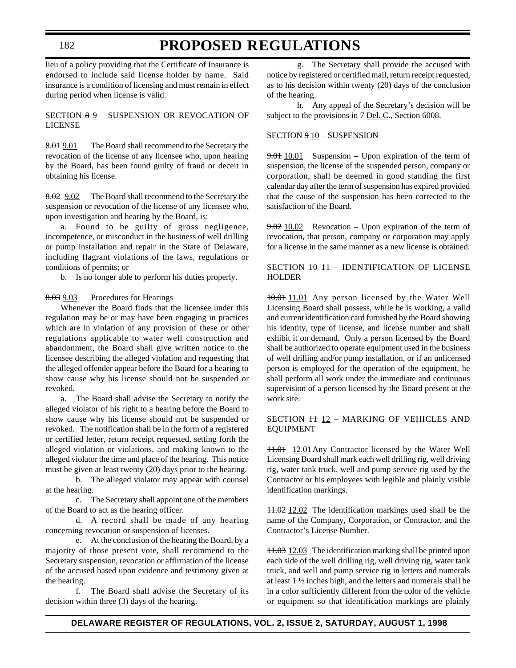#### 182

# **PROPOSED REGULATIONS**

lieu of a policy providing that the Certificate of Insurance is endorsed to include said license holder by name. Said insurance is a condition of licensing and must remain in effect during period when license is valid.

SECTION 8 9 – SUSPENSION OR REVOCATION OF LICENSE

8.01 9.01 The Board shall recommend to the Secretary the revocation of the license of any licensee who, upon hearing by the Board, has been found guilty of fraud or deceit in obtaining his license.

8.02 9.02 The Board shall recommend to the Secretary the suspension or revocation of the license of any licensee who, upon investigation and hearing by the Board, is:

a. Found to be guilty of gross negligence, incompetence, or misconduct in the business of well drilling or pump installation and repair in the State of Delaware, including flagrant violations of the laws, regulations or conditions of permits; or

b. Is no longer able to perform his duties properly.

8.03 9.03 Procedures for Hearings

Whenever the Board finds that the licensee under this regulation may be or may have been engaging in practices which are in violation of any provision of these or other regulations applicable to water well construction and abandonment, the Board shall give written notice to the licensee describing the alleged violation and requesting that the alleged offender appear before the Board for a hearing to show cause why his license should not be suspended or revoked.

a. The Board shall advise the Secretary to notify the alleged violator of his right to a hearing before the Board to show cause why his license should not be suspended or revoked. The notification shall be in the form of a registered or certified letter, return receipt requested, setting forth the alleged violation or violations, and making known to the alleged violator the time and place of the hearing. This notice must be given at least twenty (20) days prior to the hearing.

b. The alleged violator may appear with counsel at the hearing.

c. The Secretary shall appoint one of the members of the Board to act as the hearing officer.

d. A record shall be made of any hearing concerning revocation or suspension of licenses.

e. At the conclusion of the hearing the Board, by a majority of those present vote, shall recommend to the Secretary suspension, revocation or affirmation of the license of the accused based upon evidence and testimony given at the hearing.

f. The Board shall advise the Secretary of its decision within three (3) days of the hearing.

g. The Secretary shall provide the accused with notice by registered or certified mail, return receipt requested, as to his decision within twenty (20) days of the conclusion of the hearing.

h. Any appeal of the Secretary's decision will be subject to the provisions in 7 <u>Del. C</u>., Section 6008.

### SECTION 9 10 - SUSPENSION

 $9.01 \overline{10.01}$  Suspension – Upon expiration of the term of suspension, the license of the suspended person, company or corporation, shall be deemed in good standing the first calendar day after the term of suspension has expired provided that the cause of the suspension has been corrected to the satisfaction of the Board.

 $9.02 \quad 10.02$  Revocation – Upon expiration of the term of revocation, that person, company or corporation may apply for a license in the same manner as a new license is obtained.

#### SECTION  $\theta$  11 – IDENTIFICATION OF LICENSE HOLDER

10.01 11.01 Any person licensed by the Water Well Licensing Board shall possess, while he is working, a valid and current identification card furnished by the Board showing his identity, type of license, and license number and shall exhibit it on demand. Only a person licensed by the Board shall be authorized to operate equipment used in the business of well drilling and/or pump installation, or if an unlicensed person is employed for the operation of the equipment, he shall perform all work under the immediate and continuous supervision of a person licensed by the Board present at the work site.

# SECTION  $H_1$  12 - MARKING OF VEHICLES AND EQUIPMENT

11.01 12.01Any Contractor licensed by the Water Well Licensing Board shall mark each well drilling rig, well driving rig, water tank truck, well and pump service rig used by the Contractor or his employees with legible and plainly visible identification markings.

11.02 12.02 The identification markings used shall be the name of the Company, Corporation, or Contractor, and the Contractor's License Number.

11.03 12.03 The identification marking shall be printed upon each side of the well drilling rig, well driving rig, water tank truck, and well and pump service rig in letters and numerals at least 1 ½ inches high, and the letters and numerals shall be in a color sufficiently different from the color of the vehicle or equipment so that identification markings are plainly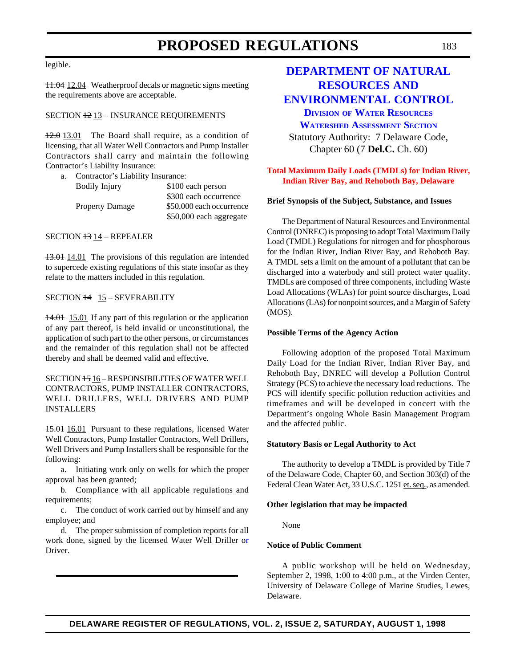<span id="page-26-0"></span>legible.

11.04 12.04 Weatherproof decals or magnetic signs meeting the requirements above are acceptable.

#### SECTION  $12$  13 – INSURANCE REQUIREMENTS

 $12.0$  13.01 The Board shall require, as a condition of licensing, that all Water Well Contractors and Pump Installer Contractors shall carry and maintain the following Contractor's Liability Insurance:

| a. | Contractor's Liability Insurance: |                          |  |
|----|-----------------------------------|--------------------------|--|
|    | <b>Bodily Injury</b>              | \$100 each person        |  |
|    |                                   | \$300 each occurrence    |  |
|    | <b>Property Damage</b>            | \$50,000 each occurrence |  |
|    |                                   | \$50,000 each aggregate  |  |

SECTION  $13$  14 – REPEALER

13.01 14.01 The provisions of this regulation are intended to supercede existing regulations of this state insofar as they relate to the matters included in this regulation.

### SECTION  $14$  15 – SEVERABILITY

14.01 15.01 If any part of this regulation or the application of any part thereof, is held invalid or unconstitutional, the application of such part to the other persons, or circumstances and the remainder of this regulation shall not be affected thereby and shall be deemed valid and effective.

SECTION 15 16 – RESPONSIBILITIES OF WATER WELL CONTRACTORS, PUMP INSTALLER CONTRACTORS, WELL DRILLERS, WELL DRIVERS AND PUMP INSTALLERS

15.01 16.01 Pursuant to these regulations, licensed Water Well Contractors, Pump Installer Contractors, Well Drillers, Well Drivers and Pump Installers shall be responsible for the following:

a. Initiating work only on wells for which the proper approval has been granted;

b. Compliance with all applicable regulations and requirements;

c. The conduct of work carried out by himself and any employee; and

d. The proper submission of completion reports for all work done, signed by the licensed Water Well Driller or Driver.

# **DEPARTMENT OF NATURAL RESOURCES AND [ENVIRONMENTAL CONTROL](http://www.dnrec.state.de.us/water.htm)**

**DIVISION OF WATER RESOURCES WATERSHED ASSESSMENT SECTION** Statutory Authority: 7 Delaware Code, Chapter 60 (7 **Del.C.** Ch. 60)

**[Total Maximum Daily Loads \(TMDLs\) for Indian River,](#page-3-0) Indian River Bay, and Rehoboth Bay, Delaware**

#### **Brief Synopsis of the Subject, Substance, and Issues**

The Department of Natural Resources and Environmental Control (DNREC) is proposing to adopt Total Maximum Daily Load (TMDL) Regulations for nitrogen and for phosphorous for the Indian River, Indian River Bay, and Rehoboth Bay. A TMDL sets a limit on the amount of a pollutant that can be discharged into a waterbody and still protect water quality. TMDLs are composed of three components, including Waste Load Allocations (WLAs) for point source discharges, Load Allocations (LAs) for nonpoint sources, and a Margin of Safety (MOS).

#### **Possible Terms of the Agency Action**

Following adoption of the proposed Total Maximum Daily Load for the Indian River, Indian River Bay, and Rehoboth Bay, DNREC will develop a Pollution Control Strategy (PCS) to achieve the necessary load reductions. The PCS will identify specific pollution reduction activities and timeframes and will be developed in concert with the Department's ongoing Whole Basin Management Program and the affected public.

#### **Statutory Basis or Legal Authority to Act**

The authority to develop a TMDL is provided by Title 7 of the Delaware Code, Chapter 60, and Section 303(d) of the Federal Clean Water Act, 33 U.S.C. 1251 et. seq., as amended.

#### **Other legislation that may be impacted**

None

#### **Notice of Public Comment**

A public workshop will be held on Wednesday, September 2, 1998, 1:00 to 4:00 p.m., at the Virden Center, University of Delaware College of Marine Studies, Lewes, Delaware.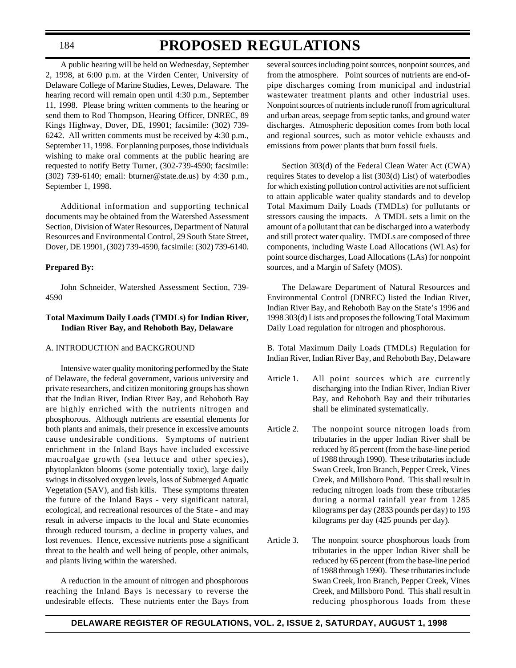184

# **PROPOSED REGULATIONS**

A public hearing will be held on Wednesday, September 2, 1998, at 6:00 p.m. at the Virden Center, University of Delaware College of Marine Studies, Lewes, Delaware. The hearing record will remain open until 4:30 p.m., September 11, 1998. Please bring written comments to the hearing or send them to Rod Thompson, Hearing Officer, DNREC, 89 Kings Highway, Dover, DE, 19901; facsimile: (302) 739- 6242. All written comments must be received by 4:30 p.m., September 11, 1998. For planning purposes, those individuals wishing to make oral comments at the public hearing are requested to notify Betty Turner, (302-739-4590; facsimile: (302) 739-6140; email: bturner@state.de.us) by 4:30 p.m., September 1, 1998.

Additional information and supporting technical documents may be obtained from the Watershed Assessment Section, Division of Water Resources, Department of Natural Resources and Environmental Control, 29 South State Street, Dover, DE 19901, (302) 739-4590, facsimile: (302) 739-6140.

#### **Prepared By:**

John Schneider, Watershed Assessment Section, 739- 4590

#### **Total Maximum Daily Loads (TMDLs) for Indian River, Indian River Bay, and Rehoboth Bay, Delaware**

### A. INTRODUCTION and BACKGROUND

Intensive water quality monitoring performed by the State of Delaware, the federal government, various university and private researchers, and citizen monitoring groups has shown that the Indian River, Indian River Bay, and Rehoboth Bay are highly enriched with the nutrients nitrogen and phosphorous. Although nutrients are essential elements for both plants and animals, their presence in excessive amounts cause undesirable conditions. Symptoms of nutrient enrichment in the Inland Bays have included excessive macroalgae growth (sea lettuce and other species), phytoplankton blooms (some potentially toxic), large daily swings in dissolved oxygen levels, loss of Submerged Aquatic Vegetation (SAV), and fish kills. These symptoms threaten the future of the Inland Bays - very significant natural, ecological, and recreational resources of the State - and may result in adverse impacts to the local and State economies through reduced tourism, a decline in property values, and lost revenues. Hence, excessive nutrients pose a significant threat to the health and well being of people, other animals, and plants living within the watershed.

A reduction in the amount of nitrogen and phosphorous reaching the Inland Bays is necessary to reverse the undesirable effects. These nutrients enter the Bays from

several sources including point sources, nonpoint sources, and from the atmosphere. Point sources of nutrients are end-ofpipe discharges coming from municipal and industrial wastewater treatment plants and other industrial uses. Nonpoint sources of nutrients include runoff from agricultural and urban areas, seepage from septic tanks, and ground water discharges. Atmospheric deposition comes from both local and regional sources, such as motor vehicle exhausts and emissions from power plants that burn fossil fuels.

Section 303(d) of the Federal Clean Water Act (CWA) requires States to develop a list (303(d) List) of waterbodies for which existing pollution control activities are not sufficient to attain applicable water quality standards and to develop Total Maximum Daily Loads (TMDLs) for pollutants or stressors causing the impacts. A TMDL sets a limit on the amount of a pollutant that can be discharged into a waterbody and still protect water quality. TMDLs are composed of three components, including Waste Load Allocations (WLAs) for point source discharges, Load Allocations (LAs) for nonpoint sources, and a Margin of Safety (MOS).

The Delaware Department of Natural Resources and Environmental Control (DNREC) listed the Indian River, Indian River Bay, and Rehoboth Bay on the State's 1996 and 1998 303(d) Lists and proposes the following Total Maximum Daily Load regulation for nitrogen and phosphorous.

B. Total Maximum Daily Loads (TMDLs) Regulation for Indian River, Indian River Bay, and Rehoboth Bay, Delaware

- Article 1. All point sources which are currently discharging into the Indian River, Indian River Bay, and Rehoboth Bay and their tributaries shall be eliminated systematically.
- Article 2. The nonpoint source nitrogen loads from tributaries in the upper Indian River shall be reduced by 85 percent (from the base-line period of 1988 through 1990). These tributaries include Swan Creek, Iron Branch, Pepper Creek, Vines Creek, and Millsboro Pond. This shall result in reducing nitrogen loads from these tributaries during a normal rainfall year from 1285 kilograms per day (2833 pounds per day) to 193 kilograms per day (425 pounds per day).
- Article 3. The nonpoint source phosphorous loads from tributaries in the upper Indian River shall be reduced by 65 percent (from the base-line period of 1988 through 1990). These tributaries include Swan Creek, Iron Branch, Pepper Creek, Vines Creek, and Millsboro Pond. This shall result in reducing phosphorous loads from these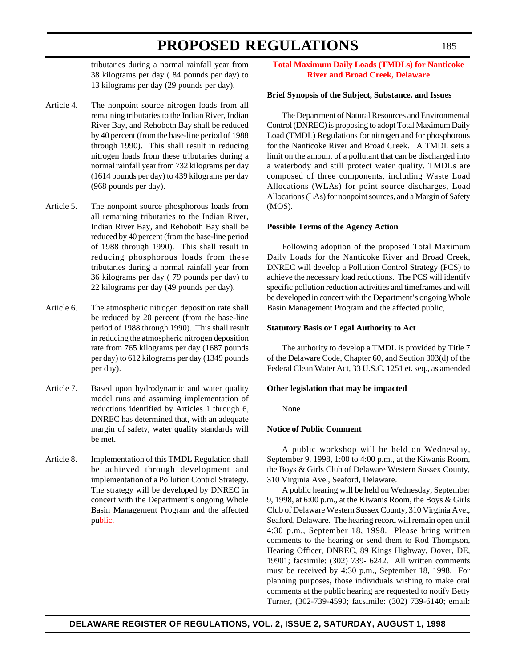<span id="page-28-0"></span>tributaries during a normal rainfall year from 38 kilograms per day ( 84 pounds per day) to 13 kilograms per day (29 pounds per day).

- Article 4. The nonpoint source nitrogen loads from all remaining tributaries to the Indian River, Indian River Bay, and Rehoboth Bay shall be reduced by 40 percent (from the base-line period of 1988 through 1990). This shall result in reducing nitrogen loads from these tributaries during a normal rainfall year from 732 kilograms per day (1614 pounds per day) to 439 kilograms per day (968 pounds per day).
- Article 5. The nonpoint source phosphorous loads from all remaining tributaries to the Indian River, Indian River Bay, and Rehoboth Bay shall be reduced by 40 percent (from the base-line period of 1988 through 1990). This shall result in reducing phosphorous loads from these tributaries during a normal rainfall year from 36 kilograms per day ( 79 pounds per day) to 22 kilograms per day (49 pounds per day).
- Article 6. The atmospheric nitrogen deposition rate shall be reduced by 20 percent (from the base-line period of 1988 through 1990). This shall result in reducing the atmospheric nitrogen deposition rate from 765 kilograms per day (1687 pounds per day) to 612 kilograms per day (1349 pounds per day).
- Article 7. Based upon hydrodynamic and water quality model runs and assuming implementation of reductions identified by Articles 1 through 6, DNREC has determined that, with an adequate margin of safety, water quality standards will be met.
- Article 8. Implementation of this TMDL Regulation shall be achieved through development and implementation of a Pollution Control Strategy. The strategy will be developed by DNREC in concert with the Department's ongoing Whole Basin Management Program and the affected public.

### **[Total Maximum Daily Loads \(TMDLs\) for Nanticoke](#page-3-0) River and Broad Creek, Delaware**

### **Brief Synopsis of the Subject, Substance, and Issues**

The Department of Natural Resources and Environmental Control (DNREC) is proposing to adopt Total Maximum Daily Load (TMDL) Regulations for nitrogen and for phosphorous for the Nanticoke River and Broad Creek. A TMDL sets a limit on the amount of a pollutant that can be discharged into a waterbody and still protect water quality. TMDLs are composed of three components, including Waste Load Allocations (WLAs) for point source discharges, Load Allocations (LAs) for nonpoint sources, and a Margin of Safety (MOS).

#### **Possible Terms of the Agency Action**

Following adoption of the proposed Total Maximum Daily Loads for the Nanticoke River and Broad Creek, DNREC will develop a Pollution Control Strategy (PCS) to achieve the necessary load reductions. The PCS will identify specific pollution reduction activities and timeframes and will be developed in concert with the Department's ongoing Whole Basin Management Program and the affected public,

#### **Statutory Basis or Legal Authority to Act**

The authority to develop a TMDL is provided by Title 7 of the Delaware Code, Chapter 60, and Section 303(d) of the Federal Clean Water Act, 33 U.S.C. 1251 et. seq., as amended

#### **Other legislation that may be impacted**

None

#### **Notice of Public Comment**

A public workshop will be held on Wednesday, September 9, 1998, 1:00 to 4:00 p.m., at the Kiwanis Room, the Boys & Girls Club of Delaware Western Sussex County, 310 Virginia Ave., Seaford, Delaware.

A public hearing will be held on Wednesday, September 9, 1998, at 6:00 p.m., at the Kiwanis Room, the Boys & Girls Club of Delaware Western Sussex County, 310 Virginia Ave., Seaford, Delaware. The hearing record will remain open until 4:30 p.m., September 18, 1998. Please bring written comments to the hearing or send them to Rod Thompson, Hearing Officer, DNREC, 89 Kings Highway, Dover, DE, 19901; facsimile: (302) 739- 6242. All written comments must be received by 4:30 p.m., September 18, 1998. For planning purposes, those individuals wishing to make oral comments at the public hearing are requested to notify Betty Turner, (302-739-4590; facsimile: (302) 739-6140; email: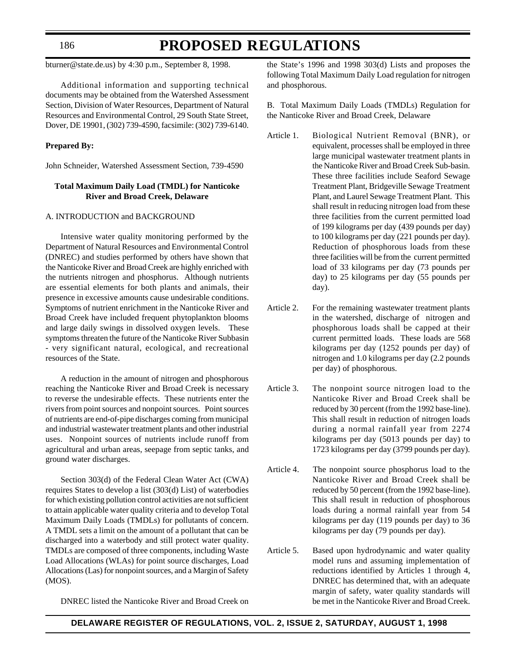#### 186

# **PROPOSED REGULATIONS**

bturner@state.de.us) by 4:30 p.m., September 8, 1998.

Additional information and supporting technical documents may be obtained from the Watershed Assessment Section, Division of Water Resources, Department of Natural Resources and Environmental Control, 29 South State Street, Dover, DE 19901, (302) 739-4590, facsimile: (302) 739-6140.

#### **Prepared By:**

John Schneider, Watershed Assessment Section, 739-4590

### **Total Maximum Daily Load (TMDL) for Nanticoke River and Broad Creek, Delaware**

#### A. INTRODUCTION and BACKGROUND

Intensive water quality monitoring performed by the Department of Natural Resources and Environmental Control (DNREC) and studies performed by others have shown that the Nanticoke River and Broad Creek are highly enriched with the nutrients nitrogen and phosphorus. Although nutrients are essential elements for both plants and animals, their presence in excessive amounts cause undesirable conditions. Symptoms of nutrient enrichment in the Nanticoke River and Broad Creek have included frequent phytoplankton blooms and large daily swings in dissolved oxygen levels. These symptoms threaten the future of the Nanticoke River Subbasin - very significant natural, ecological, and recreational resources of the State.

A reduction in the amount of nitrogen and phosphorous reaching the Nanticoke River and Broad Creek is necessary to reverse the undesirable effects. These nutrients enter the rivers from point sources and nonpoint sources. Point sources of nutrients are end-of-pipe discharges coming from municipal and industrial wastewater treatment plants and other industrial uses. Nonpoint sources of nutrients include runoff from agricultural and urban areas, seepage from septic tanks, and ground water discharges.

Section 303(d) of the Federal Clean Water Act (CWA) requires States to develop a list (303(d) List) of waterbodies for which existing pollution control activities are not sufficient to attain applicable water quality criteria and to develop Total Maximum Daily Loads (TMDLs) for pollutants of concern. A TMDL sets a limit on the amount of a pollutant that can be discharged into a waterbody and still protect water quality. TMDLs are composed of three components, including Waste Load Allocations (WLAs) for point source discharges, Load Allocations (Las) for nonpoint sources, and a Margin of Safety (MOS).

DNREC listed the Nanticoke River and Broad Creek on

the State's 1996 and 1998 303(d) Lists and proposes the following Total Maximum Daily Load regulation for nitrogen and phosphorous.

B. Total Maximum Daily Loads (TMDLs) Regulation for the Nanticoke River and Broad Creek, Delaware

- Article 1. Biological Nutrient Removal (BNR), or equivalent, processes shall be employed in three large municipal wastewater treatment plants in the Nanticoke River and Broad Creek Sub-basin. These three facilities include Seaford Sewage Treatment Plant, Bridgeville Sewage Treatment Plant, and Laurel Sewage Treatment Plant. This shall result in reducing nitrogen load from these three facilities from the current permitted load of 199 kilograms per day (439 pounds per day) to 100 kilograms per day (221 pounds per day). Reduction of phosphorous loads from these three facilities will be from the current permitted load of 33 kilograms per day (73 pounds per day) to 25 kilograms per day (55 pounds per day).
- Article 2. For the remaining wastewater treatment plants in the watershed, discharge of nitrogen and phosphorous loads shall be capped at their current permitted loads. These loads are 568 kilograms per day (1252 pounds per day) of nitrogen and 1.0 kilograms per day (2.2 pounds per day) of phosphorous.
- Article 3. The nonpoint source nitrogen load to the Nanticoke River and Broad Creek shall be reduced by 30 percent (from the 1992 base-line). This shall result in reduction of nitrogen loads during a normal rainfall year from 2274 kilograms per day (5013 pounds per day) to 1723 kilograms per day (3799 pounds per day).
- Article 4. The nonpoint source phosphorus load to the Nanticoke River and Broad Creek shall be reduced by 50 percent (from the 1992 base-line). This shall result in reduction of phosphorous loads during a normal rainfall year from 54 kilograms per day (119 pounds per day) to 36 kilograms per day (79 pounds per day).
- Article 5. Based upon hydrodynamic and water quality model runs and assuming implementation of reductions identified by Articles 1 through 4, DNREC has determined that, with an adequate margin of safety, water quality standards will be met in the Nanticoke River and Broad Creek.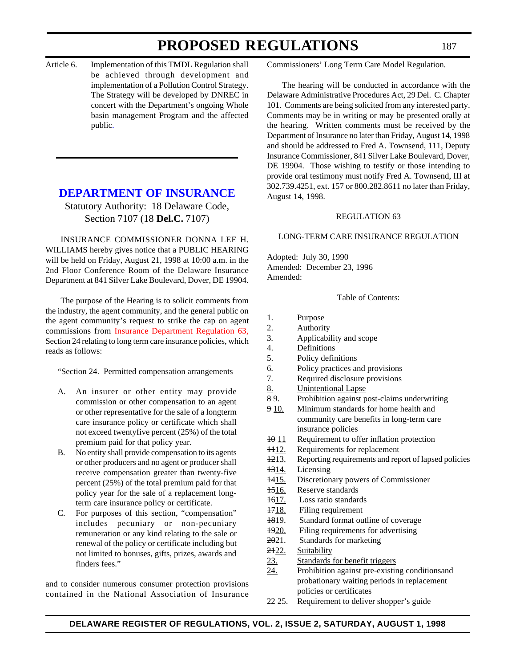<span id="page-30-0"></span>Article 6. Implementation of this TMDL Regulation shall be achieved through development and implementation of a Pollution Control Strategy. The Strategy will be developed by DNREC in concert with the Department's ongoing Whole basin management Program and the affected public.

# **[DEPARTMENT OF INSURANCE](http://www.state.de.us/inscom/index.htm)**

Statutory Authority: 18 Delaware Code, Section 7107 (18 **Del.C.** 7107)

INSURANCE COMMISSIONER DONNA LEE H. WILLIAMS hereby gives notice that a PUBLIC HEARING will be held on Friday, August 21, 1998 at 10:00 a.m. in the 2nd Floor Conference Room of the Delaware Insurance Department at 841 Silver Lake Boulevard, Dover, DE 19904.

The purpose of the Hearing is to solicit comments from the industry, the agent community, and the general public on the agent community's request to strike the cap on agent commissions fro[m Insurance Department Regulation 63,](#page-3-0) Section 24 relating to long term care insurance policies, which reads as follows:

"Section 24. Permitted compensation arrangements

- A. An insurer or other entity may provide commission or other compensation to an agent or other representative for the sale of a longterm care insurance policy or certificate which shall not exceed twentyfive percent (25%) of the total premium paid for that policy year.
- B. No entity shall provide compensation to its agents or other producers and no agent or producer shall receive compensation greater than twenty-five percent (25%) of the total premium paid for that policy year for the sale of a replacement longterm care insurance policy or certificate.
- C. For purposes of this section, "compensation" includes pecuniary or non-pecuniary remuneration or any kind relating to the sale or renewal of the policy or certificate including but not limited to bonuses, gifts, prizes, awards and finders fees."

and to consider numerous consumer protection provisions contained in the National Association of Insurance Commissioners' Long Term Care Model Regulation.

The hearing will be conducted in accordance with the Delaware Administrative Procedures Act, 29 Del. C. Chapter 101. Comments are being solicited from any interested party. Comments may be in writing or may be presented orally at the hearing. Written comments must be received by the Department of Insurance no later than Friday, August 14, 1998 and should be addressed to Fred A. Townsend, 111, Deputy Insurance Commissioner, 841 Silver Lake Boulevard, Dover, DE 19904. Those wishing to testify or those intending to provide oral testimony must notify Fred A. Townsend, III at 302.739.4251, ext. 157 or 800.282.8611 no later than Friday, August 14, 1998.

# REGULATION 63

# LONG-TERM CARE INSURANCE REGULATION

Adopted: July 30, 1990 Amended: December 23, 1996 Amended:

Table of Contents:

- 1. Purpose
- 2. Authority
- 3. Applicability and scope
- 4. Definitions
- 5. Policy definitions
- 6. Policy practices and provisions
- 7. Required disclosure provisions
- 8. Unintentional Lapse
- 8 9. Prohibition against post-claims underwriting
- 9 10. Minimum standards for home health and community care benefits in long-term care insurance policies
- $10 \overline{11}$  Requirement to offer inflation protection
- 1112. Requirements for replacement
- 1213. Reporting requirements and report of lapsed policies
- 1314. Licensing
- 1415. Discretionary powers of Commissioner
- 1516. Reserve standards
- 1617. Loss ratio standards
- 1718. Filing requirement
- 1819. Standard format outline of coverage
- 1920. Filing requirements for advertising
- $2021$ . Standards for marketing
- 2<sup>1</sup>22. Suitability
- 23. Standards for benefit triggers
- 24. Prohibition against pre-existing conditionsand probationary waiting periods in replacement policies or certificates
- 22.25. Requirement to deliver shopper's guide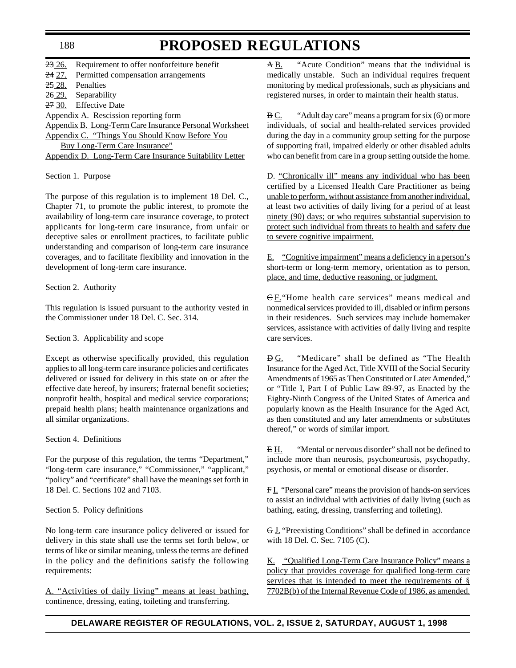| 2326.                                 | Requirement to offer nonforfeiture benefit              |  |
|---------------------------------------|---------------------------------------------------------|--|
|                                       | 24 27. Permitted compensation arrangements              |  |
|                                       | 25.28. Penalties                                        |  |
|                                       | $2629.$ Separability                                    |  |
|                                       | 27 30. Effective Date                                   |  |
| Appendix A. Rescission reporting form |                                                         |  |
|                                       | Appendix B. Long-Term Care Insurance Personal Worksheet |  |
|                                       | Appendix C. "Things You Should Know Before You          |  |
|                                       | Buy Long-Term Care Insurance"                           |  |
|                                       | Appendix D. Long-Term Care Insurance Suitability Letter |  |

Section 1. Purpose

The purpose of this regulation is to implement 18 Del. C., Chapter 71, to promote the public interest, to promote the availability of long-term care insurance coverage, to protect applicants for long-term care insurance, from unfair or deceptive sales or enrollment practices, to facilitate public understanding and comparison of long-term care insurance coverages, and to facilitate flexibility and innovation in the development of long-term care insurance.

Section 2. Authority

This regulation is issued pursuant to the authority vested in the Commissioner under 18 Del. C. Sec. 314.

Section 3. Applicability and scope

Except as otherwise specifically provided, this regulation applies to all long-term care insurance policies and certificates delivered or issued for delivery in this state on or after the effective date hereof, by insurers; fraternal benefit societies; nonprofit health, hospital and medical service corporations; prepaid health plans; health maintenance organizations and all similar organizations.

Section 4. Definitions

For the purpose of this regulation, the terms "Department," "long-term care insurance," "Commissioner," "applicant," "policy" and "certificate" shall have the meanings set forth in 18 Del. C. Sections 102 and 7103.

# Section 5. Policy definitions

No long-term care insurance policy delivered or issued for delivery in this state shall use the terms set forth below, or terms of like or similar meaning, unless the terms are defined in the policy and the definitions satisfy the following requirements:

A. "Activities of daily living" means at least bathing, continence, dressing, eating, toileting and transferring.

A B. "Acute Condition" means that the individual is medically unstable. Such an individual requires frequent monitoring by medical professionals, such as physicians and registered nurses, in order to maintain their health status.

 $B \underline{C}$ . "Adult day care" means a program for six (6) or more individuals, of social and health-related services provided during the day in a community group setting for the purpose of supporting frail, impaired elderly or other disabled adults who can benefit from care in a group setting outside the home.

D. "Chronically ill" means any individual who has been certified by a Licensed Health Care Practitioner as being unable to perform, without assistance from another individual, at least two activities of daily living for a period of at least ninety (90) days; or who requires substantial supervision to protect such individual from threats to health and safety due to severe cognitive impairment.

E. "Cognitive impairment" means a deficiency in a person's short-term or long-term memory, orientation as to person, place, and time, deductive reasoning, or judgment.

C F."Home health care services" means medical and nonmedical services provided to ill, disabled or infirm persons in their residences. Such services may include homemaker services, assistance with activities of daily living and respite care services.

D G. "Medicare" shall be defined as "The Health Insurance for the Aged Act, Title XVIII of the Social Security Amendments of 1965 as Then Constituted or Later Amended," or "Title I, Part I of Public Law 89-97, as Enacted by the Eighty-Ninth Congress of the United States of America and popularly known as the Health Insurance for the Aged Act, as then constituted and any later amendments or substitutes thereof," or words of similar import.

E H. "Mental or nervous disorder" shall not be defined to include more than neurosis, psychoneurosis, psychopathy, psychosis, or mental or emotional disease or disorder.

FI. "Personal care" means the provision of hands-on services to assist an individual with activities of daily living (such as bathing, eating, dressing, transferring and toileting).

G J. "Preexisting Conditions" shall be defined in accordance with 18 Del. C. Sec. 7105 (C).

K. "Qualified Long-Term Care Insurance Policy" means a policy that provides coverage for qualified long-term care services that is intended to meet the requirements of § 7702B(b) of the Internal Revenue Code of 1986, as amended.

# **DELAWARE REGISTER OF REGULATIONS, VOL. 2, ISSUE 2, SATURDAY, AUGUST 1, 1998**

# 188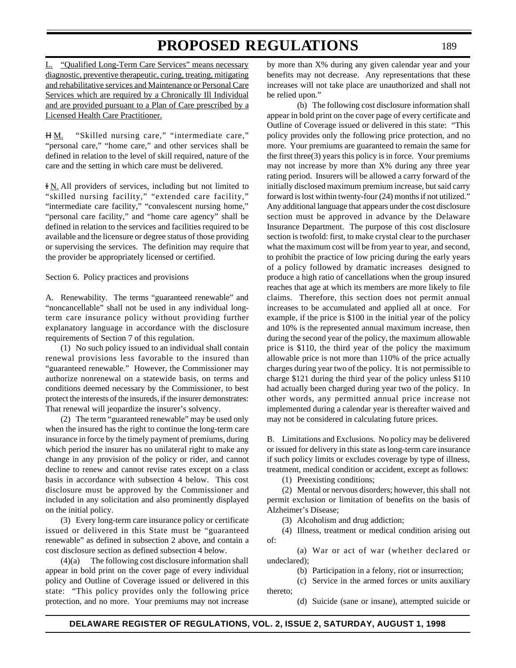L. "Qualified Long-Term Care Services" means necessary diagnostic, preventive therapeutic, curing, treating, mitigating and rehabilitative services and Maintenance or Personal Care Services which are required by a Chronically Ill Individual and are provided pursuant to a Plan of Care prescribed by a Licensed Health Care Practitioner.

HM. "Skilled nursing care," "intermediate care," "personal care," "home care," and other services shall be defined in relation to the level of skill required, nature of the care and the setting in which care must be delivered.

I N. All providers of services, including but not limited to "skilled nursing facility," "extended care facility," "intermediate care facility," "convalescent nursing home," "personal care facility," and "home care agency" shall be defined in relation to the services and facilities required to be available and the licensure or degree status of those providing or supervising the services. The definition may require that the provider be appropriately licensed or certified.

#### Section 6. Policy practices and provisions

A. Renewability. The terms "guaranteed renewable" and "noncancellable" shall not be used in any individual longterm care insurance policy without providing further explanatory language in accordance with the disclosure requirements of Section 7 of this regulation.

(1) No such policy issued to an individual shall contain renewal provisions less favorable to the insured than "guaranteed renewable." However, the Commissioner may authorize nonrenewal on a statewide basis, on terms and conditions deemed necessary by the Commissioner, to best protect the interests of the insureds, if the insurer demonstrates: That renewal will jeopardize the insurer's solvency.

(2) The term "guaranteed renewable" may be used only when the insured has the right to continue the long-term care insurance in force by the timely payment of premiums, during which period the insurer has no unilateral right to make any change in any provision of the policy or rider, and cannot decline to renew and cannot revise rates except on a class basis in accordance with subsection 4 below. This cost disclosure must be approved by the Commissioner and included in any solicitation and also prominently displayed on the initial policy.

(3) Every long-term care insurance policy or certificate issued or delivered in this State must be "guaranteed renewable" as defined in subsection 2 above, and contain a cost disclosure section as defined subsection 4 below.

(4)(a) The following cost disclosure information shall appear in bold print on the cover page of every individual policy and Outline of Coverage issued or delivered in this state: "This policy provides only the following price protection, and no more. Your premiums may not increase

by more than X% during any given calendar year and your benefits may not decrease. Any representations that these increases will not take place are unauthorized and shall not be relied upon."

(b) The following cost disclosure information shall appear in bold print on the cover page of every certificate and Outline of Coverage issued or delivered in this state: "This policy provides only the following price protection, and no more. Your premiums are guaranteed to remain the same for the first three(3) years this policy is in force. Your premiums may not increase by more than X% during any three year rating period. Insurers will be allowed a carry forward of the initially disclosed maximum premium increase, but said carry forward is lost within twenty-four (24) months if not utilized." Any additional language that appears under the cost disclosure section must be approved in advance by the Delaware Insurance Department. The purpose of this cost disclosure section is twofold: first, to make crystal clear to the purchaser what the maximum cost will be from year to year, and second, to prohibit the practice of low pricing during the early years of a policy followed by dramatic increases designed to produce a high ratio of cancellations when the group insured reaches that age at which its members are more likely to file claims. Therefore, this section does not permit annual increases to be accumulated and applied all at once. For example, if the price is \$100 in the initial year of the policy and 10% is the represented annual maximum increase, then during the second year of the policy, the maximum allowable price is \$110, the third year of the policy the maximum allowable price is not more than 110% of the price actually charges during year two of the policy. It is not permissible to charge \$121 during the third year of the policy unless \$110 had actually been charged during year two of the policy. In other words, any permitted annual price increase not implemented during a calendar year is thereafter waived and may not be considered in calculating future prices.

B. Limitations and Exclusions. No policy may be delivered or issued for delivery in this state as long-term care insurance if such policy limits or excludes coverage by type of illness, treatment, medical condition or accident, except as follows:

(1) Preexisting conditions;

(2) Mental or nervous disorders; however, this shall not permit exclusion or limitation of benefits on the basis of Alzheimer's Disease;

(3) Alcoholism and drug addiction;

(4) Illness, treatment or medical condition arising out of:

(a) War or act of war (whether declared or undeclared);

(b) Participation in a felony, riot or insurrection;

(c) Service in the armed forces or units auxiliary thereto;

(d) Suicide (sane or insane), attempted suicide or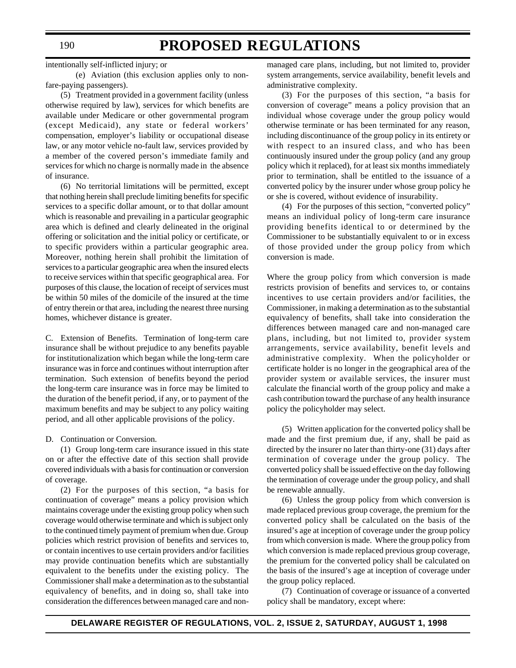intentionally self-inflicted injury; or

(e) Aviation (this exclusion applies only to nonfare-paying passengers).

(5) Treatment provided in a government facility (unless otherwise required by law), services for which benefits are available under Medicare or other governmental program (except Medicaid), any state or federal workers' compensation, employer's liability or occupational disease law, or any motor vehicle no-fault law, services provided by a member of the covered person's immediate family and services for which no charge is normally made in the absence of insurance.

(6) No territorial limitations will be permitted, except that nothing herein shall preclude limiting benefits for specific services to a specific dollar amount, or to that dollar amount which is reasonable and prevailing in a particular geographic area which is defined and clearly delineated in the original offering or solicitation and the initial policy or certificate, or to specific providers within a particular geographic area. Moreover, nothing herein shall prohibit the limitation of services to a particular geographic area when the insured elects to receive services within that specific geographical area. For purposes of this clause, the location of receipt of services must be within 50 miles of the domicile of the insured at the time of entry therein or that area, including the nearest three nursing homes, whichever distance is greater.

C. Extension of Benefits. Termination of long-term care insurance shall be without prejudice to any benefits payable for institutionalization which began while the long-term care insurance was in force and continues without interruption after termination. Such extension of benefits beyond the period the long-term care insurance was in force may be limited to the duration of the benefit period, if any, or to payment of the maximum benefits and may be subject to any policy waiting period, and all other applicable provisions of the policy.

D. Continuation or Conversion.

(1) Group long-term care insurance issued in this state on or after the effective date of this section shall provide covered individuals with a basis for continuation or conversion of coverage.

(2) For the purposes of this section, "a basis for continuation of coverage" means a policy provision which maintains coverage under the existing group policy when such coverage would otherwise terminate and which is subject only to the continued timely payment of premium when due. Group policies which restrict provision of benefits and services to, or contain incentives to use certain providers and/or facilities may provide continuation benefits which are substantially equivalent to the benefits under the existing policy. The Commissioner shall make a determination as to the substantial equivalency of benefits, and in doing so, shall take into consideration the differences between managed care and nonmanaged care plans, including, but not limited to, provider system arrangements, service availability, benefit levels and administrative complexity.

(3) For the purposes of this section, "a basis for conversion of coverage" means a policy provision that an individual whose coverage under the group policy would otherwise terminate or has been terminated for any reason, including discontinuance of the group policy in its entirety or with respect to an insured class, and who has been continuously insured under the group policy (and any group policy which it replaced), for at least six months immediately prior to termination, shall be entitled to the issuance of a converted policy by the insurer under whose group policy he or she is covered, without evidence of insurability.

(4) For the purposes of this section, "converted policy" means an individual policy of long-term care insurance providing benefits identical to or determined by the Commissioner to be substantially equivalent to or in excess of those provided under the group policy from which conversion is made.

Where the group policy from which conversion is made restricts provision of benefits and services to, or contains incentives to use certain providers and/or facilities, the Commissioner, in making a determination as to the substantial equivalency of benefits, shall take into consideration the differences between managed care and non-managed care plans, including, but not limited to, provider system arrangements, service availability, benefit levels and administrative complexity. When the policyholder or certificate holder is no longer in the geographical area of the provider system or available services, the insurer must calculate the financial worth of the group policy and make a cash contribution toward the purchase of any health insurance policy the policyholder may select.

(5) Written application for the converted policy shall be made and the first premium due, if any, shall be paid as directed by the insurer no later than thirty-one (31) days after termination of coverage under the group policy. The converted policy shall be issued effective on the day following the termination of coverage under the group policy, and shall be renewable annually.

(6) Unless the group policy from which conversion is made replaced previous group coverage, the premium for the converted policy shall be calculated on the basis of the insured's age at inception of coverage under the group policy from which conversion is made. Where the group policy from which conversion is made replaced previous group coverage, the premium for the converted policy shall be calculated on the basis of the insured's age at inception of coverage under the group policy replaced.

(7) Continuation of coverage or issuance of a converted policy shall be mandatory, except where: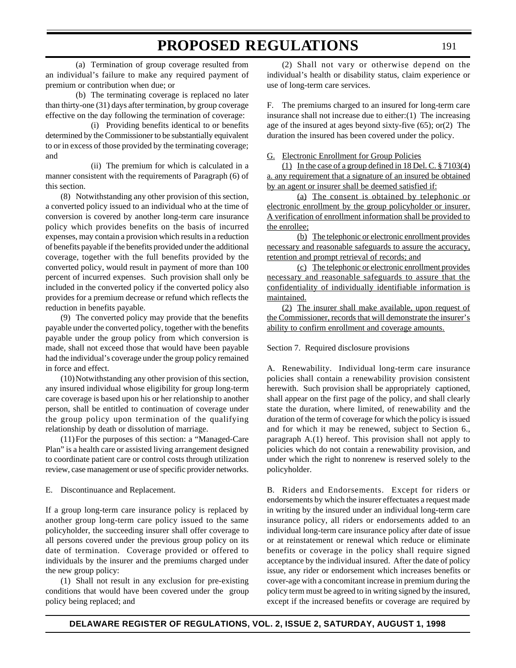(a) Termination of group coverage resulted from an individual's failure to make any required payment of premium or contribution when due; or

(b) The terminating coverage is replaced no later than thirty-one (31) days after termination, by group coverage effective on the day following the termination of coverage:

(i) Providing benefits identical to or benefits determined by the Commissioner to be substantially equivalent to or in excess of those provided by the terminating coverage; and

(ii) The premium for which is calculated in a manner consistent with the requirements of Paragraph (6) of this section.

(8) Notwithstanding any other provision of this section, a converted policy issued to an individual who at the time of conversion is covered by another long-term care insurance policy which provides benefits on the basis of incurred expenses, may contain a provision which results in a reduction of benefits payable if the benefits provided under the additional coverage, together with the full benefits provided by the converted policy, would result in payment of more than 100 percent of incurred expenses. Such provision shall only be included in the converted policy if the converted policy also provides for a premium decrease or refund which reflects the reduction in benefits payable.

(9) The converted policy may provide that the benefits payable under the converted policy, together with the benefits payable under the group policy from which conversion is made, shall not exceed those that would have been payable had the individual's coverage under the group policy remained in force and effect.

(10)Notwithstanding any other provision of this section, any insured individual whose eligibility for group long-term care coverage is based upon his or her relationship to another person, shall be entitled to continuation of coverage under the group policy upon termination of the qualifying relationship by death or dissolution of marriage.

(11)For the purposes of this section: a "Managed-Care Plan" is a health care or assisted living arrangement designed to coordinate patient care or control costs through utilization review, case management or use of specific provider networks.

E. Discontinuance and Replacement.

If a group long-term care insurance policy is replaced by another group long-term care policy issued to the same policyholder, the succeeding insurer shall offer coverage to all persons covered under the previous group policy on its date of termination. Coverage provided or offered to individuals by the insurer and the premiums charged under the new group policy:

(1) Shall not result in any exclusion for pre-existing conditions that would have been covered under the group policy being replaced; and

(2) Shall not vary or otherwise depend on the individual's health or disability status, claim experience or use of long-term care services.

F. The premiums charged to an insured for long-term care insurance shall not increase due to either:(1) The increasing age of the insured at ages beyond sixty-five (65); or(2) The duration the insured has been covered under the policy.

### G. Electronic Enrollment for Group Policies

(1) In the case of a group defined in 18 Del. C. § 7103(4) a. any requirement that a signature of an insured be obtained by an agent or insurer shall be deemed satisfied if:

(a) The consent is obtained by telephonic or electronic enrollment by the group policyholder or insurer. A verification of enrollment information shall be provided to the enrollee;

(b) The telephonic or electronic enrollment provides necessary and reasonable safeguards to assure the accuracy, retention and prompt retrieval of records; and

(c) The telephonic or electronic enrollment provides necessary and reasonable safeguards to assure that the confidentiality of individually identifiable information is maintained.

(2) The insurer shall make available, upon request of the Commissioner, records that will demonstrate the insurer's ability to confirm enrollment and coverage amounts.

# Section 7. Required disclosure provisions

A. Renewability. Individual long-term care insurance policies shall contain a renewability provision consistent herewith. Such provision shall be appropriately captioned, shall appear on the first page of the policy, and shall clearly state the duration, where limited, of renewability and the duration of the term of coverage for which the policy is issued and for which it may be renewed, subject to Section 6., paragraph A.(1) hereof. This provision shall not apply to policies which do not contain a renewability provision, and under which the right to nonrenew is reserved solely to the policyholder.

B. Riders and Endorsements. Except for riders or endorsements by which the insurer effectuates a request made in writing by the insured under an individual long-term care insurance policy, all riders or endorsements added to an individual long-term care insurance policy after date of issue or at reinstatement or renewal which reduce or eliminate benefits or coverage in the policy shall require signed acceptance by the individual insured. After the date of policy issue, any rider or endorsement which increases benefits or cover-age with a concomitant increase in premium during the policy term must be agreed to in writing signed by the insured, except if the increased benefits or coverage are required by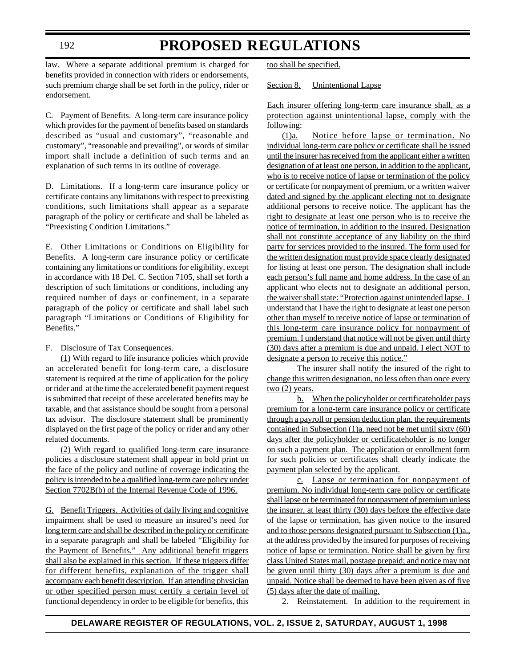192

# **PROPOSED REGULATIONS**

law. Where a separate additional premium is charged for benefits provided in connection with riders or endorsements, such premium charge shall be set forth in the policy, rider or endorsement.

C. Payment of Benefits. A long-term care insurance policy which provides for the payment of benefits based on standards described as "usual and customary", "reasonable and customary", "reasonable and prevailing", or words of similar import shall include a definition of such terms and an explanation of such terms in its outline of coverage.

D. Limitations. If a long-term care insurance policy or certificate contains any limitations with respect to preexisting conditions, such limitations shall appear as a separate paragraph of the policy or certificate and shall be labeled as "Preexisting Condition Limitations."

E. Other Limitations or Conditions on Eligibility for Benefits. A long-term care insurance policy or certificate containing any limitations or conditions for eligibility, except in accordance with 18 Del. C. Section 7105, shall set forth a description of such limitations or conditions, including any required number of days or confinement, in a separate paragraph of the policy or certificate and shall label such paragraph "Limitations or Conditions of Eligibility for Benefits."

F. Disclosure of Tax Consequences.

(1) With regard to life insurance policies which provide an accelerated benefit for long-term care, a disclosure statement is required at the time of application for the policy or rider and at the time the accelerated benefit payment request is submitted that receipt of these accelerated benefits may be taxable, and that assistance should be sought from a personal tax advisor. The disclosure statement shall be prominently displayed on the first page of the policy or rider and any other related documents.

(2) With regard to qualified long-term care insurance policies a disclosure statement shall appear in bold print on the face of the policy and outline of coverage indicating the policy is intended to be a qualified long-term care policy under Section 7702B(b) of the Internal Revenue Code of 1996.

G. Benefit Triggers. Activities of daily living and cognitive impairment shall be used to measure an insured's need for long term care and shall be described in the policy or certificate in a separate paragraph and shall be labeled "Eligibility for the Payment of Benefits." Any additional benefit triggers shall also be explained in this section. If these triggers differ for different benefits, explanation of the trigger shall accompany each benefit description. If an attending physician or other specified person must certify a certain level of functional dependency in order to be eligible for benefits, this

too shall be specified.

Section 8. Unintentional Lapse

Each insurer offering long-term care insurance shall, as a protection against unintentional lapse, comply with the following:

(1)a. Notice before lapse or termination. No individual long-term care policy or certificate shall be issued until the insurer has received from the applicant either a written designation of at least one person, in addition to the applicant, who is to receive notice of lapse or termination of the policy or certificate for nonpayment of premium, or a written waiver dated and signed by the applicant electing not to designate additional persons to receive notice. The applicant has the right to designate at least one person who is to receive the notice of termination, in addition to the insured. Designation shall not constitute acceptance of any liability on the third party for services provided to the insured. The form used for the written designation must provide space clearly designated for listing at least one person. The designation shall include each person's full name and home address. In the case of an applicant who elects not to designate an additional person, the waiver shall state: "Protection against unintended lapse. I understand that I have the right to designate at least one person other than myself to receive notice of lapse or termination of this long-term care insurance policy for nonpayment of premium. I understand that notice will not be given until thirty (30) days after a premium is due and unpaid. I elect NOT to designate a person to receive this notice."

The insurer shall notify the insured of the right to change this written designation, no less often than once every two (2) years.

b. When the policyholder or certificateholder pays premium for a long-term care insurance policy or certificate through a payroll or pension deduction plan, the requirements contained in Subsection (1)a. need not be met until sixty (60) days after the policyholder or certificateholder is no longer on such a payment plan. The application or enrollment form for such policies or certificates shall clearly indicate the payment plan selected by the applicant.

c. Lapse or termination for nonpayment of premium. No individual long-term care policy or certificate shall lapse or be terminated for nonpayment of premium unless the insurer, at least thirty (30) days before the effective date of the lapse or termination, has given notice to the insured and to those persons designated pursuant to Subsection (1)a., at the address provided by the insured for purposes of receiving notice of lapse or termination. Notice shall be given by first class United States mail, postage prepaid; and notice may not be given until thirty (30) days after a premium is due and unpaid. Notice shall be deemed to have been given as of five (5) days after the date of mailing.

2. Reinstatement. In addition to the requirement in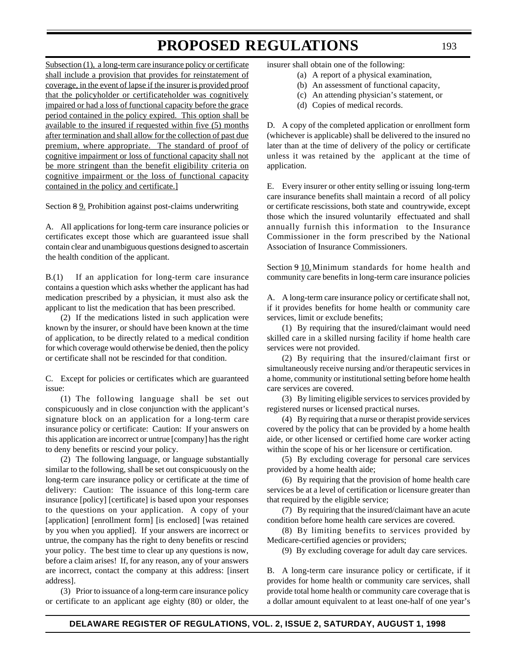Subsection (1), a long-term care insurance policy or certificate shall include a provision that provides for reinstatement of coverage, in the event of lapse if the insurer is provided proof that the policyholder or certificateholder was cognitively impaired or had a loss of functional capacity before the grace period contained in the policy expired. This option shall be available to the insured if requested within five (5) months after termination and shall allow for the collection of past due premium, where appropriate. The standard of proof of cognitive impairment or loss of functional capacity shall not be more stringent than the benefit eligibility criteria on cognitive impairment or the loss of functional capacity contained in the policy and certificate.]

Section 8 9. Prohibition against post-claims underwriting

A. All applications for long-term care insurance policies or certificates except those which are guaranteed issue shall contain clear and unambiguous questions designed to ascertain the health condition of the applicant.

B.(1) If an application for long-term care insurance contains a question which asks whether the applicant has had medication prescribed by a physician, it must also ask the applicant to list the medication that has been prescribed.

(2) If the medications listed in such application were known by the insurer, or should have been known at the time of application, to be directly related to a medical condition for which coverage would otherwise be denied, then the policy or certificate shall not be rescinded for that condition.

C. Except for policies or certificates which are guaranteed issue:

(1) The following language shall be set out conspicuously and in close conjunction with the applicant's signature block on an application for a long-term care insurance policy or certificate: Caution: If your answers on this application are incorrect or untrue [company] has the right to deny benefits or rescind your policy.

(2) The following language, or language substantially similar to the following, shall be set out conspicuously on the long-term care insurance policy or certificate at the time of delivery: Caution: The issuance of this long-term care insurance [policy] [certificate] is based upon your responses to the questions on your application. A copy of your [application] [enrollment form] [is enclosed] [was retained by you when you applied]. If your answers are incorrect or untrue, the company has the right to deny benefits or rescind your policy. The best time to clear up any questions is now, before a claim arises! If, for any reason, any of your answers are incorrect, contact the company at this address: [insert address].

(3) Prior to issuance of a long-term care insurance policy or certificate to an applicant age eighty (80) or older, the insurer shall obtain one of the following:

- (a) A report of a physical examination,
- (b) An assessment of functional capacity,
- (c) An attending physician's statement, or
- (d) Copies of medical records.

D. A copy of the completed application or enrollment form (whichever is applicable) shall be delivered to the insured no later than at the time of delivery of the policy or certificate unless it was retained by the applicant at the time of application.

E. Every insurer or other entity selling or issuing long-term care insurance benefits shall maintain a record of all policy or certificate rescissions, both state and countrywide, except those which the insured voluntarily effectuated and shall annually furnish this information to the Insurance Commissioner in the form prescribed by the National Association of Insurance Commissioners.

Section 9 10. Minimum standards for home health and community care benefits in long-term care insurance policies

A. A long-term care insurance policy or certificate shall not, if it provides benefits for home health or community care services, limit or exclude benefits;

(1) By requiring that the insured/claimant would need skilled care in a skilled nursing facility if home health care services were not provided.

(2) By requiring that the insured/claimant first or simultaneously receive nursing and/or therapeutic services in a home, community or institutional setting before home health care services are covered.

(3) By limiting eligible services to services provided by registered nurses or licensed practical nurses.

(4) By requiring that a nurse or therapist provide services covered by the policy that can be provided by a home health aide, or other licensed or certified home care worker acting within the scope of his or her licensure or certification.

(5) By excluding coverage for personal care services provided by a home health aide;

(6) By requiring that the provision of home health care services be at a level of certification or licensure greater than that required by the eligible service;

(7) By requiring that the insured/claimant have an acute condition before home health care services are covered.

(8) By limiting benefits to services provided by Medicare-certified agencies or providers;

(9) By excluding coverage for adult day care services.

B. A long-term care insurance policy or certificate, if it provides for home health or community care services, shall provide total home health or community care coverage that is a dollar amount equivalent to at least one-half of one year's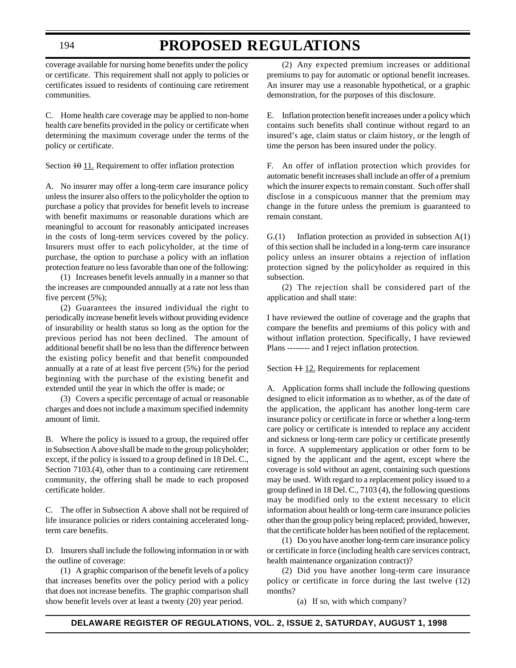### **PROPOSED REGULATIONS**

coverage available for nursing home benefits under the policy or certificate. This requirement shall not apply to policies or certificates issued to residents of continuing care retirement communities.

C. Home health care coverage may be applied to non-home health care benefits provided in the policy or certificate when determining the maximum coverage under the terms of the policy or certificate.

Section  $\theta$  11. Requirement to offer inflation protection

A. No insurer may offer a long-term care insurance policy unless the insurer also offers to the policyholder the option to purchase a policy that provides for benefit levels to increase with benefit maximums or reasonable durations which are meaningful to account for reasonably anticipated increases in the costs of long-term services covered by the policy. Insurers must offer to each policyholder, at the time of purchase, the option to purchase a policy with an inflation protection feature no less favorable than one of the following:

(1) Increases benefit levels annually in a manner so that the increases are compounded annually at a rate not less than five percent (5%);

(2) Guarantees the insured individual the right to periodically increase benefit levels without providing evidence of insurability or health status so long as the option for the previous period has not been declined. The amount of additional benefit shall be no less than the difference between the existing policy benefit and that benefit compounded annually at a rate of at least five percent (5%) for the period beginning with the purchase of the existing benefit and extended until the year in which the offer is made; or

(3) Covers a specific percentage of actual or reasonable charges and does not include a maximum specified indemnity amount of limit.

B. Where the policy is issued to a group, the required offer in Subsection A above shall be made to the group policyholder; except, if the policy is issued to a group defined in 18 Del. C., Section 7103.(4), other than to a continuing care retirement community, the offering shall be made to each proposed certificate holder.

C. The offer in Subsection A above shall not be required of life insurance policies or riders containing accelerated longterm care benefits.

D. Insurers shall include the following information in or with the outline of coverage:

(1) A graphic comparison of the benefit levels of a policy that increases benefits over the policy period with a policy that does not increase benefits. The graphic comparison shall show benefit levels over at least a twenty (20) year period.

(2) Any expected premium increases or additional premiums to pay for automatic or optional benefit increases. An insurer may use a reasonable hypothetical, or a graphic demonstration, for the purposes of this disclosure.

E. Inflation protection benefit increases under a policy which contains such benefits shall continue without regard to an insured's age, claim status or claim history, or the length of time the person has been insured under the policy.

F. An offer of inflation protection which provides for automatic benefit increases shall include an offer of a premium which the insurer expects to remain constant. Such offer shall disclose in a conspicuous manner that the premium may change in the future unless the premium is guaranteed to remain constant.

G.(1) Inflation protection as provided in subsection A(1) of this section shall be included in a long-term care insurance policy unless an insurer obtains a rejection of inflation protection signed by the policyholder as required in this subsection.

(2) The rejection shall be considered part of the application and shall state:

I have reviewed the outline of coverage and the graphs that compare the benefits and premiums of this policy with and without inflation protection. Specifically, I have reviewed Plans -------- and I reject inflation protection.

Section  $H_1$  12. Requirements for replacement

A. Application forms shall include the following questions designed to elicit information as to whether, as of the date of the application, the applicant has another long-term care insurance policy or certificate in force or whether a long-term care policy or certificate is intended to replace any accident and sickness or long-term care policy or certificate presently in force. A supplementary application or other form to be signed by the applicant and the agent, except where the coverage is sold without an agent, containing such questions may be used. With regard to a replacement policy issued to a group defined in 18 Del. C., 7103 (4), the following questions may be modified only to the extent necessary to elicit information about health or long-term care insurance policies other than the group policy being replaced; provided, however, that the certificate holder has been notified of the replacement.

(1) Do you have another long-term care insurance policy or certificate in force (including health care services contract, health maintenance organization contract)?

(2) Did you have another long-term care insurance policy or certificate in force during the last twelve (12) months?

(a) If so, with which company?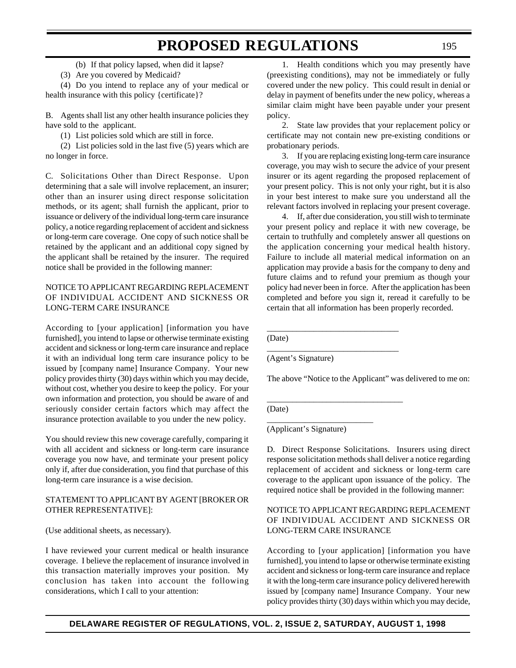(b) If that policy lapsed, when did it lapse?

(3) Are you covered by Medicaid?

(4) Do you intend to replace any of your medical or health insurance with this policy {certificate}?

B. Agents shall list any other health insurance policies they have sold to the applicant.

(1) List policies sold which are still in force.

(2) List policies sold in the last five (5) years which are no longer in force.

C. Solicitations Other than Direct Response. Upon determining that a sale will involve replacement, an insurer; other than an insurer using direct response solicitation methods, or its agent; shall furnish the applicant, prior to issuance or delivery of the individual long-term care insurance policy, a notice regarding replacement of accident and sickness or long-term care coverage. One copy of such notice shall be retained by the applicant and an additional copy signed by the applicant shall be retained by the insurer. The required notice shall be provided in the following manner:

### NOTICE TO APPLICANT REGARDING REPLACEMENT OF INDIVIDUAL ACCIDENT AND SICKNESS OR LONG-TERM CARE INSURANCE

According to [your application] [information you have furnished], you intend to lapse or otherwise terminate existing accident and sickness or long-term care insurance and replace it with an individual long term care insurance policy to be issued by [company name] Insurance Company. Your new policy provides thirty (30) days within which you may decide, without cost, whether you desire to keep the policy. For your own information and protection, you should be aware of and seriously consider certain factors which may affect the insurance protection available to you under the new policy.

You should review this new coverage carefully, comparing it with all accident and sickness or long-term care insurance coverage you now have, and terminate your present policy only if, after due consideration, you find that purchase of this long-term care insurance is a wise decision.

### STATEMENT TO APPLICANT BY AGENT [BROKER OR OTHER REPRESENTATIVE]:

(Use additional sheets, as necessary).

I have reviewed your current medical or health insurance coverage. I believe the replacement of insurance involved in this transaction materially improves your position. My conclusion has taken into account the following considerations, which I call to your attention:

1. Health conditions which you may presently have (preexisting conditions), may not be immediately or fully covered under the new policy. This could result in denial or delay in payment of benefits under the new policy, whereas a similar claim might have been payable under your present policy.

2. State law provides that your replacement policy or certificate may not contain new pre-existing conditions or probationary periods.

3. If you are replacing existing long-term care insurance coverage, you may wish to secure the advice of your present insurer or its agent regarding the proposed replacement of your present policy. This is not only your right, but it is also in your best interest to make sure you understand all the relevant factors involved in replacing your present coverage.

4. If, after due consideration, you still wish to terminate your present policy and replace it with new coverage, be certain to truthfully and completely answer all questions on the application concerning your medical health history. Failure to include all material medical information on an application may provide a basis for the company to deny and future claims and to refund your premium as though your policy had never been in force. After the application has been completed and before you sign it, reread it carefully to be certain that all information has been properly recorded.

(Date)

(Agent's Signature)

\_\_\_\_\_\_\_\_\_\_\_\_\_\_\_\_\_\_\_\_\_\_\_\_\_\_\_\_\_\_\_

\_\_\_\_\_\_\_\_\_\_\_\_\_\_\_\_\_\_\_\_\_\_\_\_\_\_\_\_\_\_\_

\_\_\_\_\_\_\_\_\_\_\_\_\_\_\_\_\_\_\_\_\_\_\_\_\_\_\_\_\_\_\_\_

The above "Notice to the Applicant" was delivered to me on:

(Date)

(Applicant's Signature)

\_\_\_\_\_\_\_\_\_\_\_\_\_\_\_\_\_\_\_\_\_\_\_\_\_

D. Direct Response Solicitations. Insurers using direct response solicitation methods shall deliver a notice regarding replacement of accident and sickness or long-term care coverage to the applicant upon issuance of the policy. The required notice shall be provided in the following manner:

### NOTICE TO APPLICANT REGARDING REPLACEMENT OF INDIVIDUAL ACCIDENT AND SICKNESS OR LONG-TERM CARE INSURANCE

According to [your application] [information you have furnished], you intend to lapse or otherwise terminate existing accident and sickness or long-term care insurance and replace it with the long-term care insurance policy delivered herewith issued by [company name] Insurance Company. Your new policy provides thirty (30) days within which you may decide,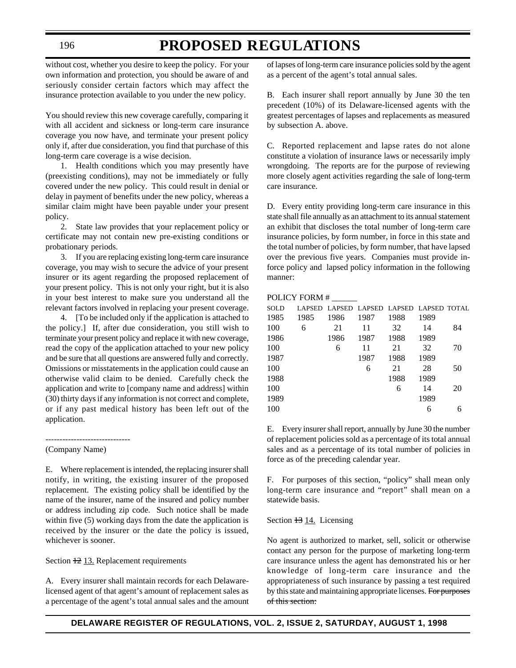## **PROPOSED REGULATIONS**

without cost, whether you desire to keep the policy. For your own information and protection, you should be aware of and seriously consider certain factors which may affect the insurance protection available to you under the new policy.

You should review this new coverage carefully, comparing it with all accident and sickness or long-term care insurance coverage you now have, and terminate your present policy only if, after due consideration, you find that purchase of this long-term care coverage is a wise decision.

1. Health conditions which you may presently have (preexisting conditions), may not be immediately or fully covered under the new policy. This could result in denial or delay in payment of benefits under the new policy, whereas a similar claim might have been payable under your present policy.

2. State law provides that your replacement policy or certificate may not contain new pre-existing conditions or probationary periods.

3. If you are replacing existing long-term care insurance coverage, you may wish to secure the advice of your present insurer or its agent regarding the proposed replacement of your present policy. This is not only your right, but it is also in your best interest to make sure you understand all the relevant factors involved in replacing your present coverage.

4. [To be included only if the application is attached to the policy.] If, after due consideration, you still wish to terminate your present policy and replace it with new coverage, read the copy of the application attached to your new policy and be sure that all questions are answered fully and correctly. Omissions or misstatements in the application could cause an otherwise valid claim to be denied. Carefully check the application and write to [company name and address] within (30) thirty days if any information is not correct and complete, or if any past medical history has been left out of the application.

------------------------------

(Company Name)

E. Where replacement is intended, the replacing insurer shall notify, in writing, the existing insurer of the proposed replacement. The existing policy shall be identified by the name of the insurer, name of the insured and policy number or address including zip code. Such notice shall be made within five (5) working days from the date the application is received by the insurer or the date the policy is issued, whichever is sooner.

Section  $\frac{12}{13}$ . Replacement requirements

A. Every insurer shall maintain records for each Delawarelicensed agent of that agent's amount of replacement sales as a percentage of the agent's total annual sales and the amount

of lapses of long-term care insurance policies sold by the agent as a percent of the agent's total annual sales.

B. Each insurer shall report annually by June 30 the ten precedent (10%) of its Delaware-licensed agents with the greatest percentages of lapses and replacements as measured by subsection A. above.

C. Reported replacement and lapse rates do not alone constitute a violation of insurance laws or necessarily imply wrongdoing. The reports are for the purpose of reviewing more closely agent activities regarding the sale of long-term care insurance.

D. Every entity providing long-term care insurance in this state shall file annually as an attachment to its annual statement an exhibit that discloses the total number of long-term care insurance policies, by form number, in force in this state and the total number of policies, by form number, that have lapsed over the previous five years. Companies must provide inforce policy and lapsed policy information in the following manner:

### POLICY FORM #

| <b>SOLD</b> |      |      | LAPSED LAPSED LAPSED LAPSED LAPSED TOTAL |      |      |    |
|-------------|------|------|------------------------------------------|------|------|----|
| 1985        | 1985 | 1986 | 1987                                     | 1988 | 1989 |    |
| 100         | 6    | 21   | 11                                       | 32   | 14   | 84 |
| 1986        |      | 1986 | 1987                                     | 1988 | 1989 |    |
| 100         |      | 6    | 11                                       | 21   | 32   | 70 |
| 1987        |      |      | 1987                                     | 1988 | 1989 |    |
| 100         |      |      | 6                                        | 21   | 28   | 50 |
| 1988        |      |      |                                          | 1988 | 1989 |    |
| 100         |      |      |                                          | 6    | 14   | 20 |
| 1989        |      |      |                                          |      | 1989 |    |
| 100         |      |      |                                          |      | 6    |    |
|             |      |      |                                          |      |      |    |

E. Every insurer shall report, annually by June 30 the number of replacement policies sold as a percentage of its total annual sales and as a percentage of its total number of policies in force as of the preceding calendar year.

F. For purposes of this section, "policy" shall mean only long-term care insurance and "report" shall mean on a statewide basis.

### Section  $\frac{13}{14}$ . Licensing

No agent is authorized to market, sell, solicit or otherwise contact any person for the purpose of marketing long-term care insurance unless the agent has demonstrated his or her knowledge of long-term care insurance and the appropriateness of such insurance by passing a test required by this state and maintaining appropriate licenses. For purposes of this section: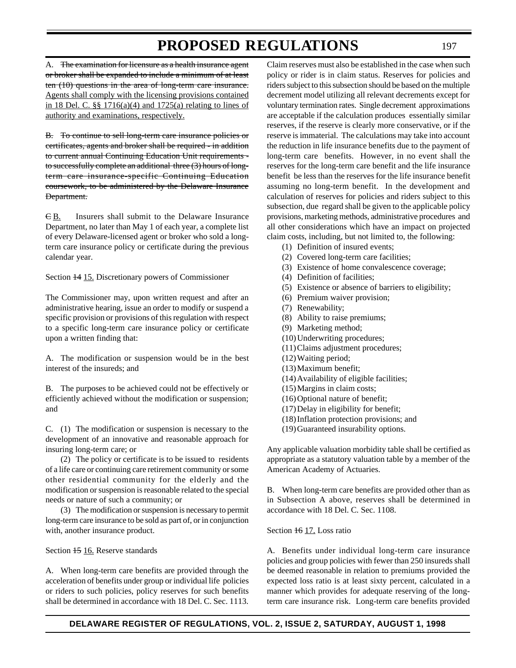A. The examination for licensure as a health insurance agent or broker shall be expanded to include a minimum of at least ten (10) questions in the area of long-term care insurance. Agents shall comply with the licensing provisions contained in 18 Del. C. §§ 1716(a)(4) and 1725(a) relating to lines of authority and examinations, respectively.

B. To continue to sell long-term care insurance policies or certificates, agents and broker shall be required - in addition to current annual Continuing Education Unit requirements to successfully complete an additional three (3) hours of longterm care insurance-specific Continuing Education coursework, to be administered by the Delaware Insurance Department.

 $E_{\text{B}}$ . Insurers shall submit to the Delaware Insurance Department, no later than May 1 of each year, a complete list of every Delaware-licensed agent or broker who sold a longterm care insurance policy or certificate during the previous calendar year.

Section 14 15. Discretionary powers of Commissioner

The Commissioner may, upon written request and after an administrative hearing, issue an order to modify or suspend a specific provision or provisions of this regulation with respect to a specific long-term care insurance policy or certificate upon a written finding that:

A. The modification or suspension would be in the best interest of the insureds; and

B. The purposes to be achieved could not be effectively or efficiently achieved without the modification or suspension; and

C. (1) The modification or suspension is necessary to the development of an innovative and reasonable approach for insuring long-term care; or

(2) The policy or certificate is to be issued to residents of a life care or continuing care retirement community or some other residential community for the elderly and the modification or suspension is reasonable related to the special needs or nature of such a community; or

(3) The modification or suspension is necessary to permit long-term care insurance to be sold as part of, or in conjunction with, another insurance product.

Section  $15$  16. Reserve standards

A. When long-term care benefits are provided through the acceleration of benefits under group or individual life policies or riders to such policies, policy reserves for such benefits shall be determined in accordance with 18 Del. C. Sec. 1113.

Claim reserves must also be established in the case when such policy or rider is in claim status. Reserves for policies and riders subject to this subsection should be based on the multiple decrement model utilizing all relevant decrements except for voluntary termination rates. Single decrement approximations are acceptable if the calculation produces essentially similar reserves, if the reserve is clearly more conservative, or if the reserve is immaterial. The calculations may take into account the reduction in life insurance benefits due to the payment of long-term care benefits. However, in no event shall the reserves for the long-term care benefit and the life insurance benefit be less than the reserves for the life insurance benefit assuming no long-term benefit. In the development and calculation of reserves for policies and riders subject to this subsection, due regard shall be given to the applicable policy provisions, marketing methods, administrative procedures and all other considerations which have an impact on projected claim costs, including, but not limited to, the following:

- (1) Definition of insured events;
- (2) Covered long-term care facilities;
- (3) Existence of home convalescence coverage;
- (4) Definition of facilities;
- (5) Existence or absence of barriers to eligibility;
- (6) Premium waiver provision;
- (7) Renewability;
- (8) Ability to raise premiums;
- (9) Marketing method;
- (10)Underwriting procedures;
- (11)Claims adjustment procedures;
- (12)Waiting period;
- (13)Maximum benefit;
- (14)Availability of eligible facilities;
- (15)Margins in claim costs;
- (16)Optional nature of benefit;
- (17)Delay in eligibility for benefit;
- (18)Inflation protection provisions; and
- (19)Guaranteed insurability options.

Any applicable valuation morbidity table shall be certified as appropriate as a statutory valuation table by a member of the American Academy of Actuaries.

B. When long-term care benefits are provided other than as in Subsection A above, reserves shall be determined in accordance with 18 Del. C. Sec. 1108.

Section 16 17. Loss ratio

A. Benefits under individual long-term care insurance policies and group policies with fewer than 250 insureds shall be deemed reasonable in relation to premiums provided the expected loss ratio is at least sixty percent, calculated in a manner which provides for adequate reserving of the longterm care insurance risk. Long-term care benefits provided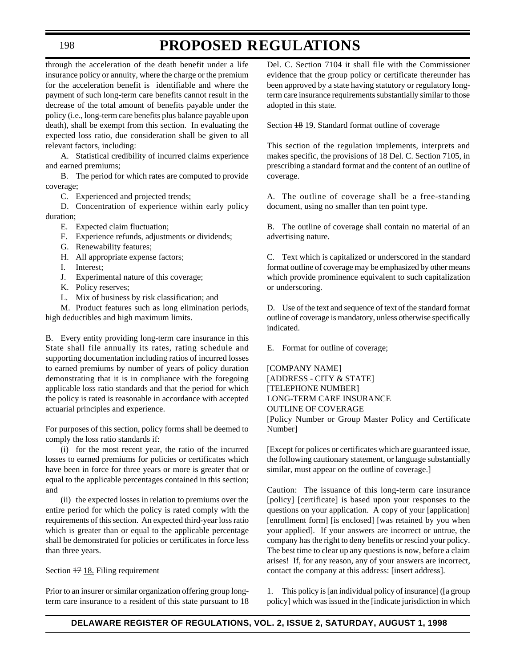## **PROPOSED REGULATIONS**

through the acceleration of the death benefit under a life insurance policy or annuity, where the charge or the premium for the acceleration benefit is identifiable and where the payment of such long-term care benefits cannot result in the decrease of the total amount of benefits payable under the policy (i.e., long-term care benefits plus balance payable upon death), shall be exempt from this section. In evaluating the expected loss ratio, due consideration shall be given to all relevant factors, including:

A. Statistical credibility of incurred claims experience and earned premiums;

B. The period for which rates are computed to provide coverage;

C. Experienced and projected trends;

D. Concentration of experience within early policy duration;

- E. Expected claim fluctuation;
- F. Experience refunds, adjustments or dividends;
- G. Renewability features;
- H. All appropriate expense factors;
- I. Interest;
- J. Experimental nature of this coverage;
- K. Policy reserves;
- L. Mix of business by risk classification; and

M. Product features such as long elimination periods, high deductibles and high maximum limits.

B. Every entity providing long-term care insurance in this State shall file annually its rates, rating schedule and supporting documentation including ratios of incurred losses to earned premiums by number of years of policy duration demonstrating that it is in compliance with the foregoing applicable loss ratio standards and that the period for which the policy is rated is reasonable in accordance with accepted actuarial principles and experience.

For purposes of this section, policy forms shall be deemed to comply the loss ratio standards if:

(i) for the most recent year, the ratio of the incurred losses to earned premiums for policies or certificates which have been in force for three years or more is greater that or equal to the applicable percentages contained in this section; and

(ii) the expected losses in relation to premiums over the entire period for which the policy is rated comply with the requirements of this section. An expected third-year loss ratio which is greater than or equal to the applicable percentage shall be demonstrated for policies or certificates in force less than three years.

Section  $17 \underline{18}$ . Filing requirement

Prior to an insurer or similar organization offering group longterm care insurance to a resident of this state pursuant to 18

Del. C. Section 7104 it shall file with the Commissioner evidence that the group policy or certificate thereunder has been approved by a state having statutory or regulatory longterm care insurance requirements substantially similar to those adopted in this state.

Section  $18$  19. Standard format outline of coverage

This section of the regulation implements, interprets and makes specific, the provisions of 18 Del. C. Section 7105, in prescribing a standard format and the content of an outline of coverage.

A. The outline of coverage shall be a free-standing document, using no smaller than ten point type.

B. The outline of coverage shall contain no material of an advertising nature.

C. Text which is capitalized or underscored in the standard format outline of coverage may be emphasized by other means which provide prominence equivalent to such capitalization or underscoring.

D. Use of the text and sequence of text of the standard format outline of coverage is mandatory, unless otherwise specifically indicated.

E. Format for outline of coverage;

[COMPANY NAME] [ADDRESS - CITY & STATE] [TELEPHONE NUMBER] LONG-TERM CARE INSURANCE OUTLINE OF COVERAGE [Policy Number or Group Master Policy and Certificate Number]

[Except for polices or certificates which are guaranteed issue, the following cautionary statement, or language substantially similar, must appear on the outline of coverage.]

Caution: The issuance of this long-term care insurance [policy] [certificate] is based upon your responses to the questions on your application. A copy of your [application] [enrollment form] [is enclosed] [was retained by you when your applied]. If your answers are incorrect or untrue, the company has the right to deny benefits or rescind your policy. The best time to clear up any questions is now, before a claim arises! If, for any reason, any of your answers are incorrect, contact the company at this address: [insert address].

1. This policy is [an individual policy of insurance] ([a group policy] which was issued in the [indicate jurisdiction in which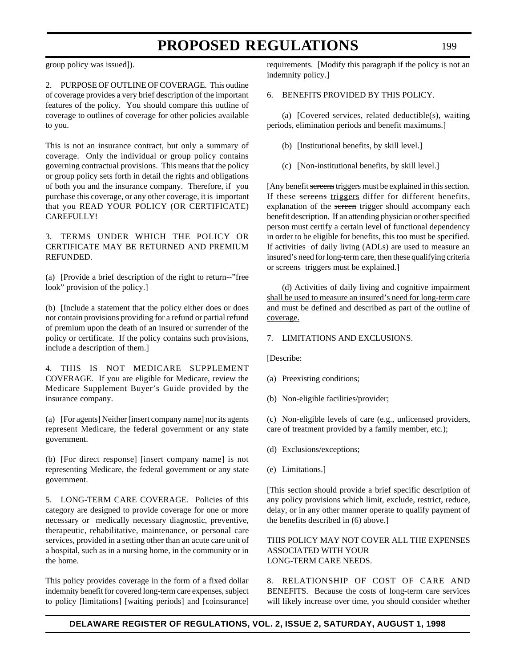group policy was issued]).

2. PURPOSE OF OUTLINE OF COVERAGE. This outline of coverage provides a very brief description of the important features of the policy. You should compare this outline of coverage to outlines of coverage for other policies available to you.

This is not an insurance contract, but only a summary of coverage. Only the individual or group policy contains governing contractual provisions. This means that the policy or group policy sets forth in detail the rights and obligations of both you and the insurance company. Therefore, if you purchase this coverage, or any other coverage, it is important that you READ YOUR POLICY (OR CERTIFICATE) CAREFULLY!

3. TERMS UNDER WHICH THE POLICY OR CERTIFICATE MAY BE RETURNED AND PREMIUM REFUNDED.

(a) [Provide a brief description of the right to return--"free look" provision of the policy.]

(b) [Include a statement that the policy either does or does not contain provisions providing for a refund or partial refund of premium upon the death of an insured or surrender of the policy or certificate. If the policy contains such provisions, include a description of them.]

4. THIS IS NOT MEDICARE SUPPLEMENT COVERAGE. If you are eligible for Medicare, review the Medicare Supplement Buyer's Guide provided by the insurance company.

(a) [For agents] Neither [insert company name] nor its agents represent Medicare, the federal government or any state government.

(b) [For direct response] [insert company name] is not representing Medicare, the federal government or any state government.

5. LONG-TERM CARE COVERAGE. Policies of this category are designed to provide coverage for one or more necessary or medically necessary diagnostic, preventive, therapeutic, rehabilitative, maintenance, or personal care services, provided in a setting other than an acute care unit of a hospital, such as in a nursing home, in the community or in the home.

This policy provides coverage in the form of a fixed dollar indemnity benefit for covered long-term care expenses, subject to policy [limitations] [waiting periods] and [coinsurance] requirements. [Modify this paragraph if the policy is not an indemnity policy.]

### 6. BENEFITS PROVIDED BY THIS POLICY.

(a) [Covered services, related deductible(s), waiting periods, elimination periods and benefit maximums.]

- (b) [Institutional benefits, by skill level.]
- (c) [Non-institutional benefits, by skill level.]

[Any benefit sereens triggers must be explained in this section.] If these screens triggers differ for different benefits, explanation of the sereen trigger should accompany each benefit description. If an attending physician or other specified person must certify a certain level of functional dependency in order to be eligible for benefits, this too must be specified. If activities -of daily living (ADLs) are used to measure an insured's need for long-term care, then these qualifying criteria or screens triggers must be explained.]

(d) Activities of daily living and cognitive impairment shall be used to measure an insured's need for long-term care and must be defined and described as part of the outline of coverage.

### 7. LIMITATIONS AND EXCLUSIONS.

[Describe:

- (a) Preexisting conditions;
- (b) Non-eligible facilities/provider;

(c) Non-eligible levels of care (e.g., unlicensed providers, care of treatment provided by a family member, etc.);

- (d) Exclusions/exceptions;
- (e) Limitations.]

[This section should provide a brief specific description of any policy provisions which limit, exclude, restrict, reduce, delay, or in any other manner operate to qualify payment of the benefits described in (6) above.]

### THIS POLICY MAY NOT COVER ALL THE EXPENSES ASSOCIATED WITH YOUR LONG-TERM CARE NEEDS.

8. RELATIONSHIP OF COST OF CARE AND BENEFITS. Because the costs of long-term care services will likely increase over time, you should consider whether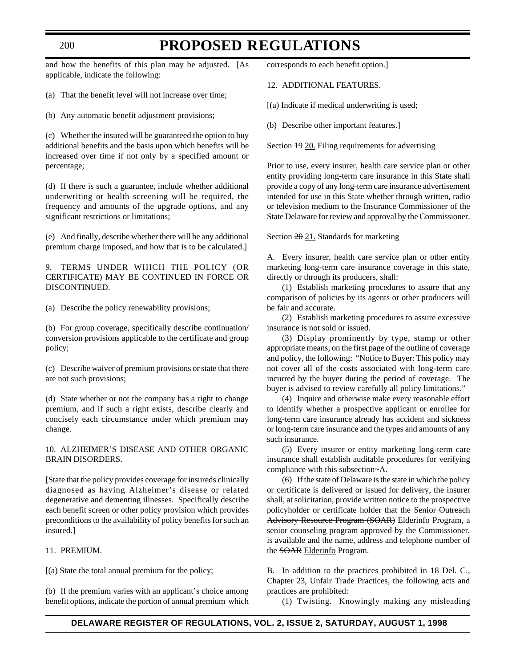## **PROPOSED REGULATIONS**

and how the benefits of this plan may be adjusted. [As applicable, indicate the following:

(a) That the benefit level will not increase over time;

(b) Any automatic benefit adjustment provisions;

(c) Whether the insured will be guaranteed the option to buy additional benefits and the basis upon which benefits will be increased over time if not only by a specified amount or percentage;

(d) If there is such a guarantee, include whether additional underwriting or health screening will be required, the frequency and amounts of the upgrade options, and any significant restrictions or limitations;

(e) And finally, describe whether there will be any additional premium charge imposed, and how that is to be calculated.]

9. TERMS UNDER WHICH THE POLICY (OR CERTIFICATE) MAY BE CONTINUED IN FORCE OR DISCONTINUED.

(a) Describe the policy renewability provisions;

(b) For group coverage, specifically describe continuation/ conversion provisions applicable to the certificate and group policy;

(c) Describe waiver of premium provisions or state that there are not such provisions;

(d) State whether or not the company has a right to change premium, and if such a right exists, describe clearly and concisely each circumstance under which premium may change.

10. ALZHEIMER'S DISEASE AND OTHER ORGANIC BRAIN DISORDERS.

[State that the policy provides coverage for insureds clinically diagnosed as having Alzheimer's disease or related degenerative and dementing illnesses. Specifically describe each benefit screen or other policy provision which provides preconditions to the availability of policy benefits for such an insured.]

### 11. PREMIUM.

[(a) State the total annual premium for the policy;

(b) If the premium varies with an applicant's choice among benefit options, indicate the portion of annual premium which corresponds to each benefit option.]

### 12. ADDITIONAL FEATURES.

[(a) Indicate if medical underwriting is used;

(b) Describe other important features.]

Section  $\frac{19}{20}$ . Filing requirements for advertising

Prior to use, every insurer, health care service plan or other entity providing long-term care insurance in this State shall provide a copy of any long-term care insurance advertisement intended for use in this State whether through written, radio or television medium to the Insurance Commissioner of the State Delaware for review and approval by the Commissioner.

Section  $2\theta$  21. Standards for marketing

A. Every insurer, health care service plan or other entity marketing long-term care insurance coverage in this state, directly or through its producers, shall:

(1) Establish marketing procedures to assure that any comparison of policies by its agents or other producers will be fair and accurate.

(2) Establish marketing procedures to assure excessive insurance is not sold or issued.

(3) Display prominently by type, stamp or other appropriate means, on the first page of the outline of coverage and policy, the following: "Notice to Buyer: This policy may not cover all of the costs associated with long-term care incurred by the buyer during the period of coverage. The buyer is advised to review carefully all policy limitations."

(4) Inquire and otherwise make every reasonable effort to identify whether a prospective applicant or enrollee for long-term care insurance already has accident and sickness or long-term care insurance and the types and amounts of any such insurance.

(5) Every insurer or entity marketing long-term care insurance shall establish auditable procedures for verifying compliance with this subsection~A.

(6) If the state of Delaware is the state in which the policy or certificate is delivered or issued for delivery, the insurer shall, at solicitation, provide written notice to the prospective policyholder or certificate holder that the Senior Outreach Advisory Resource Program (SOAR) Elderinfo Program, a senior counseling program approved by the Commissioner, is available and the name, address and telephone number of the SOAR Elderinfo Program.

B. In addition to the practices prohibited in 18 Del. C., Chapter 23, Unfair Trade Practices, the following acts and practices are prohibited:

(1) Twisting. Knowingly making any misleading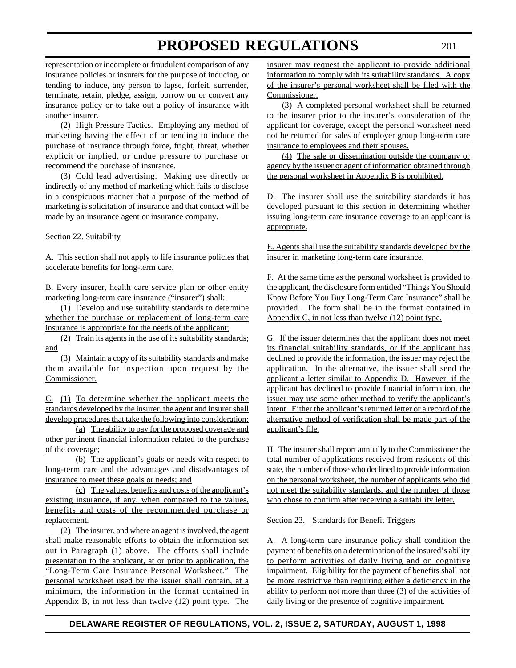representation or incomplete or fraudulent comparison of any insurance policies or insurers for the purpose of inducing, or tending to induce, any person to lapse, forfeit, surrender, terminate, retain, pledge, assign, borrow on or convert any insurance policy or to take out a policy of insurance with another insurer.

(2) High Pressure Tactics. Employing any method of marketing having the effect of or tending to induce the purchase of insurance through force, fright, threat, whether explicit or implied, or undue pressure to purchase or recommend the purchase of insurance.

(3) Cold lead advertising. Making use directly or indirectly of any method of marketing which fails to disclose in a conspicuous manner that a purpose of the method of marketing is solicitation of insurance and that contact will be made by an insurance agent or insurance company.

### Section 22. Suitability

A. This section shall not apply to life insurance policies that accelerate benefits for long-term care.

B. Every insurer, health care service plan or other entity marketing long-term care insurance ("insurer") shall:

(1) Develop and use suitability standards to determine whether the purchase or replacement of long-term care insurance is appropriate for the needs of the applicant;

(2) Train its agents in the use of its suitability standards; and

(3) Maintain a copy of its suitability standards and make them available for inspection upon request by the Commissioner.

C. (1) To determine whether the applicant meets the standards developed by the insurer, the agent and insurer shall develop procedures that take the following into consideration:

(a) The ability to pay for the proposed coverage and other pertinent financial information related to the purchase of the coverage;

(b) The applicant's goals or needs with respect to long-term care and the advantages and disadvantages of insurance to meet these goals or needs; and

(c) The values, benefits and costs of the applicant's existing insurance, if any, when compared to the values, benefits and costs of the recommended purchase or replacement.

(2) The insurer, and where an agent is involved, the agent shall make reasonable efforts to obtain the information set out in Paragraph (1) above. The efforts shall include presentation to the applicant, at or prior to application, the "Long-Term Care Insurance Personal Worksheet." The personal worksheet used by the issuer shall contain, at a minimum, the information in the format contained in Appendix B, in not less than twelve (12) point type. The

insurer may request the applicant to provide additional information to comply with its suitability standards. A copy of the insurer's personal worksheet shall be filed with the Commissioner.

(3) A completed personal worksheet shall be returned to the insurer prior to the insurer's consideration of the applicant for coverage, except the personal worksheet need not be returned for sales of employer group long-term care insurance to employees and their spouses.

(4) The sale or dissemination outside the company or agency by the issuer or agent of information obtained through the personal worksheet in Appendix B is prohibited.

D. The insurer shall use the suitability standards it has developed pursuant to this section in determining whether issuing long-term care insurance coverage to an applicant is appropriate.

E. Agents shall use the suitability standards developed by the insurer in marketing long-term care insurance.

F. At the same time as the personal worksheet is provided to the applicant, the disclosure form entitled "Things You Should Know Before You Buy Long-Term Care Insurance" shall be provided. The form shall be in the format contained in Appendix C, in not less than twelve (12) point type.

G. If the issuer determines that the applicant does not meet its financial suitability standards, or if the applicant has declined to provide the information, the issuer may reject the application. In the alternative, the issuer shall send the applicant a letter similar to Appendix D. However, if the applicant has declined to provide financial information, the issuer may use some other method to verify the applicant's intent. Either the applicant's returned letter or a record of the alternative method of verification shall be made part of the applicant's file.

H. The insurer shall report annually to the Commissioner the total number of applications received from residents of this state, the number of those who declined to provide information on the personal worksheet, the number of applicants who did not meet the suitability standards, and the number of those who chose to confirm after receiving a suitability letter.

Section 23. Standards for Benefit Triggers

A. A long-term care insurance policy shall condition the payment of benefits on a determination of the insured's ability to perform activities of daily living and on cognitive impairment. Eligibility for the payment of benefits shall not be more restrictive than requiring either a deficiency in the ability to perform not more than three (3) of the activities of daily living or the presence of cognitive impairment.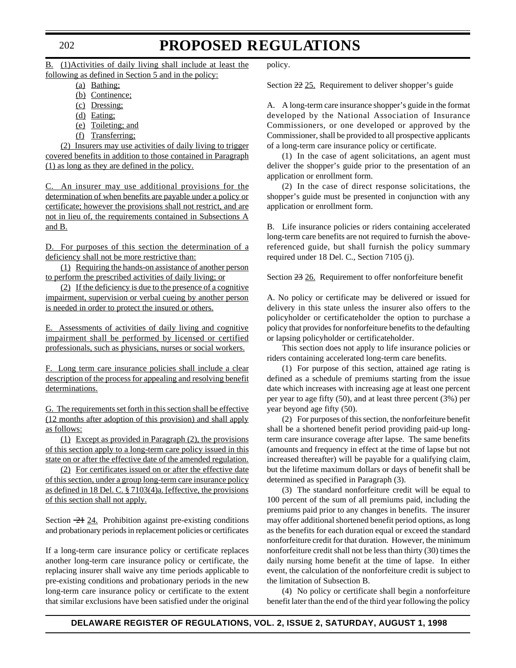B. (1)Activities of daily living shall include at least the following as defined in Section 5 and in the policy:

- (a) Bathing;
- (b) Continence;
- (c) Dressing;
- (d) Eating;
- (e) Toileting; and
- (f) Transferring;

(2) Insurers may use activities of daily living to trigger covered benefits in addition to those contained in Paragraph (1) as long as they are defined in the policy.

C. An insurer may use additional provisions for the determination of when benefits are payable under a policy or certificate; however the provisions shall not restrict, and are not in lieu of, the requirements contained in Subsections A and B.

D. For purposes of this section the determination of a deficiency shall not be more restrictive than:

(1) Requiring the hands-on assistance of another person to perform the prescribed activities of daily living; or

(2) If the deficiency is due to the presence of a cognitive impairment, supervision or verbal cueing by another person is needed in order to protect the insured or others.

E. Assessments of activities of daily living and cognitive impairment shall be performed by licensed or certified professionals, such as physicians, nurses or social workers.

F. Long term care insurance policies shall include a clear description of the process for appealing and resolving benefit determinations.

G. The requirements set forth in this section shall be effective (12 months after adoption of this provision) and shall apply as follows:

(1) Except as provided in Paragraph (2), the provisions of this section apply to a long-term care policy issued in this state on or after the effective date of the amended regulation.

(2) For certificates issued on or after the effective date of this section, under a group long-term care insurance policy as defined in 18 Del. C. § 7103(4)a. [effective, the provisions of this section shall not apply.

Section  $-21$  24. Prohibition against pre-existing conditions and probationary periods in replacement policies or certificates

If a long-term care insurance policy or certificate replaces another long-term care insurance policy or certificate, the replacing insurer shall waive any time periods applicable to pre-existing conditions and probationary periods in the new long-term care insurance policy or certificate to the extent that similar exclusions have been satisfied under the original

policy.

Section  $22 25$ . Requirement to deliver shopper's guide

A. A long-term care insurance shopper's guide in the format developed by the National Association of Insurance Commissioners, or one developed or approved by the Commissioner, shall be provided to all prospective applicants of a long-term care insurance policy or certificate.

(1) In the case of agent solicitations, an agent must deliver the shopper's guide prior to the presentation of an application or enrollment form.

(2) In the case of direct response solicitations, the shopper's guide must be presented in conjunction with any application or enrollment form.

B. Life insurance policies or riders containing accelerated long-term care benefits are not required to furnish the abovereferenced guide, but shall furnish the policy summary required under 18 Del. C., Section 7105 (j).

Section 23 26. Requirement to offer nonforfeiture benefit

A. No policy or certificate may be delivered or issued for delivery in this state unless the insurer also offers to the policyholder or certificateholder the option to purchase a policy that provides for nonforfeiture benefits to the defaulting or lapsing policyholder or certificateholder.

This section does not apply to life insurance policies or riders containing accelerated long-term care benefits.

(1) For purpose of this section, attained age rating is defined as a schedule of premiums starting from the issue date which increases with increasing age at least one percent per year to age fifty (50), and at least three percent (3%) per year beyond age fifty (50).

(2) For purposes of this section, the nonforfeiture benefit shall be a shortened benefit period providing paid-up longterm care insurance coverage after lapse. The same benefits (amounts and frequency in effect at the time of lapse but not increased thereafter) will be payable for a qualifying claim, but the lifetime maximum dollars or days of benefit shall be determined as specified in Paragraph (3).

(3) The standard nonforfeiture credit will be equal to 100 percent of the sum of all premiums paid, including the premiums paid prior to any changes in benefits. The insurer may offer additional shortened benefit period options, as long as the benefits for each duration equal or exceed the standard nonforfeiture credit for that duration. However, the minimum nonforfeiture credit shall not be less than thirty (30) times the daily nursing home benefit at the time of lapse. In either event, the calculation of the nonforfeiture credit is subject to the limitation of Subsection B.

(4) No policy or certificate shall begin a nonforfeiture benefit later than the end of the third year following the policy

202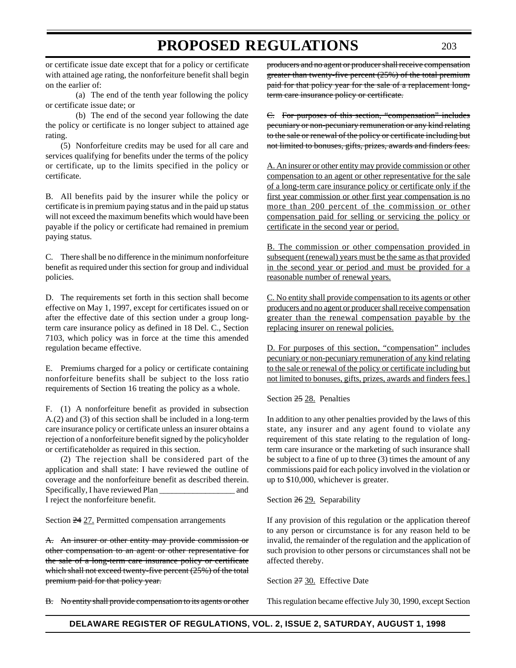or certificate issue date except that for a policy or certificate with attained age rating, the nonforfeiture benefit shall begin on the earlier of:

(a) The end of the tenth year following the policy or certificate issue date; or

(b) The end of the second year following the date the policy or certificate is no longer subject to attained age rating.

(5) Nonforfeiture credits may be used for all care and services qualifying for benefits under the terms of the policy or certificate, up to the limits specified in the policy or certificate.

B. All benefits paid by the insurer while the policy or certificate is in premium paying status and in the paid up status will not exceed the maximum benefits which would have been payable if the policy or certificate had remained in premium paying status.

C. There shall be no difference in the minimum nonforfeiture benefit as required under this section for group and individual policies.

D. The requirements set forth in this section shall become effective on May 1, 1997, except for certificates issued on or after the effective date of this section under a group longterm care insurance policy as defined in 18 Del. C., Section 7103, which policy was in force at the time this amended regulation became effective.

E. Premiums charged for a policy or certificate containing nonforfeiture benefits shall be subject to the loss ratio requirements of Section 16 treating the policy as a whole.

F. (1) A nonforfeiture benefit as provided in subsection A.(2) and (3) of this section shall be included in a long-term care insurance policy or certificate unless an insurer obtains a rejection of a nonforfeiture benefit signed by the policyholder or certificateholder as required in this section.

(2) The rejection shall be considered part of the application and shall state: I have reviewed the outline of coverage and the nonforfeiture benefit as described therein. Specifically, I have reviewed Plan \_\_\_\_\_\_\_\_\_\_\_\_\_\_\_\_\_\_\_\_\_\_\_\_ and I reject the nonforfeiture benefit.

Section 24 27. Permitted compensation arrangements

A. An insurer or other entity may provide commission or other compensation to an agent or other representative for the sale of a long-term care insurance policy or certificate which shall not exceed twenty-five percent (25%) of the total premium paid for that policy year.

B. No entity shall provide compensation to its agents or other

producers and no agent or producer shall receive compensation greater than twenty-five percent (25%) of the total premium paid for that policy year for the sale of a replacement longterm care insurance policy or certificate.

C. For purposes of this section, "compensation" includes pecuniary or non-pecuniary remuneration or any kind relating to the sale or renewal of the policy or certificate including but not limited to bonuses, gifts, prizes, awards and finders fees.

A. An insurer or other entity may provide commission or other compensation to an agent or other representative for the sale of a long-term care insurance policy or certificate only if the first year commission or other first year compensation is no more than 200 percent of the commission or other compensation paid for selling or servicing the policy or certificate in the second year or period.

B. The commission or other compensation provided in subsequent (renewal) years must be the same as that provided in the second year or period and must be provided for a reasonable number of renewal years.

C. No entity shall provide compensation to its agents or other producers and no agent or producer shall receive compensation greater than the renewal compensation payable by the replacing insurer on renewal policies.

D. For purposes of this section, "compensation" includes pecuniary or non-pecuniary remuneration of any kind relating to the sale or renewal of the policy or certificate including but not limited to bonuses, gifts, prizes, awards and finders fees.]

Section 25 28. Penalties

In addition to any other penalties provided by the laws of this state, any insurer and any agent found to violate any requirement of this state relating to the regulation of longterm care insurance or the marketing of such insurance shall be subject to a fine of up to three (3) times the amount of any commissions paid for each policy involved in the violation or up to \$10,000, whichever is greater.

Section 26 29. Separability

If any provision of this regulation or the application thereof to any person or circumstance is for any reason held to be invalid, the remainder of the regulation and the application of such provision to other persons or circumstances shall not be affected thereby.

Section 27 30. Effective Date

This regulation became effective July 30, 1990, except Section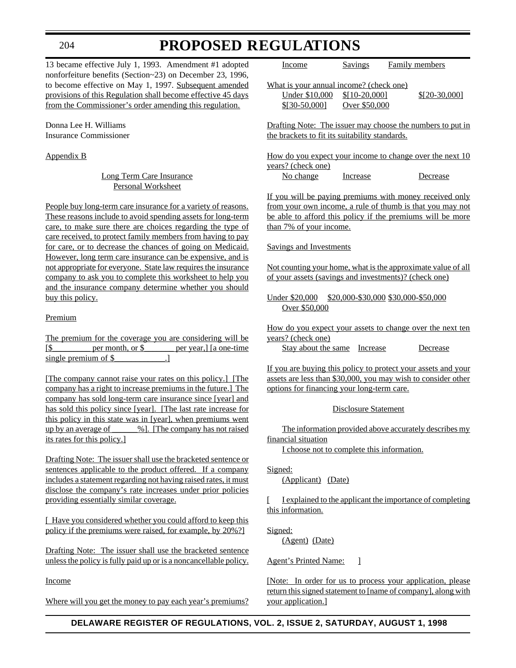# **PROPOSED REGULATIONS**

13 became effective July 1, 1993. Amendment #1 adopted nonforfeiture benefits (Section~23) on December 23, 1996, to become effective on May 1, 1997. Subsequent amended provisions of this Regulation shall become effective 45 days from the Commissioner's order amending this regulation.

Donna Lee H. Williams Insurance Commissioner

Appendix B

### Long Term Care Insurance Personal Worksheet

People buy long-term care insurance for a variety of reasons. These reasons include to avoid spending assets for long-term care, to make sure there are choices regarding the type of care received, to protect family members from having to pay for care, or to decrease the chances of going on Medicaid. However, long term care insurance can be expensive, and is not appropriate for everyone. State law requires the insurance company to ask you to complete this worksheet to help you and the insurance company determine whether you should buy this policy.

### Premium

The premium for the coverage you are considering will be [\$\_\_\_\_\_\_\_\_\_ per month, or \$\_\_\_\_\_\_\_ per year,] [a one-time single premium of \$

[The company cannot raise your rates on this policy.] [The company has a right to increase premiums in the future.] The company has sold long-term care insurance since [year] and has sold this policy since [year]. [The last rate increase for this policy in this state was in [year], when premiums went up by an average of \_\_\_\_\_\_%]. [The company has not raised its rates for this policy.]

Drafting Note: The issuer shall use the bracketed sentence or sentences applicable to the product offered. If a company includes a statement regarding not having raised rates, it must disclose the company's rate increases under prior policies providing essentially similar coverage.

[ Have you considered whether you could afford to keep this policy if the premiums were raised, for example, by 20%?]

Drafting Note: The issuer shall use the bracketed sentence unless the policy is fully paid up or is a noncancellable policy.

### Income

Where will you get the money to pay each year's premiums?

Income Savings Family members

What is your annual income? (check one) Under \$10,000 \$[10-20,000] \$[20-30,000] \$[30-50,000] Over \$50,000

Drafting Note: The issuer may choose the numbers to put in the brackets to fit its suitability standards.

How do you expect your income to change over the next 10 years? (check one)

No change Increase Decrease

If you will be paying premiums with money received only from your own income, a rule of thumb is that you may not be able to afford this policy if the premiums will be more than 7% of your income.

### Savings and Investments

Not counting your home, what is the approximate value of all of your assets (savings and investments)? (check one)

```
Under $20,000 $20,000-$30,000 $30,000-$50,000
Over $50,000
```
How do you expect your assets to change over the next ten years? (check one) Stay about the same Increase Decrease

If you are buying this policy to protect your assets and your assets are less than \$30,000, you may wish to consider other options for financing your long-term care.

### Disclosure Statement

The information provided above accurately describes my financial situation

I choose not to complete this information.

### Signed:

(Applicant) (Date)

[ I explained to the applicant the importance of completing this information.

### Signed:

(Agent) (Date)

Agent's Printed Name: 1

[Note: In order for us to process your application, please return this signed statement to [name of company], along with your application.]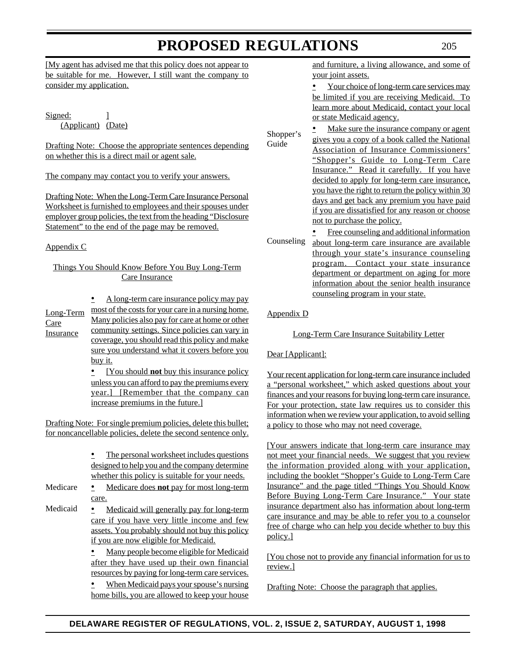[My agent has advised me that this policy does not appear to be suitable for me. However, I still want the company to consider my application.

Signed: 1 (Applicant) (Date)

Drafting Note: Choose the appropriate sentences depending on whether this is a direct mail or agent sale.

The company may contact you to verify your answers.

Drafting Note: When the Long-Term Care Insurance Personal Worksheet is furnished to employees and their spouses under employer group policies, the text from the heading "Disclosure Statement" to the end of the page may be removed.

### Appendix C

### Things You Should Know Before You Buy Long-Term Care Insurance

Long-Term Care

most of the costs for your care in a nursing home. Many policies also pay for care at home or other community settings. Since policies can vary in coverage, you should read this policy and make sure you understand what it covers before you buy it. Insurance

> • [You should **not** buy this insurance policy unless you can afford to pay the premiums every year.] [Remember that the company can increase premiums in the future.]

• A long-term care insurance policy may pay

Drafting Note: For single premium policies, delete this bullet; for noncancellable policies, delete the second sentence only.

The personal worksheet includes questions designed to help you and the company determine whether this policy is suitable for your needs. • Medicare does **not** pay for most long-term care. • Medicaid will generally pay for long-term care if you have very little income and few assets. You probably should not buy this policy if you are now eligible for Medicaid. • Many people become eligible for Medicaid after they have used up their own financial resources by paying for long-term care services. • When Medicaid pays your spouse's nursing Medicare Medicaid

home bills, you are allowed to keep your house

and furniture, a living allowance, and some of your joint assets.

• Your choice of long-term care services may be limited if you are receiving Medicaid. To learn more about Medicaid, contact your local or state Medicaid agency.

• Make sure the insurance company or agent gives you a copy of a book called the National Association of Insurance Commissioners' "Shopper's Guide to Long-Term Care Insurance." Read it carefully. If you have decided to apply for long-term care insurance, you have the right to return the policy within 30 days and get back any premium you have paid if you are dissatisfied for any reason or choose not to purchase the policy. Shopper's Guide

• Free counseling and additional information Counseling about long-term care insurance are available through your state's insurance counseling program. Contact your state insurance department or department on aging for more information about the senior health insurance counseling program in your state.

### Appendix D

Long-Term Care Insurance Suitability Letter

### Dear [Applicant]:

Your recent application for long-term care insurance included a "personal worksheet," which asked questions about your finances and your reasons for buying long-term care insurance. For your protection, state law requires us to consider this information when we review your application, to avoid selling a policy to those who may not need coverage.

[Your answers indicate that long-term care insurance may not meet your financial needs. We suggest that you review the information provided along with your application, including the booklet "Shopper's Guide to Long-Term Care Insurance" and the page titled "Things You Should Know Before Buying Long-Term Care Insurance." Your state insurance department also has information about long-term care insurance and may be able to refer you to a counselor free of charge who can help you decide whether to buy this policy.]

[You chose not to provide any financial information for us to review.]

Drafting Note: Choose the paragraph that applies.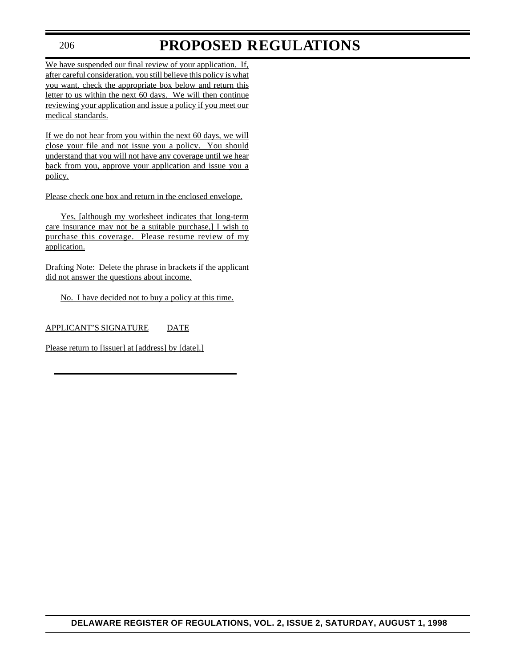# **PROPOSED REGULATIONS**

We have suspended our final review of your application. If, after careful consideration, you still believe this policy is what you want, check the appropriate box below and return this letter to us within the next 60 days. We will then continue reviewing your application and issue a policy if you meet our medical standards.

If we do not hear from you within the next 60 days, we will close your file and not issue you a policy. You should understand that you will not have any coverage until we hear back from you, approve your application and issue you a policy.

Please check one box and return in the enclosed envelope.

Yes, [although my worksheet indicates that long-term care insurance may not be a suitable purchase,] I wish to purchase this coverage. Please resume review of my application.

Drafting Note: Delete the phrase in brackets if the applicant did not answer the questions about income.

No. I have decided not to buy a policy at this time.

APPLICANT'S SIGNATURE DATE

Please return to [issuer] at [address] by [date].]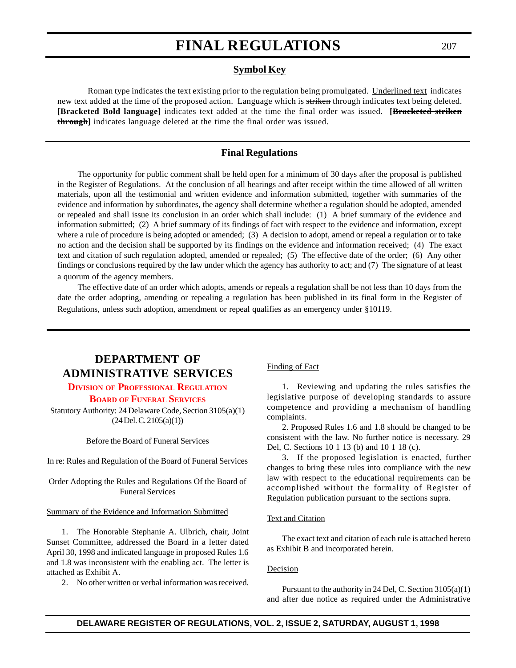### **Symbol Key**

Roman type indicates the text existing prior to the regulation being promulgated. Underlined text indicates new text added at the time of the proposed action. Language which is striken through indicates text being deleted. **[Bracketed Bold language]** indicates text added at the time the final order was issued. **[Bracketed striken through]** indicates language deleted at the time the final order was issued.

### **Final Regulations**

The opportunity for public comment shall be held open for a minimum of 30 days after the proposal is published in the Register of Regulations. At the conclusion of all hearings and after receipt within the time allowed of all written materials, upon all the testimonial and written evidence and information submitted, together with summaries of the evidence and information by subordinates, the agency shall determine whether a regulation should be adopted, amended or repealed and shall issue its conclusion in an order which shall include: (1) A brief summary of the evidence and information submitted; (2) A brief summary of its findings of fact with respect to the evidence and information, except where a rule of procedure is being adopted or amended; (3) A decision to adopt, amend or repeal a regulation or to take no action and the decision shall be supported by its findings on the evidence and information received; (4) The exact text and citation of such regulation adopted, amended or repealed; (5) The effective date of the order; (6) Any other findings or conclusions required by the law under which the agency has authority to act; and (7) The signature of at least a quorum of the agency members.

The effective date of an order which adopts, amends or repeals a regulation shall be not less than 10 days from the date the order adopting, amending or repealing a regulation has been published in its final form in the Register of Regulations, unless such adoption, amendment or repeal qualifies as an emergency under §10119.

### **DEPARTMENT OF ADMINISTRATIVE SERVICES**

**DIVISION [OF PROFESSIONAL](#page-3-0) REGULATION**

**BOARD OF FUNERAL SERVICES**

Statutory Authority: 24 Delaware Code, Section 3105(a)(1)  $(24$  Del. C. 2105 $(a)(1))$ 

Before the Board of Funeral Services

In re: Rules and Regulation of the Board of Funeral Services

Order Adopting the Rules and Regulations Of the Board of Funeral Services

#### Summary of the Evidence and Information Submitted

1. The Honorable Stephanie A. Ulbrich, chair, Joint Sunset Committee, addressed the Board in a letter dated April 30, 1998 and indicated language in proposed Rules 1.6 and 1.8 was inconsistent with the enabling act. The letter is attached as Exhibit A.

2. No other written or verbal information was received.

Finding of Fact

1. Reviewing and updating the rules satisfies the legislative purpose of developing standards to assure competence and providing a mechanism of handling complaints.

2. Proposed Rules 1.6 and 1.8 should be changed to be consistent with the law. No further notice is necessary. 29 Del, C. Sections 10 1 13 (b) and 10 1 18 (c).

3. If the proposed legislation is enacted, further changes to bring these rules into compliance with the new law with respect to the educational requirements can be accomplished without the formality of Register of Regulation publication pursuant to the sections supra.

#### Text and Citation

The exact text and citation of each rule is attached hereto as Exhibit B and incorporated herein.

### **Decision**

Pursuant to the authority in 24 Del, C. Section 3105(a)(1) and after due notice as required under the Administrative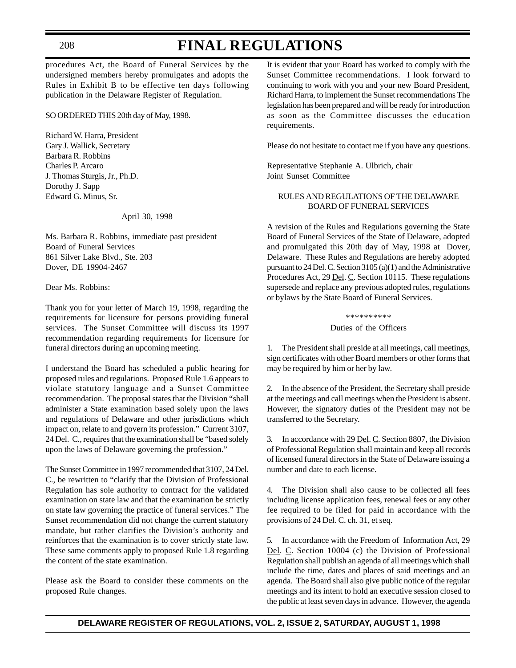# **FINAL REGULATIONS**

procedures Act, the Board of Funeral Services by the undersigned members hereby promulgates and adopts the Rules in Exhibit B to be effective ten days following publication in the Delaware Register of Regulation.

SO ORDERED THIS 20th day of May, 1998.

Richard W. Harra, President Gary J. Wallick, Secretary Barbara R. Robbins Charles P. Arcaro J. Thomas Sturgis, Jr., Ph.D. Dorothy J. Sapp Edward G. Minus, Sr.

April 30, 1998

Ms. Barbara R. Robbins, immediate past president Board of Funeral Services 861 Silver Lake Blvd., Ste. 203 Dover, DE 19904-2467

Dear Ms. Robbins:

Thank you for your letter of March 19, 1998, regarding the requirements for licensure for persons providing funeral services. The Sunset Committee will discuss its 1997 recommendation regarding requirements for licensure for funeral directors during an upcoming meeting.

I understand the Board has scheduled a public hearing for proposed rules and regulations. Proposed Rule 1.6 appears to violate statutory language and a Sunset Committee recommendation. The proposal states that the Division "shall administer a State examination based solely upon the laws and regulations of Delaware and other jurisdictions which impact on, relate to and govern its profession." Current 3107, 24 Del. C., requires that the examination shall be "based solely upon the laws of Delaware governing the profession."

The Sunset Committee in 1997 recommended that 3107, 24 Del. C., be rewritten to "clarify that the Division of Professional Regulation has sole authority to contract for the validated examination on state law and that the examination be strictly on state law governing the practice of funeral services." The Sunset recommendation did not change the current statutory mandate, but rather clarifies the Division's authority and reinforces that the examination is to cover strictly state law. These same comments apply to proposed Rule 1.8 regarding the content of the state examination.

Please ask the Board to consider these comments on the proposed Rule changes.

It is evident that your Board has worked to comply with the Sunset Committee recommendations. I look forward to continuing to work with you and your new Board President, Richard Harra, to implement the Sunset recommendations The legislation has been prepared and will be ready for introduction as soon as the Committee discusses the education requirements.

Please do not hesitate to contact me if you have any questions.

Representative Stephanie A. Ulbrich, chair Joint Sunset Committee

### RULES AND REGULATIONS OF THE DELAWARE BOARD OF FUNERAL SERVICES

A revision of the Rules and Regulations governing the State Board of Funeral Services of the State of Delaware, adopted and promulgated this 20th day of May, 1998 at Dover, Delaware. These Rules and Regulations are hereby adopted pursuant to 24 <u>Del. C.</u> Section 3105 (a)(1) and the Administrative Procedures Act, 29 Del. C. Section 10115. These regulations supersede and replace any previous adopted rules, regulations or bylaws by the State Board of Funeral Services.

\*\*\*\*\*\*\*\*\*\* Duties of the Officers

1. The President shall preside at all meetings, call meetings, sign certificates with other Board members or other forms that may be required by him or her by law.

2. In the absence of the President, the Secretary shall preside at the meetings and call meetings when the President is absent. However, the signatory duties of the President may not be transferred to the Secretary.

3. In accordance with 29 Del. C. Section 8807, the Division of Professional Regulation shall maintain and keep all records of licensed funeral directors in the State of Delaware issuing a number and date to each license.

4. The Division shall also cause to be collected all fees including license application fees, renewal fees or any other fee required to be filed for paid in accordance with the provisions of 24 Del. C. ch. 31, et seq.

5. In accordance with the Freedom of Information Act, 29 Del. C. Section 10004 (c) the Division of Professional Regulation shall publish an agenda of all meetings which shall include the time, dates and places of said meetings and an agenda. The Board shall also give public notice of the regular meetings and its intent to hold an executive session closed to the public at least seven days in advance. However, the agenda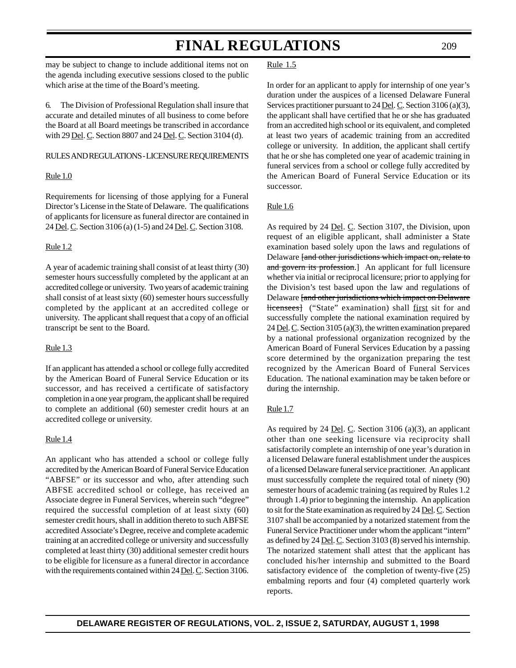may be subject to change to include additional items not on the agenda including executive sessions closed to the public which arise at the time of the Board's meeting.

6. The Division of Professional Regulation shall insure that accurate and detailed minutes of all business to come before the Board at all Board meetings be transcribed in accordance with 29 <u>Del. C</u>. Section 8807 and 24 <u>Del</u>. C. Section 3104 (d).

### RULES AND REGULATIONS - LICENSURE REQUIREMENTS

### Rule 1.0

Requirements for licensing of those applying for a Funeral Director's License in the State of Delaware. The qualifications of applicants for licensure as funeral director are contained in 24 <u>Del</u>. C. Section 3106 (a) (1-5) and 24 <u>Del</u>. C. Section 3108.

### Rule 1.2

A year of academic training shall consist of at least thirty (30) semester hours successfully completed by the applicant at an accredited college or university. Two years of academic training shall consist of at least sixty (60) semester hours successfully completed by the applicant at an accredited college or university. The applicant shall request that a copy of an official transcript be sent to the Board.

### Rule 1.3

If an applicant has attended a school or college fully accredited by the American Board of Funeral Service Education or its successor, and has received a certificate of satisfactory completion in a one year program, the applicant shall be required to complete an additional (60) semester credit hours at an accredited college or university.

### Rule 1.4

An applicant who has attended a school or college fully accredited by the American Board of Funeral Service Education "ABFSE" or its successor and who, after attending such ABFSE accredited school or college, has received an Associate degree in Funeral Services, wherein such "degree" required the successful completion of at least sixty (60) semester credit hours, shall in addition thereto to such ABFSE accredited Associate's Degree, receive and complete academic training at an accredited college or university and successfully completed at least thirty (30) additional semester credit hours to be eligible for licensure as a funeral director in accordance with the requirements contained within 24 Del. C. Section 3106.

### Rule 1.5

In order for an applicant to apply for internship of one year's duration under the auspices of a licensed Delaware Funeral Services practitioner pursuant to 24 Del. C. Section 3106 (a)(3), the applicant shall have certified that he or she has graduated from an accredited high school or its equivalent, and completed at least two years of academic training from an accredited college or university. In addition, the applicant shall certify that he or she has completed one year of academic training in funeral services from a school or college fully accredited by the American Board of Funeral Service Education or its successor.

### Rule 1.6

As required by 24 <u>Del</u>. C. Section 3107, the Division, upon request of an eligible applicant, shall administer a State examination based solely upon the laws and regulations of Delaware [and other jurisdictions which impact on, relate to and govern its profession.] An applicant for full licensure whether via initial or reciprocal licensure; prior to applying for the Division's test based upon the law and regulations of Delaware [and other jurisdictions which impact on Delaware licensees] ("State" examination) shall first sit for and successfully complete the national examination required by 24 Del. C. Section 3105 (a)(3), the written examination prepared by a national professional organization recognized by the American Board of Funeral Services Education by a passing score determined by the organization preparing the test recognized by the American Board of Funeral Services Education. The national examination may be taken before or during the internship.

### Rule 1.7

As required by 24 <u>Del</u>. C. Section 3106 (a)(3), an applicant other than one seeking licensure via reciprocity shall satisfactorily complete an internship of one year's duration in a licensed Delaware funeral establishment under the auspices of a licensed Delaware funeral service practitioner. An applicant must successfully complete the required total of ninety (90) semester hours of academic training (as required by Rules 1.2 through 1.4) prior to beginning the internship. An application to sit for the State examination as required by 24 Del. C. Section 3107 shall be accompanied by a notarized statement from the Funeral Service Practitioner under whom the applicant "intern" as defined by 24 Del. C. Section 3103 (8) served his internship. The notarized statement shall attest that the applicant has concluded his/her internship and submitted to the Board satisfactory evidence of the completion of twenty-five (25) embalming reports and four (4) completed quarterly work reports.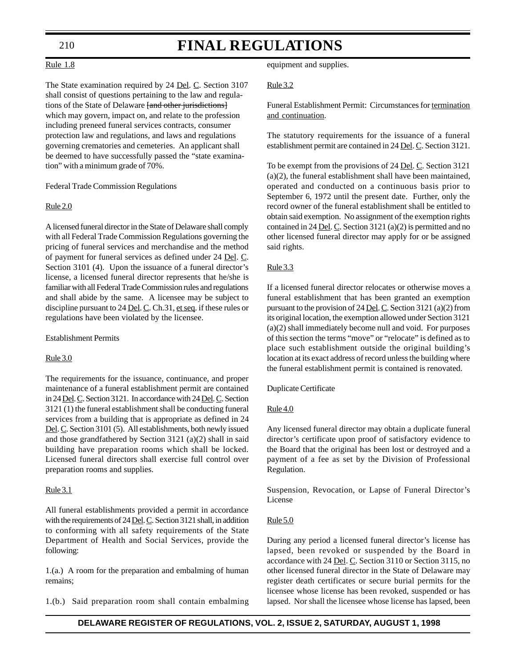# **FINAL REGULATIONS**

### Rule 1.8

The State examination required by 24 Del. C. Section 3107 shall consist of questions pertaining to the law and regulations of the State of Delaware [and other jurisdictions] which may govern, impact on, and relate to the profession including preneed funeral services contracts, consumer protection law and regulations, and laws and regulations governing crematories and cemeteries. An applicant shall be deemed to have successfully passed the "state examination" with a minimum grade of 70%.

Federal Trade Commission Regulations

### Rule 2.0

A licensed funeral director in the State of Delaware shall comply with all Federal Trade Commission Regulations governing the pricing of funeral services and merchandise and the method of payment for funeral services as defined under 24 Del. C. Section 3101 (4). Upon the issuance of a funeral director's license, a licensed funeral director represents that he/she is familiar with all Federal Trade Commission rules and regulations and shall abide by the same. A licensee may be subject to discipline pursuant to 24 Del. C. Ch.31, et seq. if these rules or regulations have been violated by the licensee.

Establishment Permits

#### Rule 3.0

The requirements for the issuance, continuance, and proper maintenance of a funeral establishment permit are contained in 24 Del. C. Section 3121. In accordance with 24 Del. C. Section 3121 (1) the funeral establishment shall be conducting funeral services from a building that is appropriate as defined in 24 Del. C. Section 3101 (5). All establishments, both newly issued and those grandfathered by Section 3121 (a)(2) shall in said building have preparation rooms which shall be locked. Licensed funeral directors shall exercise full control over preparation rooms and supplies.

### Rule 3.1

All funeral establishments provided a permit in accordance with the requirements of 24 Del. C. Section 3121 shall, in addition to conforming with all safety requirements of the State Department of Health and Social Services, provide the following:

1.(a.) A room for the preparation and embalming of human remains;

1.(b.) Said preparation room shall contain embalming

equipment and supplies.

### Rule 3.2

Funeral Establishment Permit: Circumstances for termination and continuation.

The statutory requirements for the issuance of a funeral establishment permit are contained in 24 Del. C. Section 3121.

To be exempt from the provisions of 24 Del. C. Section 3121 (a)(2), the funeral establishment shall have been maintained, operated and conducted on a continuous basis prior to September 6, 1972 until the present date. Further, only the record owner of the funeral establishment shall be entitled to obtain said exemption. No assignment of the exemption rights contained in 24 Del. C. Section 3121 (a)(2) is permitted and no other licensed funeral director may apply for or be assigned said rights.

### Rule 3.3

If a licensed funeral director relocates or otherwise moves a funeral establishment that has been granted an exemption pursuant to the provision of 24 Del. C. Section 3121 (a)(2) from its original location, the exemption allowed under Section 3121 (a)(2) shall immediately become null and void. For purposes of this section the terms "move" or "relocate" is defined as to place such establishment outside the original building's location at its exact address of record unless the building where the funeral establishment permit is contained is renovated.

Duplicate Certificate

### Rule 4.0

Any licensed funeral director may obtain a duplicate funeral director's certificate upon proof of satisfactory evidence to the Board that the original has been lost or destroyed and a payment of a fee as set by the Division of Professional Regulation.

Suspension, Revocation, or Lapse of Funeral Director's License

### Rule 5.0

During any period a licensed funeral director's license has lapsed, been revoked or suspended by the Board in accordance with 24 Del. C. Section 3110 or Section 3115, no other licensed funeral director in the State of Delaware may register death certificates or secure burial permits for the licensee whose license has been revoked, suspended or has lapsed. Nor shall the licensee whose license has lapsed, been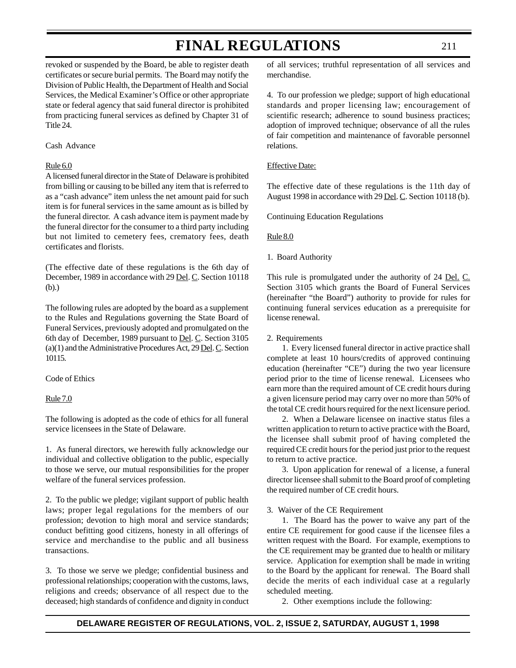revoked or suspended by the Board, be able to register death certificates or secure burial permits. The Board may notify the Division of Public Health, the Department of Health and Social Services, the Medical Examiner's Office or other appropriate state or federal agency that said funeral director is prohibited from practicing funeral services as defined by Chapter 31 of Title 24.

### Cash Advance

### Rule 6.0

A licensed funeral director in the State of Delaware is prohibited from billing or causing to be billed any item that is referred to as a "cash advance" item unless the net amount paid for such item is for funeral services in the same amount as is billed by the funeral director. A cash advance item is payment made by the funeral director for the consumer to a third party including but not limited to cemetery fees, crematory fees, death certificates and florists.

(The effective date of these regulations is the 6th day of December, 1989 in accordance with 29 Del. C. Section 10118 (b).)

The following rules are adopted by the board as a supplement to the Rules and Regulations governing the State Board of Funeral Services, previously adopted and promulgated on the 6th day of December, 1989 pursuant to Del. C. Section 3105  $(a)(1)$  and the Administrative Procedures Act, 29 Del. C. Section 10115.

### Code of Ethics

### Rule 7.0

The following is adopted as the code of ethics for all funeral service licensees in the State of Delaware.

1. As funeral directors, we herewith fully acknowledge our individual and collective obligation to the public, especially to those we serve, our mutual responsibilities for the proper welfare of the funeral services profession.

2. To the public we pledge; vigilant support of public health laws; proper legal regulations for the members of our profession; devotion to high moral and service standards; conduct befitting good citizens, honesty in all offerings of service and merchandise to the public and all business transactions.

3. To those we serve we pledge; confidential business and professional relationships; cooperation with the customs, laws, religions and creeds; observance of all respect due to the deceased; high standards of confidence and dignity in conduct

of all services; truthful representation of all services and merchandise.

4. To our profession we pledge; support of high educational standards and proper licensing law; encouragement of scientific research; adherence to sound business practices; adoption of improved technique; observance of all the rules of fair competition and maintenance of favorable personnel relations.

### Effective Date:

The effective date of these regulations is the 11th day of August 1998 in accordance with 29 Del. C. Section 10118 (b).

Continuing Education Regulations

### Rule 8.0

### 1. Board Authority

This rule is promulgated under the authority of 24 <u>Del.</u> C. Section 3105 which grants the Board of Funeral Services (hereinafter "the Board") authority to provide for rules for continuing funeral services education as a prerequisite for license renewal.

### 2. Requirements

1. Every licensed funeral director in active practice shall complete at least 10 hours/credits of approved continuing education (hereinafter "CE") during the two year licensure period prior to the time of license renewal. Licensees who earn more than the required amount of CE credit hours during a given licensure period may carry over no more than 50% of the total CE credit hours required for the next licensure period.

2. When a Delaware licensee on inactive status files a written application to return to active practice with the Board, the licensee shall submit proof of having completed the required CE credit hours for the period just prior to the request to return to active practice.

3. Upon application for renewal of a license, a funeral director licensee shall submit to the Board proof of completing the required number of CE credit hours.

### 3. Waiver of the CE Requirement

1. The Board has the power to waive any part of the entire CE requirement for good cause if the licensee files a written request with the Board. For example, exemptions to the CE requirement may be granted due to health or military service. Application for exemption shall be made in writing to the Board by the applicant for renewal. The Board shall decide the merits of each individual case at a regularly scheduled meeting.

2. Other exemptions include the following: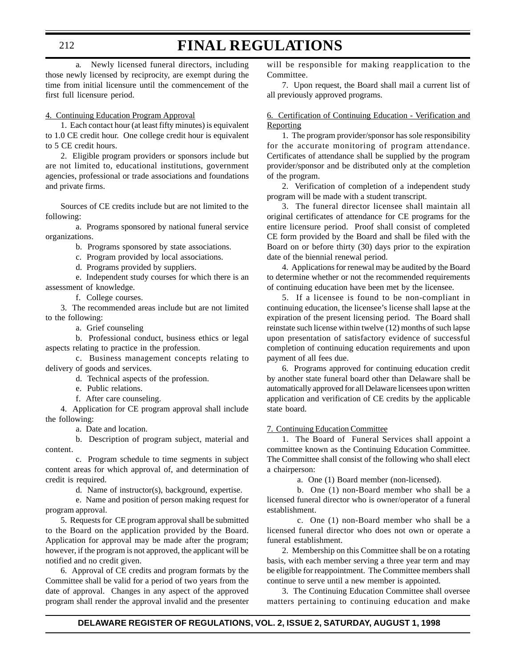a. Newly licensed funeral directors, including those newly licensed by reciprocity, are exempt during the time from initial licensure until the commencement of the first full licensure period.

### 4. Continuing Education Program Approval

1. Each contact hour (at least fifty minutes) is equivalent to 1.0 CE credit hour. One college credit hour is equivalent to 5 CE credit hours.

2. Eligible program providers or sponsors include but are not limited to, educational institutions, government agencies, professional or trade associations and foundations and private firms.

Sources of CE credits include but are not limited to the following:

a. Programs sponsored by national funeral service organizations.

b. Programs sponsored by state associations.

c. Program provided by local associations.

d. Programs provided by suppliers.

e. Independent study courses for which there is an assessment of knowledge.

f. College courses.

3. The recommended areas include but are not limited to the following:

a. Grief counseling

b. Professional conduct, business ethics or legal aspects relating to practice in the profession.

c. Business management concepts relating to delivery of goods and services.

d. Technical aspects of the profession.

e. Public relations.

f. After care counseling.

4. Application for CE program approval shall include the following:

a. Date and location.

b. Description of program subject, material and content.

c. Program schedule to time segments in subject content areas for which approval of, and determination of credit is required.

d. Name of instructor(s), background, expertise.

e. Name and position of person making request for program approval.

5. Requests for CE program approval shall be submitted to the Board on the application provided by the Board. Application for approval may be made after the program; however, if the program is not approved, the applicant will be notified and no credit given.

6. Approval of CE credits and program formats by the Committee shall be valid for a period of two years from the date of approval. Changes in any aspect of the approved program shall render the approval invalid and the presenter

will be responsible for making reapplication to the Committee.

7. Upon request, the Board shall mail a current list of all previously approved programs.

### 6. Certification of Continuing Education - Verification and **Reporting**

1. The program provider/sponsor has sole responsibility for the accurate monitoring of program attendance. Certificates of attendance shall be supplied by the program provider/sponsor and be distributed only at the completion of the program.

2. Verification of completion of a independent study program will be made with a student transcript.

3. The funeral director licensee shall maintain all original certificates of attendance for CE programs for the entire licensure period. Proof shall consist of completed CE form provided by the Board and shall be filed with the Board on or before thirty (30) days prior to the expiration date of the biennial renewal period.

4. Applications for renewal may be audited by the Board to determine whether or not the recommended requirements of continuing education have been met by the licensee.

5. If a licensee is found to be non-compliant in continuing education, the licensee's license shall lapse at the expiration of the present licensing period. The Board shall reinstate such license within twelve (12) months of such lapse upon presentation of satisfactory evidence of successful completion of continuing education requirements and upon payment of all fees due.

6. Programs approved for continuing education credit by another state funeral board other than Delaware shall be automatically approved for all Delaware licensees upon written application and verification of CE credits by the applicable state board.

#### 7. Continuing Education Committee

1. The Board of Funeral Services shall appoint a committee known as the Continuing Education Committee. The Committee shall consist of the following who shall elect a chairperson:

a. One (1) Board member (non-licensed).

b. One (1) non-Board member who shall be a licensed funeral director who is owner/operator of a funeral establishment.

c. One (1) non-Board member who shall be a licensed funeral director who does not own or operate a funeral establishment.

2. Membership on this Committee shall be on a rotating basis, with each member serving a three year term and may be eligible for reappointment. The Committee members shall continue to serve until a new member is appointed.

3. The Continuing Education Committee shall oversee matters pertaining to continuing education and make

212

### **FINAL REGULATIONS**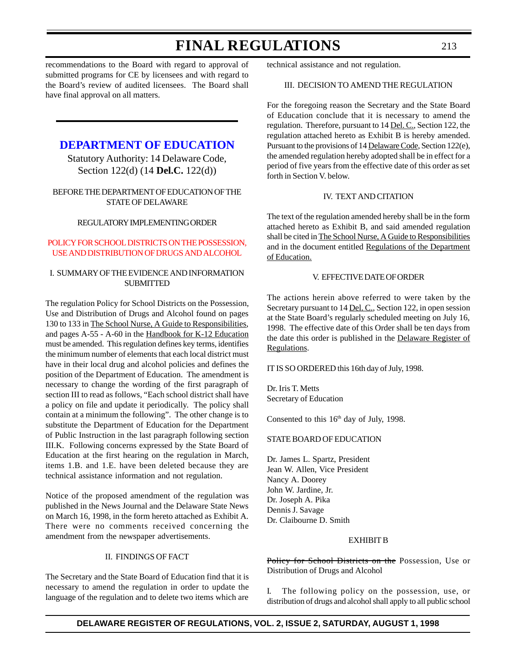recommendations to the Board with regard to approval of submitted programs for CE by licensees and with regard to the Board's review of audited licensees. The Board shall have final approval on all matters.

### **[DEPARTMENT OF EDUCATION](http://www.doe.state.de.us/)**

Statutory Authority: 14 Delaware Code, Section 122(d) (14 **Del.C.** 122(d))

BEFORE THE DEPARTMENT OF EDUCATION OF THE STATE OF DELAWARE

### REGULATORY IMPLEMENTING ORDER

### [POLICY FOR SCHOOL DISTRICTS ON THE POSSESSION,](#page-3-0) USE AND DISTRIBUTION OF DRUGS AND ALCOHOL

### I. SUMMARY OF THE EVIDENCE AND INFORMATION **SUBMITTED**

The regulation Policy for School Districts on the Possession, Use and Distribution of Drugs and Alcohol found on pages 130 to 133 in The School Nurse, A Guide to Responsibilities, and pages A-55 - A-60 in the Handbook for K-12 Education must be amended. This regulation defines key terms, identifies the minimum number of elements that each local district must have in their local drug and alcohol policies and defines the position of the Department of Education. The amendment is necessary to change the wording of the first paragraph of section III to read as follows, "Each school district shall have a policy on file and update it periodically. The policy shall contain at a minimum the following". The other change is to substitute the Department of Education for the Department of Public Instruction in the last paragraph following section III.K. Following concerns expressed by the State Board of Education at the first hearing on the regulation in March, items 1.B. and 1.E. have been deleted because they are technical assistance information and not regulation.

Notice of the proposed amendment of the regulation was published in the News Journal and the Delaware State News on March 16, 1998, in the form hereto attached as Exhibit A. There were no comments received concerning the amendment from the newspaper advertisements.

### II. FINDINGS OF FACT

The Secretary and the State Board of Education find that it is necessary to amend the regulation in order to update the language of the regulation and to delete two items which are

technical assistance and not regulation.

**FINAL REGULATIONS**

### III. DECISION TO AMEND THE REGULATION

For the foregoing reason the Secretary and the State Board of Education conclude that it is necessary to amend the regulation. Therefore, pursuant to 14 Del. C., Section 122, the regulation attached hereto as Exhibit B is hereby amended. Pursuant to the provisions of 14 Delaware Code, Section 122(e), the amended regulation hereby adopted shall be in effect for a period of five years from the effective date of this order as set forth in Section V. below.

### IV. TEXT AND CITATION

The text of the regulation amended hereby shall be in the form attached hereto as Exhibit B, and said amended regulation shall be cited in The School Nurse, A Guide to Responsibilities and in the document entitled Regulations of the Department of Education.

### V. EFFECTIVE DATE OF ORDER

The actions herein above referred to were taken by the Secretary pursuant to 14 Del. C., Section 122, in open session at the State Board's regularly scheduled meeting on July 16, 1998. The effective date of this Order shall be ten days from the date this order is published in the Delaware Register of Regulations.

IT IS SO ORDERED this 16th day of July, 1998.

Dr. Iris T. Metts Secretary of Education

Consented to this 16<sup>th</sup> day of July, 1998.

### STATE BOARD OF EDUCATION

Dr. James L. Spartz, President Jean W. Allen, Vice President Nancy A. Doorey John W. Jardine, Jr. Dr. Joseph A. Pika Dennis J. Savage Dr. Claibourne D. Smith

### EXHIBIT B

Policy for School Districts on the Possession, Use or Distribution of Drugs and Alcohol

I. The following policy on the possession, use, or distribution of drugs and alcohol shall apply to all public school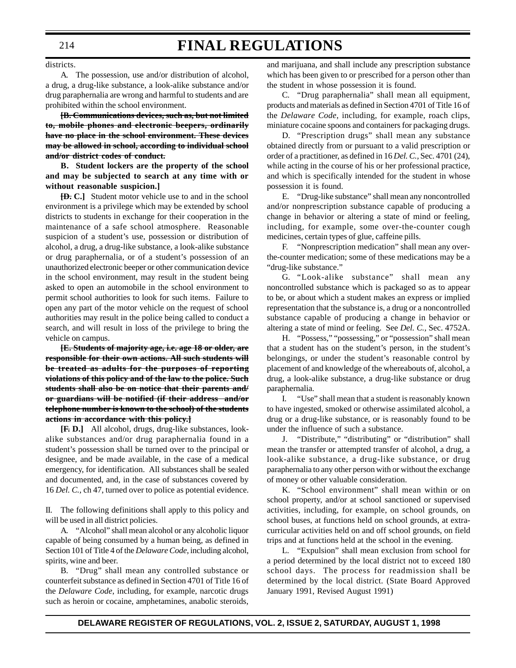### districts.

A. The possession, use and/or distribution of alcohol, a drug, a drug-like substance, a look-alike substance and/or drug paraphernalia are wrong and harmful to students and are prohibited within the school environment.

**[B. Communications devices, such as, but not limited to, mobile phones and electronic beepers, ordinarily have no place in the school environment. These devices may be allowed in school, according to individual school and/or district codes of conduct.**

**B. Student lockers are the property of the school and may be subjected to search at any time with or without reasonable suspicion.]**

**[D. C.]** Student motor vehicle use to and in the school environment is a privilege which may be extended by school districts to students in exchange for their cooperation in the maintenance of a safe school atmosphere. Reasonable suspicion of a student's use, possession or distribution of alcohol, a drug, a drug-like substance, a look-alike substance or drug paraphernalia, or of a student's possession of an unauthorized electronic beeper or other communication device in the school environment, may result in the student being asked to open an automobile in the school environment to permit school authorities to look for such items. Failure to open any part of the motor vehicle on the request of school authorities may result in the police being called to conduct a search, and will result in loss of the privilege to bring the vehicle on campus.

**[E. Students of majority age, i.e. age 18 or older, are responsible for their own actions. All such students will be treated as adults for the purposes of reporting violations of this policy and of the law to the police. Such students shall also be on notice that their parents and/ or guardians will be notified (if their address and/or telephone number is known to the school) of the students actions in accordance with this policy.]**

**[F. D.]** All alcohol, drugs, drug-like substances, lookalike substances and/or drug paraphernalia found in a student's possession shall be turned over to the principal or designee, and be made available, in the case of a medical emergency, for identification. All substances shall be sealed and documented, and, in the case of substances covered by 16 *Del. C.,* ch 47, turned over to police as potential evidence.

II. The following definitions shall apply to this policy and will be used in all district policies.

A. "Alcohol" shall mean alcohol or any alcoholic liquor capable of being consumed by a human being, as defined in Section 101 of Title 4 of the *Delaware Code*, including alcohol, spirits, wine and beer.

B. "Drug" shall mean any controlled substance or counterfeit substance as defined in Section 4701 of Title 16 of the *Delaware Code*, including, for example, narcotic drugs such as heroin or cocaine, amphetamines, anabolic steroids,

and marijuana, and shall include any prescription substance which has been given to or prescribed for a person other than the student in whose possession it is found.

C. "Drug paraphernalia" shall mean all equipment, products and materials as defined in Section 4701 of Title 16 of the *Delaware Code*, including, for example, roach clips, miniature cocaine spoons and containers for packaging drugs.

D. "Prescription drugs" shall mean any substance obtained directly from or pursuant to a valid prescription or order of a practitioner, as defined in 16 *Del. C.,* Sec. 4701 (24), while acting in the course of his or her professional practice, and which is specifically intended for the student in whose possession it is found.

E. "Drug-like substance" shall mean any noncontrolled and/or nonprescription substance capable of producing a change in behavior or altering a state of mind or feeling, including, for example, some over-the-counter cough medicines, certain types of glue, caffeine pills.

F. "Nonprescription medication" shall mean any overthe-counter medication; some of these medications may be a "drug-like substance."

G. "Look-alike substance" shall mean any noncontrolled substance which is packaged so as to appear to be, or about which a student makes an express or implied representation that the substance is, a drug or a noncontrolled substance capable of producing a change in behavior or altering a state of mind or feeling. See *Del. C.,* Sec. 4752A.

H. "Possess," "possessing," or "possession" shall mean that a student has on the student's person, in the student's belongings, or under the student's reasonable control by placement of and knowledge of the whereabouts of, alcohol, a drug, a look-alike substance, a drug-like substance or drug paraphernalia.

I. "Use" shall mean that a student is reasonably known to have ingested, smoked or otherwise assimilated alcohol, a drug or a drug-like substance, or is reasonably found to be under the influence of such a substance.

J. "Distribute," "distributing" or "distribution" shall mean the transfer or attempted transfer of alcohol, a drug, a look-alike substance, a drug-like substance, or drug paraphernalia to any other person with or without the exchange of money or other valuable consideration.

K. "School environment" shall mean within or on school property, and/or at school sanctioned or supervised activities, including, for example, on school grounds, on school buses, at functions held on school grounds, at extracurricular activities held on and off school grounds, on field trips and at functions held at the school in the evening.

L. "Expulsion" shall mean exclusion from school for a period determined by the local district not to exceed 180 school days. The process for readmission shall be determined by the local district. (State Board Approved January 1991, Revised August 1991)

214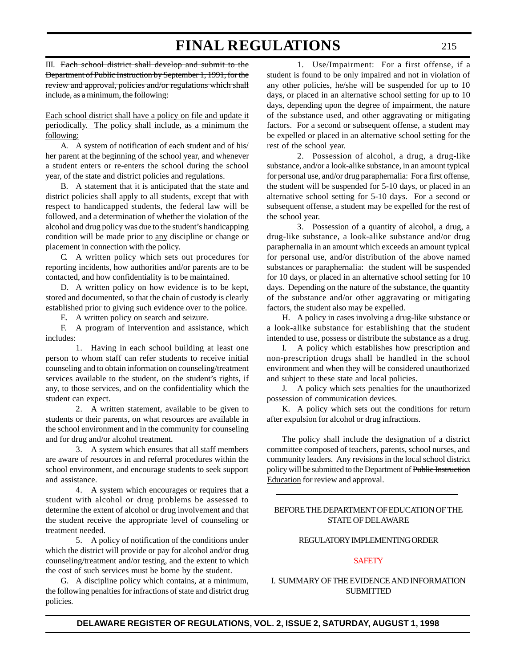III. Each school district shall develop and submit to the Department of Public Instruction by September 1, 1991, for the review and approval, policies and/or regulations which shall include, as a minimum, the following:

Each school district shall have a policy on file and update it periodically. The policy shall include, as a minimum the following:

A. A system of notification of each student and of his/ her parent at the beginning of the school year, and whenever a student enters or re-enters the school during the school year, of the state and district policies and regulations.

B. A statement that it is anticipated that the state and district policies shall apply to all students, except that with respect to handicapped students, the federal law will be followed, and a determination of whether the violation of the alcohol and drug policy was due to the student's handicapping condition will be made prior to any discipline or change or placement in connection with the policy.

C. A written policy which sets out procedures for reporting incidents, how authorities and/or parents are to be contacted, and how confidentiality is to be maintained.

D. A written policy on how evidence is to be kept, stored and documented, so that the chain of custody is clearly established prior to giving such evidence over to the police.

E. A written policy on search and seizure.

F. A program of intervention and assistance, which includes:

1. Having in each school building at least one person to whom staff can refer students to receive initial counseling and to obtain information on counseling/treatment services available to the student, on the student's rights, if any, to those services, and on the confidentiality which the student can expect.

2. A written statement, available to be given to students or their parents, on what resources are available in the school environment and in the community for counseling and for drug and/or alcohol treatment.

3. A system which ensures that all staff members are aware of resources in and referral procedures within the school environment, and encourage students to seek support and assistance.

4. A system which encourages or requires that a student with alcohol or drug problems be assessed to determine the extent of alcohol or drug involvement and that the student receive the appropriate level of counseling or treatment needed.

5. A policy of notification of the conditions under which the district will provide or pay for alcohol and/or drug counseling/treatment and/or testing, and the extent to which the cost of such services must be borne by the student.

G. A discipline policy which contains, at a minimum, the following penalties for infractions of state and district drug policies.

1. Use/Impairment: For a first offense, if a student is found to be only impaired and not in violation of any other policies, he/she will be suspended for up to 10 days, or placed in an alternative school setting for up to 10 days, depending upon the degree of impairment, the nature of the substance used, and other aggravating or mitigating factors. For a second or subsequent offense, a student may be expelled or placed in an alternative school setting for the rest of the school year.

2. Possession of alcohol, a drug, a drug-like substance, and/or a look-alike substance, in an amount typical for personal use, and/or drug paraphernalia: For a first offense, the student will be suspended for 5-10 days, or placed in an alternative school setting for 5-10 days. For a second or subsequent offense, a student may be expelled for the rest of the school year.

3. Possession of a quantity of alcohol, a drug, a drug-like substance, a look-alike substance and/or drug paraphernalia in an amount which exceeds an amount typical for personal use, and/or distribution of the above named substances or paraphernalia: the student will be suspended for 10 days, or placed in an alternative school setting for 10 days. Depending on the nature of the substance, the quantity of the substance and/or other aggravating or mitigating factors, the student also may be expelled.

H. A policy in cases involving a drug-like substance or a look-alike substance for establishing that the student intended to use, possess or distribute the substance as a drug.

I. A policy which establishes how prescription and non-prescription drugs shall be handled in the school environment and when they will be considered unauthorized and subject to these state and local policies.

J. A policy which sets penalties for the unauthorized possession of communication devices.

K. A policy which sets out the conditions for return after expulsion for alcohol or drug infractions.

The policy shall include the designation of a district committee composed of teachers, parents, school nurses, and community leaders. Any revisions in the local school district policy will be submitted to the Department of Public Instruction Education for review and approval.

### BEFORE THE DEPARTMENT OF EDUCATION OF THE STATE OF DELAWARE

### REGULATORY IMPLEMENTING ORDER

### **[SAFETY](#page-3-0)**

### I. SUMMARY OF THE EVIDENCE AND INFORMATION **SUBMITTED**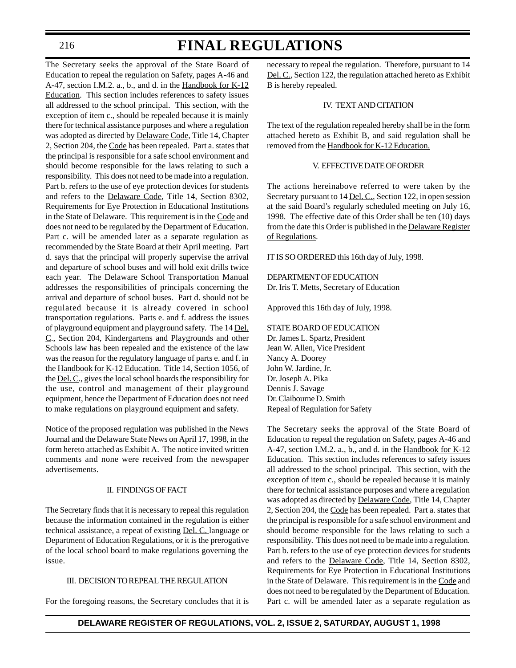The Secretary seeks the approval of the State Board of Education to repeal the regulation on Safety, pages A-46 and A-47, section I.M.2. a., b., and d. in the Handbook for K-12 Education. This section includes references to safety issues all addressed to the school principal. This section, with the exception of item c., should be repealed because it is mainly there for technical assistance purposes and where a regulation was adopted as directed by Delaware Code, Title 14, Chapter 2, Section 204, the Code has been repealed. Part a. states that the principal is responsible for a safe school environment and should become responsible for the laws relating to such a responsibility. This does not need to be made into a regulation. Part b. refers to the use of eye protection devices for students and refers to the Delaware Code, Title 14, Section 8302, Requirements for Eye Protection in Educational Institutions in the State of Delaware. This requirement is in the Code and does not need to be regulated by the Department of Education. Part c. will be amended later as a separate regulation as recommended by the State Board at their April meeting. Part d. says that the principal will properly supervise the arrival and departure of school buses and will hold exit drills twice each year. The Delaware School Transportation Manual addresses the responsibilities of principals concerning the arrival and departure of school buses. Part d. should not be regulated because it is already covered in school transportation regulations. Parts e. and f. address the issues of playground equipment and playground safety. The 14 Del. C., Section 204, Kindergartens and Playgrounds and other Schools law has been repealed and the existence of the law was the reason for the regulatory language of parts e. and f. in the Handbook for K-12 Education. Title 14, Section 1056, of the Del. C., gives the local school boards the responsibility for the use, control and management of their playground equipment, hence the Department of Education does not need to make regulations on playground equipment and safety.

Notice of the proposed regulation was published in the News Journal and the Delaware State News on April 17, 1998, in the form hereto attached as Exhibit A. The notice invited written comments and none were received from the newspaper advertisements.

### II. FINDINGS OF FACT

The Secretary finds that it is necessary to repeal this regulation because the information contained in the regulation is either technical assistance, a repeat of existing Del. C. language or Department of Education Regulations, or it is the prerogative of the local school board to make regulations governing the issue.

#### III. DECISION TO REPEAL THE REGULATION

For the foregoing reasons, the Secretary concludes that it is

necessary to repeal the regulation. Therefore, pursuant to 14 Del. C., Section 122, the regulation attached hereto as Exhibit B is hereby repealed.

### IV. TEXT AND CITATION

The text of the regulation repealed hereby shall be in the form attached hereto as Exhibit B, and said regulation shall be removed from the Handbook for K-12 Education.

#### V. EFFECTIVE DATE OF ORDER

The actions hereinabove referred to were taken by the Secretary pursuant to 14 Del. C., Section 122, in open session at the said Board's regularly scheduled meeting on July 16, 1998. The effective date of this Order shall be ten (10) days from the date this Order is published in the Delaware Register of Regulations.

IT IS SO ORDERED this 16th day of July, 1998.

DEPARTMENT OF EDUCATION Dr. Iris T. Metts, Secretary of Education

Approved this 16th day of July, 1998.

#### STATE BOARD OF EDUCATION

Dr. James L. Spartz, President Jean W. Allen, Vice President Nancy A. Doorey John W. Jardine, Jr. Dr. Joseph A. Pika Dennis J. Savage Dr. Claibourne D. Smith Repeal of Regulation for Safety

The Secretary seeks the approval of the State Board of Education to repeal the regulation on Safety, pages A-46 and A-47, section I.M.2. a., b., and d. in the Handbook for K-12 Education. This section includes references to safety issues all addressed to the school principal. This section, with the exception of item c., should be repealed because it is mainly there for technical assistance purposes and where a regulation was adopted as directed by Delaware Code, Title 14, Chapter 2, Section 204, the Code has been repealed. Part a. states that the principal is responsible for a safe school environment and should become responsible for the laws relating to such a responsibility. This does not need to be made into a regulation. Part b. refers to the use of eye protection devices for students and refers to the Delaware Code, Title 14, Section 8302, Requirements for Eye Protection in Educational Institutions in the State of Delaware. This requirement is in the Code and does not need to be regulated by the Department of Education. Part c. will be amended later as a separate regulation as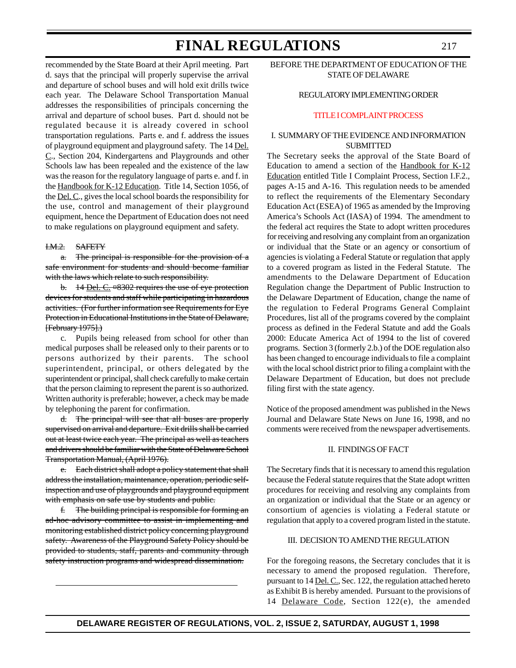recommended by the State Board at their April meeting. Part d. says that the principal will properly supervise the arrival and departure of school buses and will hold exit drills twice each year. The Delaware School Transportation Manual addresses the responsibilities of principals concerning the arrival and departure of school buses. Part d. should not be regulated because it is already covered in school transportation regulations. Parts e. and f. address the issues of playground equipment and playground safety. The 14 Del. C., Section 204, Kindergartens and Playgrounds and other Schools law has been repealed and the existence of the law was the reason for the regulatory language of parts e. and f. in the Handbook for K-12 Education. Title 14, Section 1056, of the Del. C., gives the local school boards the responsibility for the use, control and management of their playground equipment, hence the Department of Education does not need to make regulations on playground equipment and safety.

### I.M.2. SAFETY

a. The principal is responsible for the provision of a safe environment for students and should become familiar with the laws which relate to such responsibility.

b. 14 Del. C. ¤8302 requires the use of eye protection devices for students and staff while participating in hazardous activities. (For further information see Requirements for Eye Protection in Educational Institutions in the State of Delaware, [February 1975].)

c. Pupils being released from school for other than medical purposes shall be released only to their parents or to persons authorized by their parents. The school superintendent, principal, or others delegated by the superintendent or principal, shall check carefully to make certain that the person claiming to represent the parent is so authorized. Written authority is preferable; however, a check may be made by telephoning the parent for confirmation.

d. The principal will see that all buses are properly supervised on arrival and departure. Exit drills shall be carried out at least twice each year. The principal as well as teachers and drivers should be familiar with the State of Delaware School Transportation Manual, (April 1976).

e. Each district shall adopt a policy statement that shall address the installation, maintenance, operation, periodic selfinspection and use of playgrounds and playground equipment with emphasis on safe use by students and public.

f. The building principal is responsible for forming an ad-hoc advisory committee to assist in implementing and monitoring established district policy concerning playground safety. Awareness of the Playground Safety Policy should be provided to students, staff, parents and community through safety instruction programs and widespread dissemination.

BEFORE THE DEPARTMENT OF EDUCATION OF THE STATE OF DELAWARE

#### REGULATORY IMPLEMENTING ORDER

### [TITLE I COMPLAINT PROCESS](#page-3-0)

### I. SUMMARY OF THE EVIDENCE AND INFORMATION **SUBMITTED**

The Secretary seeks the approval of the State Board of Education to amend a section of the Handbook for K-12 Education entitled Title I Complaint Process, Section I.F.2., pages A-15 and A-16. This regulation needs to be amended to reflect the requirements of the Elementary Secondary Education Act (ESEA) of 1965 as amended by the Improving America's Schools Act (IASA) of 1994. The amendment to the federal act requires the State to adopt written procedures for receiving and resolving any complaint from an organization or individual that the State or an agency or consortium of agencies is violating a Federal Statute or regulation that apply to a covered program as listed in the Federal Statute. The amendments to the Delaware Department of Education Regulation change the Department of Public Instruction to the Delaware Department of Education, change the name of the regulation to Federal Programs General Complaint Procedures, list all of the programs covered by the complaint process as defined in the Federal Statute and add the Goals 2000: Educate America Act of 1994 to the list of covered programs. Section 3 (formerly 2.b.) of the DOE regulation also has been changed to encourage individuals to file a complaint with the local school district prior to filing a complaint with the Delaware Department of Education, but does not preclude filing first with the state agency.

Notice of the proposed amendment was published in the News Journal and Delaware State News on June 16, 1998, and no comments were received from the newspaper advertisements.

#### II. FINDINGS OF FACT

The Secretary finds that it is necessary to amend this regulation because the Federal statute requires that the State adopt written procedures for receiving and resolving any complaints from an organization or individual that the State or an agency or consortium of agencies is violating a Federal statute or regulation that apply to a covered program listed in the statute.

### III. DECISION TO AMEND THE REGULATION

For the foregoing reasons, the Secretary concludes that it is necessary to amend the proposed regulation. Therefore, pursuant to 14 Del. C., Sec. 122, the regulation attached hereto as Exhibit B is hereby amended. Pursuant to the provisions of 14 Delaware Code, Section 122(e), the amended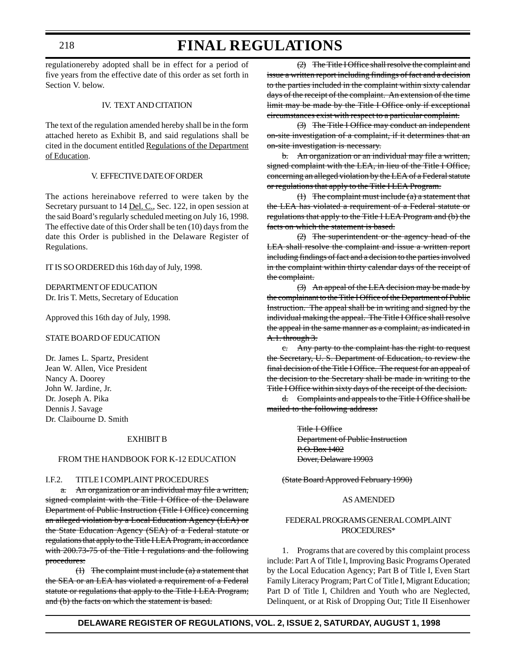## **FINAL REGULATIONS**

regulationereby adopted shall be in effect for a period of five years from the effective date of this order as set forth in Section V. below.

### IV. TEXT AND CITATION

The text of the regulation amended hereby shall be in the form attached hereto as Exhibit B, and said regulations shall be cited in the document entitled Regulations of the Department of Education.

### V. EFFECTIVE DATE OF ORDER

The actions hereinabove referred to were taken by the Secretary pursuant to 14 Del. C., Sec. 122, in open session at the said Board's regularly scheduled meeting on July 16, 1998. The effective date of this Order shall be ten (10) days from the date this Order is published in the Delaware Register of Regulations.

IT IS SO ORDERED this 16th day of July, 1998.

### DEPARTMENT OF EDUCATION Dr. Iris T. Metts, Secretary of Education

Approved this 16th day of July, 1998.

### STATE BOARD OF EDUCATION

Dr. James L. Spartz, President Jean W. Allen, Vice President Nancy A. Doorey John W. Jardine, Jr. Dr. Joseph A. Pika Dennis J. Savage Dr. Claibourne D. Smith

### EXHIBIT B

### FROM THE HANDBOOK FOR K-12 EDUCATION

### I.F.2. TITLE I COMPLAINT PROCEDURES

a. An organization or an individual may file a written, signed complaint with the Title I Office of the Delaware Department of Public Instruction (Title I Office) concerning an alleged violation by a Local Education Agency (LEA) or the State Education Agency (SEA) of a Federal statute or regulations that apply to the Title I LEA Program, in accordance with 200.73-75 of the Title I regulations and the following procedures:

(1) The complaint must include  $(a)$  a statement that the SEA or an LEA has violated a requirement of a Federal statute or regulations that apply to the Title I LEA Program; and (b) the facts on which the statement is based.

(2) The Title I Office shall resolve the complaint and issue a written report including findings of fact and a decision to the parties included in the complaint within sixty calendar days of the receipt of the complaint. An extension of the time limit may be made by the Title I Office only if exceptional circumstances exist with respect to a particular complaint.

(3) The Title I Office may conduct an independent on-site investigation of a complaint, if it determines that an on-site investigation is necessary.

b. An organization or an individual may file a written, signed complaint with the LEA, in lieu of the Title I Office, concerning an alleged violation by the LEA of a Federal statute or regulations that apply to the Title I LEA Program.

(1) The complaint must include  $(a)$  a statement that the LEA has violated a requirement of a Federal statute or regulations that apply to the Title I LEA Program and (b) the facts on which the statement is based.

(2) The superintendent or the agency head of the LEA shall resolve the complaint and issue a written report including findings of fact and a decision to the parties involved in the complaint within thirty calendar days of the receipt of the complaint.

(3) An appeal of the LEA decision may be made by the complainant to the Title I Office of the Department of Public Instruction. The appeal shall be in writing and signed by the individual making the appeal. The Title I Office shall resolve the appeal in the same manner as a complaint, as indicated in A.1. through 3.

c. Any party to the complaint has the right to request the Secretary, U. S. Department of Education, to review the final decision of the Title I Office. The request for an appeal of the decision to the Secretary shall be made in writing to the Title I Office within sixty days of the receipt of the decision.

d. Complaints and appeals to the Title I Office shall be mailed to the following address:

> Title I Office Department of Public Instruction P.O. Box 1402 Dover, Delaware 19903

(State Board Approved February 1990)

### AS AMENDED

### FEDERAL PROGRAMS GENERAL COMPLAINT PROCEDURES\*

1. Programs that are covered by this complaint process include: Part A of Title I, Improving Basic Programs Operated by the Local Education Agency; Part B of Title I, Even Start Family Literacy Program; Part C of Title I, Migrant Education; Part D of Title I, Children and Youth who are Neglected, Delinquent, or at Risk of Dropping Out; Title II Eisenhower

**DELAWARE REGISTER OF REGULATIONS, VOL. 2, ISSUE 2, SATURDAY, AUGUST 1, 1998**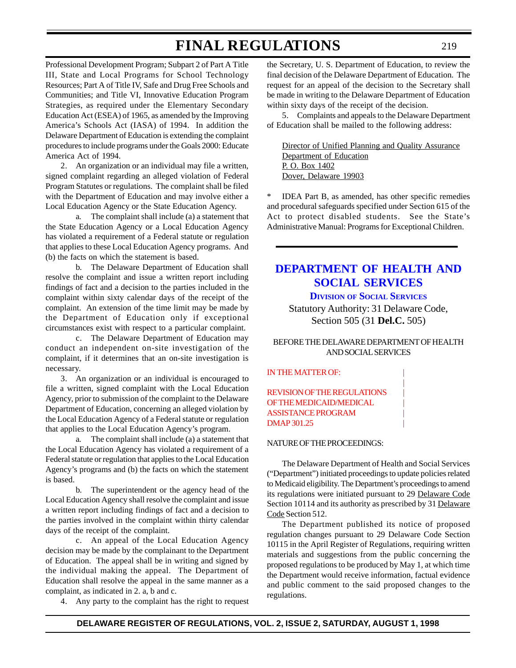Professional Development Program; Subpart 2 of Part A Title III, State and Local Programs for School Technology Resources; Part A of Title IV, Safe and Drug Free Schools and Communities; and Title VI, Innovative Education Program Strategies, as required under the Elementary Secondary Education Act (ESEA) of 1965, as amended by the Improving America's Schools Act (IASA) of 1994. In addition the Delaware Department of Education is extending the complaint procedures to include programs under the Goals 2000: Educate America Act of 1994.

2. An organization or an individual may file a written, signed complaint regarding an alleged violation of Federal Program Statutes or regulations. The complaint shall be filed with the Department of Education and may involve either a Local Education Agency or the State Education Agency.

a. The complaint shall include (a) a statement that the State Education Agency or a Local Education Agency has violated a requirement of a Federal statute or regulation that applies to these Local Education Agency programs. And (b) the facts on which the statement is based.

b. The Delaware Department of Education shall resolve the complaint and issue a written report including findings of fact and a decision to the parties included in the complaint within sixty calendar days of the receipt of the complaint. An extension of the time limit may be made by the Department of Education only if exceptional circumstances exist with respect to a particular complaint.

c. The Delaware Department of Education may conduct an independent on-site investigation of the complaint, if it determines that an on-site investigation is necessary.

3. An organization or an individual is encouraged to file a written, signed complaint with the Local Education Agency, prior to submission of the complaint to the Delaware Department of Education, concerning an alleged violation by the Local Education Agency of a Federal statute or regulation that applies to the Local Education Agency's program.

a. The complaint shall include (a) a statement that the Local Education Agency has violated a requirement of a Federal statute or regulation that applies to the Local Education Agency's programs and (b) the facts on which the statement is based.

b. The superintendent or the agency head of the Local Education Agency shall resolve the complaint and issue a written report including findings of fact and a decision to the parties involved in the complaint within thirty calendar days of the receipt of the complaint.

c. An appeal of the Local Education Agency decision may be made by the complainant to the Department of Education. The appeal shall be in writing and signed by the individual making the appeal. The Department of Education shall resolve the appeal in the same manner as a complaint, as indicated in 2. a, b and c.

4. Any party to the complaint has the right to request

the Secretary, U. S. Department of Education, to review the final decision of the Delaware Department of Education. The request for an appeal of the decision to the Secretary shall be made in writing to the Delaware Department of Education within sixty days of the receipt of the decision.

5. Complaints and appeals to the Delaware Department of Education shall be mailed to the following address:

Director of Unified Planning and Quality Assurance Department of Education P. O. Box 1402 Dover, Delaware 19903

\* IDEA Part B, as amended, has other specific remedies and procedural safeguards specified under Section 615 of the Act to protect disabled students. See the State's Administrative Manual: Programs for Exceptional Children.

### **[DEPARTMENT OF HEALTH AND](http://www.state.de.us/govern/agencies/dhss/irm/dss/dsshome.htm) SOCIAL SERVICES**

### **DIVISION OF SOCIAL SERVICES**

Statutory Authority: 31 Delaware Code, Section 505 (31 **Del.C.** 505)

BEFORE THE DELAWARE DEPARTMENT OF HEALTH AND SOCIAL SERVICES

IN THE MATTER OF:

 | REVISION OF THE REGULATIONS | OF THE MEDICAID/MEDICAL ASSISTANCE PROGRAM | DMAP 301.25

### NATURE OF THE PROCEEDINGS:

The Delaware Department of Health and Social Services ("Department") initiated proceedings to update policies related to Medicaid eligibility. The Department's proceedings to amend its regulations were initiated pursuant to 29 Delaware Code Section 10114 and its authority as prescribed by 31 Delaware Code Section 512.

The Department published its notice of proposed regulation changes pursuant to 29 Delaware Code Section 10115 in the April Register of Regulations, requiring written materials and suggestions from the public concerning the proposed regulations to be produced by May 1, at which time the Department would receive information, factual evidence and public comment to the said proposed changes to the regulations.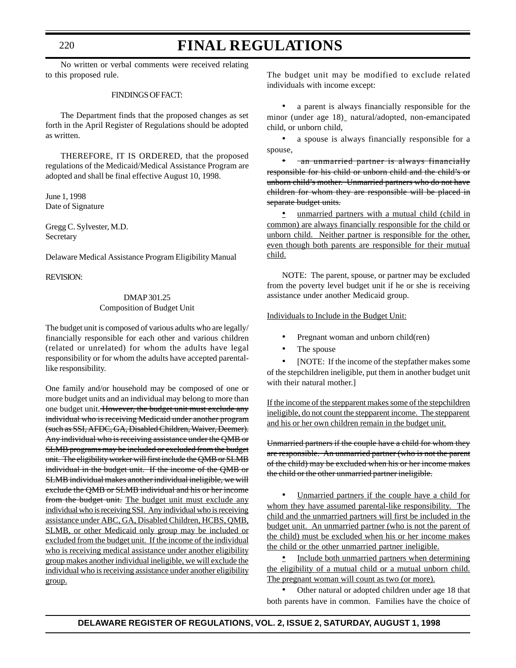No written or verbal comments were received relating to this proposed rule.

### FINDINGS OF FACT:

The Department finds that the proposed changes as set forth in the April Register of Regulations should be adopted as written.

THEREFORE, IT IS ORDERED, that the proposed regulations of the Medicaid/Medical Assistance Program are adopted and shall be final effective August 10, 1998.

June 1, 1998 Date of Signature

Gregg C. Sylvester, M.D. Secretary

Delaware Medical Assistance Program Eligibility Manual

REVISION:

### DMAP 301.25 Composition of Budget Unit

The budget unit is composed of various adults who are legally/ financially responsible for each other and various children (related or unrelated) for whom the adults have legal responsibility or for whom the adults have accepted parentallike responsibility.

One family and/or household may be composed of one or more budget units and an individual may belong to more than one budget unit. However, the budget unit must exclude any individual who is receiving Medicaid under another program (such as SSI, AFDC, GA, Disabled Children, Waiver, Deemer). Any individual who is receiving assistance under the QMB or SLMB programs may be included or excluded from the budget unit. The eligibility worker will first include the QMB or SLMB individual in the budget unit. If the income of the QMB or SLMB individual makes another individual ineligible, we will exclude the QMB or SLMB individual and his or her income from the budget unit. The budget unit must exclude any individual who is receiving SSI. Any individual who is receiving assistance under ABC, GA, Disabled Children, HCBS, QMB, SLMB, or other Medicaid only group may be included or excluded from the budget unit. If the income of the individual who is receiving medical assistance under another eligibility group makes another individual ineligible, we will exclude the individual who is receiving assistance under another eligibility group.

The budget unit may be modified to exclude related individuals with income except:

• a parent is always financially responsible for the minor (under age 18) natural/adopted, non-emancipated child, or unborn child,

a spouse is always financially responsible for a spouse,

-an unmarried partner is always financially responsible for his child or unborn child and the child's or unborn child's mother. Unmarried partners who do not have children for whom they are responsible will be placed in separate budget units.

unmarried partners with a mutual child (child in common) are always financially responsible for the child or unborn child. Neither partner is responsible for the other, even though both parents are responsible for their mutual child.

NOTE: The parent, spouse, or partner may be excluded from the poverty level budget unit if he or she is receiving assistance under another Medicaid group.

### Individuals to Include in the Budget Unit:

- Pregnant woman and unborn child(ren)
- The spouse

[NOTE: If the income of the stepfather makes some of the stepchildren ineligible, put them in another budget unit with their natural mother.

If the income of the stepparent makes some of the stepchildren ineligible, do not count the stepparent income. The stepparent and his or her own children remain in the budget unit.

Unmarried partners if the couple have a child for whom they are responsible. An unmarried partner (who is not the parent of the child) may be excluded when his or her income makes the child or the other unmarried partner ineligible.

Unmarried partners if the couple have a child for whom they have assumed parental-like responsibility. The child and the unmarried partners will first be included in the budget unit. An unmarried partner (who is not the parent of the child) must be excluded when his or her income makes the child or the other unmarried partner ineligible.

• Include both unmarried partners when determining the eligibility of a mutual child or a mutual unborn child. The pregnant woman will count as two (or more).

• Other natural or adopted children under age 18 that both parents have in common. Families have the choice of

220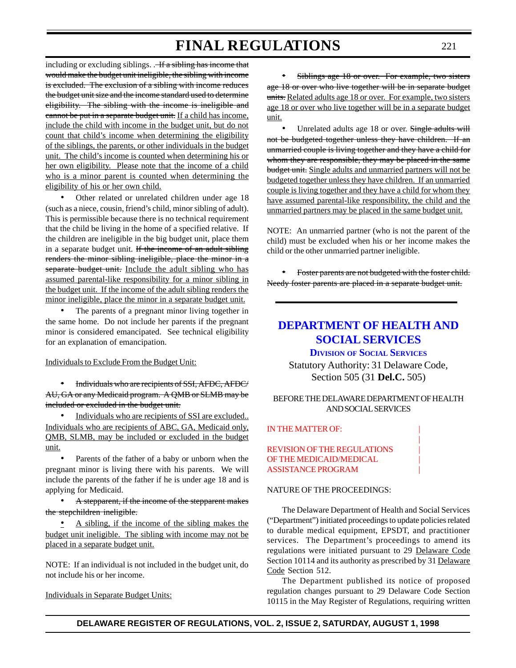including or excluding siblings. . If a sibling has income that would make the budget unit ineligible, the sibling with income is excluded. The exclusion of a sibling with income reduces the budget unit size and the income standard used to determine eligibility. The sibling with the income is ineligible and cannot be put in a separate budget unit. If a child has income, include the child with income in the budget unit, but do not count that child's income when determining the eligibility of the siblings, the parents, or other individuals in the budget unit. The child's income is counted when determining his or her own eligibility. Please note that the income of a child who is a minor parent is counted when determining the eligibility of his or her own child.

Other related or unrelated children under age 18 (such as a niece, cousin, friend's child, minor sibling of adult). This is permissible because there is no technical requirement that the child be living in the home of a specified relative. If the children are ineligible in the big budget unit, place them in a separate budget unit. If the income of an adult sibling renders the minor sibling ineligible, place the minor in a separate budget unit. Include the adult sibling who has assumed parental-like responsibility for a minor sibling in the budget unit. If the income of the adult sibling renders the minor ineligible, place the minor in a separate budget unit.

The parents of a pregnant minor living together in the same home. Do not include her parents if the pregnant minor is considered emancipated. See technical eligibility for an explanation of emancipation.

Individuals to Exclude From the Budget Unit:

• Individuals who are recipients of SSI, AFDC, AFDC/ AU, GA or any Medicaid program. A QMB or SLMB may be included or excluded in the budget unit.

Individuals who are recipients of SSI are excluded... Individuals who are recipients of ABC, GA, Medicaid only, QMB, SLMB, may be included or excluded in the budget unit.

Parents of the father of a baby or unborn when the pregnant minor is living there with his parents. We will include the parents of the father if he is under age 18 and is applying for Medicaid.

• A stepparent, if the income of the stepparent makes the stepchildren ineligible.

• A sibling, if the income of the sibling makes the budget unit ineligible. The sibling with income may not be placed in a separate budget unit.

NOTE: If an individual is not included in the budget unit, do not include his or her income.

Individuals in Separate Budget Units:

Siblings age 18 or over. For example, two sisters age 18 or over who live together will be in separate budget units. Related adults age 18 or over. For example, two sisters age 18 or over who live together will be in a separate budget unit.

Unrelated adults age 18 or over. Single adults will not be budgeted together unless they have children. If an unmarried couple is living together and they have a child for whom they are responsible, they may be placed in the same budget unit. Single adults and unmarried partners will not be budgeted together unless they have children. If an unmarried couple is living together and they have a child for whom they have assumed parental-like responsibility, the child and the unmarried partners may be placed in the same budget unit.

NOTE: An unmarried partner (who is not the parent of the child) must be excluded when his or her income makes the child or the other unmarried partner ineligible.

Foster parents are not budgeted with the foster child. Needy foster parents are placed in a separate budget unit.

### **[DEPARTMENT OF HEALTH AND](http://www.state.de.us/govern/agencies/dhss/irm/dss/dsshome.htm) SOCIAL SERVICES**

**DIVISION OF SOCIAL SERVICES**

Statutory Authority: 31 Delaware Code, Section 505 (31 **Del.C.** 505)

### BEFORE THE DELAWARE DEPARTMENT OF HEALTH AND SOCIAL SERVICES

|

### IN THE MATTER OF:

### [REVISION OF THE REGULATIONS](#page-3-0) | OF THE MEDICAID/MEDICAL ASSISTANCE PROGRAM |

### NATURE OF THE PROCEEDINGS:

The Delaware Department of Health and Social Services ("Department") initiated proceedings to update policies related to durable medical equipment, EPSDT, and practitioner services. The Department's proceedings to amend its regulations were initiated pursuant to 29 Delaware Code Section 10114 and its authority as prescribed by 31 Delaware Code Section 512.

The Department published its notice of proposed regulation changes pursuant to 29 Delaware Code Section 10115 in the May Register of Regulations, requiring written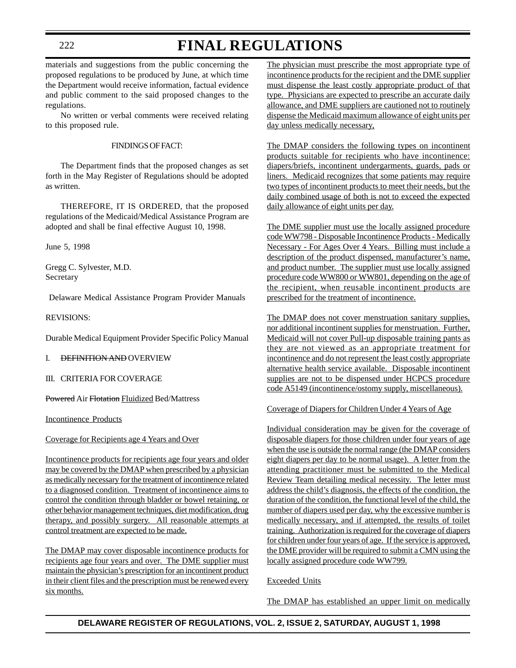# **FINAL REGULATIONS**

materials and suggestions from the public concerning the proposed regulations to be produced by June, at which time the Department would receive information, factual evidence and public comment to the said proposed changes to the regulations.

No written or verbal comments were received relating to this proposed rule.

### FINDINGS OF FACT:

The Department finds that the proposed changes as set forth in the May Register of Regulations should be adopted as written.

THEREFORE, IT IS ORDERED, that the proposed regulations of the Medicaid/Medical Assistance Program are adopted and shall be final effective August 10, 1998.

June 5, 1998

Gregg C. Sylvester, M.D. Secretary

Delaware Medical Assistance Program Provider Manuals

REVISIONS:

Durable Medical Equipment Provider Specific Policy Manual

I. DEFINITION AND OVERVIEW

III. CRITERIA FOR COVERAGE

Powered Air Flotation Fluidized Bed/Mattress

Incontinence Products

Coverage for Recipients age 4 Years and Over

Incontinence products for recipients age four years and older may be covered by the DMAP when prescribed by a physician as medically necessary for the treatment of incontinence related to a diagnosed condition. Treatment of incontinence aims to control the condition through bladder or bowel retaining, or other behavior management techniques, diet modification, drug therapy, and possibly surgery. All reasonable attempts at control treatment are expected to be made.

The DMAP may cover disposable incontinence products for recipients age four years and over. The DME supplier must maintain the physician's prescription for an incontinent product in their client files and the prescription must be renewed every six months.

The physician must prescribe the most appropriate type of incontinence products for the recipient and the DME supplier must dispense the least costly appropriate product of that type. Physicians are expected to prescribe an accurate daily allowance, and DME suppliers are cautioned not to routinely dispense the Medicaid maximum allowance of eight units per day unless medically necessary,

The DMAP considers the following types on incontinent products suitable for recipients who have incontinence: diapers/briefs, incontinent undergarments, guards, pads or liners. Medicaid recognizes that some patients may require two types of incontinent products to meet their needs, but the daily combined usage of both is not to exceed the expected daily allowance of eight units per day.

The DME supplier must use the locally assigned procedure code WW798 - Disposable Incontinence Products - Medically Necessary - For Ages Over 4 Years. Billing must include a description of the product dispensed, manufacturer's name, and product number. The supplier must use locally assigned procedure code WW800 or WW801, depending on the age of the recipient, when reusable incontinent products are prescribed for the treatment of incontinence.

The DMAP does not cover menstruation sanitary supplies, nor additional incontinent supplies for menstruation. Further, Medicaid will not cover Pull-up disposable training pants as they are not viewed as an appropriate treatment for incontinence and do not represent the least costly appropriate alternative health service available. Disposable incontinent supplies are not to be dispensed under HCPCS procedure code A5149 (incontinence/ostomy supply, miscellaneous).

Coverage of Diapers for Children Under 4 Years of Age

Individual consideration may be given for the coverage of disposable diapers for those children under four years of age when the use is outside the normal range (the DMAP considers eight diapers per day to be normal usage). A letter from the attending practitioner must be submitted to the Medical Review Team detailing medical necessity. The letter must address the child's diagnosis, the effects of the condition, the duration of the condition, the functional level of the child, the number of diapers used per day, why the excessive number is medically necessary, and if attempted, the results of toilet training. Authorization is required for the coverage of diapers for children under four years of age. If the service is approved, the DME provider will be required to submit a CMN using the locally assigned procedure code WW799.

Exceeded Units

The DMAP has established an upper limit on medically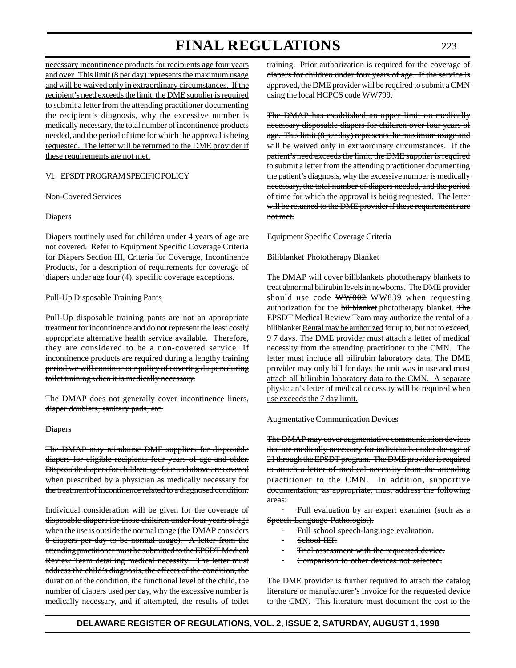necessary incontinence products for recipients age four years and over. This limit (8 per day) represents the maximum usage and will be waived only in extraordinary circumstances. If the recipient's need exceeds the limit, the DME supplier is required to submit a letter from the attending practitioner documenting the recipient's diagnosis, why the excessive number is medically necessary, the total number of incontinence products needed, and the period of time for which the approval is being requested. The letter will be returned to the DME provider if these requirements are not met.

### VI. EPSDT PROGRAM SPECIFIC POLICY

Non-Covered Services

### **Diapers**

Diapers routinely used for children under 4 years of age are not covered. Refer to Equipment Specific Coverage Criteria for Diapers Section III, Criteria for Coverage, Incontinence Products, for a description of requirements for coverage of diapers under age four (4). specific coverage exceptions.

### Pull-Up Disposable Training Pants

Pull-Up disposable training pants are not an appropriate treatment for incontinence and do not represent the least costly appropriate alternative health service available. Therefore, they are considered to be a non-covered service. H incontinence products are required during a lengthy training period we will continue our policy of covering diapers during toilet training when it is medically necessary.

The DMAP does not generally cover incontinence liners, diaper doublers, sanitary pads, etc.

#### **Diapers**

The DMAP may reimburse DME suppliers for disposable diapers for eligible recipients four years of age and older. Disposable diapers for children age four and above are covered when prescribed by a physician as medically necessary for the treatment of incontinence related to a diagnosed condition.

Individual consideration will be given for the coverage of disposable diapers for those children under four years of age when the use is outside the normal range (the DMAP considers 8 diapers per day to be normal usage). A letter from the attending practitioner must be submitted to the EPSDT Medical Review Team detailing medical necessity. The letter must address the child's diagnosis, the effects of the condition, the duration of the condition, the functional level of the child, the number of diapers used per day, why the excessive number is medically necessary, and if attempted, the results of toilet training. Prior authorization is required for the coverage of diapers for children under four years of age. If the service is approved, the DME provider will be required to submit a CMN using the local HCPCS code WW799.

The DMAP has established an upper limit on medically necessary disposable diapers for children over four years of age. This limit (8 per day) represents the maximum usage and will be waived only in extraordinary circumstances. If the patient's need exceeds the limit, the DME supplier is required to submit a letter from the attending practitioner documenting the patient's diagnosis, why the excessive number is medically necessary, the total number of diapers needed, and the period of time for which the approval is being requested. The letter will be returned to the DME provider if these requirements are not met.

### Equipment Specific Coverage Criteria

### **Biliblanket** Phototherapy Blanket

The DMAP will cover biliblankets phototherapy blankets to treat abnormal bilirubin levels in newborns. The DME provider should use code WW802 WW839 when requesting authorization for the biliblanket.phototherapy blanket. The EPSDT Medical Review Team may authorize the rental of a biliblanket Rental may be authorized for up to, but not to exceed, 9 7 days. The DME provider must attach a letter of medical necessity from the attending practitioner to the CMN. The letter must include all bilirubin laboratory data. The DME provider may only bill for days the unit was in use and must attach all bilirubin laboratory data to the CMN. A separate physician's letter of medical necessity will be required when use exceeds the 7 day limit.

#### Augmentative Communication Devices

The DMAP may cover augmentative communication devices that are medically necessary for individuals under the age of 21 through the EPSDT program. The DME provider is required to attach a letter of medical necessity from the attending practitioner to the CMN. In addition, supportive documentation, as appropriate, must address the following areas:

Full evaluation by an expert examiner (such as a Speech-Language Pathologist).

- Full school speech-language evaluation.
- · School IEP.
- Trial assessment with the requested device.
- Comparison to other devices not selected.

The DME provider is further required to attach the catalog literature or manufacturer's invoice for the requested device to the CMN. This literature must document the cost to the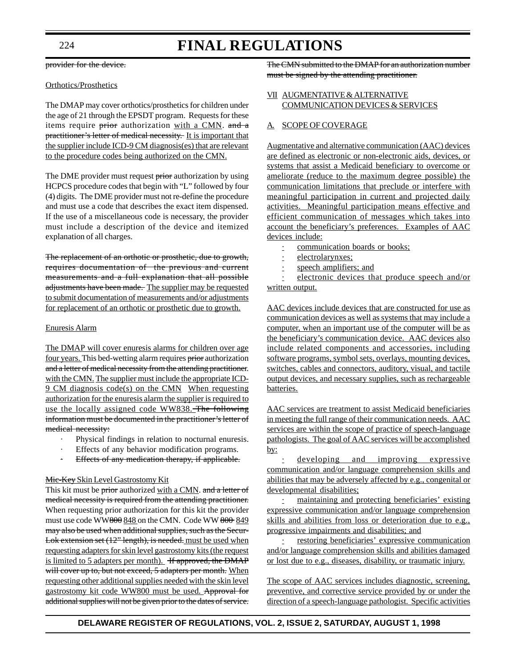provider for the device.

### Orthotics/Prosthetics

The DMAP may cover orthotics/prosthetics for children under the age of 21 through the EPSDT program. Requests for these items require prior authorization with a CMN. and a practitioner's letter of medical necessity. It is important that the supplier include ICD-9 CM diagnosis(es) that are relevant to the procedure codes being authorized on the CMN.

The DME provider must request prior authorization by using HCPCS procedure codes that begin with "L" followed by four (4) digits. The DME provider must not re-define the procedure and must use a code that describes the exact item dispensed. If the use of a miscellaneous code is necessary, the provider must include a description of the device and itemized explanation of all charges.

The replacement of an orthotic or prosthetic, due to growth, requires documentation of the previous and current measurements and a full explanation that all possible adjustments have been made. The supplier may be requested to submit documentation of measurements and/or adjustments for replacement of an orthotic or prosthetic due to growth.

### Enuresis Alarm

The DMAP will cover enuresis alarms for children over age four years. This bed-wetting alarm requires prior authorization and a letter of medical necessity from the attending practitioner. with the CMN. The supplier must include the appropriate ICD-9 CM diagnosis code(s) on the CMN When requesting authorization for the enuresis alarm the supplier is required to use the locally assigned code WW838. The following information must be documented in the practitioner's letter of medical necessity:

- Physical findings in relation to nocturnal enuresis.
- Effects of any behavior modification programs.
- Effects of any medication therapy, if applicable.

### **Mic-Key Skin Level Gastrostomy Kit**

This kit must be prior authorized with a CMN. and a letter of medical necessity is required from the attending practitioner. When requesting prior authorization for this kit the provider must use code WW800 848 on the CMN. Code WW 800 849 may also be used when additional supplies, such as the Secur-Lok extension set (12" length), is needed. must be used when requesting adapters for skin level gastrostomy kits (the request is limited to 5 adapters per month). If approved, the DMAP will cover up to, but not exceed, 5 adapters per month. When requesting other additional supplies needed with the skin level gastrostomy kit code WW800 must be used. Approval for additional supplies will not be given prior to the dates of service.

The CMN submitted to the DMAP for an authorization number must be signed by the attending practitioner.

### VII AUGMENTATIVE & ALTERNATIVE COMMUNICATION DEVICES & SERVICES

### A. SCOPE OF COVERAGE

Augmentative and alternative communication (AAC) devices are defined as electronic or non-electronic aids, devices, or systems that assist a Medicaid beneficiary to overcome or ameliorate (reduce to the maximum degree possible) the communication limitations that preclude or interfere with meaningful participation in current and projected daily activities. Meaningful participation means effective and efficient communication of messages which takes into account the beneficiary's preferences. Examples of AAC devices include:

- · communication boards or books;
- electrolarynxes;
- · speech amplifiers; and

electronic devices that produce speech and/or written output.

AAC devices include devices that are constructed for use as communication devices as well as systems that may include a computer, when an important use of the computer will be as the beneficiary's communication device. AAC devices also include related components and accessories, including software programs, symbol sets, overlays, mounting devices, switches, cables and connectors, auditory, visual, and tactile output devices, and necessary supplies, such as rechargeable batteries.

AAC services are treatment to assist Medicaid beneficiaries in meeting the full range of their communication needs. AAC services are within the scope of practice of speech-language pathologists. The goal of AAC services will be accomplished by:

developing and improving expressive communication and/or language comprehension skills and abilities that may be adversely affected by e.g., congenital or developmental disabilities;

· maintaining and protecting beneficiaries' existing expressive communication and/or language comprehension skills and abilities from loss or deterioration due to e.g., progressive impairments and disabilities; and

restoring beneficiaries' expressive communication and/or language comprehension skills and abilities damaged or lost due to e.g., diseases, disability, or traumatic injury.

The scope of AAC services includes diagnostic, screening, preventive, and corrective service provided by or under the direction of a speech-language pathologist. Specific activities

### 224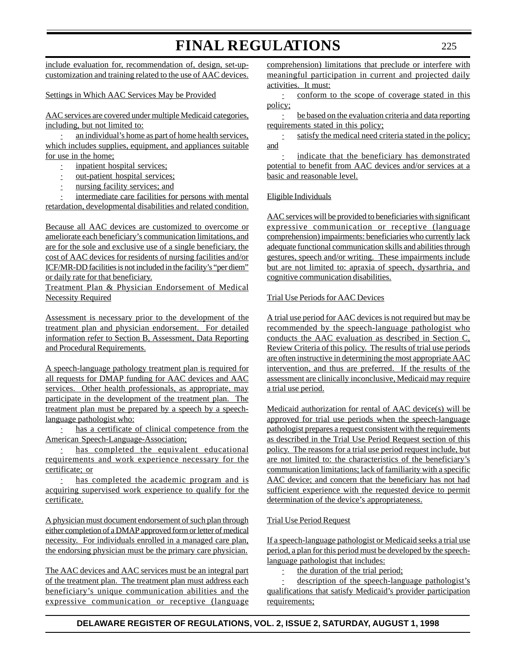include evaluation for, recommendation of, design, set-upcustomization and training related to the use of AAC devices.

Settings in Which AAC Services May be Provided

AAC services are covered under multiple Medicaid categories, including, but not limited to:

an individual's home as part of home health services, which includes supplies, equipment, and appliances suitable for use in the home;

- · inpatient hospital services;
- out-patient hospital services;
- nursing facility services; and

intermediate care facilities for persons with mental retardation, developmental disabilities and related condition.

Because all AAC devices are customized to overcome or ameliorate each beneficiary's communication limitations, and are for the sole and exclusive use of a single beneficiary, the cost of AAC devices for residents of nursing facilities and/or ICF/MR-DD facilities is not included in the facility's "per diem" or daily rate for that beneficiary.

Treatment Plan & Physician Endorsement of Medical Necessity Required

Assessment is necessary prior to the development of the treatment plan and physician endorsement. For detailed information refer to Section B, Assessment, Data Reporting and Procedural Requirements.

A speech-language pathology treatment plan is required for all requests for DMAP funding for AAC devices and AAC services. Other health professionals, as appropriate, may participate in the development of the treatment plan. The treatment plan must be prepared by a speech by a speechlanguage pathologist who:

has a certificate of clinical competence from the American Speech-Language-Association;

· has completed the equivalent educational requirements and work experience necessary for the certificate; or

· has completed the academic program and is acquiring supervised work experience to qualify for the certificate.

A physician must document endorsement of such plan through either completion of a DMAP approved form or letter of medical necessity. For individuals enrolled in a managed care plan, the endorsing physician must be the primary care physician.

The AAC devices and AAC services must be an integral part of the treatment plan. The treatment plan must address each beneficiary's unique communication abilities and the expressive communication or receptive (language

comprehension) limitations that preclude or interfere with meaningful participation in current and projected daily activities. It must:

· conform to the scope of coverage stated in this policy;

· be based on the evaluation criteria and data reporting requirements stated in this policy;

· satisfy the medical need criteria stated in the policy; and

· indicate that the beneficiary has demonstrated potential to benefit from AAC devices and/or services at a basic and reasonable level.

### Eligible Individuals

AAC services will be provided to beneficiaries with significant expressive communication or receptive (language comprehension) impairments: beneficiaries who currently lack adequate functional communication skills and abilities through gestures, speech and/or writing. These impairments include but are not limited to: apraxia of speech, dysarthria, and cognitive communication disabilities.

### Trial Use Periods for AAC Devices

A trial use period for AAC devices is not required but may be recommended by the speech-language pathologist who conducts the AAC evaluation as described in Section C, Review Criteria of this policy. The results of trial use periods are often instructive in determining the most appropriate AAC intervention, and thus are preferred. If the results of the assessment are clinically inconclusive, Medicaid may require a trial use period.

Medicaid authorization for rental of AAC device(s) will be approved for trial use periods when the speech-language pathologist prepares a request consistent with the requirements as described in the Trial Use Period Request section of this policy. The reasons for a trial use period request include, but are not limited to: the characteristics of the beneficiary's communication limitations; lack of familiarity with a specific AAC device; and concern that the beneficiary has not had sufficient experience with the requested device to permit determination of the device's appropriateness.

### Trial Use Period Request

If a speech-language pathologist or Medicaid seeks a trial use period, a plan for this period must be developed by the speechlanguage pathologist that includes:

· the duration of the trial period;

description of the speech-language pathologist's qualifications that satisfy Medicaid's provider participation requirements;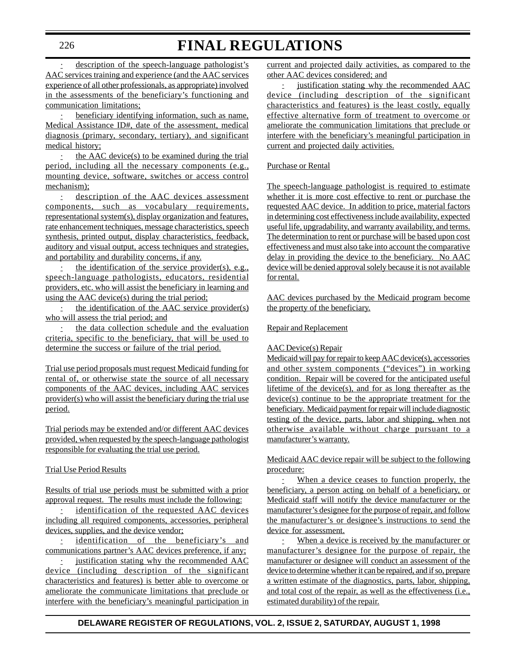description of the speech-language pathologist's AAC services training and experience (and the AAC services experience of all other professionals, as appropriate) involved in the assessments of the beneficiary's functioning and communication limitations;

· beneficiary identifying information, such as name, Medical Assistance ID#, date of the assessment, medical diagnosis (primary, secondary, tertiary), and significant medical history;

 $\pm$  the AAC device(s) to be examined during the trial period, including all the necessary components (e.g., mounting device, software, switches or access control mechanism);

· description of the AAC devices assessment components, such as vocabulary requirements, representational system(s), display organization and features, rate enhancement techniques, message characteristics, speech synthesis, printed output, display characteristics, feedback, auditory and visual output, access techniques and strategies, and portability and durability concerns, if any.

the identification of the service provider(s), e.g., speech-language pathologists, educators, residential providers, etc. who will assist the beneficiary in learning and using the AAC device(s) during the trial period;

· the identification of the AAC service provider(s) who will assess the trial period; and

the data collection schedule and the evaluation criteria, specific to the beneficiary, that will be used to determine the success or failure of the trial period.

Trial use period proposals must request Medicaid funding for rental of, or otherwise state the source of all necessary components of the AAC devices, including AAC services provider(s) who will assist the beneficiary during the trial use period.

Trial periods may be extended and/or different AAC devices provided, when requested by the speech-language pathologist responsible for evaluating the trial use period.

### Trial Use Period Results

Results of trial use periods must be submitted with a prior approval request. The results must include the following:

identification of the requested AAC devices including all required components, accessories, peripheral devices, supplies, and the device vendor;

identification of the beneficiary's and communications partner's AAC devices preference, if any;

justification stating why the recommended AAC device (including description of the significant characteristics and features) is better able to overcome or ameliorate the communicate limitations that preclude or interfere with the beneficiary's meaningful participation in current and projected daily activities, as compared to the other AAC devices considered; and

· justification stating why the recommended AAC device (including description of the significant characteristics and features) is the least costly, equally effective alternative form of treatment to overcome or ameliorate the communication limitations that preclude or interfere with the beneficiary's meaningful participation in current and projected daily activities.

### Purchase or Rental

The speech-language pathologist is required to estimate whether it is more cost effective to rent or purchase the requested AAC device. In addition to price, material factors in determining cost effectiveness include availability, expected useful life, upgradability, and warranty availability, and terms. The determination to rent or purchase will be based upon cost effectiveness and must also take into account the comparative delay in providing the device to the beneficiary. No AAC device will be denied approval solely because it is not available for rental.

AAC devices purchased by the Medicaid program become the property of the beneficiary.

### Repair and Replacement

### AAC Device(s) Repair

Medicaid will pay for repair to keep AAC device(s), accessories and other system components ("devices") in working condition. Repair will be covered for the anticipated useful lifetime of the device(s), and for as long thereafter as the device(s) continue to be the appropriate treatment for the beneficiary. Medicaid payment for repair will include diagnostic testing of the device, parts, labor and shipping, when not otherwise available without charge pursuant to a manufacturer's warranty.

### Medicaid AAC device repair will be subject to the following procedure:

When a device ceases to function properly, the beneficiary, a person acting on behalf of a beneficiary, or Medicaid staff will notify the device manufacturer or the manufacturer's designee for the purpose of repair, and follow the manufacturer's or designee's instructions to send the device for assessment.

When a device is received by the manufacturer or manufacturer's designee for the purpose of repair, the manufacturer or designee will conduct an assessment of the device to determine whether it can be repaired, and if so, prepare a written estimate of the diagnostics, parts, labor, shipping, and total cost of the repair, as well as the effectiveness (i.e., estimated durability) of the repair.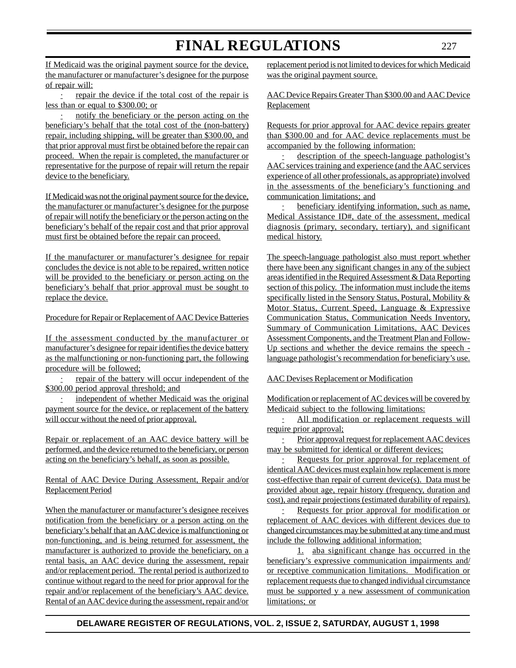If Medicaid was the original payment source for the device, the manufacturer or manufacturer's designee for the purpose of repair will:

repair the device if the total cost of the repair is less than or equal to \$300.00; or

notify the beneficiary or the person acting on the beneficiary's behalf that the total cost of the (non-battery) repair, including shipping, will be greater than \$300.00, and that prior approval must first be obtained before the repair can proceed. When the repair is completed, the manufacturer or representative for the purpose of repair will return the repair device to the beneficiary.

If Medicaid was not the original payment source for the device, the manufacturer or manufacturer's designee for the purpose of repair will notify the beneficiary or the person acting on the beneficiary's behalf of the repair cost and that prior approval must first be obtained before the repair can proceed.

If the manufacturer or manufacturer's designee for repair concludes the device is not able to be repaired, written notice will be provided to the beneficiary or person acting on the beneficiary's behalf that prior approval must be sought to replace the device.

Procedure for Repair or Replacement of AAC Device Batteries

If the assessment conducted by the manufacturer or manufacturer's designee for repair identifies the device battery as the malfunctioning or non-functioning part, the following procedure will be followed;

· repair of the battery will occur independent of the \$300.00 period approval threshold; and

independent of whether Medicaid was the original payment source for the device, or replacement of the battery will occur without the need of prior approval.

Repair or replacement of an AAC device battery will be performed, and the device returned to the beneficiary, or person acting on the beneficiary's behalf, as soon as possible.

Rental of AAC Device During Assessment, Repair and/or Replacement Period

When the manufacturer or manufacturer's designee receives notification from the beneficiary or a person acting on the beneficiary's behalf that an AAC device is malfunctioning or non-functioning, and is being returned for assessment, the manufacturer is authorized to provide the beneficiary, on a rental basis, an AAC device during the assessment, repair and/or replacement period. The rental period is authorized to continue without regard to the need for prior approval for the repair and/or replacement of the beneficiary's AAC device. Rental of an AAC device during the assessment, repair and/or replacement period is not limited to devices for which Medicaid was the original payment source.

AAC Device Repairs Greater Than \$300.00 and AAC Device Replacement

Requests for prior approval for AAC device repairs greater than \$300.00 and for AAC device replacements must be accompanied by the following information:

· description of the speech-language pathologist's AAC services training and experience (and the AAC services experience of all other professionals, as appropriate) involved in the assessments of the beneficiary's functioning and communication limitations; and

· beneficiary identifying information, such as name, Medical Assistance ID#, date of the assessment, medical diagnosis (primary, secondary, tertiary), and significant medical history.

The speech-language pathologist also must report whether there have been any significant changes in any of the subject areas identified in the Required Assessment & Data Reporting section of this policy. The information must include the items specifically listed in the Sensory Status, Postural, Mobility & Motor Status, Current Speed, Language & Expressive Communication Status, Communication Needs Inventory, Summary of Communication Limitations, AAC Devices Assessment Components, and the Treatment Plan and Follow-Up sections and whether the device remains the speech language pathologist's recommendation for beneficiary's use.

AAC Devises Replacement or Modification

Modification or replacement of AC devices will be covered by Medicaid subject to the following limitations:

All modification or replacement requests will require prior approval;

· Prior approval request for replacement AAC devices may be submitted for identical or different devices;

Requests for prior approval for replacement of identical AAC devices must explain how replacement is more cost-effective than repair of current device(s). Data must be provided about age, repair history (frequency, duration and cost), and repair projections (estimated durability of repairs).

· Requests for prior approval for modification or replacement of AAC devices with different devices due to changed circumstances may be submitted at any time and must include the following additional information:

1. aba significant change has occurred in the beneficiary's expressive communication impairments and/ or receptive communication limitations. Modification or replacement requests due to changed individual circumstance must be supported y a new assessment of communication limitations; or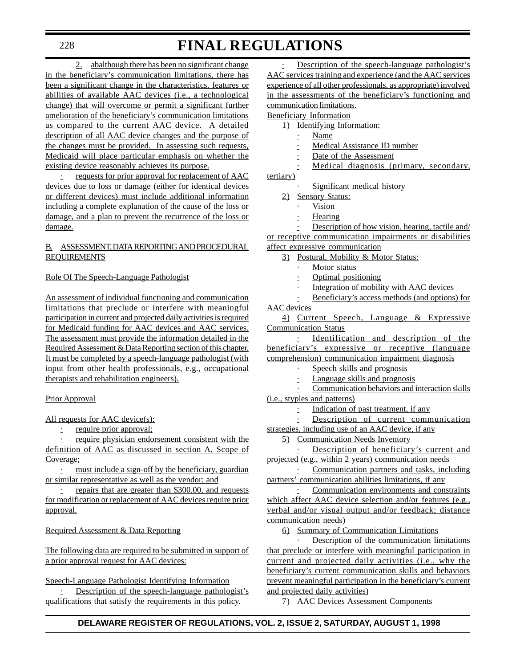2. abalthough there has been no significant change in the beneficiary's communication limitations, there has been a significant change in the characteristics, features or abilities of available AAC devices (i.e., a technological change) that will overcome or permit a significant further amelioration of the beneficiary's communication limitations as compared to the current AAC device. A detailed description of all AAC device changes and the purpose of the changes must be provided. In assessing such requests, Medicaid will place particular emphasis on whether the existing device reasonably achieves its purpose.

requests for prior approval for replacement of AAC devices due to loss or damage (either for identical devices or different devices) must include additional information including a complete explanation of the cause of the loss or damage, and a plan to prevent the recurrence of the loss or damage.

### B. ASSESSMENT, DATA REPORTING AND PROCEDURAL **REQUIREMENTS**

### Role Of The Speech-Language Pathologist

An assessment of individual functioning and communication limitations that preclude or interfere with meaningful participation in current and projected daily activities is required for Medicaid funding for AAC devices and AAC services. The assessment must provide the information detailed in the Required Assessment & Data Reporting section of this chapter. It must be completed by a speech-language pathologist (with input from other health professionals, e.g., occupational therapists and rehabilitation engineers).

### Prior Approval

All requests for AAC device(s):

require prior approval;

require physician endorsement consistent with the definition of AAC as discussed in section A, Scope of Coverage;

· must include a sign-off by the beneficiary, guardian or similar representative as well as the vendor; and

· repairs that are greater than \$300.00, and requests for modification or replacement of AAC devices require prior approval.

Required Assessment & Data Reporting

The following data are required to be submitted in support of a prior approval request for AAC devices:

Speech-Language Pathologist Identifying Information

Description of the speech-language pathologist's qualifications that satisfy the requirements in this policy.

Description of the speech-language pathologist's AAC services training and experience (and the AAC services experience of all other professionals, as appropriate) involved in the assessments of the beneficiary's functioning and communication limitations.

Beneficiary Information

1) Identifying Information:

- · Name
- Medical Assistance ID number
- · Date of the Assessment

Medical diagnosis (primary, secondary, tertiary)

- Significant medical history
- 2) Sensory Status:
	- · Vision
	- **Hearing**

Description of how vision, hearing, tactile and/ or receptive communication impairments or disabilities affect expressive communication

- 3) Postural, Mobility & Motor Status:
	- · Motor status
	- · Optimal positioning
	- Integration of mobility with AAC devices

Beneficiary's access methods (and options) for

AAC devices

4) Current Speech, Language & Expressive Communication Status

· Identification and description of the beneficiary's expressive or receptive (language comprehension) communication impairment diagnosis

· Speech skills and prognosis

· Language skills and prognosis

Communication behaviors and interaction skills (i.e., styples and patterns)

· Indication of past treatment, if any

Description of current communication

strategies, including use of an AAC device, if any

5) Communication Needs Inventory

· Description of beneficiary's current and projected (e.g., within 2 years) communication needs

· Communication partners and tasks, including partners' communication abilities limitations, if any

· Communication environments and constraints which affect AAC device selection and/or features (e.g., verbal and/or visual output and/or feedback; distance communication needs)

6) Summary of Communication Limitations

Description of the communication limitations that preclude or interfere with meaningful participation in current and projected daily activities (i.e., why the beneficiary's current communication skills and behaviors prevent meaningful participation in the beneficiary's current and projected daily activities)

7) AAC Devices Assessment Components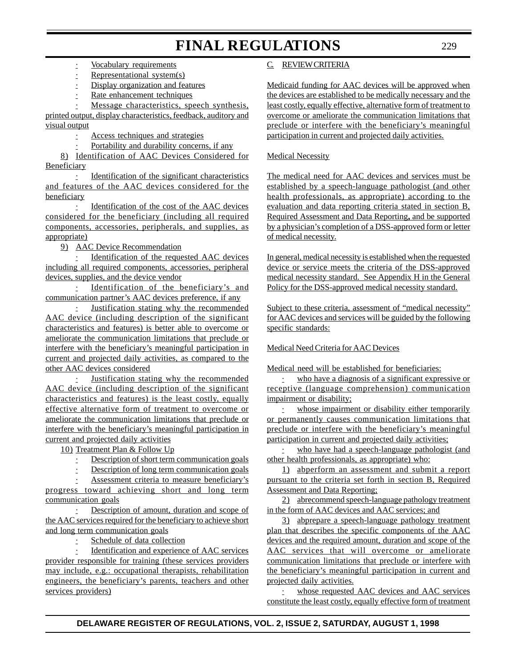- · Vocabulary requirements
- · Representational system(s)
- · Display organization and features
- Rate enhancement techniques

Message characteristics, speech synthesis, printed output, display characteristics, feedback, auditory and visual output

· Access techniques and strategies

Portability and durability concerns, if any

8) Identification of AAC Devices Considered for **Beneficiary** 

Identification of the significant characteristics and features of the AAC devices considered for the beneficiary

· Identification of the cost of the AAC devices considered for the beneficiary (including all required components, accessories, peripherals, and supplies, as appropriate)

9) AAC Device Recommendation

· Identification of the requested AAC devices including all required components, accessories, peripheral devices, supplies, and the device vendor

· Identification of the beneficiary's and communication partner's AAC devices preference, if any

Justification stating why the recommended AAC device (including description of the significant characteristics and features) is better able to overcome or ameliorate the communication limitations that preclude or interfere with the beneficiary's meaningful participation in current and projected daily activities, as compared to the other AAC devices considered

· Justification stating why the recommended AAC device (including description of the significant characteristics and features) is the least costly, equally effective alternative form of treatment to overcome or ameliorate the communication limitations that preclude or interfere with the beneficiary's meaningful participation in current and projected daily activities

10) Treatment Plan & Follow Up

- · Description of short term communication goals
- · Description of long term communication goals

Assessment criteria to measure beneficiary's

progress toward achieving short and long term communication goals

· Description of amount, duration and scope of the AAC services required for the beneficiary to achieve short and long term communication goals

· Schedule of data collection

Identification and experience of AAC services provider responsible for training (these services providers may include, e.g.: occupational therapists, rehabilitation engineers, the beneficiary's parents, teachers and other services providers)

# C. REVIEW CRITERIA

Medicaid funding for AAC devices will be approved when the devices are established to be medically necessary and the least costly, equally effective, alternative form of treatment to overcome or ameliorate the communication limitations that preclude or interfere with the beneficiary's meaningful participation in current and projected daily activities.

**Medical Necessity** 

The medical need for AAC devices and services must be established by a speech-language pathologist (and other health professionals, as appropriate) according to the evaluation and data reporting criteria stated in section B, Required Assessment and Data Reporting**,** and be supported by a physician's completion of a DSS-approved form or letter of medical necessity.

In general, medical necessity is established when the requested device or service meets the criteria of the DSS-approved medical necessity standard. See Appendix H in the General Policy for the DSS-approved medical necessity standard.

Subject to these criteria, assessment of "medical necessity" for AAC devices and services will be guided by the following specific standards:

# Medical Need Criteria for AAC Devices

Medical need will be established for beneficiaries:

· who have a diagnosis of a significant expressive or receptive (language comprehension) communication impairment or disability;

whose impairment or disability either temporarily or permanently causes communication limitations that preclude or interfere with the beneficiary's meaningful participation in current and projected daily activities;

· who have had a speech-language pathologist (and other health professionals, as appropriate) who:

1) abperform an assessment and submit a report pursuant to the criteria set forth in section B, Required Assessment and Data Reporting;

2) abrecommend speech-language pathology treatment in the form of AAC devices and AAC services; and

3) abprepare a speech-language pathology treatment plan that describes the specific components of the AAC devices and the required amount, duration and scope of the AAC services that will overcome or ameliorate communication limitations that preclude or interfere with the beneficiary's meaningful participation in current and projected daily activities.

· whose requested AAC devices and AAC services constitute the least costly, equally effective form of treatment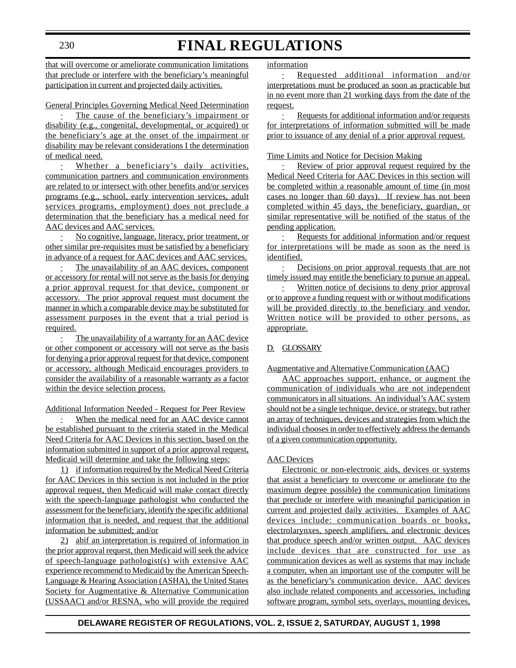that will overcome or ameliorate communication limitations that preclude or interfere with the beneficiary's meaningful participation in current and projected daily activities.

## General Principles Governing Medical Need Determination

The cause of the beneficiary's impairment or disability (e.g., congenital, developmental, or acquired) or the beneficiary's age at the onset of the impairment or disability may be relevant considerations I the determination of medical need.

Whether a beneficiary's daily activities, communication partners and communication environments are related to or intersect with other benefits and/or services programs (e.g., school, early intervention services, adult services programs, employment) does not preclude a determination that the beneficiary has a medical need for AAC devices and AAC services.

No cognitive, language, literacy, prior treatment, or other similar pre-requisites must be satisfied by a beneficiary in advance of a request for AAC devices and AAC services.

· The unavailability of an AAC devices, component or accessory for rental will not serve as the basis for denying a prior approval request for that device, component or accessory. The prior approval request must document the manner in which a comparable device may be substituted for assessment purposes in the event that a trial period is required.

· The unavailability of a warranty for an AAC device or other component or accessory will not serve as the basis for denying a prior approval request for that device, component or accessory, although Medicaid encourages providers to consider the availability of a reasonable warranty as a factor within the device selection process.

Additional Information Needed - Request for Peer Review

When the medical need for an AAC device cannot be established pursuant to the criteria stated in the Medical Need Criteria for AAC Devices in this section, based on the information submitted in support of a prior approval request, Medicaid will determine and take the following steps:

1) if information required by the Medical Need Criteria for AAC Devices in this section is not included in the prior approval request, then Medicaid will make contact directly with the speech-language pathologist who conducted the assessment for the beneficiary, identify the specific additional information that is needed, and request that the additional information be submitted; and/or

2) abif an interpretation is required of information in the prior approval request, then Medicaid will seek the advice of speech-language pathologist(s) with extensive AAC experience recommend to Medicaid by the American Speech-Language & Hearing Association (ASHA), the United States Society for Augmentative & Alternative Communication (USSAAC) and/or RESNA, who will provide the required information

· Requested additional information and/or interpretations must be produced as soon as practicable but in no event more than 21 working days from the date of the request.

· Requests for additional information and/or requests for interpretations of information submitted will be made prior to issuance of any denial of a prior approval request.

# Time Limits and Notice for Decision Making

Review of prior approval request required by the Medical Need Criteria for AAC Devices in this section will be completed within a reasonable amount of time (in most cases no longer than 60 days). If review has not been completed within 45 days, the beneficiary, guardian, or similar representative will be notified of the status of the pending application.

· Requests for additional information and/or request for interpretations will be made as soon as the need is identified.

· Decisions on prior approval requests that are not timely issued may entitle the beneficiary to pursue an appeal.

· Written notice of decisions to deny prior approval or to approve a funding request with or without modifications will be provided directly to the beneficiary and vendor. Written notice will be provided to other persons, as appropriate.

# D. GLOSSARY

Augmentative and Alternative Communication (AAC)

AAC approaches support, enhance, or augment the communication of individuals who are not independent communicators in all situations. An individual's AAC system should not be a single technique, device, or strategy, but rather an array of techniques, devices and strategies from which the individual chooses in order to effectively address the demands of a given communication opportunity.

# AAC Devices

Electronic or non-electronic aids, devices or systems that assist a beneficiary to overcome or ameliorate (to the maximum degree possible) the communication limitations that preclude or interfere with meaningful participation in current and projected daily activities. Examples of AAC devices include: communication boards or books, electrolarynxes, speech amplifiers, and electronic devices that produce speech and/or written output. AAC devices include devices that are constructed for use as communication devices as well as systems that may include a computer, when an important use of the computer will be as the beneficiary's communication device. AAC devices also include related components and accessories, including software program, symbol sets, overlays, mounting devices,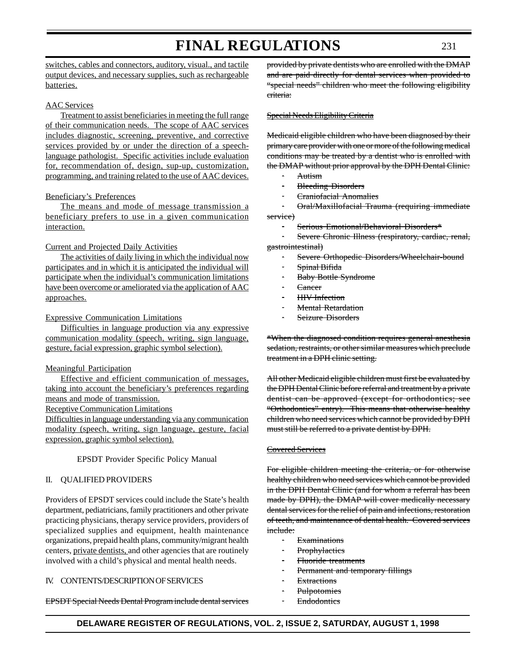switches, cables and connectors, auditory, visual., and tactile output devices, and necessary supplies, such as rechargeable batteries.

### AAC Services

Treatment to assist beneficiaries in meeting the full range of their communication needs. The scope of AAC services includes diagnostic, screening, preventive, and corrective services provided by or under the direction of a speechlanguage pathologist. Specific activities include evaluation for, recommendation of, design, sup-up, customization, programming, and training related to the use of AAC devices.

### Beneficiary's Preferences

The means and mode of message transmission a beneficiary prefers to use in a given communication interaction.

## Current and Projected Daily Activities

The activities of daily living in which the individual now participates and in which it is anticipated the individual will participate when the individual's communication limitations have been overcome or ameliorated via the application of AAC approaches.

## Expressive Communication Limitations

Difficulties in language production via any expressive communication modality (speech, writing, sign language, gesture, facial expression, graphic symbol selection).

### Meaningful Participation

Effective and efficient communication of messages, taking into account the beneficiary's preferences regarding means and mode of transmission.

Receptive Communication Limitations

Difficulties in language understanding via any communication modality (speech, writing, sign language, gesture, facial expression, graphic symbol selection).

### EPSDT Provider Specific Policy Manual

## II. QUALIFIED PROVIDERS

Providers of EPSDT services could include the State's health department, pediatricians, family practitioners and other private practicing physicians, therapy service providers, providers of specialized supplies and equipment, health maintenance organizations, prepaid health plans, community/migrant health centers, private dentists, and other agencies that are routinely involved with a child's physical and mental health needs.

### IV. CONTENTS/DESCRIPTION OF SERVICES

EPSDT Special Needs Dental Program include dental services

provided by private dentists who are enrolled with the DMAP and are paid directly for dental services when provided to "special needs" children who meet the following eligibility criteria:

### Special Needs Eligibility Criteria

Medicaid eligible children who have been diagnosed by their primary care provider with one or more of the following medical conditions may be treated by a dentist who is enrolled with the DMAP without prior approval by the DPH Dental Clinic:

- · Autism
- **Bleeding Disorders**
- **Craniofacial Anomalies**

· Oral/Maxillofacial Trauma (requiring immediate service)

Serious Emotional/Behavioral Disorders\*

Severe Chronic Illness (respiratory, cardiac, renal, gastrointestinal)

- Severe Orthopedic Disorders/Wheelchair-bound
- Spinal Bifida
- **Baby Bottle Syndrome**
- · Cancer
- **HIV** Infection
- **Mental Retardation**
- Seizure Disorders

\*When the diagnosed condition requires general anesthesia sedation, restraints, or other similar measures which preclude treatment in a DPH clinic setting.

All other Medicaid eligible children must first be evaluated by the DPH Dental Clinic before referral and treatment by a private dentist can be approved (except for orthodontics; see "Orthodontics" entry). This means that otherwise healthy children who need services which cannot be provided by DPH must still be referred to a private dentist by DPH.

### Covered Services

For eligible children meeting the criteria, or for otherwise healthy children who need services which cannot be provided in the DPH Dental Clinic (and for whom a referral has been made by DPH), the DMAP will cover medically necessary dental services for the relief of pain and infections, restoration of teeth, and maintenance of dental health. Covered services include:

- **Examinations**
- **Prophylactics**
- Fluoride treatments
- Permanent and temporary fillings
- **Extractions**
- **Pulpotomies**
- **Endodontics**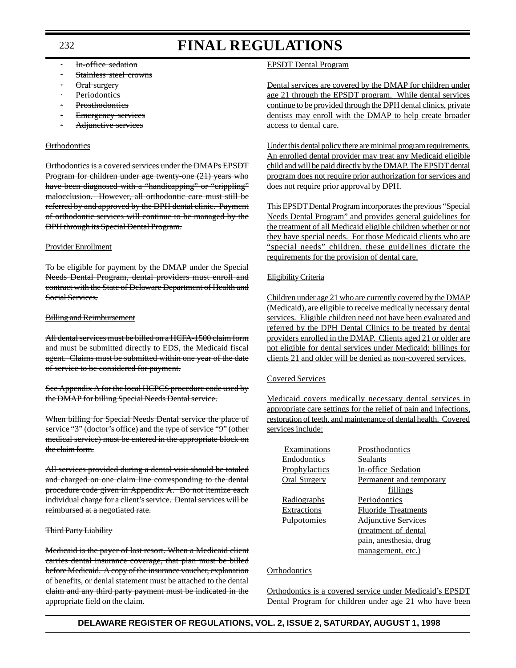- · In-office sedation
- Stainless steel crowns
- · Oral surgery
- **Periodontics**
- **Prosthodontics**
- Emergency services
- · Adjunctive services

## **Orthodontics**

Orthodontics is a covered services under the DMAPs EPSDT Program for children under age twenty-one (21) years who have been diagnosed with a "handicapping" or "crippling" malocclusion. However, all orthodontic care must still be referred by and approved by the DPH dental clinic. Payment of orthodontic services will continue to be managed by the DPH through its Special Dental Program.

## Provider Enrollment

To be eligible for payment by the DMAP under the Special Needs Dental Program, dental providers must enroll and contract with the State of Delaware Department of Health and Social Services.

# **Billing and Reimbursement**

All dental services must be billed on a HCFA-1500 claim form and must be submitted directly to EDS, the Medicaid fiscal agent. Claims must be submitted within one year of the date of service to be considered for payment.

See Appendix A for the local HCPCS procedure code used by the DMAP for billing Special Needs Dental service.

When billing for Special Needs Dental service the place of service "3" (doctor's office) and the type of service "9" (other medical service) must be entered in the appropriate block on the claim form.

All services provided during a dental visit should be totaled and charged on one claim line corresponding to the dental procedure code given in Appendix A. Do not itemize each individual charge for a client's service. Dental services will be reimbursed at a negotiated rate.

## Third Party Liability

Medicaid is the payer of last resort. When a Medicaid client carries dental insurance coverage, that plan must be billed before Medicaid. A copy of the insurance voucher, explanation of benefits, or denial statement must be attached to the dental claim and any third party payment must be indicated in the appropriate field on the claim.

## EPSDT Dental Program

Dental services are covered by the DMAP for children under age 21 through the EPSDT program. While dental services continue to be provided through the DPH dental clinics, private dentists may enroll with the DMAP to help create broader access to dental care.

Under this dental policy there are minimal program requirements. An enrolled dental provider may treat any Medicaid eligible child and will be paid directly by the DMAP. The EPSDT dental program does not require prior authorization for services and does not require prior approval by DPH.

This EPSDT Dental Program incorporates the previous "Special Needs Dental Program" and provides general guidelines for the treatment of all Medicaid eligible children whether or not they have special needs. For those Medicaid clients who are "special needs" children, these guidelines dictate the requirements for the provision of dental care.

# Eligibility Criteria

Children under age 21 who are currently covered by the DMAP (Medicaid), are eligible to receive medically necessary dental services. Eligible children need not have been evaluated and referred by the DPH Dental Clinics to be treated by dental providers enrolled in the DMAP. Clients aged 21 or older are not eligible for dental services under Medicaid; billings for clients 21 and older will be denied as non-covered services.

## Covered Services

Medicaid covers medically necessary dental services in appropriate care settings for the relief of pain and infections, restoration of teeth, and maintenance of dental health. Covered services include:

| Examinations  | Prosthodontics             |
|---------------|----------------------------|
| Endodontics   | Sealants                   |
| Prophylactics | In-office Sedation         |
| Oral Surgery  | Permanent and temporary    |
|               | fillings                   |
| Radiographs   | Periodontics               |
| Extractions   | <b>Fluoride Treatments</b> |
| Pulpotomies   | <b>Adjunctive Services</b> |
|               | (treatment of dental)      |
|               | pain, anesthesia, drug     |
|               | management, etc.)          |

## **Orthodontics**

Orthodontics is a covered service under Medicaid's EPSDT Dental Program for children under age 21 who have been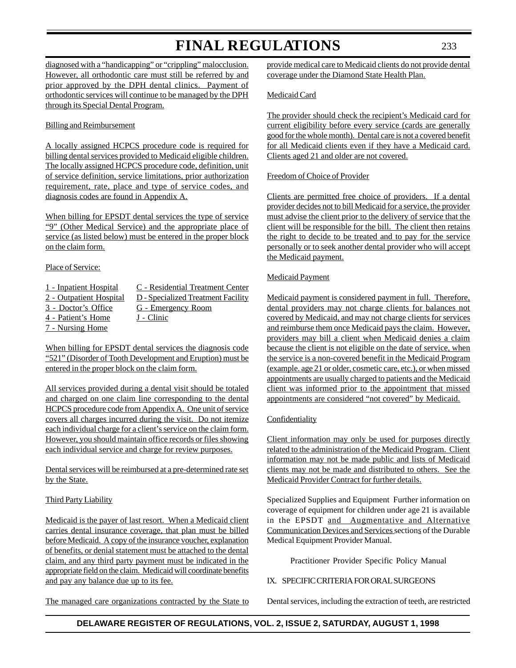diagnosed with a "handicapping" or "crippling" malocclusion. However, all orthodontic care must still be referred by and prior approved by the DPH dental clinics. Payment of orthodontic services will continue to be managed by the DPH through its Special Dental Program.

## Billing and Reimbursement

A locally assigned HCPCS procedure code is required for billing dental services provided to Medicaid eligible children. The locally assigned HCPCS procedure code, definition, unit of service definition, service limitations, prior authorization requirement, rate, place and type of service codes, and diagnosis codes are found in Appendix A.

When billing for EPSDT dental services the type of service "9" (Other Medical Service) and the appropriate place of service (as listed below) must be entered in the proper block on the claim form.

# Place of Service:

| 1 - Inpatient Hospital  | C - Residential Treatment Center   |
|-------------------------|------------------------------------|
| 2 - Outpatient Hospital | D - Specialized Treatment Facility |
| 3 - Doctor's Office     | <u>G - Emergency Room</u>          |
| 4 - Patient's Home      | J - Clinic                         |
| 7 - Nursing Home        |                                    |

When billing for EPSDT dental services the diagnosis code "521" (Disorder of Tooth Development and Eruption) must be entered in the proper block on the claim form.

All services provided during a dental visit should be totaled and charged on one claim line corresponding to the dental HCPCS procedure code from Appendix A. One unit of service covers all charges incurred during the visit. Do not itemize each individual charge for a client's service on the claim form. However, you should maintain office records or files showing each individual service and charge for review purposes.

Dental services will be reimbursed at a pre-determined rate set by the State.

# Third Party Liability

Medicaid is the payer of last resort. When a Medicaid client carries dental insurance coverage, that plan must be billed before Medicaid. A copy of the insurance voucher, explanation of benefits, or denial statement must be attached to the dental claim, and any third party payment must be indicated in the appropriate field on the claim. Medicaid will coordinate benefits and pay any balance due up to its fee.

The managed care organizations contracted by the State to

provide medical care to Medicaid clients do not provide dental coverage under the Diamond State Health Plan.

# Medicaid Card

The provider should check the recipient's Medicaid card for current eligibility before every service (cards are generally good for the whole month). Dental care is not a covered benefit for all Medicaid clients even if they have a Medicaid card. Clients aged 21 and older are not covered.

## Freedom of Choice of Provider

Clients are permitted free choice of providers. If a dental provider decides not to bill Medicaid for a service, the provider must advise the client prior to the delivery of service that the client will be responsible for the bill. The client then retains the right to decide to be treated and to pay for the service personally or to seek another dental provider who will accept the Medicaid payment.

# Medicaid Payment

Medicaid payment is considered payment in full. Therefore, dental providers may not charge clients for balances not covered by Medicaid, and may not charge clients for services and reimburse them once Medicaid pays the claim. However, providers may bill a client when Medicaid denies a claim because the client is not eligible on the date of service, when the service is a non-covered benefit in the Medicaid Program (example. age 21 or older, cosmetic care, etc.), or when missed appointments are usually charged to patients and the Medicaid client was informed prior to the appointment that missed appointments are considered "not covered" by Medicaid.

## **Confidentiality**

Client information may only be used for purposes directly related to the administration of the Medicaid Program. Client information may not be made public and lists of Medicaid clients may not be made and distributed to others. See the Medicaid Provider Contract for further details.

Specialized Supplies and Equipment Further information on coverage of equipment for children under age 21 is available in the EPSDT and Augmentative and Alternative Communication Devices and Services sections of the Durable Medical Equipment Provider Manual.

Practitioner Provider Specific Policy Manual

## IX. SPECIFIC CRITERIA FOR ORAL SURGEONS

Dental services, including the extraction of teeth, are restricted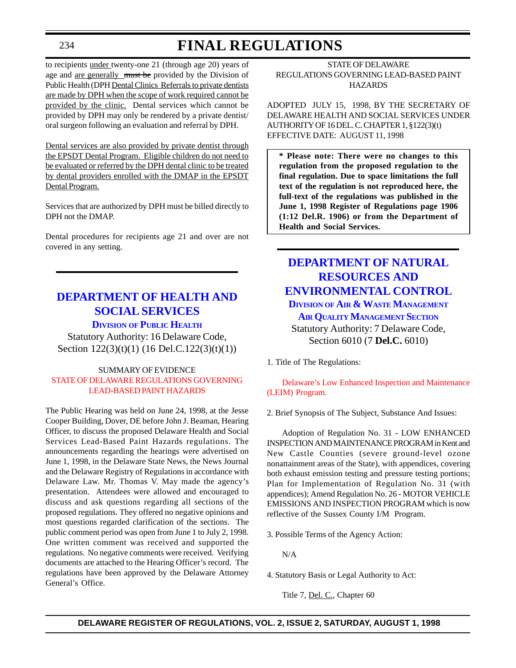## 234

# **FINAL REGULATIONS**

to recipients under twenty-one 21 (through age 20) years of age and are generally must be provided by the Division of Public Health (DPH Dental Clinics Referrals to private dentists are made by DPH when the scope of work required cannot be provided by the clinic. Dental services which cannot be provided by DPH may only be rendered by a private dentist/ oral surgeon following an evaluation and referral by DPH.

Dental services are also provided by private dentist through the EPSDT Dental Program. Eligible children do not need to be evaluated or referred by the DPH dental clinic to be treated by dental providers enrolled with the DMAP in the EPSDT Dental Program.

Services that are authorized by DPH must be billed directly to DPH not the DMAP.

Dental procedures for recipients age 21 and over are not covered in any setting.

# **[DEPARTMENT OF HEALTH AND](http://www.state.de.us/govern/agencies/dhss/irm/dph/dphhome.htm) SOCIAL SERVICES**

# **DIVISION OF PUBLIC HEALTH**

Statutory Authority: 16 Delaware Code, Section 122(3)(t)(1) (16 Del.C.122(3)(t)(1))

# SUMMARY OF EVIDENCE [STATE OF DELAWARE REGULATIONS GOVERNING](#page-3-0) LEAD-BASED PAINT HAZARDS

The Public Hearing was held on June 24, 1998, at the Jesse Cooper Building, Dover, DE before John J. Beaman, Hearing Officer, to discuss the proposed Delaware Health and Social Services Lead-Based Paint Hazards regulations. The announcements regarding the hearings were advertised on June 1, 1998, in the Delaware State News, the News Journal and the Delaware Registry of Regulations in accordance with Delaware Law. Mr. Thomas V. May made the agency's presentation. Attendees were allowed and encouraged to discuss and ask questions regarding all sections of the proposed regulations. They offered no negative opinions and most questions regarded clarification of the sections. The public comment period was open from June 1 to July 2, 1998. One written comment was received and supported the regulations. No negative comments were received. Verifying documents are attached to the Hearing Officer's record. The regulations have been approved by the Delaware Attorney General's Office.

STATE OF DELAWARE REGULATIONS GOVERNING LEAD-BASED PAINT HAZARDS

ADOPTED JULY 15, 1998, BY THE SECRETARY OF DELAWARE HEALTH AND SOCIAL SERVICES UNDER AUTHORITY OF 16 DEL. C. CHAPTER 1, §122(3)(t) EFFECTIVE DATE: AUGUST 11, 1998

**\* Please note: There were no changes to this regulation from the proposed regulation to the final regulation. Due to space limitations the full text of the regulation is not reproduced here, the full-text of the regulations was published in the June 1, 1998 Register of Regulations page 1906 (1:12 Del.R. 1906) or from the Department of Health and Social Services.**

# **DEPARTMENT OF NATURAL RESOURCES AND [ENVIRONMENTAL CONTROL](http://www.dnrec.state.de.us/air/aqm_page/aqm_nets.htm)**

**DIVISION OF AIR & WASTE MANAGEMENT AIR QUALITY MANAGEMENT SECTION** Statutory Authority: 7 Delaware Code, Section 6010 (7 **Del.C.** 6010)

1. Title of The Regulations:

[Delaware's Low Enhanced Inspection and Maintenance](#page-3-0) (LEIM) Program.

2. Brief Synopsis of The Subject, Substance And Issues:

Adoption of Regulation No. 31 - LOW ENHANCED INSPECTION AND MAINTENANCE PROGRAM in Kent and New Castle Counties (severe ground-level ozone nonattainment areas of the State), with appendices, covering both exhaust emission testing and pressure testing portions; Plan for Implementation of Regulation No. 31 (with appendices); Amend Regulation No. 26 - MOTOR VEHICLE EMISSIONS AND INSPECTION PROGRAM which is now reflective of the Sussex County I/M Program.

3. Possible Terms of the Agency Action:

N/A

4. Statutory Basis or Legal Authority to Act:

Title 7, Del. C., Chapter 60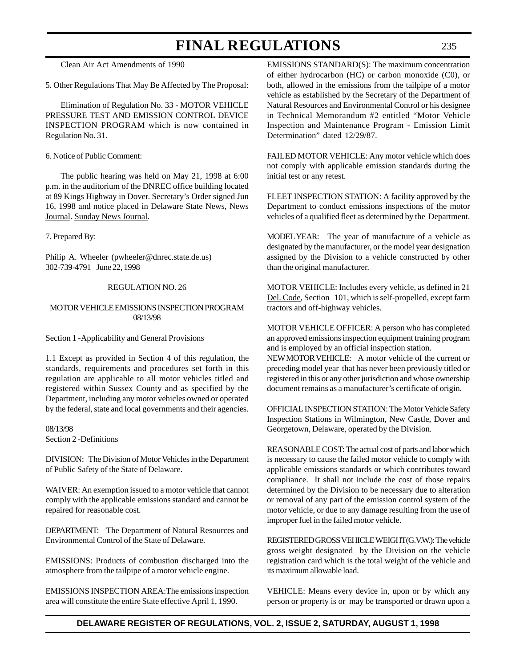Clean Air Act Amendments of 1990

5. Other Regulations That May Be Affected by The Proposal:

Elimination of Regulation No. 33 - MOTOR VEHICLE PRESSURE TEST AND EMISSION CONTROL DEVICE INSPECTION PROGRAM which is now contained in Regulation No. 31.

6. Notice of Public Comment:

The public hearing was held on May 21, 1998 at 6:00 p.m. in the auditorium of the DNREC office building located at 89 Kings Highway in Dover. Secretary's Order signed Jun 16, 1998 and notice placed in Delaware State News, News Journal. Sunday News Journal.

7. Prepared By:

Philip A. Wheeler (pwheeler@dnrec.state.de.us) 302-739-4791 June 22, 1998

# REGULATION NO. 26

## MOTOR VEHICLE EMISSIONS INSPECTION PROGRAM 08/13/98

Section 1 -Applicability and General Provisions

1.1 Except as provided in Section 4 of this regulation, the standards, requirements and procedures set forth in this regulation are applicable to all motor vehicles titled and registered within Sussex County and as specified by the Department, including any motor vehicles owned or operated by the federal, state and local governments and their agencies.

08/13/98 Section 2 -Definitions

DIVISION: The Division of Motor Vehicles in the Department of Public Safety of the State of Delaware.

WAIVER: An exemption issued to a motor vehicle that cannot comply with the applicable emissions standard and cannot be repaired for reasonable cost.

DEPARTMENT: The Department of Natural Resources and Environmental Control of the State of Delaware.

EMISSIONS: Products of combustion discharged into the atmosphere from the tailpipe of a motor vehicle engine.

EMISSIONS INSPECTION AREA:The emissions inspection area will constitute the entire State effective April 1, 1990.

EMISSIONS STANDARD(S): The maximum concentration of either hydrocarbon (HC) or carbon monoxide (C0), or both, allowed in the emissions from the tailpipe of a motor vehicle as established by the Secretary of the Department of Natural Resources and Environmental Control or his designee in Technical Memorandum #2 entitled "Motor Vehicle Inspection and Maintenance Program - Emission Limit Determination" dated 12/29/87.

FAILED MOTOR VEHICLE: Any motor vehicle which does not comply with applicable emission standards during the initial test or any retest.

FLEET INSPECTION STATION: A facility approved by the Department to conduct emissions inspections of the motor vehicles of a qualified fleet as determined by the Department.

MODEL YEAR: The year of manufacture of a vehicle as designated by the manufacturer, or the model year designation assigned by the Division to a vehicle constructed by other than the original manufacturer.

MOTOR VEHICLE: Includes every vehicle, as defined in 21 Del. Code, Section 101, which is self-propelled, except farm tractors and off-highway vehicles.

MOTOR VEHICLE OFFICER: A person who has completed an approved emissions inspection equipment training program and is employed by an official inspection station. NEW MOTOR VEHICLE: A motor vehicle of the current or preceding model year that has never been previously titled or registered in this or any other jurisdiction and whose ownership document remains as a manufacturer's certificate of origin.

OFFICIAL INSPECTION STATION: The Motor Vehicle Safety Inspection Stations in Wilmington, New Castle, Dover and Georgetown, Delaware, operated by the Division.

REASONABLE COST: The actual cost of parts and labor which is necessary to cause the failed motor vehicle to comply with applicable emissions standards or which contributes toward compliance. It shall not include the cost of those repairs determined by the Division to be necessary due to alteration or removal of any part of the emission control system of the motor vehicle, or due to any damage resulting from the use of improper fuel in the failed motor vehicle.

REGISTERED GROSS VEHICLE WEIGHT(G.V.W.): The vehicle gross weight designated by the Division on the vehicle registration card which is the total weight of the vehicle and its maximum allowable load.

VEHICLE: Means every device in, upon or by which any person or property is or may be transported or drawn upon a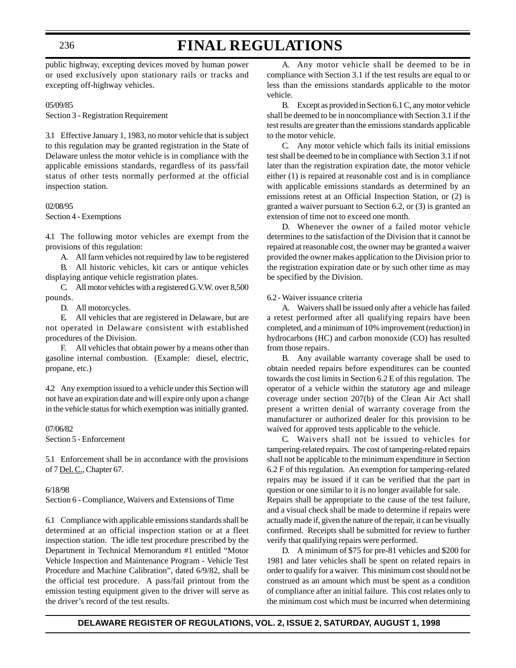public highway, excepting devices moved by human power or used exclusively upon stationary rails or tracks and excepting off-highway vehicles.

#### 05/09/85

Section 3 - Registration Requirement

3.1 Effective January 1, 1983, no motor vehicle that is subject to this regulation may be granted registration in the State of Delaware unless the motor vehicle is in compliance with the applicable emissions standards, regardless of its pass/fail status of other tests normally performed at the official inspection station.

## 02/08/95

Section 4 - Exemptions

4.1 The following motor vehicles are exempt from the provisions of this regulation:

A. All farm vehicles not required by law to be registered B. All historic vehicles, kit cars or antique vehicles

displaying antique vehicle registration plates.

C. All motor vehicles with a registered G.V.W. over 8,500 pounds.

D. All motorcycles.

E. All vehicles that are registered in Delaware, but are not operated in Delaware consistent with established procedures of the Division.

F. All vehicles that obtain power by a means other than gasoline internal combustion. (Example: diesel, electric, propane, etc.)

4.2 Any exemption issued to a vehicle under this Section will not have an expiration date and will expire only upon a change in the vehicle status for which exemption was initially granted.

### 07/06/82

Section 5 - Enforcement

5.1 Enforcement shall be in accordance with the provisions of 7 Del. C., Chapter 67.

### 6/18/98

Section 6 - Compliance, Waivers and Extensions of Time

6.1 Compliance with applicable emissions standards shall be determined at an official inspection station or at a fleet inspection station. The idle test procedure prescribed by the Department in Technical Memorandum #1 entitled "Motor Vehicle Inspection and Maintenance Program - Vehicle Test Procedure and Machine Calibration", dated 6/9/82, shall be the official test procedure. A pass/fail printout from the emission testing equipment given to the driver will serve as the driver's record of the test results.

A. Any motor vehicle shall be deemed to be in compliance with Section 3.1 if the test results are equal to or less than the emissions standards applicable to the motor vehicle.

B. Except as provided in Section 6.1 C, any motor vehicle shall be deemed to be in noncompliance with Section 3.1 if the test results are greater than the emissions standards applicable to the motor vehicle.

C. Any motor vehicle which fails its initial emissions test shall be deemed to be in compliance with Section 3.1 if not later than the registration expiration date, the motor vehicle either (1) is repaired at reasonable cost and is in compliance with applicable emissions standards as determined by an emissions retest at an Official Inspection Station, or (2) is granted a waiver pursuant to Section 6.2, or (3) is granted an extension of time not to exceed one month.

D. Whenever the owner of a failed motor vehicle determines to the satisfaction of the Division that it cannot be repaired at reasonable cost, the owner may be granted a waiver provided the owner makes application to the Division prior to the registration expiration date or by such other time as may be specified by the Division.

### 6.2 - Waiver issuance criteria

A. Waivers shall be issued only after a vehicle has failed a retest performed after all qualifying repairs have been completed, and a minimum of 10% improvement (reduction) in hydrocarbons (HC) and carbon monoxide (CO) has resulted from those repairs.

B. Any available warranty coverage shall be used to obtain needed repairs before expenditures can be counted towards the cost limits in Section 6.2 E of this regulation. The operator of a vehicle within the statutory age and mileage coverage under section 207(b) of the Clean Air Act shall present a written denial of warranty coverage from the manufacturer or authorized dealer for this provision to be waived for approved tests applicable to the vehicle.

C. Waivers shall not be issued to vehicles for tampering-related repairs. The cost of tampering-related repairs shall not be applicable to the minimum expenditure in Section 6.2 F of this regulation. An exemption for tampering-related repairs may be issued if it can be verified that the part in question or one similar to it is no longer available for sale. Repairs shall be appropriate to the cause of the test failure, and a visual check shall be made to determine if repairs were actually made if, given the nature of the repair, it can be visually confirmed. Receipts shall be submitted for review to further verify that qualifying repairs were performed.

D. A minimum of \$75 for pre-81 vehicles and \$200 for 1981 and later vehicles shall be spent on related repairs in order to qualify for a waiver. This minimum cost should not be construed as an amount which must be spent as a condition of compliance after an initial failure. This cost relates only to the minimum cost which must be incurred when determining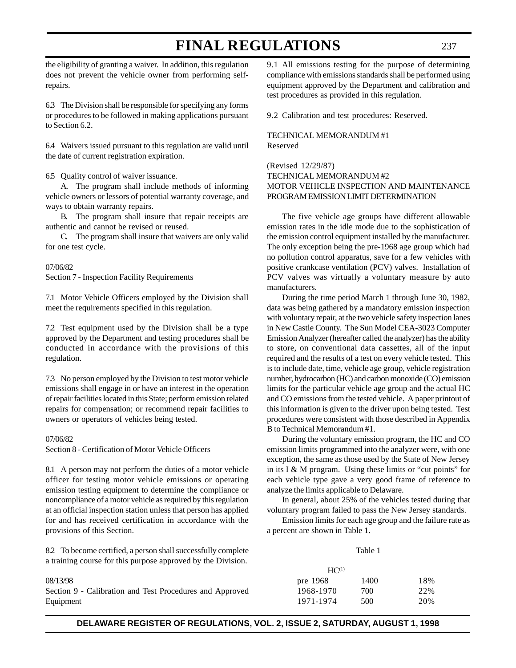the eligibility of granting a waiver. In addition, this regulation does not prevent the vehicle owner from performing selfrepairs.

6.3 The Division shall be responsible for specifying any forms or procedures to be followed in making applications pursuant to Section 6.2.

6.4 Waivers issued pursuant to this regulation are valid until the date of current registration expiration.

#### 6.5 Quality control of waiver issuance.

A. The program shall include methods of informing vehicle owners or lessors of potential warranty coverage, and ways to obtain warranty repairs.

B. The program shall insure that repair receipts are authentic and cannot be revised or reused.

C. The program shall insure that waivers are only valid for one test cycle.

#### 07/06/82

Section 7 - Inspection Facility Requirements

7.1 Motor Vehicle Officers employed by the Division shall meet the requirements specified in this regulation.

7.2 Test equipment used by the Division shall be a type approved by the Department and testing procedures shall be conducted in accordance with the provisions of this regulation.

7.3 No person employed by the Division to test motor vehicle emissions shall engage in or have an interest in the operation of repair facilities located in this State; perform emission related repairs for compensation; or recommend repair facilities to owners or operators of vehicles being tested.

#### 07/06/82

Section 8 - Certification of Motor Vehicle Officers

8.1 A person may not perform the duties of a motor vehicle officer for testing motor vehicle emissions or operating emission testing equipment to determine the compliance or noncompliance of a motor vehicle as required by this regulation at an official inspection station unless that person has applied for and has received certification in accordance with the provisions of this Section.

8.2 To become certified, a person shall successfully complete a training course for this purpose approved by the Division.

#### 08/13/98

Section 9 - Calibration and Test Procedures and Approved Equipment

9.1 All emissions testing for the purpose of determining compliance with emissions standards shall be performed using equipment approved by the Department and calibration and test procedures as provided in this regulation.

9.2 Calibration and test procedures: Reserved.

### TECHNICAL MEMORANDUM #1 Reserved

(Revised 12/29/87) TECHNICAL MEMORANDUM #2 MOTOR VEHICLE INSPECTION AND MAINTENANCE PROGRAM EMISSION LIMIT DETERMINATION

The five vehicle age groups have different allowable emission rates in the idle mode due to the sophistication of the emission control equipment installed by the manufacturer. The only exception being the pre-1968 age group which had no pollution control apparatus, save for a few vehicles with positive crankcase ventilation (PCV) valves. Installation of PCV valves was virtually a voluntary measure by auto manufacturers.

During the time period March 1 through June 30, 1982, data was being gathered by a mandatory emission inspection with voluntary repair, at the two vehicle safety inspection lanes in New Castle County. The Sun Model CEA-3023 Computer Emission Analyzer (hereafter called the analyzer) has the ability to store, on conventional data cassettes, all of the input required and the results of a test on every vehicle tested. This is to include date, time, vehicle age group, vehicle registration number, hydrocarbon (HC) and carbon monoxide (CO) emission limits for the particular vehicle age group and the actual HC and CO emissions from the tested vehicle. A paper printout of this information is given to the driver upon being tested. Test procedures were consistent with those described in Appendix B to Technical Memorandum #1.

During the voluntary emission program, the HC and CO emission limits programmed into the analyzer were, with one exception, the same as those used by the State of New Jersey in its I & M program. Using these limits or "cut points" for each vehicle type gave a very good frame of reference to analyze the limits applicable to Delaware.

In general, about 25% of the vehicles tested during that voluntary program failed to pass the New Jersey standards.

Emission limits for each age group and the failure rate as a percent are shown in Table 1.

Table 1

| $HC^{(1)}$ |      |     |
|------------|------|-----|
| pre 1968   | 1400 | 18% |
| 1968-1970  | 700  | 22% |
| 1971-1974  | 500  | 20% |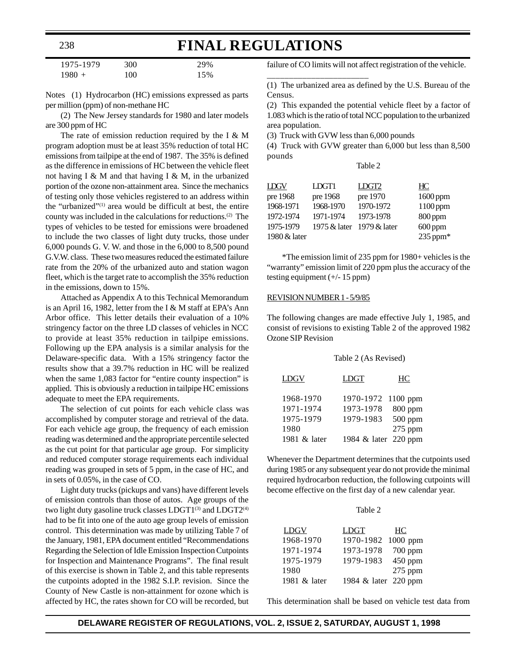| <b>FINAL REGULATIONS</b><br>238 |     |      |                                                                   |
|---------------------------------|-----|------|-------------------------------------------------------------------|
| 1975-1979                       | 300 | 29%  | failure of CO limits will not affect registration of the vehicle. |
| $1980 +$                        | 100 | l 5% |                                                                   |

Notes (1) Hydrocarbon (HC) emissions expressed as parts per million (ppm) of non-methane HC

(2) The New Jersey standards for 1980 and later models are 300 ppm of HC

The rate of emission reduction required by the I  $& M$ program adoption must be at least 35% reduction of total HC emissions from tailpipe at the end of 1987. The 35% is defined as the difference in emissions of HC between the vehicle fleet not having I  $& M$  and that having I  $& M$ , in the urbanized portion of the ozone non-attainment area. Since the mechanics of testing only those vehicles registered to an address within the "urbanized"(1) area would be difficult at best, the entire county was included in the calculations for reductions.(2) The types of vehicles to be tested for emissions were broadened to include the two classes of light duty trucks, those under 6,000 pounds G. V. W. and those in the 6,000 to 8,500 pound G.V.W. class. These two measures reduced the estimated failure rate from the 20% of the urbanized auto and station wagon fleet, which is the target rate to accomplish the 35% reduction in the emissions, down to 15%.

Attached as Appendix A to this Technical Memorandum is an April 16, 1982, letter from the I & M staff at EPA's Ann Arbor office. This letter details their evaluation of a 10% stringency factor on the three LD classes of vehicles in NCC to provide at least 35% reduction in tailpipe emissions. Following up the EPA analysis is a similar analysis for the Delaware-specific data. With a 15% stringency factor the results show that a 39.7% reduction in HC will be realized when the same 1,083 factor for "entire county inspection" is applied. This is obviously a reduction in tailpipe HC emissions adequate to meet the EPA requirements.

The selection of cut points for each vehicle class was accomplished by computer storage and retrieval of the data. For each vehicle age group, the frequency of each emission reading was determined and the appropriate percentile selected as the cut point for that particular age group. For simplicity and reduced computer storage requirements each individual reading was grouped in sets of 5 ppm, in the case of HC, and in sets of 0.05%, in the case of CO.

Light duty trucks (pickups and vans) have different levels of emission controls than those of autos. Age groups of the two light duty gasoline truck classes LDGT1<sup>(3)</sup> and LDGT2<sup>(4)</sup> had to be fit into one of the auto age group levels of emission control. This determination was made by utilizing Table 7 of the January, 1981, EPA document entitled "Recommendations Regarding the Selection of Idle Emission Inspection Cutpoints for Inspection and Maintenance Programs". The final result of this exercise is shown in Table 2, and this table represents the cutpoints adopted in the 1982 S.I.P. revision. Since the County of New Castle is non-attainment for ozone which is affected by HC, the rates shown for CO will be recorded, but (1) The urbanized area as defined by the U.S. Bureau of the Census.

(2) This expanded the potential vehicle fleet by a factor of 1.083 which is the ratio of total NCC population to the urbanized area population.

(3) Truck with GVW less than 6,000 pounds

(4) Truck with GVW greater than 6,000 but less than 8,500 pounds Table 2

| LDGV         | LDGT1        | LDGT <sub>2</sub> | HС            |
|--------------|--------------|-------------------|---------------|
| pre 1968     | pre 1968     | pre 1970          | $1600$ ppm    |
| 1968-1971    | 1968-1970    | 1970-1972         | $1100$ ppm    |
| 1972-1974    | 1971-1974    | 1973-1978         | $800$ ppm     |
| 1975-1979    | 1975 & later | 1979 & later      | $600$ ppm     |
| 1980 & later |              |                   | $235$ ppm $*$ |
|              |              |                   |               |

\*The emission limit of 235 ppm for 1980+ vehicles is the "warranty" emission limit of 220 ppm plus the accuracy of the testing equipment (+/- 15 ppm)

#### REVISION NUMBER 1 - 5/9/85

The following changes are made effective July 1, 1985, and consist of revisions to existing Table 2 of the approved 1982 Ozone SIP Revision

|              | Table 2 (As Revised) |            |  |
|--------------|----------------------|------------|--|
| LDGV         | LDGT                 | HС         |  |
| 1968-1970    | 1970-1972            | $1100$ ppm |  |
| 1971-1974    | 1973-1978            | 800 ppm    |  |
| 1975-1979    | 1979-1983            | $500$ ppm  |  |
| 1980         |                      | $275$ ppm  |  |
| 1981 & later | 1984 & later 220 ppm |            |  |

Whenever the Department determines that the cutpoints used during 1985 or any subsequent year do not provide the minimal required hydrocarbon reduction, the following cutpoints will become effective on the first day of a new calendar year.

#### Table 2

| <b>LDGV</b>  | LDGT                 | HC.        |
|--------------|----------------------|------------|
| 1968-1970    | 1970-1982            | $1000$ ppm |
| 1971-1974    | 1973-1978            | 700 ppm    |
| 1975-1979    | 1979-1983            | 450 ppm    |
| 1980         |                      | $275$ ppm  |
| 1981 & later | 1984 & later 220 ppm |            |

This determination shall be based on vehicle test data from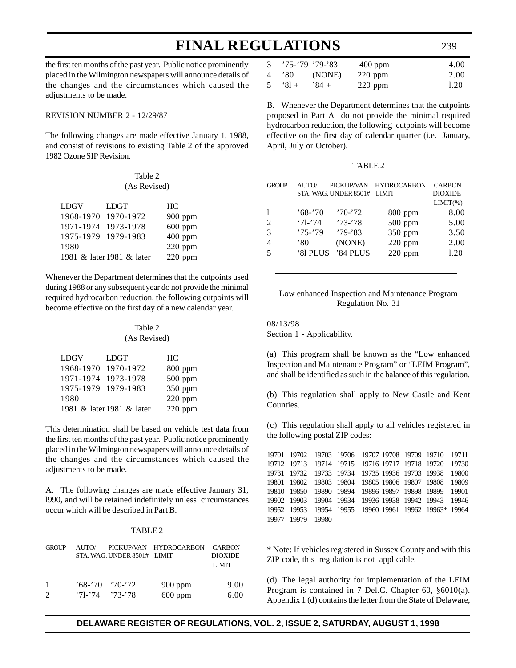the first ten months of the past year. Public notice prominently placed in the Wilmington newspapers will announce details of the changes and the circumstances which caused the adjustments to be made.

#### REVISION NUMBER 2 - 12/29/87

The following changes are made effective January 1, 1988, and consist of revisions to existing Table 2 of the approved 1982 Ozone SIP Revision.

## Table 2 (As Revised)

| LDGV                | LDGT                      | HС        |
|---------------------|---------------------------|-----------|
| 1968-1970 1970-1972 |                           | 900 ppm   |
| 1971-1974 1973-1978 |                           | $600$ ppm |
| 1975-1979 1979-1983 |                           | $400$ ppm |
| 1980                |                           | $220$ ppm |
|                     | 1981 & later 1981 & later | $220$ ppm |

Whenever the Department determines that the cutpoints used during 1988 or any subsequent year do not provide the minimal required hydrocarbon reduction, the following cutpoints will become effective on the first day of a new calendar year.

#### Table 2 (As Revised)

| LDGV | LDGT                      | HC        |
|------|---------------------------|-----------|
|      | 1968-1970 1970-1972       | 800 ppm   |
|      | 1971-1974 1973-1978       | 500 ppm   |
|      | 1975-1979 1979-1983       | 350 ppm   |
| 1980 |                           | $220$ ppm |
|      | 1981 & later 1981 & later | $220$ ppm |

This determination shall be based on vehicle test data from the first ten months of the past year. Public notice prominently placed in the Wilmington newspapers will announce details of the changes and the circumstances which caused the adjustments to be made.

A. The following changes are made effective January 31, l990, and will be retained indefinitely unless circumstances occur which will be described in Part B.

#### TABLE 2

| <b>GROUP</b>                | AUTO/                                         | STA, WAG, UNDER 8501# LIMIT | PICKUP/VAN HYDROCARBON | <b>CARBON</b><br><b>DIOXIDE</b><br><b>LIMIT</b> |
|-----------------------------|-----------------------------------------------|-----------------------------|------------------------|-------------------------------------------------|
| $\mathcal{D}_{\mathcal{L}}$ | $768 - 70$ $70 - 72$<br>$'71 - 74$ $'73 - 78$ |                             | $900$ ppm<br>$600$ ppm | 9.00<br>6.00                                    |

| 75-79 79-83   |         | $400$ ppm | 4.00 |
|---------------|---------|-----------|------|
| '80-          | (NONE)  | $220$ ppm | 2.00 |
| $^{\circ}81+$ | $.84 +$ | $220$ ppm | 1.20 |

B. Whenever the Department determines that the cutpoints proposed in Part A do not provide the minimal required hydrocarbon reduction, the following cutpoints will become effective on the first day of calendar quarter (i.e. January, April, July or October).

### TABLE 2

| GROUP | AUTO/     | STA. WAG. UNDER 8501# | PICKUP/VAN HYDROCARBON<br>LIMIT | <b>CARBON</b><br><b>DIOXIDE</b> |
|-------|-----------|-----------------------|---------------------------------|---------------------------------|
|       |           |                       |                                 | $LIMIT(\%)$                     |
|       | $'68-70$  | $70 - 72$             | $800$ ppm                       | 8.00                            |
| 2     | $'71-74$  | $'73-78$              | $500$ ppm                       | 5.00                            |
| 3     | $75 - 79$ | $79 - 83$             | 350 ppm                         | 3.50                            |
| 4     | '80       | (NONE)                | $220$ ppm                       | 2.00                            |
| 5     | '81 PLUS  | '84 PLUS              | $220$ ppm                       | 1.20                            |
|       |           |                       |                                 |                                 |

### Low enhanced Inspection and Maintenance Program Regulation No. 31

08/13/98 Section 1 - Applicability.

(a) This program shall be known as the "Low enhanced Inspection and Maintenance Program" or "LEIM Program", and shall be identified as such in the balance of this regulation.

(b) This regulation shall apply to New Castle and Kent Counties.

(c) This regulation shall apply to all vehicles registered in the following postal ZIP codes:

19701 19702 19703 19706 19707 19708 19709 19710 19711 19712 19713 19714 19715 19716 19717 19718 19720 19730 19731 19732 19733 19734 19735 19936 19703 19938 19800 19801 19802 19803 19804 19805 19806 19807 19808 19809 19810 19850 19890 19894 19896 19897 19898 19899 19901 19902 19903 19904 19934 19936 19938 19942 19943 19946 19952 19953 19954 19955 19960 19961 19962 19963\* 19964 19977 19979 19980

\* Note: If vehicles registered in Sussex County and with this ZIP code, this regulation is not applicable.

(d) The legal authority for implementation of the LEIM Program is contained in 7 Del.C. Chapter 60, §6010(a). Appendix 1 (d) contains the letter from the State of Delaware,

# **DELAWARE REGISTER OF REGULATIONS, VOL. 2, ISSUE 2, SATURDAY, AUGUST 1, 1998**

239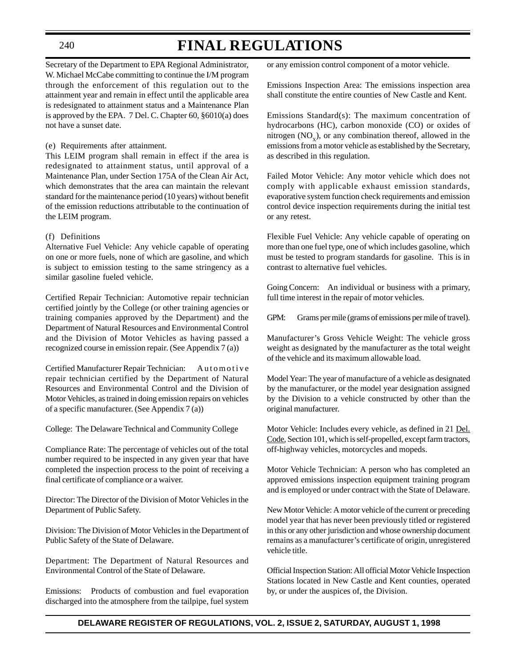### 240

# **FINAL REGULATIONS**

Secretary of the Department to EPA Regional Administrator, W. Michael McCabe committing to continue the I/M program through the enforcement of this regulation out to the attainment year and remain in effect until the applicable area is redesignated to attainment status and a Maintenance Plan is approved by the EPA. 7 Del. C. Chapter 60, §6010(a) does not have a sunset date.

(e) Requirements after attainment.

This LEIM program shall remain in effect if the area is redesignated to attainment status, until approval of a Maintenance Plan, under Section 175A of the Clean Air Act, which demonstrates that the area can maintain the relevant standard for the maintenance period (10 years) without benefit of the emission reductions attributable to the continuation of the LEIM program.

# (f) Definitions

Alternative Fuel Vehicle: Any vehicle capable of operating on one or more fuels, none of which are gasoline, and which is subject to emission testing to the same stringency as a similar gasoline fueled vehicle.

Certified Repair Technician: Automotive repair technician certified jointly by the College (or other training agencies or training companies approved by the Department) and the Department of Natural Resources and Environmental Control and the Division of Motor Vehicles as having passed a recognized course in emission repair. (See Appendix 7 (a))

Certified Manufacturer Repair Technician: Automotive repair technician certified by the Department of Natural Resources and Environmental Control and the Division of Motor Vehicles, as trained in doing emission repairs on vehicles of a specific manufacturer. (See Appendix 7 (a))

College: The Delaware Technical and Community College

Compliance Rate: The percentage of vehicles out of the total number required to be inspected in any given year that have completed the inspection process to the point of receiving a final certificate of compliance or a waiver.

Director: The Director of the Division of Motor Vehicles in the Department of Public Safety.

Division: The Division of Motor Vehicles in the Department of Public Safety of the State of Delaware.

Department: The Department of Natural Resources and Environmental Control of the State of Delaware.

Emissions: Products of combustion and fuel evaporation discharged into the atmosphere from the tailpipe, fuel system

or any emission control component of a motor vehicle.

Emissions Inspection Area: The emissions inspection area shall constitute the entire counties of New Castle and Kent.

Emissions Standard(s): The maximum concentration of hydrocarbons (HC), carbon monoxide (CO) or oxides of nitrogen  $(NO_{v})$ , or any combination thereof, allowed in the emissions from a motor vehicle as established by the Secretary, as described in this regulation.

Failed Motor Vehicle: Any motor vehicle which does not comply with applicable exhaust emission standards, evaporative system function check requirements and emission control device inspection requirements during the initial test or any retest.

Flexible Fuel Vehicle: Any vehicle capable of operating on more than one fuel type, one of which includes gasoline, which must be tested to program standards for gasoline. This is in contrast to alternative fuel vehicles.

Going Concern: An individual or business with a primary, full time interest in the repair of motor vehicles.

GPM: Grams per mile (grams of emissions per mile of travel).

Manufacturer's Gross Vehicle Weight: The vehicle gross weight as designated by the manufacturer as the total weight of the vehicle and its maximum allowable load.

Model Year: The year of manufacture of a vehicle as designated by the manufacturer, or the model year designation assigned by the Division to a vehicle constructed by other than the original manufacturer.

Motor Vehicle: Includes every vehicle, as defined in 21 Del. Code, Section 101, which is self-propelled, except farm tractors, off-highway vehicles, motorcycles and mopeds.

Motor Vehicle Technician: A person who has completed an approved emissions inspection equipment training program and is employed or under contract with the State of Delaware.

New Motor Vehicle: A motor vehicle of the current or preceding model year that has never been previously titled or registered in this or any other jurisdiction and whose ownership document remains as a manufacturer's certificate of origin, unregistered vehicle title.

Official Inspection Station: All official Motor Vehicle Inspection Stations located in New Castle and Kent counties, operated by, or under the auspices of, the Division.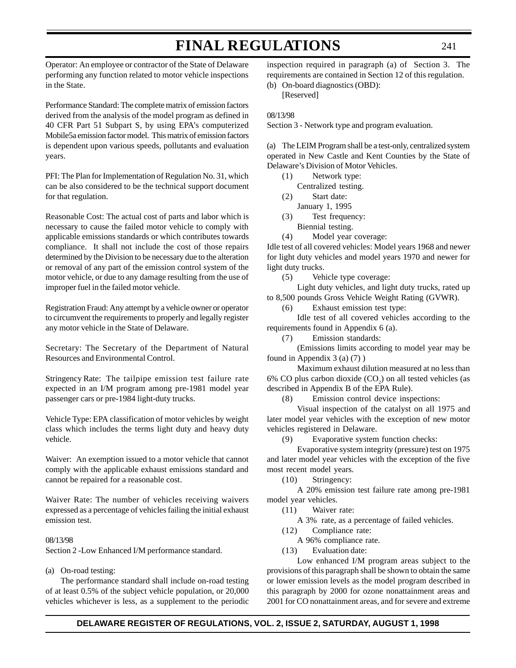Operator: An employee or contractor of the State of Delaware performing any function related to motor vehicle inspections in the State.

Performance Standard: The complete matrix of emission factors derived from the analysis of the model program as defined in 40 CFR Part 51 Subpart S, by using EPA's computerized Mobile5a emission factor model. This matrix of emission factors is dependent upon various speeds, pollutants and evaluation years.

PFI: The Plan for Implementation of Regulation No. 31, which can be also considered to be the technical support document for that regulation.

Reasonable Cost: The actual cost of parts and labor which is necessary to cause the failed motor vehicle to comply with applicable emissions standards or which contributes towards compliance. It shall not include the cost of those repairs determined by the Division to be necessary due to the alteration or removal of any part of the emission control system of the motor vehicle, or due to any damage resulting from the use of improper fuel in the failed motor vehicle.

Registration Fraud: Any attempt by a vehicle owner or operator to circumvent the requirements to properly and legally register any motor vehicle in the State of Delaware.

Secretary: The Secretary of the Department of Natural Resources and Environmental Control.

Stringency Rate: The tailpipe emission test failure rate expected in an I/M program among pre-1981 model year passenger cars or pre-1984 light-duty trucks.

Vehicle Type: EPA classification of motor vehicles by weight class which includes the terms light duty and heavy duty vehicle.

Waiver: An exemption issued to a motor vehicle that cannot comply with the applicable exhaust emissions standard and cannot be repaired for a reasonable cost.

Waiver Rate: The number of vehicles receiving waivers expressed as a percentage of vehicles failing the initial exhaust emission test.

#### 08/13/98

Section 2 -Low Enhanced I/M performance standard.

### (a) On-road testing:

The performance standard shall include on-road testing of at least 0.5% of the subject vehicle population, or 20,000 vehicles whichever is less, as a supplement to the periodic inspection required in paragraph (a) of Section 3. The requirements are contained in Section 12 of this regulation.

(b) On-board diagnostics (OBD): [Reserved]

#### 08/13/98

Section 3 - Network type and program evaluation*.*

(a) The LEIM Program shall be a test-only, centralized system operated in New Castle and Kent Counties by the State of Delaware's Division of Motor Vehicles.

- (1) Network type:
	- Centralized testing.
- (2) Start date: January 1, 1995
- (3) Test frequency:
	- Biennial testing.
- (4) Model year coverage:

Idle test of all covered vehicles: Model years 1968 and newer for light duty vehicles and model years 1970 and newer for light duty trucks.

(5) Vehicle type coverage:

Light duty vehicles, and light duty trucks, rated up to 8,500 pounds Gross Vehicle Weight Rating (GVWR).

(6) Exhaust emission test type:

Idle test of all covered vehicles according to the requirements found in Appendix 6 (a).

(7) Emission standards:

(Emissions limits according to model year may be found in Appendix 3 (a) (7) )

Maximum exhaust dilution measured at no less than 6% CO plus carbon dioxide  $(CO_2)$  on all tested vehicles (as described in Appendix B of the EPA Rule).

(8) Emission control device inspections:

Visual inspection of the catalyst on all 1975 and later model year vehicles with the exception of new motor vehicles registered in Delaware.

(9) Evaporative system function checks:

Evaporative system integrity (pressure) test on 1975 and later model year vehicles with the exception of the five most recent model years.

(10) Stringency:

A 20% emission test failure rate among pre-1981 model year vehicles.

(11) Waiver rate:

A 3% rate, as a percentage of failed vehicles.

- (12) Compliance rate:
- A 96% compliance rate.
- (13) Evaluation date:

Low enhanced I/M program areas subject to the provisions of this paragraph shall be shown to obtain the same or lower emission levels as the model program described in this paragraph by 2000 for ozone nonattainment areas and 2001 for CO nonattainment areas, and for severe and extreme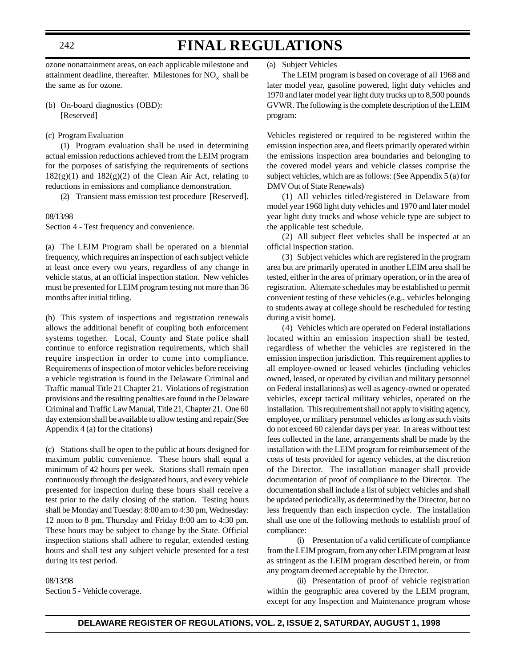242

# **FINAL REGULATIONS**

ozone nonattainment areas, on each applicable milestone and attainment deadline, thereafter. Milestones for  $NO<sub>x</sub>$  shall be the same as for ozone.

(b) On-board diagnostics (OBD): [Reserved]

(c) Program Evaluation

(1) Program evaluation shall be used in determining actual emission reductions achieved from the LEIM program for the purposes of satisfying the requirements of sections  $182(g)(1)$  and  $182(g)(2)$  of the Clean Air Act, relating to reductions in emissions and compliance demonstration.

(2) Transient mass emission test procedure [Reserved].

08/13/98

Section 4 - Test frequency and convenience.

(a) The LEIM Program shall be operated on a biennial frequency, which requires an inspection of each subject vehicle at least once every two years, regardless of any change in vehicle status, at an official inspection station. New vehicles must be presented for LEIM program testing not more than 36 months after initial titling.

(b) This system of inspections and registration renewals allows the additional benefit of coupling both enforcement systems together. Local, County and State police shall continue to enforce registration requirements, which shall require inspection in order to come into compliance. Requirements of inspection of motor vehicles before receiving a vehicle registration is found in the Delaware Criminal and Traffic manual Title 21 Chapter 21. Violations of registration provisions and the resulting penalties are found in the Delaware Criminal and Traffic Law Manual, Title 21, Chapter 21. One 60 day extension shall be available to allow testing and repair.(See Appendix 4 (a) for the citations)

(c) Stations shall be open to the public at hours designed for maximum public convenience. These hours shall equal a minimum of 42 hours per week. Stations shall remain open continuously through the designated hours, and every vehicle presented for inspection during these hours shall receive a test prior to the daily closing of the station. Testing hours shall be Monday and Tuesday: 8:00 am to 4:30 pm, Wednesday: 12 noon to 8 pm, Thursday and Friday 8:00 am to 4:30 pm. These hours may be subject to change by the State. Official inspection stations shall adhere to regular, extended testing hours and shall test any subject vehicle presented for a test during its test period.

08/13/98 Section 5 - Vehicle coverage. (a) Subject Vehicles

The LEIM program is based on coverage of all 1968 and later model year, gasoline powered, light duty vehicles and 1970 and later model year light duty trucks up to 8,500 pounds GVWR. The following is the complete description of the LEIM program:

Vehicles registered or required to be registered within the emission inspection area, and fleets primarily operated within the emissions inspection area boundaries and belonging to the covered model years and vehicle classes comprise the subject vehicles, which are as follows: (See Appendix 5 (a) for DMV Out of State Renewals)

(1) All vehicles titled/registered in Delaware from model year 1968 light duty vehicles and 1970 and later model year light duty trucks and whose vehicle type are subject to the applicable test schedule.

(2) All subject fleet vehicles shall be inspected at an official inspection station.

(3) Subject vehicles which are registered in the program area but are primarily operated in another LEIM area shall be tested, either in the area of primary operation, or in the area of registration. Alternate schedules may be established to permit convenient testing of these vehicles (e.g., vehicles belonging to students away at college should be rescheduled for testing during a visit home).

(4) Vehicles which are operated on Federal installations located within an emission inspection shall be tested, regardless of whether the vehicles are registered in the emission inspection jurisdiction. This requirement applies to all employee-owned or leased vehicles (including vehicles owned, leased, or operated by civilian and military personnel on Federal installations) as well as agency-owned or operated vehicles, except tactical military vehicles, operated on the installation. This requirement shall not apply to visiting agency, employee, or military personnel vehicles as long as such visits do not exceed 60 calendar days per year. In areas without test fees collected in the lane, arrangements shall be made by the installation with the LEIM program for reimbursement of the costs of tests provided for agency vehicles, at the discretion of the Director. The installation manager shall provide documentation of proof of compliance to the Director. The documentation shall include a list of subject vehicles and shall be updated periodically, as determined by the Director, but no less frequently than each inspection cycle. The installation shall use one of the following methods to establish proof of compliance:

(i) Presentation of a valid certificate of compliance from the LEIM program, from any other LEIM program at least as stringent as the LEIM program described herein, or from any program deemed acceptable by the Director.

(ii) Presentation of proof of vehicle registration within the geographic area covered by the LEIM program, except for any Inspection and Maintenance program whose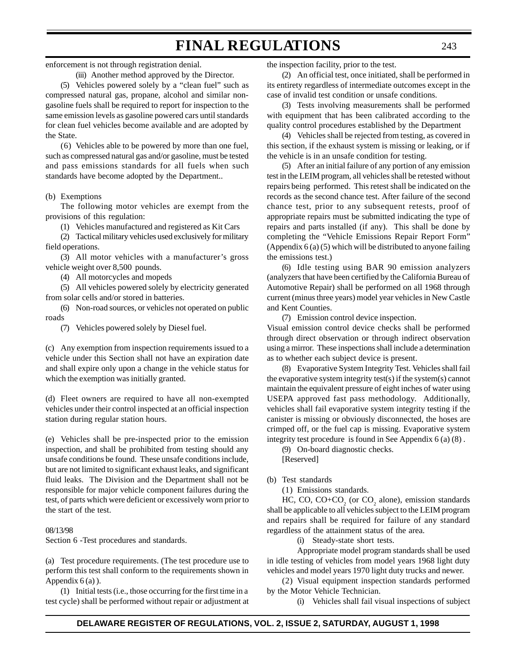enforcement is not through registration denial.

(iii) Another method approved by the Director.

(5) Vehicles powered solely by a "clean fuel" such as compressed natural gas, propane, alcohol and similar nongasoline fuels shall be required to report for inspection to the same emission levels as gasoline powered cars until standards for clean fuel vehicles become available and are adopted by the State.

(6) Vehicles able to be powered by more than one fuel, such as compressed natural gas and/or gasoline, must be tested and pass emissions standards for all fuels when such standards have become adopted by the Department..

### (b) Exemptions

The following motor vehicles are exempt from the provisions of this regulation:

(1) Vehicles manufactured and registered as Kit Cars

(2) Tactical military vehicles used exclusively for military field operations.

(3) All motor vehicles with a manufacturer's gross vehicle weight over 8,500 pounds.

(4) All motorcycles and mopeds

(5) All vehicles powered solely by electricity generated from solar cells and/or stored in batteries.

(6) Non-road sources, or vehicles not operated on public roads

(7) Vehicles powered solely by Diesel fuel.

(c) Any exemption from inspection requirements issued to a vehicle under this Section shall not have an expiration date and shall expire only upon a change in the vehicle status for which the exemption was initially granted.

(d) Fleet owners are required to have all non-exempted vehicles under their control inspected at an official inspection station during regular station hours.

(e) Vehicles shall be pre-inspected prior to the emission inspection, and shall be prohibited from testing should any unsafe conditions be found. These unsafe conditions include, but are not limited to significant exhaust leaks, and significant fluid leaks. The Division and the Department shall not be responsible for major vehicle component failures during the test, of parts which were deficient or excessively worn prior to the start of the test.

### 08/13/98

Section 6 -Test procedures and standards.

(a) Test procedure requirements. (The test procedure use to perform this test shall conform to the requirements shown in Appendix  $6(a)$ ).

(1) Initial tests (i.e., those occurring for the first time in a test cycle) shall be performed without repair or adjustment at the inspection facility, prior to the test.

(2) An official test, once initiated, shall be performed in its entirety regardless of intermediate outcomes except in the case of invalid test condition or unsafe conditions.

(3) Tests involving measurements shall be performed with equipment that has been calibrated according to the quality control procedures established by the Department

(4) Vehicles shall be rejected from testing, as covered in this section, if the exhaust system is missing or leaking, or if the vehicle is in an unsafe condition for testing.

(5) After an initial failure of any portion of any emission test in the LEIM program, all vehicles shall be retested without repairs being performed. This retest shall be indicated on the records as the second chance test. After failure of the second chance test, prior to any subsequent retests, proof of appropriate repairs must be submitted indicating the type of repairs and parts installed (if any). This shall be done by completing the "Vehicle Emissions Repair Report Form" (Appendix  $6(a)$  (5) which will be distributed to anyone failing the emissions test.)

(6) Idle testing using BAR 90 emission analyzers (analyzers that have been certified by the California Bureau of Automotive Repair) shall be performed on all 1968 through current (minus three years) model year vehicles in New Castle and Kent Counties.

(7) Emission control device inspection.

Visual emission control device checks shall be performed through direct observation or through indirect observation using a mirror. These inspections shall include a determination as to whether each subject device is present.

(8) Evaporative System Integrity Test. Vehicles shall fail the evaporative system integrity test(s) if the system(s) cannot maintain the equivalent pressure of eight inches of water using USEPA approved fast pass methodology. Additionally, vehicles shall fail evaporative system integrity testing if the canister is missing or obviously disconnected, the hoses are crimped off, or the fuel cap is missing. Evaporative system integrity test procedure is found in See Appendix 6 (a) (8) .

(9) On-board diagnostic checks. [Reserved]

(b) Test standards

(1) Emissions standards.

HC, CO,  $CO + CO_2$  (or  $CO_2$  alone), emission standards shall be applicable to all vehicles subject to the LEIM program and repairs shall be required for failure of any standard regardless of the attainment status of the area.

(i) Steady-state short tests.

Appropriate model program standards shall be used in idle testing of vehicles from model years 1968 light duty vehicles and model years 1970 light duty trucks and newer.

(2) Visual equipment inspection standards performed by the Motor Vehicle Technician.

(i) Vehicles shall fail visual inspections of subject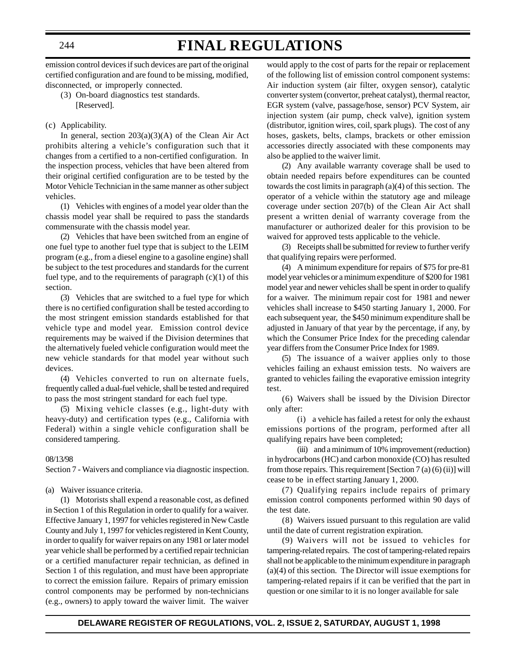emission control devices if such devices are part of the original certified configuration and are found to be missing, modified, disconnected, or improperly connected.

(3) On-board diagnostics test standards. [Reserved].

### (c) Applicability.

In general, section  $203(a)(3)(A)$  of the Clean Air Act prohibits altering a vehicle's configuration such that it changes from a certified to a non-certified configuration. In the inspection process, vehicles that have been altered from their original certified configuration are to be tested by the Motor Vehicle Technician in the same manner as other subject vehicles.

(1) Vehicles with engines of a model year older than the chassis model year shall be required to pass the standards commensurate with the chassis model year.

(2) Vehicles that have been switched from an engine of one fuel type to another fuel type that is subject to the LEIM program (e.g., from a diesel engine to a gasoline engine) shall be subject to the test procedures and standards for the current fuel type, and to the requirements of paragraph  $(c)(1)$  of this section.

(3) Vehicles that are switched to a fuel type for which there is no certified configuration shall be tested according to the most stringent emission standards established for that vehicle type and model year. Emission control device requirements may be waived if the Division determines that the alternatively fueled vehicle configuration would meet the new vehicle standards for that model year without such devices.

(4) Vehicles converted to run on alternate fuels, frequently called a dual-fuel vehicle, shall be tested and required to pass the most stringent standard for each fuel type.

(5) Mixing vehicle classes (e.g., light-duty with heavy-duty) and certification types (e.g., California with Federal) within a single vehicle configuration shall be considered tampering.

#### 08/13/98

Section 7 - Waivers and compliance via diagnostic inspection.

### (a) Waiver issuance criteria.

(1) Motorists shall expend a reasonable cost, as defined in Section 1 of this Regulation in order to qualify for a waiver. Effective January 1, 1997 for vehicles registered in New Castle County and July 1, 1997 for vehicles registered in Kent County, in order to qualify for waiver repairs on any 1981 or later model year vehicle shall be performed by a certified repair technician or a certified manufacturer repair technician, as defined in Section 1 of this regulation, and must have been appropriate to correct the emission failure. Repairs of primary emission control components may be performed by non-technicians (e.g., owners) to apply toward the waiver limit. The waiver

would apply to the cost of parts for the repair or replacement of the following list of emission control component systems: Air induction system (air filter, oxygen sensor), catalytic converter system (convertor, preheat catalyst), thermal reactor, EGR system (valve, passage/hose, sensor) PCV System, air injection system (air pump, check valve), ignition system (distributor, ignition wires, coil, spark plugs). The cost of any hoses, gaskets, belts, clamps, brackets or other emission accessories directly associated with these components may also be applied to the waiver limit.

(2) Any available warranty coverage shall be used to obtain needed repairs before expenditures can be counted towards the cost limits in paragraph (a)(4) of this section. The operator of a vehicle within the statutory age and mileage coverage under section 207(b) of the Clean Air Act shall present a written denial of warranty coverage from the manufacturer or authorized dealer for this provision to be waived for approved tests applicable to the vehicle.

(3) Receipts shall be submitted for review to further verify that qualifying repairs were performed.

(4) A minimum expenditure for repairs of \$75 for pre-81 model year vehicles or a minimum expenditure of \$200 for 1981 model year and newer vehicles shall be spent in order to qualify for a waiver. The minimum repair cost for 1981 and newer vehicles shall increase to \$450 starting January 1, 2000. For each subsequent year, the \$450 minimum expenditure shall be adjusted in January of that year by the percentage, if any, by which the Consumer Price Index for the preceding calendar year differs from the Consumer Price Index for 1989.

(5) The issuance of a waiver applies only to those vehicles failing an exhaust emission tests. No waivers are granted to vehicles failing the evaporative emission integrity test.

(6) Waivers shall be issued by the Division Director only after:

(i) a vehicle has failed a retest for only the exhaust emissions portions of the program, performed after all qualifying repairs have been completed;

(iii) and a minimum of 10% improvement (reduction) in hydrocarbons (HC) and carbon monoxide (CO) has resulted from those repairs. This requirement [Section 7 (a) (6) (ii)] will cease to be in effect starting January 1, 2000.

(7) Qualifying repairs include repairs of primary emission control components performed within 90 days of the test date.

(8) Waivers issued pursuant to this regulation are valid until the date of current registration expiration.

(9) Waivers will not be issued to vehicles for tampering-related repairs. The cost of tampering-related repairs shall not be applicable to the minimum expenditure in paragraph (a)(4) of this section. The Director will issue exemptions for tampering-related repairs if it can be verified that the part in question or one similar to it is no longer available for sale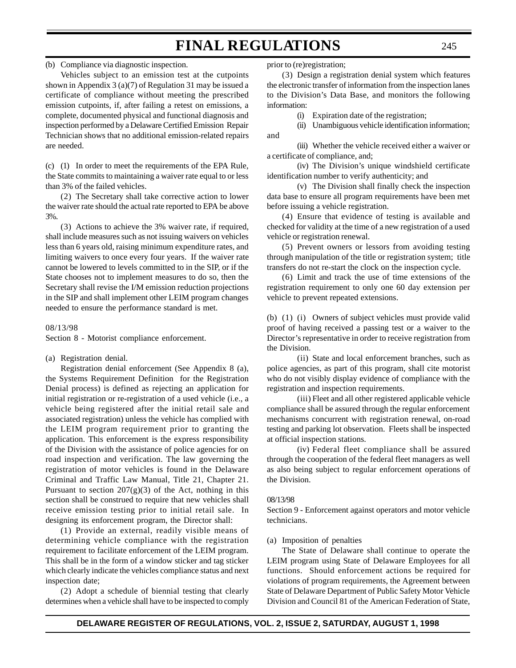## (b) Compliance via diagnostic inspection.

Vehicles subject to an emission test at the cutpoints shown in Appendix 3 (a)(7) of Regulation 31 may be issued a certificate of compliance without meeting the prescribed emission cutpoints, if, after failing a retest on emissions, a complete, documented physical and functional diagnosis and inspection performed by a Delaware Certified Emission Repair Technician shows that no additional emission-related repairs are needed.

(c) (1) In order to meet the requirements of the EPA Rule, the State commits to maintaining a waiver rate equal to or less than 3% of the failed vehicles.

(2) The Secretary shall take corrective action to lower the waiver rate should the actual rate reported to EPA be above 3%.

(3) Actions to achieve the 3% waiver rate, if required, shall include measures such as not issuing waivers on vehicles less than 6 years old, raising minimum expenditure rates, and limiting waivers to once every four years. If the waiver rate cannot be lowered to levels committed to in the SIP, or if the State chooses not to implement measures to do so, then the Secretary shall revise the I/M emission reduction projections in the SIP and shall implement other LEIM program changes needed to ensure the performance standard is met.

#### 08/13/98

Section 8 - Motorist compliance enforcement.

(a) Registration denial.

Registration denial enforcement (See Appendix 8 (a), the Systems Requirement Definition for the Registration Denial process) is defined as rejecting an application for initial registration or re-registration of a used vehicle (i.e., a vehicle being registered after the initial retail sale and associated registration) unless the vehicle has complied with the LEIM program requirement prior to granting the application. This enforcement is the express responsibility of the Division with the assistance of police agencies for on road inspection and verification. The law governing the registration of motor vehicles is found in the Delaware Criminal and Traffic Law Manual, Title 21, Chapter 21. Pursuant to section  $207(g)(3)$  of the Act, nothing in this section shall be construed to require that new vehicles shall receive emission testing prior to initial retail sale. In designing its enforcement program, the Director shall:

(1) Provide an external, readily visible means of determining vehicle compliance with the registration requirement to facilitate enforcement of the LEIM program. This shall be in the form of a window sticker and tag sticker which clearly indicate the vehicles compliance status and next inspection date;

(2) Adopt a schedule of biennial testing that clearly determines when a vehicle shall have to be inspected to comply prior to (re)registration;

(3) Design a registration denial system which features the electronic transfer of information from the inspection lanes to the Division's Data Base, and monitors the following information:

(i) Expiration date of the registration;

(ii) Unambiguous vehicle identification information; and

(iii) Whether the vehicle received either a waiver or a certificate of compliance, and;

(iv) The Division's unique windshield certificate identification number to verify authenticity; and

(v) The Division shall finally check the inspection data base to ensure all program requirements have been met before issuing a vehicle registration.

(4) Ensure that evidence of testing is available and checked for validity at the time of a new registration of a used vehicle or registration renewal.

(5) Prevent owners or lessors from avoiding testing through manipulation of the title or registration system; title transfers do not re-start the clock on the inspection cycle.

(6) Limit and track the use of time extensions of the registration requirement to only one 60 day extension per vehicle to prevent repeated extensions.

(b) (1) (i) Owners of subject vehicles must provide valid proof of having received a passing test or a waiver to the Director's representative in order to receive registration from the Division.

(ii) State and local enforcement branches, such as police agencies, as part of this program, shall cite motorist who do not visibly display evidence of compliance with the registration and inspection requirements.

(iii) Fleet and all other registered applicable vehicle compliance shall be assured through the regular enforcement mechanisms concurrent with registration renewal, on-road testing and parking lot observation. Fleets shall be inspected at official inspection stations.

(iv) Federal fleet compliance shall be assured through the cooperation of the federal fleet managers as well as also being subject to regular enforcement operations of the Division.

#### 08/13/98

Section 9 - Enforcement against operators and motor vehicle technicians.

#### (a) Imposition of penalties

The State of Delaware shall continue to operate the LEIM program using State of Delaware Employees for all functions. Should enforcement actions be required for violations of program requirements, the Agreement between State of Delaware Department of Public Safety Motor Vehicle Division and Council 81 of the American Federation of State,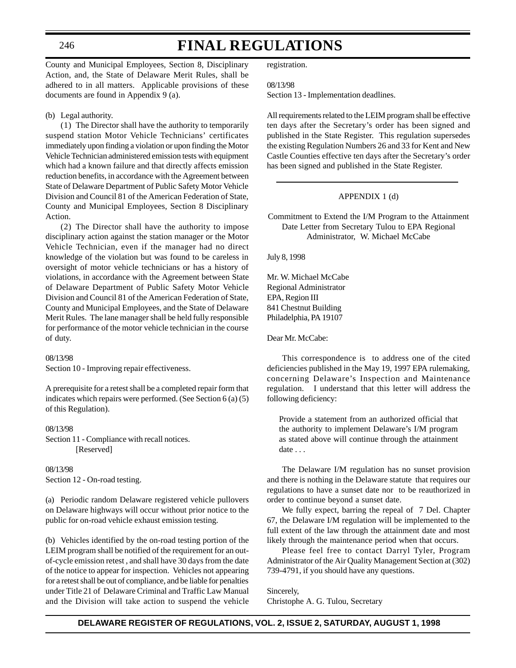#### 246

# **FINAL REGULATIONS**

County and Municipal Employees, Section 8, Disciplinary Action, and, the State of Delaware Merit Rules, shall be adhered to in all matters. Applicable provisions of these documents are found in Appendix 9 (a).

#### (b) Legal authority.

(1) The Director shall have the authority to temporarily suspend station Motor Vehicle Technicians' certificates immediately upon finding a violation or upon finding the Motor Vehicle Technician administered emission tests with equipment which had a known failure and that directly affects emission reduction benefits, in accordance with the Agreement between State of Delaware Department of Public Safety Motor Vehicle Division and Council 81 of the American Federation of State, County and Municipal Employees, Section 8 Disciplinary Action.

(2) The Director shall have the authority to impose disciplinary action against the station manager or the Motor Vehicle Technician, even if the manager had no direct knowledge of the violation but was found to be careless in oversight of motor vehicle technicians or has a history of violations, in accordance with the Agreement between State of Delaware Department of Public Safety Motor Vehicle Division and Council 81 of the American Federation of State, County and Municipal Employees, and the State of Delaware Merit Rules. The lane manager shall be held fully responsible for performance of the motor vehicle technician in the course of duty.

#### 08/13/98

Section 10 - Improving repair effectiveness.

A prerequisite for a retest shall be a completed repair form that indicates which repairs were performed. (See Section 6 (a) (5) of this Regulation).

08/13/98 Section 11 - Compliance with recall notices. [Reserved]

08/13/98 Section 12 - On-road testing.

(a) Periodic random Delaware registered vehicle pullovers on Delaware highways will occur without prior notice to the public for on-road vehicle exhaust emission testing.

(b) Vehicles identified by the on-road testing portion of the LEIM program shall be notified of the requirement for an outof-cycle emission retest , and shall have 30 days from the date of the notice to appear for inspection. Vehicles not appearing for a retest shall be out of compliance, and be liable for penalties under Title 21 of Delaware Criminal and Traffic Law Manual and the Division will take action to suspend the vehicle registration.

#### 08/13/98

Section 13 - Implementation deadlines.

All requirements related to the LEIM program shall be effective ten days after the Secretary's order has been signed and published in the State Register. This regulation supersedes the existing Regulation Numbers 26 and 33 for Kent and New Castle Counties effective ten days after the Secretary's order has been signed and published in the State Register.

### APPENDIX 1 (d)

Commitment to Extend the I/M Program to the Attainment Date Letter from Secretary Tulou to EPA Regional Administrator, W. Michael McCabe

July 8, 1998

Mr. W. Michael McCabe Regional Administrator EPA, Region III 841 Chestnut Building Philadelphia, PA 19107

Dear Mr. McCabe:

This correspondence is to address one of the cited deficiencies published in the May 19, 1997 EPA rulemaking, concerning Delaware's Inspection and Maintenance regulation. I understand that this letter will address the following deficiency:

Provide a statement from an authorized official that the authority to implement Delaware's I/M program as stated above will continue through the attainment date . . .

The Delaware I/M regulation has no sunset provision and there is nothing in the Delaware statute that requires our regulations to have a sunset date nor to be reauthorized in order to continue beyond a sunset date.

We fully expect, barring the repeal of 7 Del. Chapter 67, the Delaware I/M regulation will be implemented to the full extent of the law through the attainment date and most likely through the maintenance period when that occurs.

Please feel free to contact Darryl Tyler, Program Administrator of the Air Quality Management Section at (302) 739-4791, if you should have any questions.

Sincerely, Christophe A. G. Tulou, Secretary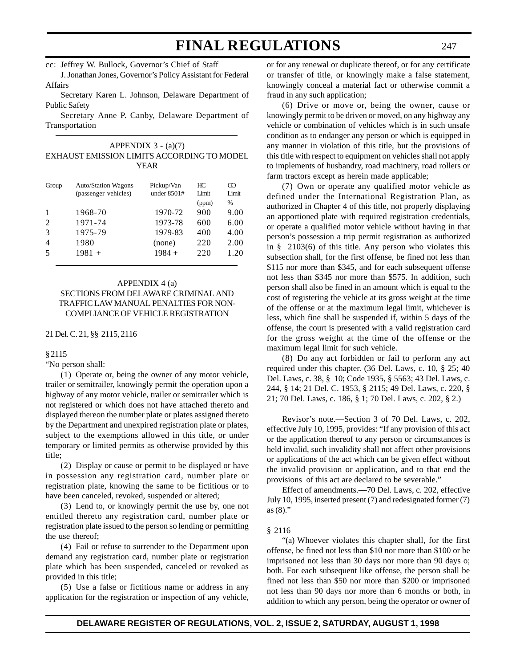cc: Jeffrey W. Bullock, Governor's Chief of Staff

J. Jonathan Jones, Governor's Policy Assistant for Federal Affairs

Secretary Karen L. Johnson, Delaware Department of Public Safety

Secretary Anne P. Canby, Delaware Department of Transportation

| APPENDIX $3 - (a)(7)$                      |
|--------------------------------------------|
| EXHAUST EMISSION LIMITS ACCORDING TO MODEL |
| YEAR.                                      |

| Group          | <b>Auto/Station Wagons</b><br>(passenger vehicles) | Pickup/Van<br>under 8501# | HC<br>I imit<br>(ppm) | ന<br>I imit<br>$\frac{0}{0}$ |
|----------------|----------------------------------------------------|---------------------------|-----------------------|------------------------------|
| -1             | 1968-70                                            | 1970-72                   | 900                   | 9.00                         |
| 2              | 1971-74                                            | 1973-78                   | 600                   | 6.00                         |
| 3              | 1975-79                                            | 1979-83                   | 400                   | 4.00                         |
| $\overline{4}$ | 1980                                               | (none)                    | 220                   | 2.00                         |
| .5             | $1981 +$                                           | $1984 +$                  | 220                   | 1.20                         |
|                |                                                    |                           |                       |                              |

## APPENDIX 4 (a) SECTIONS FROM DELAWARE CRIMINAL AND TRAFFIC LAW MANUAL PENALTIES FOR NON-COMPLIANCE OF VEHICLE REGISTRATION

### 21 Del. C. 21, §§ 2115, 2116

#### § 2115

"No person shall:

(1) Operate or, being the owner of any motor vehicle, trailer or semitrailer, knowingly permit the operation upon a highway of any motor vehicle, trailer or semitrailer which is not registered or which does not have attached thereto and displayed thereon the number plate or plates assigned thereto by the Department and unexpired registration plate or plates, subject to the exemptions allowed in this title, or under temporary or limited permits as otherwise provided by this title;

(2) Display or cause or permit to be displayed or have in possession any registration card, number plate or registration plate, knowing the same to be fictitious or to have been canceled, revoked, suspended or altered;

(3) Lend to, or knowingly permit the use by, one not entitled thereto any registration card, number plate or registration plate issued to the person so lending or permitting the use thereof;

(4) Fail or refuse to surrender to the Department upon demand any registration card, number plate or registration plate which has been suspended, canceled or revoked as provided in this title;

(5) Use a false or fictitious name or address in any application for the registration or inspection of any vehicle, or for any renewal or duplicate thereof, or for any certificate or transfer of title, or knowingly make a false statement, knowingly conceal a material fact or otherwise commit a fraud in any such application;

(6) Drive or move or, being the owner, cause or knowingly permit to be driven or moved, on any highway any vehicle or combination of vehicles which is in such unsafe condition as to endanger any person or which is equipped in any manner in violation of this title, but the provisions of this title with respect to equipment on vehicles shall not apply to implements of husbandry, road machinery, road rollers or farm tractors except as herein made applicable;

(7) Own or operate any qualified motor vehicle as defined under the International Registration Plan, as authorized in Chapter 4 of this title, not properly displaying an apportioned plate with required registration credentials, or operate a qualified motor vehicle without having in that person's possession a trip permit registration as authorized in § 2103(6) of this title. Any person who violates this subsection shall, for the first offense, be fined not less than \$115 nor more than \$345, and for each subsequent offense not less than \$345 nor more than \$575. In addition, such person shall also be fined in an amount which is equal to the cost of registering the vehicle at its gross weight at the time of the offense or at the maximum legal limit, whichever is less, which fine shall be suspended if, within 5 days of the offense, the court is presented with a valid registration card for the gross weight at the time of the offense or the maximum legal limit for such vehicle.

(8) Do any act forbidden or fail to perform any act required under this chapter. (36 Del. Laws, c. 10, § 25; 40 Del. Laws, c. 38, § 10; Code 1935, § 5563; 43 Del. Laws, c. 244, § 14; 21 Del. C. 1953, § 2115; 49 Del. Laws, c. 220, § 21; 70 Del. Laws, c. 186, § 1; 70 Del. Laws, c. 202, § 2.)

Revisor's note.—Section 3 of 70 Del. Laws, c. 202, effective July 10, 1995, provides: "If any provision of this act or the application thereof to any person or circumstances is held invalid, such invalidity shall not affect other provisions or applications of the act which can be given effect without the invalid provision or application, and to that end the provisions of this act are declared to be severable."

Effect of amendments.—70 Del. Laws, c. 202, effective July 10, 1995, inserted present (7) and redesignated former (7) as (8)."

#### § 2116

"(a) Whoever violates this chapter shall, for the first offense, be fined not less than \$10 nor more than \$100 or be imprisoned not less than 30 days nor more than 90 days o; both. For each subsequent like offense, the person shall be fined not less than \$50 nor more than \$200 or imprisoned not less than 90 days nor more than 6 months or both, in addition to which any person, being the operator or owner of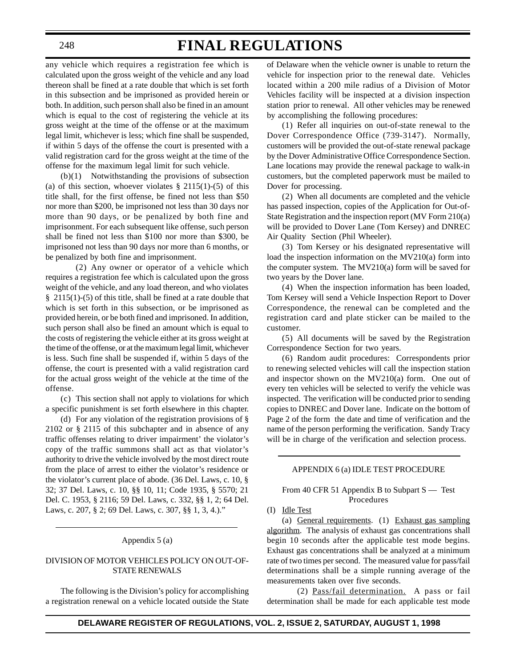any vehicle which requires a registration fee which is calculated upon the gross weight of the vehicle and any load thereon shall be fined at a rate double that which is set forth in this subsection and be imprisoned as provided herein or both. In addition, such person shall also be fined in an amount which is equal to the cost of registering the vehicle at its gross weight at the time of the offense or at the maximum legal limit, whichever is less; which fine shall be suspended, if within 5 days of the offense the court is presented with a valid registration card for the gross weight at the time of the offense for the maximum legal limit for such vehicle.

(b)(1) Notwithstanding the provisions of subsection (a) of this section, whoever violates  $\S 2115(1)-(5)$  of this title shall, for the first offense, be fined not less than \$50 nor more than \$200, be imprisoned not less than 30 days nor more than 90 days, or be penalized by both fine and imprisonment. For each subsequent like offense, such person shall be fined not less than \$100 nor more than \$300, be imprisoned not less than 90 days nor more than 6 months, or be penalized by both fine and imprisonment.

(2) Any owner or operator of a vehicle which requires a registration fee which is calculated upon the gross weight of the vehicle, and any load thereon, and who violates § 2115(1)-(5) of this title, shall be fined at a rate double that which is set forth in this subsection, or be imprisoned as provided herein, or be both fined and imprisoned. In addition, such person shall also be fined an amount which is equal to the costs of registering the vehicle either at its gross weight at the time of the offense, or at the maximum legal limit, whichever is less. Such fine shall be suspended if, within 5 days of the offense, the court is presented with a valid registration card for the actual gross weight of the vehicle at the time of the offense.

(c) This section shall not apply to violations for which a specific punishment is set forth elsewhere in this chapter.

(d) For any violation of the registration provisions of § 2102 or § 2115 of this subchapter and in absence of any traffic offenses relating to driver impairment' the violator's copy of the traffic summons shall act as that violator's authority to drive the vehicle involved by the most direct route from the place of arrest to either the violator's residence or the violator's current place of abode. (36 Del. Laws, c. 10, § 32; 37 Del. Laws, c. 10, §§ 10, 11; Code 1935, § 5570; 21 Del. C. 1953, § 2116; 59 Del. Laws, c. 332, §§ 1, 2; 64 Del. Laws, c. 207, § 2; 69 Del. Laws, c. 307, §§ 1, 3, 4.)."

#### Appendix 5 (a)

### DIVISION OF MOTOR VEHICLES POLICY ON OUT-OF-STATE RENEWALS

The following is the Division's policy for accomplishing a registration renewal on a vehicle located outside the State

of Delaware when the vehicle owner is unable to return the vehicle for inspection prior to the renewal date. Vehicles located within a 200 mile radius of a Division of Motor Vehicles facility will be inspected at a division inspection station prior to renewal. All other vehicles may be renewed by accomplishing the following procedures:

(1) Refer all inquiries on out-of-state renewal to the Dover Correspondence Office (739-3147). Normally, customers will be provided the out-of-state renewal package by the Dover Administrative Office Correspondence Section. Lane locations may provide the renewal package to walk-in customers, but the completed paperwork must be mailed to Dover for processing.

(2) When all documents are completed and the vehicle has passed inspection, copies of the Application for Out-of-State Registration and the inspection report (MV Form 210(a) will be provided to Dover Lane (Tom Kersey) and DNREC Air Quality Section (Phil Wheeler).

(3) Tom Kersey or his designated representative will load the inspection information on the MV210(a) form into the computer system. The MV210(a) form will be saved for two years by the Dover lane.

(4) When the inspection information has been loaded, Tom Kersey will send a Vehicle Inspection Report to Dover Correspondence, the renewal can be completed and the registration card and plate sticker can be mailed to the customer.

(5) All documents will be saved by the Registration Correspondence Section for two years.

(6) Random audit procedures: Correspondents prior to renewing selected vehicles will call the inspection station and inspector shown on the MV210(a) form. One out of every ten vehicles will be selected to verify the vehicle was inspected. The verification will be conducted prior to sending copies to DNREC and Dover lane. Indicate on the bottom of Page 2 of the form the date and time of verification and the name of the person performing the verification. Sandy Tracy will be in charge of the verification and selection process.

### APPENDIX 6 (a) IDLE TEST PROCEDURE

From 40 CFR 51 Appendix B to Subpart S — Test Procedures

#### (I) Idle Test

(a) General requirements. (1) Exhaust gas sampling algorithm. The analysis of exhaust gas concentrations shall begin 10 seconds after the applicable test mode begins. Exhaust gas concentrations shall be analyzed at a minimum rate of two times per second. The measured value for pass/fail determinations shall be a simple running average of the measurements taken over five seconds.

(2) Pass/fail determination. A pass or fail determination shall be made for each applicable test mode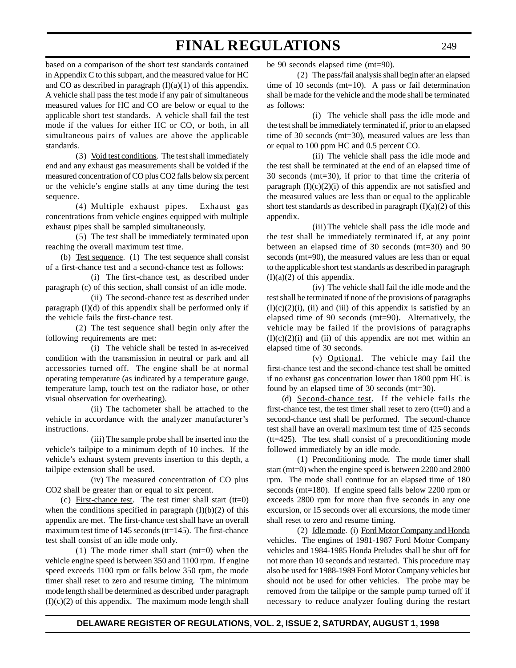based on a comparison of the short test standards contained in Appendix C to this subpart, and the measured value for HC and CO as described in paragraph  $(I)(a)(1)$  of this appendix. A vehicle shall pass the test mode if any pair of simultaneous measured values for HC and CO are below or equal to the applicable short test standards. A vehicle shall fail the test mode if the values for either HC or CO, or both, in all simultaneous pairs of values are above the applicable standards.

(3) Void test conditions. The test shall immediately end and any exhaust gas measurements shall be voided if the measured concentration of CO plus CO2 falls below six percent or the vehicle's engine stalls at any time during the test sequence.

(4) Multiple exhaust pipes. Exhaust gas concentrations from vehicle engines equipped with multiple exhaust pipes shall be sampled simultaneously.

(5) The test shall be immediately terminated upon reaching the overall maximum test time.

(b) Test sequence. (1) The test sequence shall consist of a first-chance test and a second-chance test as follows:

(i) The first-chance test, as described under paragraph (c) of this section, shall consist of an idle mode.

(ii) The second-chance test as described under paragraph (I)(d) of this appendix shall be performed only if the vehicle fails the first-chance test.

(2) The test sequence shall begin only after the following requirements are met:

(i) The vehicle shall be tested in as-received condition with the transmission in neutral or park and all accessories turned off. The engine shall be at normal operating temperature (as indicated by a temperature gauge, temperature lamp, touch test on the radiator hose, or other visual observation for overheating).

(ii) The tachometer shall be attached to the vehicle in accordance with the analyzer manufacturer's instructions.

(iii) The sample probe shall be inserted into the vehicle's tailpipe to a minimum depth of 10 inches. If the vehicle's exhaust system prevents insertion to this depth, a tailpipe extension shall be used.

(iv) The measured concentration of CO plus CO2 shall be greater than or equal to six percent.

(c) First-chance test. The test timer shall start  $(tt=0)$ when the conditions specified in paragraph  $(I)(b)(2)$  of this appendix are met. The first-chance test shall have an overall maximum test time of 145 seconds (tt=145). The first-chance test shall consist of an idle mode only.

(1) The mode timer shall start (mt=0) when the vehicle engine speed is between 350 and 1100 rpm. If engine speed exceeds 1100 rpm or falls below 350 rpm, the mode timer shall reset to zero and resume timing. The minimum mode length shall be determined as described under paragraph  $(I)(c)(2)$  of this appendix. The maximum mode length shall be 90 seconds elapsed time (mt=90).

(2) The pass/fail analysis shall begin after an elapsed time of 10 seconds (mt=10). A pass or fail determination shall be made for the vehicle and the mode shall be terminated as follows:

(i) The vehicle shall pass the idle mode and the test shall be immediately terminated if, prior to an elapsed time of 30 seconds (mt=30), measured values are less than or equal to 100 ppm HC and 0.5 percent CO.

(ii) The vehicle shall pass the idle mode and the test shall be terminated at the end of an elapsed time of 30 seconds (mt=30), if prior to that time the criteria of paragraph  $(I)(c)(2)(i)$  of this appendix are not satisfied and the measured values are less than or equal to the applicable short test standards as described in paragraph  $(I)(a)(2)$  of this appendix.

(iii) The vehicle shall pass the idle mode and the test shall be immediately terminated if, at any point between an elapsed time of 30 seconds (mt=30) and 90 seconds (mt=90), the measured values are less than or equal to the applicable short test standards as described in paragraph  $(I)(a)(2)$  of this appendix.

(iv) The vehicle shall fail the idle mode and the test shall be terminated if none of the provisions of paragraphs  $(I)(c)(2)(i)$ ,  $(ii)$  and  $(iii)$  of this appendix is satisfied by an elapsed time of 90 seconds (mt=90). Alternatively, the vehicle may be failed if the provisions of paragraphs  $(I)(c)(2)(i)$  and  $(ii)$  of this appendix are not met within an elapsed time of 30 seconds.

(v) Optional. The vehicle may fail the first-chance test and the second-chance test shall be omitted if no exhaust gas concentration lower than 1800 ppm HC is found by an elapsed time of 30 seconds (mt=30).

(d) Second-chance test. If the vehicle fails the first-chance test, the test timer shall reset to zero  $(t=0)$  and a second-chance test shall be performed. The second-chance test shall have an overall maximum test time of 425 seconds (tt=425). The test shall consist of a preconditioning mode followed immediately by an idle mode.

(1) Preconditioning mode. The mode timer shall start (mt=0) when the engine speed is between 2200 and 2800 rpm. The mode shall continue for an elapsed time of 180 seconds (mt=180). If engine speed falls below 2200 rpm or exceeds 2800 rpm for more than five seconds in any one excursion, or 15 seconds over all excursions, the mode timer shall reset to zero and resume timing.

(2) Idle mode. (i) Ford Motor Company and Honda vehicles. The engines of 1981-1987 Ford Motor Company vehicles and 1984-1985 Honda Preludes shall be shut off for not more than 10 seconds and restarted. This procedure may also be used for 1988-1989 Ford Motor Company vehicles but should not be used for other vehicles. The probe may be removed from the tailpipe or the sample pump turned off if necessary to reduce analyzer fouling during the restart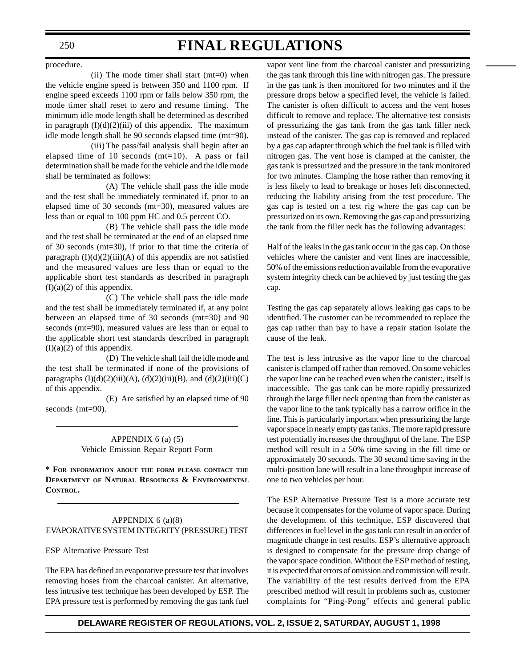#### procedure.

(ii) The mode timer shall start (mt=0) when the vehicle engine speed is between 350 and 1100 rpm. If engine speed exceeds 1100 rpm or falls below 350 rpm, the mode timer shall reset to zero and resume timing. The minimum idle mode length shall be determined as described in paragraph  $(I)(d)(2)(iii)$  of this appendix. The maximum idle mode length shall be 90 seconds elapsed time (mt=90).

(iii) The pass/fail analysis shall begin after an elapsed time of 10 seconds (mt=10). A pass or fail determination shall be made for the vehicle and the idle mode shall be terminated as follows:

(A) The vehicle shall pass the idle mode and the test shall be immediately terminated if, prior to an elapsed time of 30 seconds (mt=30), measured values are less than or equal to 100 ppm HC and 0.5 percent CO.

(B) The vehicle shall pass the idle mode and the test shall be terminated at the end of an elapsed time of 30 seconds (mt=30), if prior to that time the criteria of paragraph  $(I)(d)(2)(iii)(A)$  of this appendix are not satisfied and the measured values are less than or equal to the applicable short test standards as described in paragraph  $(I)(a)(2)$  of this appendix.

(C) The vehicle shall pass the idle mode and the test shall be immediately terminated if, at any point between an elapsed time of 30 seconds (mt=30) and 90 seconds (mt=90), measured values are less than or equal to the applicable short test standards described in paragraph  $(I)(a)(2)$  of this appendix.

(D) The vehicle shall fail the idle mode and the test shall be terminated if none of the provisions of paragraphs  $(I)(d)(2)(iii)(A)$ ,  $(d)(2)(iii)(B)$ , and  $(d)(2)(iii)(C)$ of this appendix.

(E) Are satisfied by an elapsed time of 90 seconds (mt=90).

### APPENDIX  $6$  (a) (5) Vehicle Emission Repair Report Form

**\* FOR INFORMATION ABOUT THE FORM PLEASE CONTACT THE DEPARTMENT OF NATURAL RESOURCES & ENVIRONMENTAL CONTROL.**

## APPENDIX  $6$  (a)(8) EVAPORATIVE SYSTEM INTEGRITY (PRESSURE) TEST

ESP Alternative Pressure Test

The EPA has defined an evaporative pressure test that involves removing hoses from the charcoal canister. An alternative, less intrusive test technique has been developed by ESP. The EPA pressure test is performed by removing the gas tank fuel

vapor vent line from the charcoal canister and pressurizing the gas tank through this line with nitrogen gas. The pressure in the gas tank is then monitored for two minutes and if the pressure drops below a specified level, the vehicle is failed. The canister is often difficult to access and the vent hoses difficult to remove and replace. The alternative test consists of pressurizing the gas tank from the gas tank filler neck instead of the canister. The gas cap is removed and replaced by a gas cap adapter through which the fuel tank is filled with nitrogen gas. The vent hose is clamped at the canister, the gas tank is pressurized and the pressure in the tank monitored for two minutes. Clamping the hose rather than removing it is less likely to lead to breakage or hoses left disconnected, reducing the liability arising from the test procedure. The gas cap is tested on a test rig where the gas cap can be pressurized on its own. Removing the gas cap and pressurizing the tank from the filler neck has the following advantages:

Half of the leaks in the gas tank occur in the gas cap. On those vehicles where the canister and vent lines are inaccessible, 50% of the emissions reduction available from the evaporative system integrity check can be achieved by just testing the gas cap.

Testing the gas cap separately allows leaking gas caps to be identified. The customer can be recommended to replace the gas cap rather than pay to have a repair station isolate the cause of the leak.

The test is less intrusive as the vapor line to the charcoal canister is clamped off rather than removed. On some vehicles the vapor line can be reached even when the canister:, itself is inaccessible. The gas tank can be more rapidly pressurized through the large filler neck opening than from the canister as the vapor line to the tank typically has a narrow orifice in the line. This is particularly important when pressurizing the large vapor space in nearly empty gas tanks. The more rapid pressure test potentially increases the throughput of the lane. The ESP method will result in a 50% time saving in the fill time or approximately 30 seconds. The 30 second time saving in the multi-position lane will result in a lane throughput increase of one to two vehicles per hour.

The ESP Alternative Pressure Test is a more accurate test because it compensates for the volume of vapor space. During the development of this technique, ESP discovered that differences in fuel level in the gas tank can result in an order of magnitude change in test results. ESP's alternative approach is designed to compensate for the pressure drop change of the vapor space condition. Without the ESP method of testing, it is expected that errors of omission and commission will result. The variability of the test results derived from the EPA prescribed method will result in problems such as, customer complaints for "Ping-Pong" effects and general public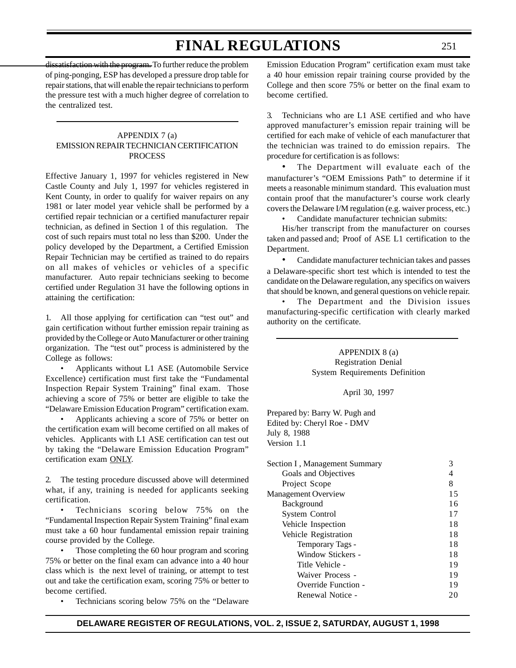dissatisfaction with the program. To further reduce the problem of ping-ponging, ESP has developed a pressure drop table for repair stations, that will enable the repair technicians to perform the pressure test with a much higher degree of correlation to the centralized test.

## APPENDIX 7 (a) EMISSION REPAIR TECHNICIAN CERTIFICATION PROCESS

Effective January 1, 1997 for vehicles registered in New Castle County and July 1, 1997 for vehicles registered in Kent County, in order to qualify for waiver repairs on any 1981 or later model year vehicle shall be performed by a certified repair technician or a certified manufacturer repair technician, as defined in Section 1 of this regulation. The cost of such repairs must total no less than \$200. Under the policy developed by the Department, a Certified Emission Repair Technician may be certified as trained to do repairs on all makes of vehicles or vehicles of a specific manufacturer. Auto repair technicians seeking to become certified under Regulation 31 have the following options in attaining the certification:

1. All those applying for certification can "test out" and gain certification without further emission repair training as provided by the College or Auto Manufacturer or other training organization. The "test out" process is administered by the College as follows:

• Applicants without L1 ASE (Automobile Service Excellence) certification must first take the "Fundamental Inspection Repair System Training" final exam. Those achieving a score of 75% or better are eligible to take the "Delaware Emission Education Program" certification exam.

• Applicants achieving a score of 75% or better on the certification exam will become certified on all makes of vehicles. Applicants with L1 ASE certification can test out by taking the "Delaware Emission Education Program" certification exam ONLY.

2. The testing procedure discussed above will determined what, if any, training is needed for applicants seeking certification.

• Technicians scoring below 75% on the "Fundamental Inspection Repair System Training" final exam must take a 60 hour fundamental emission repair training course provided by the College.

Those completing the 60 hour program and scoring 75% or better on the final exam can advance into a 40 hour class which is the next level of training, or attempt to test out and take the certification exam, scoring 75% or better to become certified.

• Technicians scoring below 75% on the "Delaware

Emission Education Program" certification exam must take a 40 hour emission repair training course provided by the College and then score 75% or better on the final exam to become certified.

3. Technicians who are L1 ASE certified and who have approved manufacturer's emission repair training will be certified for each make of vehicle of each manufacturer that the technician was trained to do emission repairs. The procedure for certification is as follows:

The Department will evaluate each of the manufacturer's "OEM Emissions Path" to determine if it meets a reasonable minimum standard. This evaluation must contain proof that the manufacturer's course work clearly covers the Delaware I/M regulation (e.g. waiver process, etc.)

• Candidate manufacturer technician submits:

His/her transcript from the manufacturer on courses taken and passed and; Proof of ASE L1 certification to the Department.

• Candidate manufacturer technician takes and passes a Delaware-specific short test which is intended to test the candidate on the Delaware regulation, any specifics on waivers that should be known, and general questions on vehicle repair.

The Department and the Division issues manufacturing-specific certification with clearly marked authority on the certificate.

### APPENDIX 8 (a) Registration Denial System Requirements Definition

## April 30, 1997

Prepared by: Barry W. Pugh and Edited by: Cheryl Roe - DMV July 8, 1988 Version 1.1

| Section I, Management Summary |    |
|-------------------------------|----|
| Goals and Objectives          |    |
| Project Scope                 | 8  |
| Management Overview           | 15 |
| Background                    | 16 |
| <b>System Control</b>         | 17 |
| Vehicle Inspection            | 18 |
| Vehicle Registration          | 18 |
| Temporary Tags -              | 18 |
| Window Stickers -             | 18 |
| Title Vehicle -               | 19 |
| Waiver Process -              | 19 |
| Override Function -           | 19 |
| Renewal Notice -              | 20 |
|                               |    |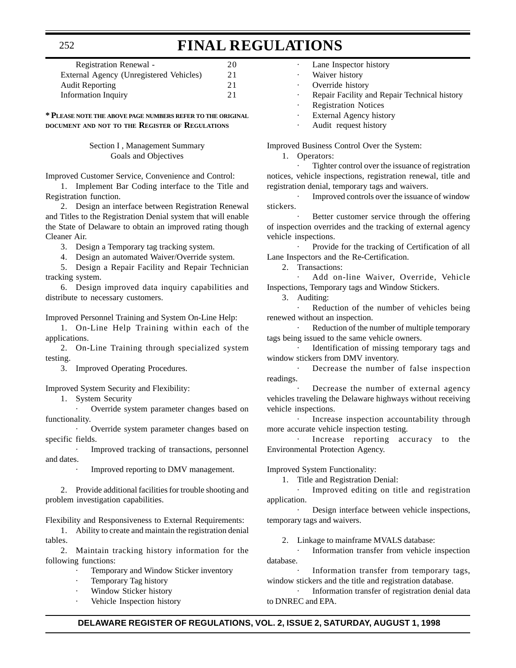| Registration Renewal -                  | 20 |
|-----------------------------------------|----|
| External Agency (Unregistered Vehicles) | 21 |
| <b>Audit Reporting</b>                  | 21 |
| <b>Information Inquiry</b>              | 21 |
|                                         |    |

**\* PLEASE NOTE THE ABOVE PAGE NUMBERS REFER TO THE ORIGINAL DOCUMENT AND NOT TO THE REGISTER OF REGULATIONS**

# Section I , Management Summary Goals and Objectives

Improved Customer Service, Convenience and Control:

1. Implement Bar Coding interface to the Title and Registration function.

2. Design an interface between Registration Renewal and Titles to the Registration Denial system that will enable the State of Delaware to obtain an improved rating though Cleaner Air.

3. Design a Temporary tag tracking system.

4. Design an automated Waiver/Override system.

5. Design a Repair Facility and Repair Technician tracking system.

6. Design improved data inquiry capabilities and distribute to necessary customers.

Improved Personnel Training and System On-Line Help:

1. On-Line Help Training within each of the applications.

2. On-Line Training through specialized system testing.

3. Improved Operating Procedures.

Improved System Security and Flexibility:

1. System Security

Override system parameter changes based on functionality.

· Override system parameter changes based on specific fields.

Improved tracking of transactions, personnel and dates.

· Improved reporting to DMV management.

2. Provide additional facilities for trouble shooting and problem investigation capabilities.

Flexibility and Responsiveness to External Requirements:

1. Ability to create and maintain the registration denial tables.

2. Maintain tracking history information for the following functions:

Temporary and Window Sticker inventory

Temporary Tag history

Window Sticker history

Vehicle Inspection history

- Lane Inspector history
- Waiver history
- Override history
- Repair Facility and Repair Technical history
- **Registration Notices**
- External Agency history
- Audit request history

Improved Business Control Over the System:

1. Operators:

Tighter control over the issuance of registration notices, vehicle inspections, registration renewal, title and registration denial, temporary tags and waivers.

Improved controls over the issuance of window stickers.

Better customer service through the offering of inspection overrides and the tracking of external agency vehicle inspections.

Provide for the tracking of Certification of all Lane Inspectors and the Re-Certification.

2. Transactions:

Add on-line Waiver, Override, Vehicle Inspections, Temporary tags and Window Stickers.

3. Auditing:

Reduction of the number of vehicles being renewed without an inspection.

Reduction of the number of multiple temporary tags being issued to the same vehicle owners.

Identification of missing temporary tags and window stickers from DMV inventory.

Decrease the number of false inspection readings.

Decrease the number of external agency vehicles traveling the Delaware highways without receiving vehicle inspections.

Increase inspection accountability through more accurate vehicle inspection testing.

· Increase reporting accuracy to the Environmental Protection Agency.

Improved System Functionality:

1. Title and Registration Denial:

Improved editing on title and registration application.

Design interface between vehicle inspections, temporary tags and waivers.

2. Linkage to mainframe MVALS database:

Information transfer from vehicle inspection database.

Information transfer from temporary tags, window stickers and the title and registration database.

Information transfer of registration denial data to DNREC and EPA.

# **DELAWARE REGISTER OF REGULATIONS, VOL. 2, ISSUE 2, SATURDAY, AUGUST 1, 1998**

# 252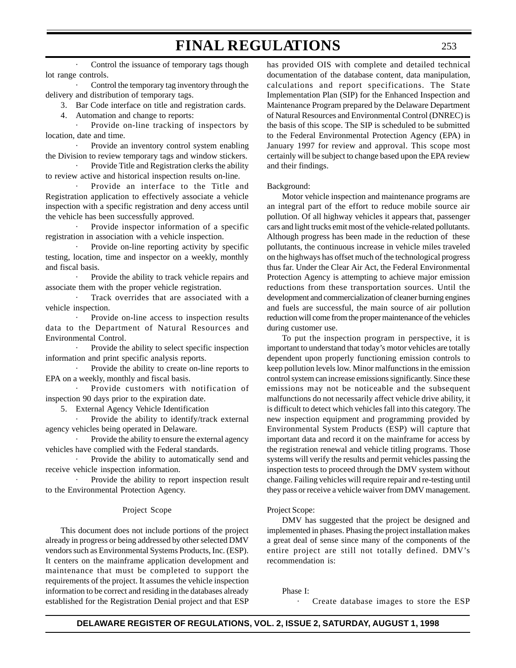Control the issuance of temporary tags though lot range controls.

Control the temporary tag inventory through the delivery and distribution of temporary tags.

3. Bar Code interface on title and registration cards.

4. Automation and change to reports:

Provide on-line tracking of inspectors by location, date and time.

Provide an inventory control system enabling the Division to review temporary tags and window stickers.

Provide Title and Registration clerks the ability to review active and historical inspection results on-line.

Provide an interface to the Title and Registration application to effectively associate a vehicle inspection with a specific registration and deny access until the vehicle has been successfully approved.

Provide inspector information of a specific registration in association with a vehicle inspection.

Provide on-line reporting activity by specific testing, location, time and inspector on a weekly, monthly and fiscal basis.

Provide the ability to track vehicle repairs and associate them with the proper vehicle registration.

Track overrides that are associated with a vehicle inspection.

· Provide on-line access to inspection results data to the Department of Natural Resources and Environmental Control.

Provide the ability to select specific inspection information and print specific analysis reports.

· Provide the ability to create on-line reports to EPA on a weekly, monthly and fiscal basis.

Provide customers with notification of inspection 90 days prior to the expiration date.

5. External Agency Vehicle Identification

Provide the ability to identify/track external agency vehicles being operated in Delaware.

Provide the ability to ensure the external agency vehicles have complied with the Federal standards.

Provide the ability to automatically send and receive vehicle inspection information.

Provide the ability to report inspection result to the Environmental Protection Agency.

### Project Scope

This document does not include portions of the project already in progress or being addressed by other selected DMV vendors such as Environmental Systems Products, Inc. (ESP). It centers on the mainframe application development and maintenance that must be completed to support the requirements of the project. It assumes the vehicle inspection information to be correct and residing in the databases already established for the Registration Denial project and that ESP has provided OIS with complete and detailed technical documentation of the database content, data manipulation, calculations and report specifications. The State Implementation Plan (SIP) for the Enhanced Inspection and Maintenance Program prepared by the Delaware Department of Natural Resources and Environmental Control (DNREC) is the basis of this scope. The SIP is scheduled to be submitted to the Federal Environmental Protection Agency (EPA) in January 1997 for review and approval. This scope most certainly will be subject to change based upon the EPA review and their findings.

#### Background:

Motor vehicle inspection and maintenance programs are an integral part of the effort to reduce mobile source air pollution. Of all highway vehicles it appears that, passenger cars and light trucks emit most of the vehicle-related pollutants. Although progress has been made in the reduction of these pollutants, the continuous increase in vehicle miles traveled on the highways has offset much of the technological progress thus far. Under the Clear Air Act, the Federal Environmental Protection Agency is attempting to achieve major emission reductions from these transportation sources. Until the development and commercialization of cleaner burning engines and fuels are successful, the main source of air pollution reduction will come from the proper maintenance of the vehicles during customer use.

To put the inspection program in perspective, it is important to understand that today's motor vehicles are totally dependent upon properly functioning emission controls to keep pollution levels low. Minor malfunctions in the emission control system can increase emissions significantly. Since these emissions may not be noticeable and the subsequent malfunctions do not necessarily affect vehicle drive ability, it is difficult to detect which vehicles fall into this category. The new inspection equipment and programming provided by Environmental System Products (ESP) will capture that important data and record it on the mainframe for access by the registration renewal and vehicle titling programs. Those systems will verify the results and permit vehicles passing the inspection tests to proceed through the DMV system without change. Failing vehicles will require repair and re-testing until they pass or receive a vehicle waiver from DMV management.

#### Project Scope:

DMV has suggested that the project be designed and implemented in phases. Phasing the project installation makes a great deal of sense since many of the components of the entire project are still not totally defined. DMV's recommendation is:

Phase I:

· Create database images to store the ESP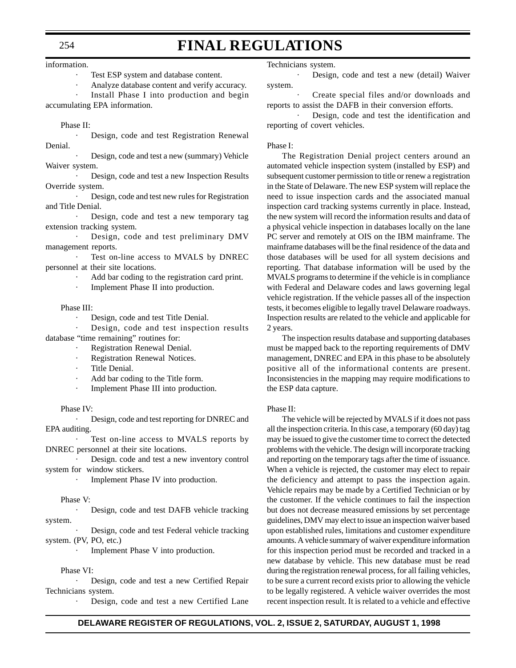information.

Test ESP system and database content.

Analyze database content and verify accuracy.

Install Phase I into production and begin accumulating EPA information.

Phase II:

· Design, code and test Registration Renewal Denial.

Design, code and test a new (summary) Vehicle Waiver system.

Design, code and test a new Inspection Results Override system.

Design, code and test new rules for Registration and Title Denial.

Design, code and test a new temporary tag extension tracking system.

Design, code and test preliminary DMV management reports.

Test on-line access to MVALS by DNREC personnel at their site locations.

- Add bar coding to the registration card print.
- Implement Phase II into production.

#### Phase III:

· Design, code and test Title Denial.

Design, code and test inspection results database "time remaining" routines for:

- Registration Renewal Denial.
- Registration Renewal Notices.
- · Title Denial.
- Add bar coding to the Title form.
- · Implement Phase III into production.

Phase IV:

Design, code and test reporting for DNREC and EPA auditing.

Test on-line access to MVALS reports by DNREC personnel at their site locations.

Design. code and test a new inventory control system for window stickers.

Implement Phase IV into production.

#### Phase V:

Design, code and test DAFB vehicle tracking system.

Design, code and test Federal vehicle tracking system. (PV, PO, etc.)

Implement Phase V into production.

## Phase VI:

· Design, code and test a new Certified Repair Technicians system.

Design, code and test a new Certified Lane

Technicians system.

Design, code and test a new (detail) Waiver system.

Create special files and/or downloads and reports to assist the DAFB in their conversion efforts.

Design, code and test the identification and reporting of covert vehicles.

#### Phase I:

The Registration Denial project centers around an automated vehicle inspection system (installed by ESP) and subsequent customer permission to title or renew a registration in the State of Delaware. The new ESP system will replace the need to issue inspection cards and the associated manual inspection card tracking systems currently in place. Instead, the new system will record the information results and data of a physical vehicle inspection in databases locally on the lane PC server and remotely at OIS on the IBM mainframe. The mainframe databases will be the final residence of the data and those databases will be used for all system decisions and reporting. That database information will be used by the MVALS programs to determine if the vehicle is in compliance with Federal and Delaware codes and laws governing legal vehicle registration. If the vehicle passes all of the inspection tests, it becomes eligible to legally travel Delaware roadways. Inspection results are related to the vehicle and applicable for 2 years.

The inspection results database and supporting databases must be mapped back to the reporting requirements of DMV management, DNREC and EPA in this phase to be absolutely positive all of the informational contents are present. Inconsistencies in the mapping may require modifications to the ESP data capture.

#### Phase II:

The vehicle will be rejected by MVALS if it does not pass all the inspection criteria. In this case, a temporary (60 day) tag may be issued to give the customer time to correct the detected problems with the vehicle. The design will incorporate tracking and reporting on the temporary tags after the time of issuance. When a vehicle is rejected, the customer may elect to repair the deficiency and attempt to pass the inspection again. Vehicle repairs may be made by a Certified Technician or by the customer. If the vehicle continues to fail the inspection but does not decrease measured emissions by set percentage guidelines, DMV may elect to issue an inspection waiver based upon established rules, limitations and customer expenditure amounts. A vehicle summary of waiver expenditure information for this inspection period must be recorded and tracked in a new database by vehicle. This new database must be read during the registration renewal process, for all failing vehicles, to be sure a current record exists prior to allowing the vehicle to be legally registered. A vehicle waiver overrides the most recent inspection result. It is related to a vehicle and effective

# **DELAWARE REGISTER OF REGULATIONS, VOL. 2, ISSUE 2, SATURDAY, AUGUST 1, 1998**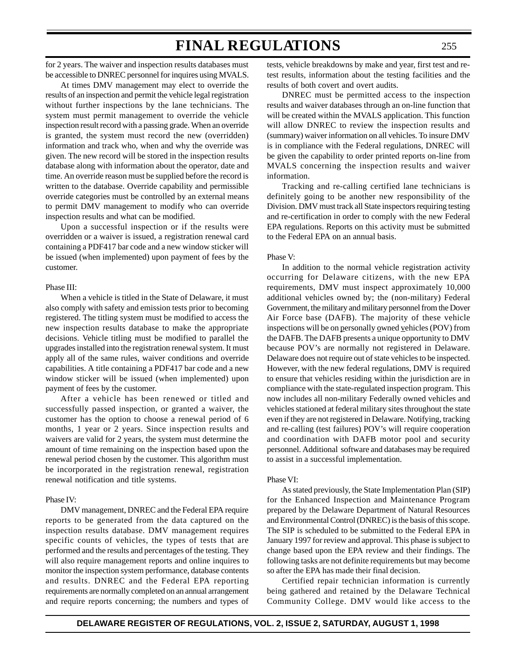for 2 years. The waiver and inspection results databases must be accessible to DNREC personnel for inquires using MVALS.

At times DMV management may elect to override the results of an inspection and permit the vehicle legal registration without further inspections by the lane technicians. The system must permit management to override the vehicle inspection result record with a passing grade. When an override is granted, the system must record the new (overridden) information and track who, when and why the override was given. The new record will be stored in the inspection results database along with information about the operator, date and time. An override reason must be supplied before the record is written to the database. Override capability and permissible override categories must be controlled by an external means to permit DMV management to modify who can override inspection results and what can be modified.

Upon a successful inspection or if the results were overridden or a waiver is issued, a registration renewal card containing a PDF417 bar code and a new window sticker will be issued (when implemented) upon payment of fees by the customer.

#### Phase III:

When a vehicle is titled in the State of Delaware, it must also comply with safety and emission tests prior to becoming registered. The titling system must be modified to access the new inspection results database to make the appropriate decisions. Vehicle titling must be modified to parallel the upgrades installed into the registration renewal system. It must apply all of the same rules, waiver conditions and override capabilities. A title containing a PDF417 bar code and a new window sticker will be issued (when implemented) upon payment of fees by the customer.

After a vehicle has been renewed or titled and successfully passed inspection, or granted a waiver, the customer has the option to choose a renewal period of 6 months, 1 year or 2 years. Since inspection results and waivers are valid for 2 years, the system must determine the amount of time remaining on the inspection based upon the renewal period chosen by the customer. This algorithm must be incorporated in the registration renewal, registration renewal notification and title systems.

#### Phase IV:

DMV management, DNREC and the Federal EPA require reports to be generated from the data captured on the inspection results database. DMV management requires specific counts of vehicles, the types of tests that are performed and the results and percentages of the testing. They will also require management reports and online inquires to monitor the inspection system performance, database contents and results. DNREC and the Federal EPA reporting requirements are normally completed on an annual arrangement and require reports concerning; the numbers and types of

tests, vehicle breakdowns by make and year, first test and retest results, information about the testing facilities and the results of both covert and overt audits.

DNREC must be permitted access to the inspection results and waiver databases through an on-line function that will be created within the MVALS application. This function will allow DNREC to review the inspection results and (summary) waiver information on all vehicles. To insure DMV is in compliance with the Federal regulations, DNREC will be given the capability to order printed reports on-line from MVALS concerning the inspection results and waiver information.

Tracking and re-calling certified lane technicians is definitely going to be another new responsibility of the Division. DMV must track all State inspectors requiring testing and re-certification in order to comply with the new Federal EPA regulations. Reports on this activity must be submitted to the Federal EPA on an annual basis.

### Phase V:

In addition to the normal vehicle registration activity occurring for Delaware citizens, with the new EPA requirements, DMV must inspect approximately 10,000 additional vehicles owned by; the (non-military) Federal Government, the military and military personnel from the Dover Air Force base (DAFB). The majority of these vehicle inspections will be on personally  $\Delta$  owned vehicles (POV) from the DAFB. The DAFB presents a unique opportunity to DMV because POV's are normally not registered in Delaware. Delaware does not require out of state vehicles to be inspected. However, with the new federal regulations, DMV is required to ensure that vehicles residing within the jurisdiction are in compliance with the state-regulated inspection program. This now includes all non-military Federally owned vehicles and vehicles stationed at federal military sites throughout the state even if they are not registered in Delaware. Notifying, tracking and re-calling (test failures) POV's will require cooperation and coordination with DAFB motor pool and security personnel. Additional software and databases may be required to assist in a successful implementation.

#### Phase VI:

As stated previously, the State Implementation Plan (SIP) for the Enhanced Inspection and Maintenance Program prepared by the Delaware Department of Natural Resources and Environmental Control (DNREC) is the basis of this scope. The SIP is scheduled to be submitted to the Federal EPA in January 1997 for review and approval. This phase is subject to change based upon the EPA review and their findings. The following tasks are not definite requirements but may become so after the EPA has made their final decision.

Certified repair technician information is currently being gathered and retained by the Delaware Technical Community College. DMV would like access to the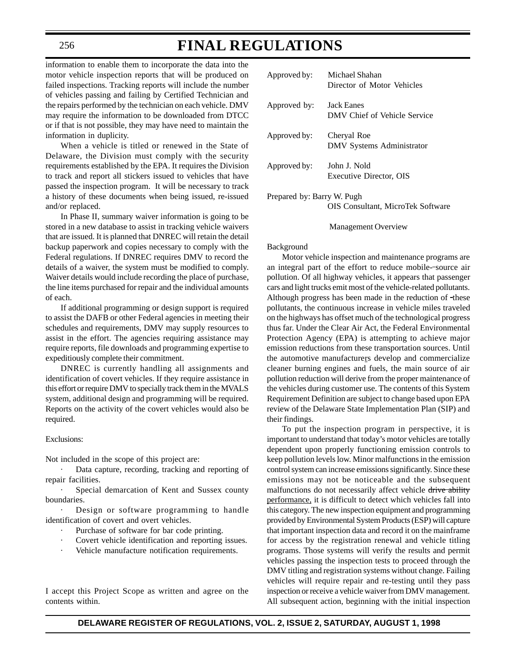information to enable them to incorporate the data into the motor vehicle inspection reports that will be produced on failed inspections. Tracking reports will include the number of vehicles passing and failing by Certified Technician and the repairs performed by the technician on each vehicle. DMV may require the information to be downloaded from DTCC or if that is not possible, they may have need to maintain the information in duplicity.

When a vehicle is titled or renewed in the State of Delaware, the Division must comply with the security requirements established by the EPA. It requires the Division to track and report all stickers issued to vehicles that have passed the inspection program. It will be necessary to track a history of these documents when being issued, re-issued and/or replaced.

In Phase II, summary waiver information is going to be stored in a new database to assist in tracking vehicle waivers that are issued. It is planned that DNREC will retain the detail backup paperwork and copies necessary to comply with the Federal regulations. If DNREC requires DMV to record the details of a waiver, the system must be modified to comply. Waiver details would include recording the place of purchase, the line items purchased for repair and the individual amounts of each.

If additional programming or design support is required to assist the DAFB or other Federal agencies in meeting their schedules and requirements, DMV may supply resources to assist in the effort. The agencies requiring assistance may require reports, file downloads and programming expertise to expeditiously complete their commitment.

DNREC is currently handling all assignments and identification of covert vehicles. If they require assistance in this effort or require DMV to specially track them in the MVALS system, additional design and programming will be required. Reports on the activity of the covert vehicles would also be required.

#### Exclusions:

Not included in the scope of this project are:

Data capture, recording, tracking and reporting of repair facilities.

Special demarcation of Kent and Sussex county boundaries.

Design or software programming to handle identification of covert and overt vehicles.

- Purchase of software for bar code printing.
- Covert vehicle identification and reporting issues.
- Vehicle manufacture notification requirements.

I accept this Project Scope as written and agree on the contents within.

| Approved by:                                                           | Michael Shahan<br>Director of Motor Vehicles    |  |  |  |
|------------------------------------------------------------------------|-------------------------------------------------|--|--|--|
| Approved by:                                                           | Jack Eanes<br>DMV Chief of Vehicle Service      |  |  |  |
| Approved by:                                                           | Cheryal Roe<br><b>DMV</b> Systems Administrator |  |  |  |
| Approved by:                                                           | John J. Nold<br>Executive Director, OIS         |  |  |  |
| Prepared by: Barry W. Pugh<br><b>OIS Consultant, MicroTek Software</b> |                                                 |  |  |  |

#### Management Overview

#### Background

Motor vehicle inspection and maintenance programs are an integral part of the effort to reduce mobile- source air pollution. Of all highway vehicles, it appears that passenger cars and light trucks emit most of the vehicle-related pollutants. Although progress has been made in the reduction of -these pollutants, the continuous increase in vehicle miles traveled on the highways has offset much of the technological progress thus far. Under the Clear Air Act, the Federal Environmental Protection Agency (EPA) is attempting to achieve major emission reductions from these transportation sources. Until the automotive manufacturers develop and commercialize cleaner burning engines and fuels, the main source of air pollution reduction will derive from the proper maintenance of the vehicles during customer use. The contents of this System Requirement Definition are subject to change based upon EPA review of the Delaware State Implementation Plan (SIP) and their findings.

To put the inspection program in perspective, it is important to understand that today's motor vehicles are totally dependent upon properly functioning emission controls to keep pollution levels low. Minor malfunctions in the emission control system can increase emissions significantly. Since these emissions may not be noticeable and the subsequent malfunctions do not necessarily affect vehicle drive ability performance, it is difficult to detect which vehicles fall into this category. The new inspection equipment and programming provided by Environmental System Products (ESP) will capture that important inspection data and record it on the mainframe for access by the registration renewal and vehicle titling programs. Those systems will verify the results and permit vehicles passing the inspection tests to proceed through the DMV titling and registration systems without change. Failing vehicles will require repair and re-testing until they pass inspection or receive a vehicle waiver from DMV management. All subsequent action, beginning with the initial inspection

# 256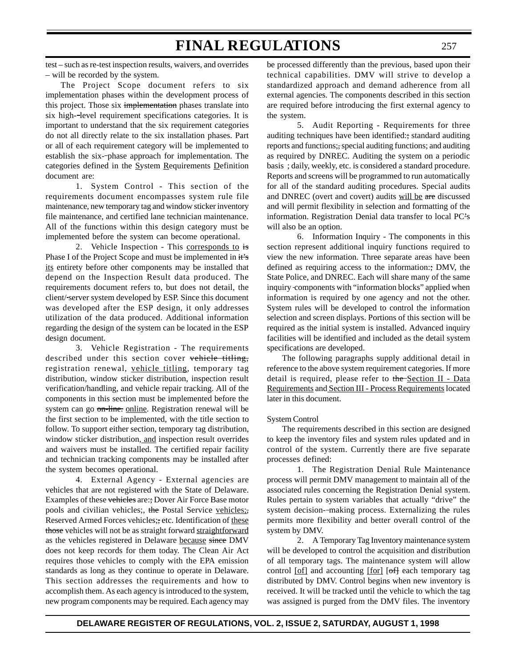test – such as re-test inspection results, waivers, and overrides – will be recorded by the system.

The Project Scope document refers to six implementation phases within the development process of this project. Those six implementation phases translate into six high-level requirement specifications categories. It is important to understand that the six requirement categories do not all directly relate to the six installation phases. Part or all of each requirement category will be implemented to establish the six--phase approach for implementation. The categories defined in the System Requirements Definition document are:

1. System Control - This section of the requirements document encompasses system rule file maintenance, new temporary tag and window sticker inventory file maintenance, and certified lane technician maintenance. All of the functions within this design category must be implemented before the system can become operational.

2. Vehicle Inspection - This corresponds to is Phase I of the Project Scope and must be implemented in  $\frac{it}{s}$ its entirety before other components may be installed that depend on the Inspection Result data produced. The requirements document refers to, but does not detail, the client/ server system developed by ESP. Since this document was developed after the ESP design, it only addresses utilization of the data produced. Additional information regarding the design of the system can be located in the ESP design document.

3. Vehicle Registration - The requirements described under this section cover vehicle titling, registration renewal, vehicle titling, temporary tag distribution, window sticker distribution, inspection result verification/handling, and vehicle repair tracking. All of the components in this section must be implemented before the system can go on-line. online. Registration renewal will be the first section to be implemented, with the title section to follow. To support either section, temporary tag distribution, window sticker distribution, and inspection result overrides and waivers must be installed. The certified repair facility and technician tracking components may be installed after the system becomes operational.

4. External Agency - External agencies are vehicles that are not registered with the State of Delaware. Examples of these vehicles are:; Dover Air Force Base motor pools and civilian vehicles;, the Postal Service vehicles;, Reserved Armed Forces vehicles;, etc. Identification of these those vehicles will not be as straight forward straightforward as the vehicles registered in Delaware because since DMV does not keep records for them today. The Clean Air Act requires those vehicles to comply with the EPA emission standards as long as they continue to operate in Delaware. This section addresses the requirements and how to accomplish them. As each agency is introduced to the system, new program components may be required. Each agency may

be processed differently than the previous, based upon their technical capabilities. DMV will strive to develop a standardized approach and demand adherence from all external agencies. The components described in this section are required before introducing the first external agency to the system.

5. Audit Reporting - Requirements for three auditing techniques have been identified:; standard auditing reports and functions;, special auditing functions; and auditing as required by DNREC. Auditing the system on a periodic basis ; daily, weekly, etc. is considered a standard procedure. Reports and screens will be programmed to run automatically for all of the standard auditing procedures. Special audits and DNREC (overt and covert) audits will be are discussed and will permit flexibility in selection and formatting of the information. Registration Denial data transfer to local PC's will also be an option.

6. Information Inquiry - The components in this section represent additional inquiry functions required to view the new information. Three separate areas have been defined as requiring access to the information:; DMV, the State Police, and DNREC. Each will share many of the same inquiry components with "information blocks" applied when information is required by one agency and not the other. System rules will be developed to control the information selection and screen displays. Portions of this section will be required as the initial system is installed. Advanced inquiry facilities will be identified and included as the detail system specifications are developed.

The following paragraphs supply additional detail in reference to the above system requirement categories. If more detail is required, please refer to the Section II - Data Requirements and Section III - Process Requirements located later in this document.

## System Control

The requirements described in this section are designed to keep the inventory files and system rules updated and in control of the system. Currently there are five separate processes defined:

1. The Registration Denial Rule Maintenance process will permit DMV management to maintain all of the associated rules concerning the Registration Denial system. Rules pertain to system variables that actually "drive" the system decision--making process. Externalizing the rules permits more flexibility and better overall control of the system by DMV.

2. A Temporary Tag Inventory maintenance system will be developed to control the acquisition and distribution of all temporary tags. The maintenance system will allow control [of] and accounting [for] [of] each temporary tag distributed by DMV. Control begins when new inventory is received. It will be tracked until the vehicle to which the tag was assigned is purged from the DMV files. The inventory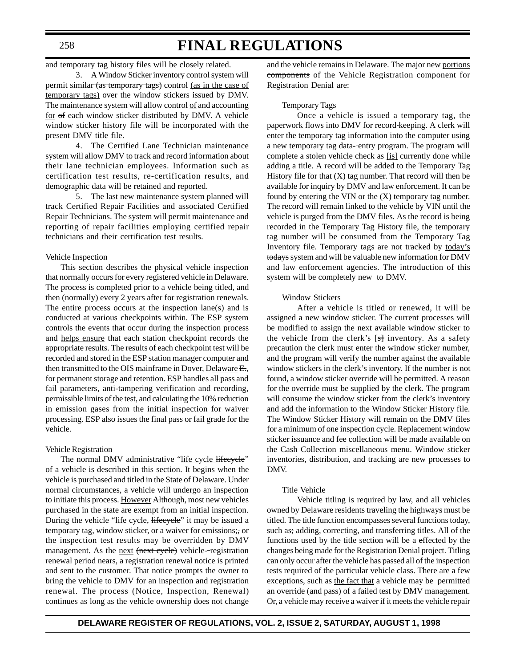and temporary tag history files will be closely related.

3. A Window Sticker inventory control system will permit similar (as temporary tags) control (as in the case of temporary tags) over the window stickers issued by DMV. The maintenance system will allow control of and accounting for of each window sticker distributed by DMV. A vehicle window sticker history file will be incorporated with the present DMV title file.

4. The Certified Lane Technician maintenance system will allow DMV to track and record information about their lane technician employees. Information such as certification test results, re-certification results, and demographic data will be retained and reported.

5. The last new maintenance system planned will track Certified Repair Facilities and associated Certified Repair Technicians. The system will permit maintenance and reporting of repair facilities employing certified repair technicians and their certification test results.

#### Vehicle Inspection

This section describes the physical vehicle inspection that normally occurs for every registered vehicle in Delaware. The process is completed prior to a vehicle being titled, and then (normally) every 2 years after for registration renewals. The entire process occurs at the inspection lane(s) and is conducted at various checkpoints within. The ESP system controls the events that occur during the inspection process and helps ensure that each station checkpoint records the appropriate results. The results of each checkpoint test will be recorded and stored in the ESP station manager computer and then transmitted to the OIS mainframe in Dover, Delaware E., for permanent storage and retention. ESP handles all pass and fail parameters, anti-tampering verification and recording, permissible limits of the test, and calculating the 10% reduction in emission gases from the initial inspection for waiver processing. ESP also issues the final pass or fail grade for the vehicle.

#### Vehicle Registration

The normal DMV administrative "life cycle lifecycle" of a vehicle is described in this section. It begins when the vehicle is purchased and titled in the State of Delaware. Under normal circumstances, a vehicle will undergo an inspection to initiate this process. However Although, most new vehicles purchased in the state are exempt from an initial inspection. During the vehicle "life cycle, lifecycle" it may be issued a temporary tag, window sticker, or a waiver for emissions;, or the inspection test results may be overridden by DMV management. As the next (next cycle) vehicle-registration renewal period nears, a registration renewal notice is printed and sent to the customer. That notice prompts the owner to bring the vehicle to DMV for an inspection and registration renewal. The process (Notice, Inspection, Renewal) continues as long as the vehicle ownership does not change

and the vehicle remains in Delaware. The major new portions components of the Vehicle Registration component for Registration Denial are:

#### Temporary Tags

Once a vehicle is issued a temporary tag, the paperwork flows into DMV for record keeping. A clerk will enter the temporary tag information into the computer using a new temporary tag data- entry program. The program will complete a stolen vehicle check as [is] currently done while adding a title. A record will be added to the Temporary Tag History file for that  $(X)$  tag number. That record will then be available for inquiry by DMV and law enforcement. It can be found by entering the VIN or the (X) temporary tag number. The record will remain linked to the vehicle by VIN until the vehicle is purged from the DMV files. As the record is being recorded in the Temporary Tag History file, the temporary tag number will be consumed from the Temporary Tag Inventory file. Temporary tags are not tracked by today's todays system and will be valuable new information for DMV and law enforcement agencies. The introduction of this system will be completely new to DMV.

#### Window Stickers

After a vehicle is titled or renewed, it will be assigned a new window sticker. The current processes will be modified to assign the next available window sticker to the vehicle from the clerk's  $[s]$  inventory. As a safety precaution the clerk must enter the window sticker number, and the program will verify the number against the available window stickers in the clerk's inventory. If the number is not found, a window sticker override will be permitted. A reason for the override must be supplied by the clerk. The program will consume the window sticker from the clerk's inventory and add the information to the Window Sticker History file. The Window Sticker History will remain on the DMV files for a minimum of one inspection cycle. Replacement window sticker issuance and fee collection will be made available on the Cash Collection miscellaneous menu. Window sticker inventories, distribution, and tracking are new processes to DMV.

#### Title Vehicle

Vehicle titling is required by law, and all vehicles owned by Delaware residents traveling the highways must be titled. The title function encompasses several functions today, such as; adding, correcting, and transferring titles. All of the functions used by the title section will be a effected by the changes being made for the Registration Denial project. Titling can only occur after the vehicle has passed all of the inspection tests required of the particular vehicle class. There are a few exceptions, such as the fact that a vehicle may be permitted an override (and pass) of a failed test by DMV management. Or, a vehicle may receive a waiver if it meets the vehicle repair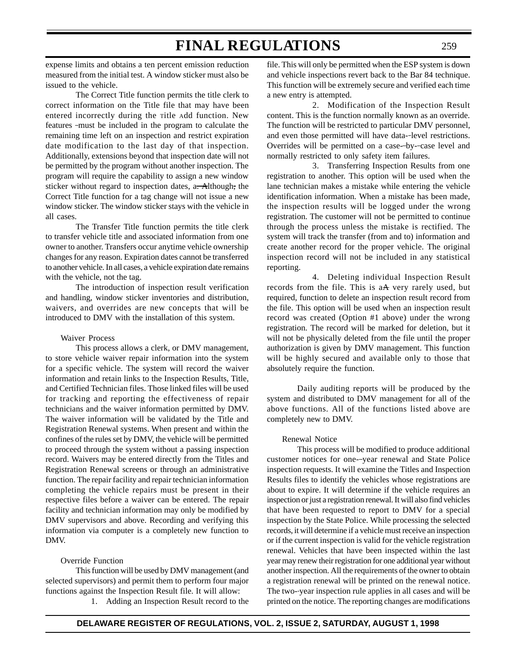expense limits and obtains a ten percent emission reduction measured from the initial test. A window sticker must also be issued to the vehicle.

The Correct Title function permits the title clerk to correct information on the Title file that may have been entered incorrectly during the Title Add function. New features -must be included in the program to calculate the remaining time left on an inspection and restrict expiration date modification to the last day of that inspection. Additionally, extensions beyond that inspection date will not be permitted by the program without another inspection. The program will require the capability to assign a new window sticker without regard to inspection dates, a. Although, the Correct Title function for a tag change will not issue a new window sticker. The window sticker stays with the vehicle in all cases.

The Transfer Title function permits the title clerk to transfer vehicle title and associated information from one owner to another. Transfers occur anytime vehicle ownership changes for any reason. Expiration dates cannot be transferred to another vehicle. In all cases, a vehicle expiration date remains with the vehicle, not the tag.

The introduction of inspection result verification and handling, window sticker inventories and distribution, waivers, and overrides are new concepts that will be introduced to DMV with the installation of this system.

#### Waiver Process

This process allows a clerk, or DMV management, to store vehicle waiver repair information into the system for a specific vehicle. The system will record the waiver information and retain links to the Inspection Results, Title, and Certified Technician files. Those linked files will be used for tracking and reporting the effectiveness of repair technicians and the waiver information permitted by DMV. The waiver information will be validated by the Title and Registration Renewal systems. When present and within the confines of the rules set by DMV, the vehicle will be permitted to proceed through the system without a passing inspection record. Waivers may be entered directly from the Titles and Registration Renewal screens or through an administrative function. The repair facility and repair technician information completing the vehicle repairs must be present in their respective files before a waiver can be entered. The repair facility and technician information may only be modified by DMV supervisors and above. Recording and verifying this information via computer is a completely new function to DMV.

### Override Function

This function will be used by DMV management (and selected supervisors) and permit them to perform four major functions against the Inspection Result file. It will allow:

1. Adding an Inspection Result record to the

file. This will only be permitted when the ESP system is down and vehicle inspections revert back to the Bar 84 technique. This function will be extremely secure and verified each time a new entry is attempted.

2. Modification of the Inspection Result content. This is the function normally known as an override. The function will be restricted to particular DMV personnel, and even those permitted will have data- level restrictions. Overrides will be permitted on a case--by--case level and normally restricted to only safety item failures.

3. Transferring Inspection Results from one registration to another. This option will be used when the lane technician makes a mistake while entering the vehicle identification information. When a mistake has been made, the inspection results will be logged under the wrong registration. The customer will not be permitted to continue through the process unless the mistake is rectified. The system will track the transfer (from and to) information and create another record for the proper vehicle. The original inspection record will not be included in any statistical reporting.

4. Deleting individual Inspection Result records from the file. This is aA very rarely used, but required, function to delete an inspection result record from the file. This option will be used when an inspection result record was created (Option #1 above) under the wrong registration. The record will be marked for deletion, but it will not be physically deleted from the file until the proper authorization is given by DMV management. This function will be highly secured and available only to those that absolutely require the function.

Daily auditing reports will be produced by the system and distributed to DMV management for all of the above functions. All of the functions listed above are completely new to DMV.

#### Renewal Notice

This process will be modified to produce additional customer notices for one- year renewal and State Police inspection requests. It will examine the Titles and Inspection Results files to identify the vehicles whose registrations are about to expire. It will determine if the vehicle requires an inspection or just a registration renewal. It will also find vehicles that have been requested to report to DMV for a special inspection by the State Police. While processing the selected records, it will determine if a vehicle must receive an inspection or if the current inspection is valid for the vehicle registration renewal. Vehicles that have been inspected within the last year may renew their registration for one additional year without another inspection. All the requirements of the owner to obtain a registration renewal will be printed on the renewal notice. The two--year inspection rule applies in all cases and will be printed on the notice. The reporting changes are modifications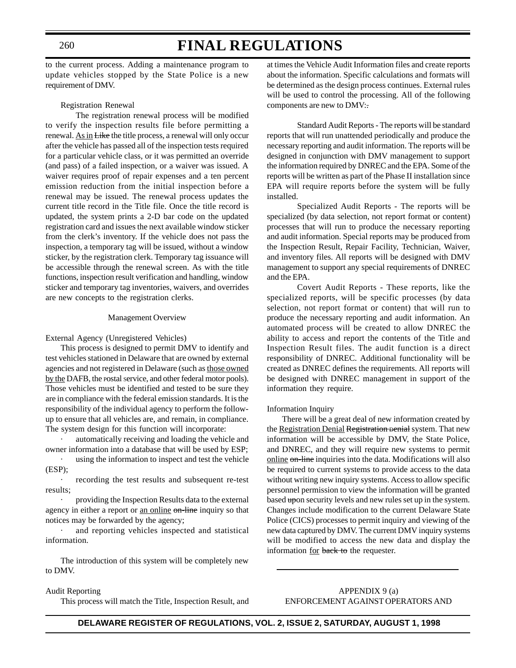to the current process. Adding a maintenance program to update vehicles stopped by the State Police is a new requirement of DMV.

#### Registration Renewal

The registration renewal process will be modified to verify the inspection results file before permitting a renewal. As in Like the title process, a renewal will only occur after the vehicle has passed all of the inspection tests required for a particular vehicle class, or it was permitted an override (and pass) of a failed inspection, or a waiver was issued. A waiver requires proof of repair expenses and a ten percent emission reduction from the initial inspection before a renewal may be issued. The renewal process updates the current title record in the Title file. Once the title record is updated, the system prints a 2-D bar code on the updated registration card and issues the next available window sticker from the clerk's inventory. If the vehicle does not pass the inspection, a temporary tag will be issued, without a window sticker, by the registration clerk. Temporary tag issuance will be accessible through the renewal screen. As with the title functions, inspection result verification and handling, window sticker and temporary tag inventories, waivers, and overrides are new concepts to the registration clerks.

#### Management Overview

External Agency (Unregistered Vehicles)

This process is designed to permit DMV to identify and test vehicles stationed in Delaware that are owned by external agencies and not registered in Delaware (such as those owned by the DAFB, the Postal Service, and other federal motor pools). Those vehicles must be identified and tested to be sure they are in compliance with the federal emission standards. It is the responsibility of the individual agency to perform the followup to ensure that all vehicles are, and remain, in compliance. The system design for this function will incorporate:

automatically receiving and loading the vehicle and owner information into a database that will be used by ESP;

using the information to inspect and test the vehicle (ESP);

recording the test results and subsequent re-test results;

providing the Inspection Results data to the external agency in either a report or an online on-line inquiry so that notices may be forwarded by the agency;

and reporting vehicles inspected and statistical information.

The introduction of this system will be completely new to DMV.

#### Audit Reporting

This process will match the Title, Inspection Result, and

at times the Vehicle Audit Information files and create reports about the information. Specific calculations and formats will be determined as the design process continues. External rules will be used to control the processing. All of the following components are new to DMV:.

Standard Audit Reports - The reports will be standard reports that will run unattended periodically and produce the necessary reporting and audit information. The reports will be designed in conjunction with DMV management to support the information required by DNREC and the EPA. Some of the reports will be written as part of the Phase II installation since EPA will require reports before the system will be fully installed.

Specialized Audit Reports - The reports will be specialized (by data selection, not report format or content) processes that will run to produce the necessary reporting and audit information. Special reports may be produced from the Inspection Result, Repair Facility, Technician, Waiver, and inventory files. All reports will be designed with DMV management to support any special requirements of DNREC and the EPA.

Covert Audit Reports - These reports, like the specialized reports, will be specific processes (by data selection, not report format or content) that will run to produce the necessary reporting and audit information. An automated process will be created to allow DNREC the ability to access and report the contents of the Title and Inspection Result files. The audit function is a direct responsibility of DNREC. Additional functionality will be created as DNREC defines the requirements. All reports will be designed with DNREC management in support of the information they require.

#### Information Inquiry

There will be a great deal of new information created by the Registration Denial Registration penial system. That new information will be accessible by DMV, the State Police, and DNREC, and they will require new systems to permit online on-line inquiries into the data. Modifications will also be required to current systems to provide access to the data without writing new inquiry systems. Access to allow specific personnel permission to view the information will be granted based upon security levels and new rules set up in the system. Changes include modification to the current Delaware State Police (CICS) processes to permit inquiry and viewing of the new data captured by DMV. The current DMV inquiry systems will be modified to access the new data and display the information <u>for</u> back to the requester.

### APPENDIX 9 (a) ENFORCEMENT AGAINST OPERATORS AND

## **DELAWARE REGISTER OF REGULATIONS, VOL. 2, ISSUE 2, SATURDAY, AUGUST 1, 1998**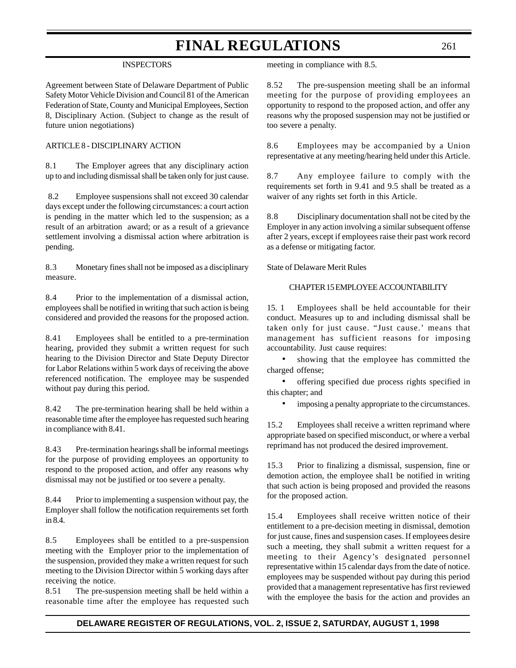### INSPECTORS

Agreement between State of Delaware Department of Public Safety Motor Vehicle Division and Council 81 of the American Federation of State, County and Municipal Employees, Section 8, Disciplinary Action. (Subject to change as the result of future union negotiations)

## ARTICLE 8 - DISCIPLINARY ACTION

8.1 The Employer agrees that any disciplinary action up to and including dismissal shall be taken only for just cause.

 8.2 Employee suspensions shall not exceed 30 calendar days except under the following circumstances: a court action is pending in the matter which led to the suspension; as a result of an arbitration award; or as a result of a grievance settlement involving a dismissal action where arbitration is pending.

8.3 Monetary fines shall not be imposed as a disciplinary measure.

8.4 Prior to the implementation of a dismissal action, employees shall be notified in writing that such action is being considered and provided the reasons for the proposed action.

8.41 Employees shall be entitled to a pre-termination hearing, provided they submit a written request for such hearing to the Division Director and State Deputy Director for Labor Relations within 5 work days of receiving the above referenced notification. The employee may be suspended without pay during this period.

8.42 The pre-termination hearing shall be held within a reasonable time after the employee has requested such hearing in compliance with 8.41.

8.43 Pre-termination hearings shall be informal meetings for the purpose of providing employees an opportunity to respond to the proposed action, and offer any reasons why dismissal may not be justified or too severe a penalty.

8.44 Prior to implementing a suspension without pay, the Employer shall follow the notification requirements set forth in 8.4.

8.5 Employees shall be entitled to a pre-suspension meeting with the Employer prior to the implementation of the suspension, provided they make a written request for such meeting to the Division Director within 5 working days after receiving the notice.

8.51 The pre-suspension meeting shall be held within a reasonable time after the employee has requested such meeting in compliance with 8.5.

8.52 The pre-suspension meeting shall be an informal meeting for the purpose of providing employees an opportunity to respond to the proposed action, and offer any reasons why the proposed suspension may not be justified or too severe a penalty.

8.6 Employees may be accompanied by a Union representative at any meeting/hearing held under this Article.

8.7 Any employee failure to comply with the requirements set forth in 9.41 and 9.5 shall be treated as a waiver of any rights set forth in this Article.

8.8 Disciplinary documentation shall not be cited by the Employer in any action involving a similar subsequent offense after 2 years, except if employees raise their past work record as a defense or mitigating factor.

State of Delaware Merit Rules

## CHAPTER 15 EMPLOYEE ACCOUNTABILITY

15. 1 Employees shall be held accountable for their conduct. Measures up to and including dismissal shall be taken only for just cause. "Just cause.' means that management has sufficient reasons for imposing accountability. Just cause requires:

showing that the employee has committed the charged offense;

• offering specified due process rights specified in this chapter; and

imposing a penalty appropriate to the circumstances.

15.2 Employees shall receive a written reprimand where appropriate based on specified misconduct, or where a verbal reprimand has not produced the desired improvement.

15.3 Prior to finalizing a dismissal, suspension, fine or demotion action, the employee shal1 be notified in writing that such action is being proposed and provided the reasons for the proposed action.

15.4 Employees shall receive written notice of their entitlement to a pre-decision meeting in dismissal, demotion for just cause, fines and suspension cases. If employees desire such a meeting, they shall submit a written request for a meeting to their Agency's designated personnel representative within 15 calendar days from the date of notice. employees may be suspended without pay during this period provided that a management representative has first reviewed with the employee the basis for the action and provides an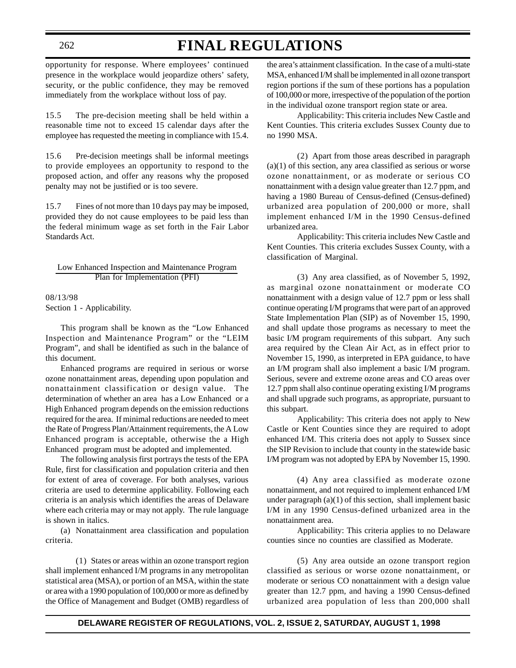opportunity for response. Where employees' continued presence in the workplace would jeopardize others' safety, security, or the public confidence, they may be removed immediately from the workplace without loss of pay.

15.5 The pre-decision meeting shall be held within a reasonable time not to exceed 15 calendar days after the employee has requested the meeting in compliance with 15.4.

15.6 Pre-decision meetings shall be informal meetings to provide employees an opportunity to respond to the proposed action, and offer any reasons why the proposed penalty may not be justified or is too severe.

15.7 Fines of not more than 10 days pay may be imposed, provided they do not cause employees to be paid less than the federal minimum wage as set forth in the Fair Labor Standards Act.

# Low Enhanced Inspection and Maintenance Program Plan for Implementation (PFI)

08/13/98 Section 1 - Applicability.

This program shall be known as the "Low Enhanced Inspection and Maintenance Program" or the "LEIM Program", and shall be identified as such in the balance of this document.

Enhanced programs are required in serious or worse ozone nonattainment areas, depending upon population and nonattainment classification or design value. The determination of whether an area has a Low Enhanced or a High Enhanced program depends on the emission reductions required for the area. If minimal reductions are needed to meet the Rate of Progress Plan/Attainment requirements, the A Low Enhanced program is acceptable, otherwise the a High Enhanced program must be adopted and implemented.

The following analysis first portrays the tests of the EPA Rule, first for classification and population criteria and then for extent of area of coverage. For both analyses, various criteria are used to determine applicability. Following each criteria is an analysis which identifies the areas of Delaware where each criteria may or may not apply. The rule language is shown in italics.

(a) Nonattainment area classification and population criteria.

(1) States or areas within an ozone transport region shall implement enhanced I/M programs in any metropolitan statistical area (MSA), or portion of an MSA, within the state or area with a 1990 population of 100,000 or more as defined by the Office of Management and Budget (OMB) regardless of

the area's attainment classification. In the case of a multi-state MSA, enhanced I/M shall be implemented in all ozone transport region portions if the sum of these portions has a population of 100,000 or more, irrespective of the population of the portion in the individual ozone transport region state or area.

Applicability: This criteria includes New Castle and Kent Counties. This criteria excludes Sussex County due to no 1990 MSA.

(2) Apart from those areas described in paragraph  $(a)(1)$  of this section, any area classified as serious or worse ozone nonattainment, or as moderate or serious CO nonattainment with a design value greater than 12.7 ppm, and having a 1980 Bureau of Census-defined (Census-defined) urbanized area population of 200,000 or more, shall implement enhanced I/M in the 1990 Census-defined urbanized area.

Applicability: This criteria includes New Castle and Kent Counties. This criteria excludes Sussex County, with a classification of Marginal.

(3) Any area classified, as of November 5, 1992, as marginal ozone nonattainment or moderate CO nonattainment with a design value of 12.7 ppm or less shall continue operating I/M programs that were part of an approved State Implementation Plan (SIP) as of November 15, 1990, and shall update those programs as necessary to meet the basic I/M program requirements of this subpart. Any such area required by the Clean Air Act, as in effect prior to November 15, 1990, as interpreted in EPA guidance, to have an I/M program shall also implement a basic I/M program. Serious, severe and extreme ozone areas and CO areas over 12.7 ppm shall also continue operating existing I/M programs and shall upgrade such programs, as appropriate, pursuant to this subpart.

Applicability: This criteria does not apply to New Castle or Kent Counties since they are required to adopt enhanced I/M. This criteria does not apply to Sussex since the SIP Revision to include that county in the statewide basic I/M program was not adopted by EPA by November 15, 1990.

(4) Any area classified as moderate ozone nonattainment, and not required to implement enhanced I/M under paragraph (a)(1) of this section, shall implement basic I/M in any 1990 Census-defined urbanized area in the nonattainment area.

Applicability: This criteria applies to no Delaware counties since no counties are classified as Moderate.

(5) Any area outside an ozone transport region classified as serious or worse ozone nonattainment, or moderate or serious CO nonattainment with a design value greater than 12.7 ppm, and having a 1990 Census-defined urbanized area population of less than 200,000 shall

# 262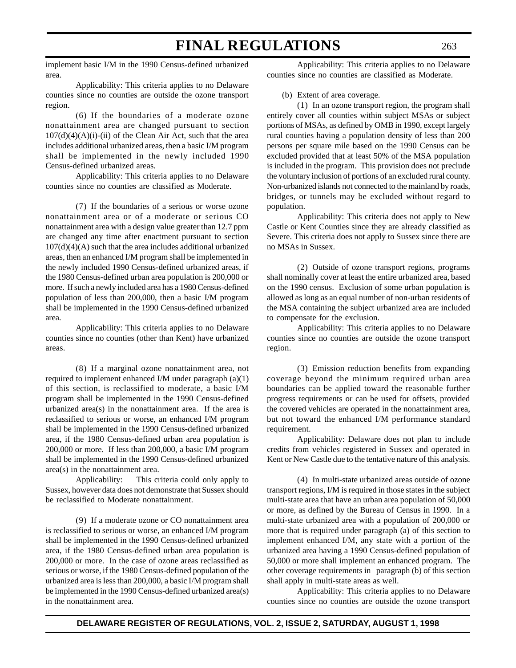implement basic I/M in the 1990 Census-defined urbanized area.

Applicability: This criteria applies to no Delaware counties since no counties are outside the ozone transport region.

(6) If the boundaries of a moderate ozone nonattainment area are changed pursuant to section  $107(d)(4)(A)(i)$ -(ii) of the Clean Air Act, such that the area includes additional urbanized areas, then a basic I/M program shall be implemented in the newly included 1990 Census-defined urbanized areas.

Applicability: This criteria applies to no Delaware counties since no counties are classified as Moderate.

(7) If the boundaries of a serious or worse ozone nonattainment area or of a moderate or serious CO nonattainment area with a design value greater than 12.7 ppm are changed any time after enactment pursuant to section  $107(d)(4)$ (A) such that the area includes additional urbanized areas, then an enhanced I/M program shall be implemented in the newly included 1990 Census-defined urbanized areas, if the 1980 Census-defined urban area population is 200,000 or more. If such a newly included area has a 1980 Census-defined population of less than 200,000, then a basic I/M program shall be implemented in the 1990 Census-defined urbanized area.

Applicability: This criteria applies to no Delaware counties since no counties (other than Kent) have urbanized areas.

(8) If a marginal ozone nonattainment area, not required to implement enhanced I/M under paragraph (a)(1) of this section, is reclassified to moderate, a basic I/M program shall be implemented in the 1990 Census-defined urbanized area(s) in the nonattainment area. If the area is reclassified to serious or worse, an enhanced I/M program shall be implemented in the 1990 Census-defined urbanized area, if the 1980 Census-defined urban area population is 200,000 or more. If less than 200,000, a basic I/M program shall be implemented in the 1990 Census-defined urbanized area(s) in the nonattainment area.

Applicability: This criteria could only apply to Sussex, however data does not demonstrate that Sussex should be reclassified to Moderate nonattainment.

(9) If a moderate ozone or CO nonattainment area is reclassified to serious or worse, an enhanced I/M program shall be implemented in the 1990 Census-defined urbanized area, if the 1980 Census-defined urban area population is 200,000 or more. In the case of ozone areas reclassified as serious or worse, if the 1980 Census-defined population of the urbanized area is less than 200,000, a basic I/M program shall be implemented in the 1990 Census-defined urbanized area(s) in the nonattainment area.

Applicability: This criteria applies to no Delaware counties since no counties are classified as Moderate.

### (b) Extent of area coverage.

(1) In an ozone transport region, the program shall entirely cover all counties within subject MSAs or subject portions of MSAs, as defined by OMB in 1990, except largely rural counties having a population density of less than 200 persons per square mile based on the 1990 Census can be excluded provided that at least 50% of the MSA population is included in the program. This provision does not preclude the voluntary inclusion of portions of an excluded rural county. Non-urbanized islands not connected to the mainland by roads, bridges, or tunnels may be excluded without regard to population.

Applicability: This criteria does not apply to New Castle or Kent Counties since they are already classified as Severe. This criteria does not apply to Sussex since there are no MSAs in Sussex.

(2) Outside of ozone transport regions, programs shall nominally cover at least the entire urbanized area, based on the 1990 census. Exclusion of some urban population is allowed as long as an equal number of non-urban residents of the MSA containing the subject urbanized area are included to compensate for the exclusion.

Applicability: This criteria applies to no Delaware counties since no counties are outside the ozone transport region.

(3) Emission reduction benefits from expanding coverage beyond the minimum required urban area boundaries can be applied toward the reasonable further progress requirements or can be used for offsets, provided the covered vehicles are operated in the nonattainment area, but not toward the enhanced I/M performance standard requirement.

Applicability: Delaware does not plan to include credits from vehicles registered in Sussex and operated in Kent or New Castle due to the tentative nature of this analysis.

(4) In multi-state urbanized areas outside of ozone transport regions, I/M is required in those states in the subject multi-state area that have an urban area population of 50,000 or more, as defined by the Bureau of Census in 1990. In a multi-state urbanized area with a population of 200,000 or more that is required under paragraph (a) of this section to implement enhanced I/M, any state with a portion of the urbanized area having a 1990 Census-defined population of 50,000 or more shall implement an enhanced program. The other coverage requirements in paragraph (b) of this section shall apply in multi-state areas as well.

Applicability: This criteria applies to no Delaware counties since no counties are outside the ozone transport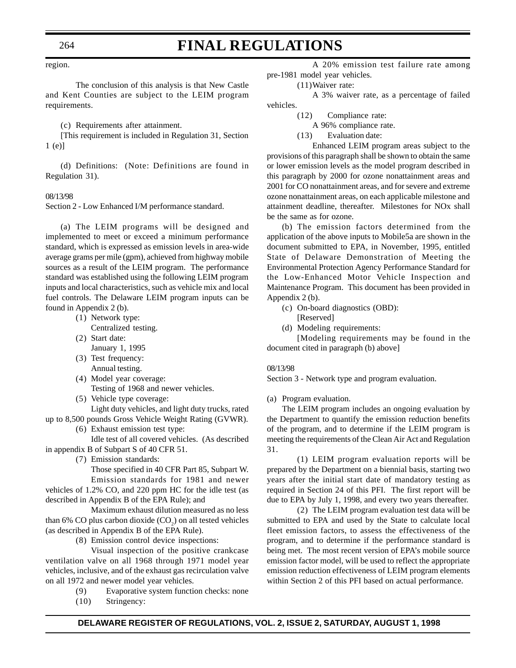region.

The conclusion of this analysis is that New Castle and Kent Counties are subject to the LEIM program requirements.

(c) Requirements after attainment.

[This requirement is included in Regulation 31, Section 1 (e)]

(d) Definitions: (Note: Definitions are found in Regulation 31).

#### 08/13/98

Section 2 - Low Enhanced I/M performance standard.

(a) The LEIM programs will be designed and implemented to meet or exceed a minimum performance standard, which is expressed as emission levels in area-wide average grams per mile (gpm), achieved from highway mobile sources as a result of the LEIM program. The performance standard was established using the following LEIM program inputs and local characteristics, such as vehicle mix and local fuel controls. The Delaware LEIM program inputs can be found in Appendix 2 (b).

(1) Network type:

Centralized testing.

- (2) Start date: January 1, 1995
- (3) Test frequency:
- Annual testing.
- (4) Model year coverage: Testing of 1968 and newer vehicles.
- (5) Vehicle type coverage:

Light duty vehicles, and light duty trucks, rated up to 8,500 pounds Gross Vehicle Weight Rating (GVWR).

(6) Exhaust emission test type:

Idle test of all covered vehicles. (As described in appendix B of Subpart S of 40 CFR 51.

(7) Emission standards:

Those specified in 40 CFR Part 85, Subpart W. Emission standards for 1981 and newer

vehicles of 1.2% CO, and 220 ppm HC for the idle test (as described in Appendix B of the EPA Rule); and

Maximum exhaust dilution measured as no less than 6% CO plus carbon dioxide  $(CO_2)$  on all tested vehicles (as described in Appendix B of the EPA Rule).

(8) Emission control device inspections:

Visual inspection of the positive crankcase ventilation valve on all 1968 through 1971 model year vehicles, inclusive, and of the exhaust gas recirculation valve on all 1972 and newer model year vehicles.

- (9) Evaporative system function checks: none
- (10) Stringency:

A 20% emission test failure rate among pre-1981 model year vehicles.

(11)Waiver rate:

A 3% waiver rate, as a percentage of failed vehicles.

- (12) Compliance rate:
	- A 96% compliance rate.
- (13) Evaluation date:

Enhanced LEIM program areas subject to the provisions of this paragraph shall be shown to obtain the same or lower emission levels as the model program described in this paragraph by 2000 for ozone nonattainment areas and 2001 for CO nonattainment areas, and for severe and extreme ozone nonattainment areas, on each applicable milestone and attainment deadline, thereafter. Milestones for NOx shall be the same as for ozone.

(b) The emission factors determined from the application of the above inputs to Mobile5a are shown in the document submitted to EPA, in November, 1995, entitled State of Delaware Demonstration of Meeting the Environmental Protection Agency Performance Standard for the Low-Enhanced Motor Vehicle Inspection and Maintenance Program. This document has been provided in Appendix 2 (b).

- (c) On-board diagnostics (OBD):
	- [Reserved]
- (d) Modeling requirements:

[Modeling requirements may be found in the document cited in paragraph (b) above]

### 08/13/98

Section 3 - Network type and program evaluation.

(a) Program evaluation.

The LEIM program includes an ongoing evaluation by the Department to quantify the emission reduction benefits of the program, and to determine if the LEIM program is meeting the requirements of the Clean Air Act and Regulation 31.

(1) LEIM program evaluation reports will be prepared by the Department on a biennial basis, starting two years after the initial start date of mandatory testing as required in Section 24 of this PFI. The first report will be due to EPA by July 1, 1998, and every two years thereafter.

(2) The LEIM program evaluation test data will be submitted to EPA and used by the State to calculate local fleet emission factors, to assess the effectiveness of the program, and to determine if the performance standard is being met. The most recent version of EPA's mobile source emission factor model, will be used to reflect the appropriate emission reduction effectiveness of LEIM program elements within Section 2 of this PFI based on actual performance.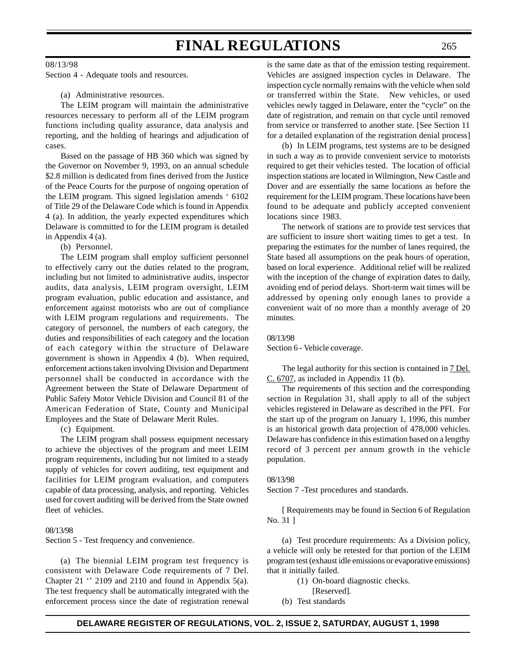08/13/98

Section 4 - Adequate tools and resources.

#### (a) Administrative resources.

The LEIM program will maintain the administrative resources necessary to perform all of the LEIM program functions including quality assurance, data analysis and reporting, and the holding of hearings and adjudication of cases.

Based on the passage of HB 360 which was signed by the Governor on November 9, 1993, on an annual schedule \$2.8 million is dedicated from fines derived from the Justice of the Peace Courts for the purpose of ongoing operation of the LEIM program. This signed legislation amends ' 6102 of Title 29 of the Delaware Code which is found in Appendix 4 (a). In addition, the yearly expected expenditures which Delaware is committed to for the LEIM program is detailed in Appendix 4 (a).

(b) Personnel.

The LEIM program shall employ sufficient personnel to effectively carry out the duties related to the program, including but not limited to administrative audits, inspector audits, data analysis, LEIM program oversight, LEIM program evaluation, public education and assistance, and enforcement against motorists who are out of compliance with LEIM program regulations and requirements. The category of personnel, the numbers of each category, the duties and responsibilities of each category and the location of each category within the structure of Delaware government is shown in Appendix 4 (b). When required, enforcement actions taken involving Division and Department personnel shall be conducted in accordance with the Agreement between the State of Delaware Department of Public Safety Motor Vehicle Division and Council 81 of the American Federation of State, County and Municipal Employees and the State of Delaware Merit Rules.

(c) Equipment.

The LEIM program shall possess equipment necessary to achieve the objectives of the program and meet LEIM program requirements, including but not limited to a steady supply of vehicles for covert auditing, test equipment and facilities for LEIM program evaluation, and computers capable of data processing, analysis, and reporting. Vehicles used for covert auditing will be derived from the State owned fleet of vehicles.

08/13/98

Section 5 - Test frequency and convenience.

(a) The biennial LEIM program test frequency is consistent with Delaware Code requirements of 7 Del. Chapter 21 '' 2109 and 2110 and found in Appendix 5(a). The test frequency shall be automatically integrated with the enforcement process since the date of registration renewal

is the same date as that of the emission testing requirement. Vehicles are assigned inspection cycles in Delaware. The inspection cycle normally remains with the vehicle when sold or transferred within the State. New vehicles, or used vehicles newly tagged in Delaware, enter the "cycle" on the date of registration, and remain on that cycle until removed from service or transferred to another state. [See Section 11 for a detailed explanation of the registration denial process]

(b) In LEIM programs, test systems are to be designed in such a way as to provide convenient service to motorists required to get their vehicles tested. The location of official inspection stations are located in Wilmington, New Castle and Dover and are essentially the same locations as before the requirement for the LEIM program. These locations have been found to be adequate and publicly accepted convenient locations since 1983.

The network of stations are to provide test services that are sufficient to insure short waiting times to get a test. In preparing the estimates for the number of lanes required, the State based all assumptions on the peak hours of operation, based on local experience. Additional relief will be realized with the inception of the change of expiration dates to daily, avoiding end of period delays. Short-term wait times will be addressed by opening only enough lanes to provide a convenient wait of no more than a monthly average of 20 minutes.

#### 08/13/98

Section 6 - Vehicle coverage.

The legal authority for this section is contained in  $7$  Del. C. 6707, as included in Appendix 11 (b).

The requirements of this section and the corresponding section in Regulation 31, shall apply to all of the subject vehicles registered in Delaware as described in the PFI. For the start up of the program on January 1, 1996, this number is an historical growth data projection of 478,000 vehicles. Delaware has confidence in this estimation based on a lengthy record of 3 percent per annum growth in the vehicle population.

#### 08/13/98

Section 7 -Test procedures and standards.

[ Requirements may be found in Section 6 of Regulation No. 31 ]

(a) Test procedure requirements: As a Division policy, a vehicle will only be retested for that portion of the LEIM program test (exhaust idle emissions or evaporative emissions) that it initially failed.

(1) On-board diagnostic checks.

- [Reserved].
- (b) Test standards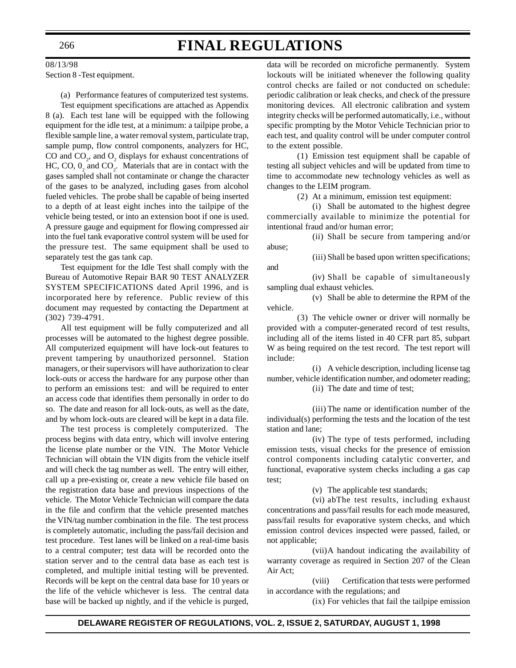### 08/13/98

Section 8 -Test equipment.

(a) Performance features of computerized test systems. Test equipment specifications are attached as Appendix 8 (a). Each test lane will be equipped with the following equipment for the idle test, at a minimum: a tailpipe probe, a flexible sample line, a water removal system, particulate trap, sample pump, flow control components, analyzers for HC, CO and  $CO_2$ , and  $O_2$  displays for exhaust concentrations of HC, CO,  $0_2$  and CO<sub>2</sub>. Materials that are in contact with the gases sampled shall not contaminate or change the character of the gases to be analyzed, including gases from alcohol fueled vehicles. The probe shall be capable of being inserted to a depth of at least eight inches into the tailpipe of the vehicle being tested, or into an extension boot if one is used. A pressure gauge and equipment for flowing compressed air into the fuel tank evaporative control system will be used for the pressure test. The same equipment shall be used to separately test the gas tank cap.

Test equipment for the Idle Test shall comply with the Bureau of Automotive Repair BAR 90 TEST ANALYZER SYSTEM SPECIFICATIONS dated April 1996, and is incorporated here by reference. Public review of this document may requested by contacting the Department at (302) 739-4791.

All test equipment will be fully computerized and all processes will be automated to the highest degree possible. All computerized equipment will have lock-out features to prevent tampering by unauthorized personnel. Station managers, or their supervisors will have authorization to clear lock-outs or access the hardware for any purpose other than to perform an emissions test: and will be required to enter an access code that identifies them personally in order to do so. The date and reason for all lock-outs, as well as the date, and by whom lock-outs are cleared will be kept in a data file.

The test process is completely computerized. The process begins with data entry, which will involve entering the license plate number or the VIN. The Motor Vehicle Technician will obtain the VIN digits from the vehicle itself and will check the tag number as well. The entry will either, call up a pre-existing or, create a new vehicle file based on the registration data base and previous inspections of the vehicle. The Motor Vehicle Technician will compare the data in the file and confirm that the vehicle presented matches the VIN/tag number combination in the file. The test process is completely automatic, including the pass/fail decision and test procedure. Test lanes will be linked on a real-time basis to a central computer; test data will be recorded onto the station server and to the central data base as each test is completed, and multiple initial testing will be prevented. Records will be kept on the central data base for 10 years or the life of the vehicle whichever is less. The central data base will be backed up nightly, and if the vehicle is purged,

data will be recorded on microfiche permanently. System lockouts will be initiated whenever the following quality control checks are failed or not conducted on schedule: periodic calibration or leak checks, and check of the pressure monitoring devices. All electronic calibration and system integrity checks will be performed automatically, i.e., without specific prompting by the Motor Vehicle Technician prior to each test, and quality control will be under computer control to the extent possible.

(1) Emission test equipment shall be capable of testing all subject vehicles and will be updated from time to time to accommodate new technology vehicles as well as changes to the LEIM program.

(2) At a minimum, emission test equipment:

(i) Shall be automated to the highest degree commercially available to minimize the potential for intentional fraud and/or human error;

(ii) Shall be secure from tampering and/or abuse;

(iii) Shall be based upon written specifications; and

(iv) Shall be capable of simultaneously sampling dual exhaust vehicles.

(v) Shall be able to determine the RPM of the vehicle.

(3) The vehicle owner or driver will normally be provided with a computer-generated record of test results, including all of the items listed in 40 CFR part 85, subpart W as being required on the test record. The test report will include:

(i) A vehicle description, including license tag number, vehicle identification number, and odometer reading; (ii) The date and time of test;

(iii) The name or identification number of the individual(s) performing the tests and the location of the test

station and lane; (iv) The type of tests performed, including emission tests, visual checks for the presence of emission control components including catalytic converter, and functional, evaporative system checks including a gas cap test;

(v) The applicable test standards;

(vi) abThe test results, including exhaust concentrations and pass/fail results for each mode measured, pass/fail results for evaporative system checks, and which emission control devices inspected were passed, failed, or not applicable;

(vii)A handout indicating the availability of warranty coverage as required in Section 207 of the Clean Air Act;

(viii) Certification that tests were performed in accordance with the regulations; and

(ix) For vehicles that fail the tailpipe emission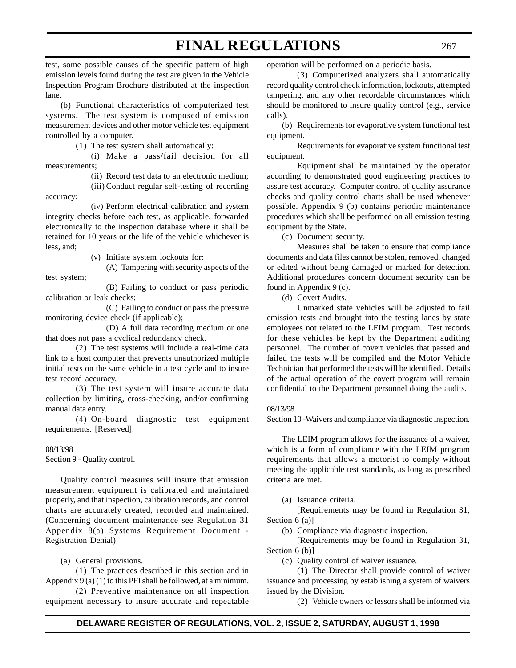test, some possible causes of the specific pattern of high emission levels found during the test are given in the Vehicle Inspection Program Brochure distributed at the inspection lane.

(b) Functional characteristics of computerized test systems. The test system is composed of emission measurement devices and other motor vehicle test equipment controlled by a computer.

(1) The test system shall automatically:

(i) Make a pass/fail decision for all measurements;

> (ii) Record test data to an electronic medium; (iii) Conduct regular self-testing of recording

accuracy;

(iv) Perform electrical calibration and system integrity checks before each test, as applicable, forwarded electronically to the inspection database where it shall be retained for 10 years or the life of the vehicle whichever is less, and;

(v) Initiate system lockouts for:

(A) Tampering with security aspects of the

test system;

(B) Failing to conduct or pass periodic calibration or leak checks;

(C) Failing to conduct or pass the pressure monitoring device check (if applicable);

(D) A full data recording medium or one that does not pass a cyclical redundancy check.

(2) The test systems will include a real-time data link to a host computer that prevents unauthorized multiple initial tests on the same vehicle in a test cycle and to insure test record accuracy.

(3) The test system will insure accurate data collection by limiting, cross-checking, and/or confirming manual data entry.

(4) On-board diagnostic test equipment requirements. [Reserved].

08/13/98

Section 9 - Quality control.

Quality control measures will insure that emission measurement equipment is calibrated and maintained properly, and that inspection, calibration records, and control charts are accurately created, recorded and maintained. (Concerning document maintenance see Regulation 31 Appendix 8(a) Systems Requirement Document - Registration Denial)

(a) General provisions.

(1) The practices described in this section and in Appendix 9 (a) (1) to this PFI shall be followed, at a minimum.

(2) Preventive maintenance on all inspection equipment necessary to insure accurate and repeatable

operation will be performed on a periodic basis.

(3) Computerized analyzers shall automatically record quality control check information, lockouts, attempted tampering, and any other recordable circumstances which should be monitored to insure quality control (e.g., service calls).

(b) Requirements for evaporative system functional test equipment.

Requirements for evaporative system functional test equipment.

Equipment shall be maintained by the operator according to demonstrated good engineering practices to assure test accuracy. Computer control of quality assurance checks and quality control charts shall be used whenever possible. Appendix 9 (b) contains periodic maintenance procedures which shall be performed on all emission testing equipment by the State.

(c) Document security.

Measures shall be taken to ensure that compliance documents and data files cannot be stolen, removed, changed or edited without being damaged or marked for detection. Additional procedures concern document security can be found in Appendix 9 (c).

(d) Covert Audits.

Unmarked state vehicles will be adjusted to fail emission tests and brought into the testing lanes by state employees not related to the LEIM program. Test records for these vehicles be kept by the Department auditing personnel. The number of covert vehicles that passed and failed the tests will be compiled and the Motor Vehicle Technician that performed the tests will be identified. Details of the actual operation of the covert program will remain confidential to the Department personnel doing the audits.

#### 08/13/98

Section 10 -Waivers and compliance via diagnostic inspection.

The LEIM program allows for the issuance of a waiver, which is a form of compliance with the LEIM program requirements that allows a motorist to comply without meeting the applicable test standards, as long as prescribed criteria are met.

(a) Issuance criteria.

[Requirements may be found in Regulation 31, Section 6 (a)]

(b) Compliance via diagnostic inspection.

[Requirements may be found in Regulation 31, Section 6 (b)]

(c) Quality control of waiver issuance.

(1) The Director shall provide control of waiver issuance and processing by establishing a system of waivers issued by the Division.

(2) Vehicle owners or lessors shall be informed via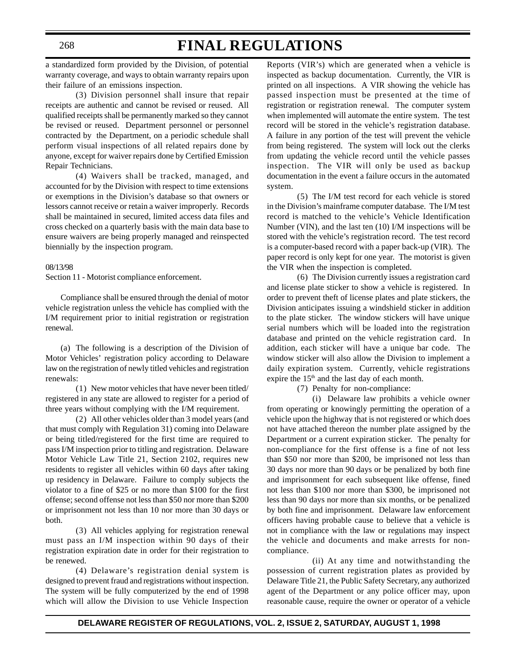a standardized form provided by the Division, of potential warranty coverage, and ways to obtain warranty repairs upon their failure of an emissions inspection.

(3) Division personnel shall insure that repair receipts are authentic and cannot be revised or reused. All qualified receipts shall be permanently marked so they cannot be revised or reused. Department personnel or personnel contracted by the Department, on a periodic schedule shall perform visual inspections of all related repairs done by anyone, except for waiver repairs done by Certified Emission Repair Technicians.

(4) Waivers shall be tracked, managed, and accounted for by the Division with respect to time extensions or exemptions in the Division's database so that owners or lessors cannot receive or retain a waiver improperly. Records shall be maintained in secured, limited access data files and cross checked on a quarterly basis with the main data base to ensure waivers are being properly managed and reinspected biennially by the inspection program.

#### 08/13/98

Section 11 - Motorist compliance enforcement.

Compliance shall be ensured through the denial of motor vehicle registration unless the vehicle has complied with the I/M requirement prior to initial registration or registration renewal.

(a) The following is a description of the Division of Motor Vehicles' registration policy according to Delaware law on the registration of newly titled vehicles and registration renewals:

(1) New motor vehicles that have never been titled/ registered in any state are allowed to register for a period of three years without complying with the I/M requirement.

(2) All other vehicles older than 3 model years (and that must comply with Regulation 31) coming into Delaware or being titled/registered for the first time are required to pass I/M inspection prior to titling and registration. Delaware Motor Vehicle Law Title 21, Section 2102, requires new residents to register all vehicles within 60 days after taking up residency in Delaware. Failure to comply subjects the violator to a fine of \$25 or no more than \$100 for the first offense; second offense not less than \$50 nor more than \$200 or imprisonment not less than 10 nor more than 30 days or both.

(3) All vehicles applying for registration renewal must pass an I/M inspection within 90 days of their registration expiration date in order for their registration to be renewed.

(4) Delaware's registration denial system is designed to prevent fraud and registrations without inspection. The system will be fully computerized by the end of 1998 which will allow the Division to use Vehicle Inspection

Reports (VIR's) which are generated when a vehicle is inspected as backup documentation. Currently, the VIR is printed on all inspections. A VIR showing the vehicle has passed inspection must be presented at the time of registration or registration renewal. The computer system when implemented will automate the entire system. The test record will be stored in the vehicle's registration database. A failure in any portion of the test will prevent the vehicle from being registered. The system will lock out the clerks from updating the vehicle record until the vehicle passes inspection. The VIR will only be used as backup documentation in the event a failure occurs in the automated system.

(5) The I/M test record for each vehicle is stored in the Division's mainframe computer database. The I/M test record is matched to the vehicle's Vehicle Identification Number (VIN), and the last ten (10) I/M inspections will be stored with the vehicle's registration record. The test record is a computer-based record with a paper back-up (VIR). The paper record is only kept for one year. The motorist is given the VIR when the inspection is completed.

(6) The Division currently issues a registration card and license plate sticker to show a vehicle is registered. In order to prevent theft of license plates and plate stickers, the Division anticipates issuing a windshield sticker in addition to the plate sticker. The window stickers will have unique serial numbers which will be loaded into the registration database and printed on the vehicle registration card. In addition, each sticker will have a unique bar code. The window sticker will also allow the Division to implement a daily expiration system. Currently, vehicle registrations expire the 15<sup>th</sup> and the last day of each month.

(7) Penalty for non-compliance:

(i) Delaware law prohibits a vehicle owner from operating or knowingly permitting the operation of a vehicle upon the highway that is not registered or which does not have attached thereon the number plate assigned by the Department or a current expiration sticker. The penalty for non-compliance for the first offense is a fine of not less than \$50 nor more than \$200, be imprisoned not less than 30 days nor more than 90 days or be penalized by both fine and imprisonment for each subsequent like offense, fined not less than \$100 nor more than \$300, be imprisoned not less than 90 days nor more than six months, or be penalized by both fine and imprisonment. Delaware law enforcement officers having probable cause to believe that a vehicle is not in compliance with the law or regulations may inspect the vehicle and documents and make arrests for noncompliance.

(ii) At any time and notwithstanding the possession of current registration plates as provided by Delaware Title 21, the Public Safety Secretary, any authorized agent of the Department or any police officer may, upon reasonable cause, require the owner or operator of a vehicle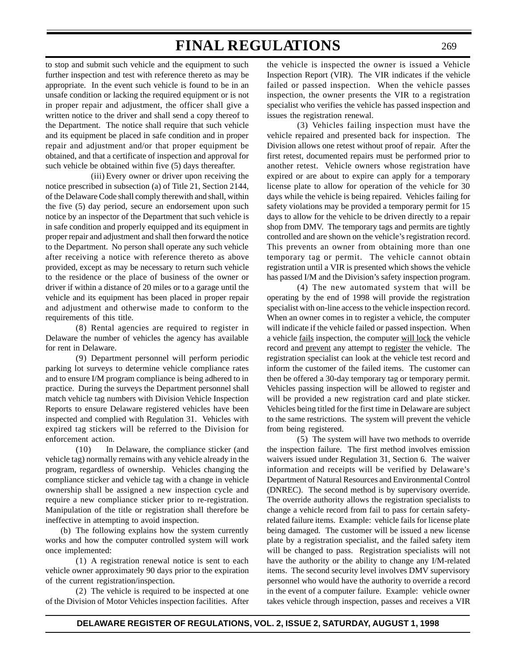to stop and submit such vehicle and the equipment to such further inspection and test with reference thereto as may be appropriate. In the event such vehicle is found to be in an unsafe condition or lacking the required equipment or is not in proper repair and adjustment, the officer shall give a written notice to the driver and shall send a copy thereof to the Department. The notice shall require that such vehicle and its equipment be placed in safe condition and in proper repair and adjustment and/or that proper equipment be obtained, and that a certificate of inspection and approval for such vehicle be obtained within five (5) days thereafter.

(iii) Every owner or driver upon receiving the notice prescribed in subsection (a) of Title 21, Section 2144, of the Delaware Code shall comply therewith and shall, within the five (5) day period, secure an endorsement upon such notice by an inspector of the Department that such vehicle is in safe condition and properly equipped and its equipment in proper repair and adjustment and shall then forward the notice to the Department. No person shall operate any such vehicle after receiving a notice with reference thereto as above provided, except as may be necessary to return such vehicle to the residence or the place of business of the owner or driver if within a distance of 20 miles or to a garage until the vehicle and its equipment has been placed in proper repair and adjustment and otherwise made to conform to the requirements of this title.

(8) Rental agencies are required to register in Delaware the number of vehicles the agency has available for rent in Delaware.

(9) Department personnel will perform periodic parking lot surveys to determine vehicle compliance rates and to ensure I/M program compliance is being adhered to in practice. During the surveys the Department personnel shall match vehicle tag numbers with Division Vehicle Inspection Reports to ensure Delaware registered vehicles have been inspected and complied with Regulation 31. Vehicles with expired tag stickers will be referred to the Division for enforcement action.

(10) In Delaware, the compliance sticker (and vehicle tag) normally remains with any vehicle already in the program, regardless of ownership. Vehicles changing the compliance sticker and vehicle tag with a change in vehicle ownership shall be assigned a new inspection cycle and require a new compliance sticker prior to re-registration. Manipulation of the title or registration shall therefore be ineffective in attempting to avoid inspection.

(b) The following explains how the system currently works and how the computer controlled system will work once implemented:

(1) A registration renewal notice is sent to each vehicle owner approximately 90 days prior to the expiration of the current registration/inspection.

(2) The vehicle is required to be inspected at one of the Division of Motor Vehicles inspection facilities. After

the vehicle is inspected the owner is issued a Vehicle Inspection Report (VIR). The VIR indicates if the vehicle failed or passed inspection. When the vehicle passes inspection, the owner presents the VIR to a registration specialist who verifies the vehicle has passed inspection and issues the registration renewal.

(3) Vehicles failing inspection must have the vehicle repaired and presented back for inspection. The Division allows one retest without proof of repair. After the first retest, documented repairs must be performed prior to another retest. Vehicle owners whose registration have expired or are about to expire can apply for a temporary license plate to allow for operation of the vehicle for 30 days while the vehicle is being repaired. Vehicles failing for safety violations may be provided a temporary permit for 15 days to allow for the vehicle to be driven directly to a repair shop from DMV. The temporary tags and permits are tightly controlled and are shown on the vehicle's registration record. This prevents an owner from obtaining more than one temporary tag or permit. The vehicle cannot obtain registration until a VIR is presented which shows the vehicle has passed I/M and the Division's safety inspection program.

(4) The new automated system that will be operating by the end of 1998 will provide the registration specialist with on-line access to the vehicle inspection record. When an owner comes in to register a vehicle, the computer will indicate if the vehicle failed or passed inspection. When a vehicle fails inspection, the computer will lock the vehicle record and prevent any attempt to register the vehicle. The registration specialist can look at the vehicle test record and inform the customer of the failed items. The customer can then be offered a 30-day temporary tag or temporary permit. Vehicles passing inspection will be allowed to register and will be provided a new registration card and plate sticker. Vehicles being titled for the first time in Delaware are subject to the same restrictions. The system will prevent the vehicle from being registered.

(5) The system will have two methods to override the inspection failure. The first method involves emission waivers issued under Regulation 31, Section 6. The waiver information and receipts will be verified by Delaware's Department of Natural Resources and Environmental Control (DNREC). The second method is by supervisory override. The override authority allows the registration specialists to change a vehicle record from fail to pass for certain safetyrelated failure items. Example: vehicle fails for license plate being damaged. The customer will be issued a new license plate by a registration specialist, and the failed safety item will be changed to pass. Registration specialists will not have the authority or the ability to change any I/M-related items. The second security level involves DMV supervisory personnel who would have the authority to override a record in the event of a computer failure. Example: vehicle owner takes vehicle through inspection, passes and receives a VIR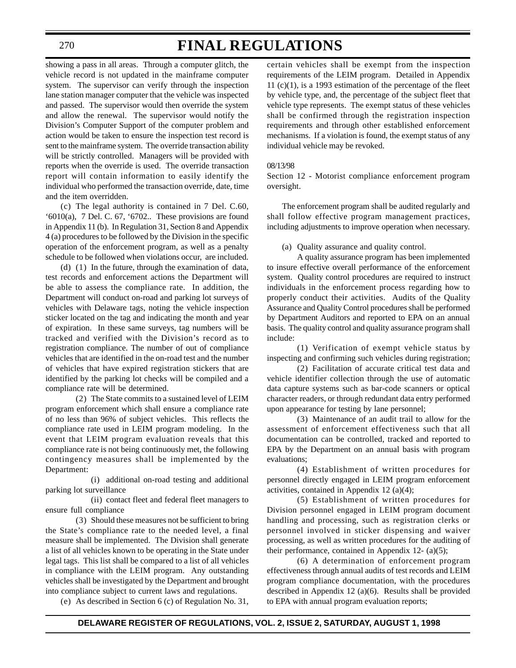showing a pass in all areas. Through a computer glitch, the vehicle record is not updated in the mainframe computer system. The supervisor can verify through the inspection lane station manager computer that the vehicle was inspected and passed. The supervisor would then override the system and allow the renewal. The supervisor would notify the Division's Computer Support of the computer problem and action would be taken to ensure the inspection test record is sent to the mainframe system. The override transaction ability will be strictly controlled. Managers will be provided with reports when the override is used. The override transaction report will contain information to easily identify the individual who performed the transaction override, date, time and the item overridden.

(c) The legal authority is contained in 7 Del. C.60, '6010(a), 7 Del. C. 67, '6702.. These provisions are found in Appendix 11 (b). In Regulation 31, Section 8 and Appendix 4 (a) procedures to be followed by the Division in the specific operation of the enforcement program, as well as a penalty schedule to be followed when violations occur, are included.

(d) (1) In the future, through the examination of data, test records and enforcement actions the Department will be able to assess the compliance rate. In addition, the Department will conduct on-road and parking lot surveys of vehicles with Delaware tags, noting the vehicle inspection sticker located on the tag and indicating the month and year of expiration. In these same surveys, tag numbers will be tracked and verified with the Division's record as to registration compliance. The number of out of compliance vehicles that are identified in the on-road test and the number of vehicles that have expired registration stickers that are identified by the parking lot checks will be compiled and a compliance rate will be determined.

(2) The State commits to a sustained level of LEIM program enforcement which shall ensure a compliance rate of no less than 96% of subject vehicles. This reflects the compliance rate used in LEIM program modeling. In the event that LEIM program evaluation reveals that this compliance rate is not being continuously met, the following contingency measures shall be implemented by the Department:

(i) additional on-road testing and additional parking lot surveillance

(ii) contact fleet and federal fleet managers to ensure full compliance

(3) Should these measures not be sufficient to bring the State's compliance rate to the needed level, a final measure shall be implemented. The Division shall generate a list of all vehicles known to be operating in the State under legal tags. This list shall be compared to a list of all vehicles in compliance with the LEIM program. Any outstanding vehicles shall be investigated by the Department and brought into compliance subject to current laws and regulations.

(e) As described in Section 6 (c) of Regulation No. 31,

certain vehicles shall be exempt from the inspection requirements of the LEIM program. Detailed in Appendix 11 (c)(1), is a 1993 estimation of the percentage of the fleet by vehicle type, and, the percentage of the subject fleet that vehicle type represents. The exempt status of these vehicles shall be confirmed through the registration inspection requirements and through other established enforcement mechanisms. If a violation is found, the exempt status of any individual vehicle may be revoked.

#### 08/13/98

Section 12 - Motorist compliance enforcement program oversight.

The enforcement program shall be audited regularly and shall follow effective program management practices, including adjustments to improve operation when necessary.

(a) Quality assurance and quality control.

A quality assurance program has been implemented to insure effective overall performance of the enforcement system. Quality control procedures are required to instruct individuals in the enforcement process regarding how to properly conduct their activities. Audits of the Quality Assurance and Quality Control procedures shall be performed by Department Auditors and reported to EPA on an annual basis. The quality control and quality assurance program shall include:

(1) Verification of exempt vehicle status by inspecting and confirming such vehicles during registration;

(2) Facilitation of accurate critical test data and vehicle identifier collection through the use of automatic data capture systems such as bar-code scanners or optical character readers, or through redundant data entry performed upon appearance for testing by lane personnel;

(3) Maintenance of an audit trail to allow for the assessment of enforcement effectiveness such that all documentation can be controlled, tracked and reported to EPA by the Department on an annual basis with program evaluations;

(4) Establishment of written procedures for personnel directly engaged in LEIM program enforcement activities, contained in Appendix 12 (a)(4);

(5) Establishment of written procedures for Division personnel engaged in LEIM program document handling and processing, such as registration clerks or personnel involved in sticker dispensing and waiver processing, as well as written procedures for the auditing of their performance, contained in Appendix 12- (a)(5);

(6) A determination of enforcement program effectiveness through annual audits of test records and LEIM program compliance documentation, with the procedures described in Appendix 12 (a)(6). Results shall be provided to EPA with annual program evaluation reports;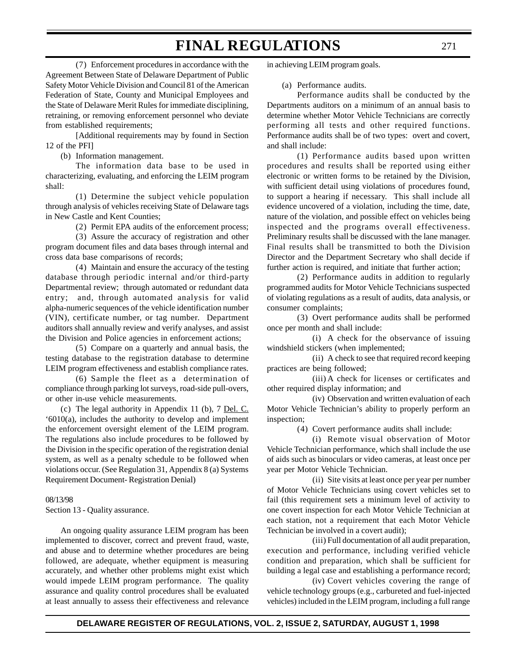(7) Enforcement procedures in accordance with the Agreement Between State of Delaware Department of Public Safety Motor Vehicle Division and Council 81 of the American Federation of State, County and Municipal Employees and the State of Delaware Merit Rules for immediate disciplining, retraining, or removing enforcement personnel who deviate from established requirements;

[Additional requirements may by found in Section 12 of the PFI]

(b) Information management.

The information data base to be used in characterizing, evaluating, and enforcing the LEIM program shall:

(1) Determine the subject vehicle population through analysis of vehicles receiving State of Delaware tags in New Castle and Kent Counties;

(2) Permit EPA audits of the enforcement process;

(3) Assure the accuracy of registration and other program document files and data bases through internal and cross data base comparisons of records;

(4) Maintain and ensure the accuracy of the testing database through periodic internal and/or third-party Departmental review; through automated or redundant data entry; and, through automated analysis for valid alpha-numeric sequences of the vehicle identification number (VIN), certificate number, or tag number. Department auditors shall annually review and verify analyses, and assist the Division and Police agencies in enforcement actions;

(5) Compare on a quarterly and annual basis, the testing database to the registration database to determine LEIM program effectiveness and establish compliance rates.

(6) Sample the fleet as a determination of compliance through parking lot surveys, road-side pull-overs, or other in-use vehicle measurements.

(c) The legal authority in Appendix 11 (b), 7 Del. C. '6010(a), includes the authority to develop and implement the enforcement oversight element of the LEIM program. The regulations also include procedures to be followed by the Division in the specific operation of the registration denial system, as well as a penalty schedule to be followed when violations occur. (See Regulation 31, Appendix 8 (a) Systems Requirement Document- Registration Denial)

#### 08/13/98

Section 13 - Quality assurance.

An ongoing quality assurance LEIM program has been implemented to discover, correct and prevent fraud, waste, and abuse and to determine whether procedures are being followed, are adequate, whether equipment is measuring accurately, and whether other problems might exist which would impede LEIM program performance. The quality assurance and quality control procedures shall be evaluated at least annually to assess their effectiveness and relevance

in achieving LEIM program goals.

(a) Performance audits.

Performance audits shall be conducted by the Departments auditors on a minimum of an annual basis to determine whether Motor Vehicle Technicians are correctly performing all tests and other required functions. Performance audits shall be of two types: overt and covert, and shall include:

(1) Performance audits based upon written procedures and results shall be reported using either electronic or written forms to be retained by the Division, with sufficient detail using violations of procedures found, to support a hearing if necessary. This shall include all evidence uncovered of a violation, including the time, date, nature of the violation, and possible effect on vehicles being inspected and the programs overall effectiveness. Preliminary results shall be discussed with the lane manager. Final results shall be transmitted to both the Division Director and the Department Secretary who shall decide if further action is required, and initiate that further action;

(2) Performance audits in addition to regularly programmed audits for Motor Vehicle Technicians suspected of violating regulations as a result of audits, data analysis, or consumer complaints;

(3) Overt performance audits shall be performed once per month and shall include:

(i) A check for the observance of issuing windshield stickers (when implemented;

(ii) A check to see that required record keeping practices are being followed;

(iii) A check for licenses or certificates and other required display information; and

(iv) Observation and written evaluation of each Motor Vehicle Technician's ability to properly perform an inspection;

(4) Covert performance audits shall include:

(i) Remote visual observation of Motor Vehicle Technician performance, which shall include the use of aids such as binoculars or video cameras, at least once per year per Motor Vehicle Technician.

(ii) Site visits at least once per year per number of Motor Vehicle Technicians using covert vehicles set to fail (this requirement sets a minimum level of activity to one covert inspection for each Motor Vehicle Technician at each station, not a requirement that each Motor Vehicle Technician be involved in a covert audit);

(iii) Full documentation of all audit preparation, execution and performance, including verified vehicle condition and preparation, which shall be sufficient for building a legal case and establishing a performance record;

(iv) Covert vehicles covering the range of vehicle technology groups (e.g., carbureted and fuel-injected vehicles) included in the LEIM program, including a full range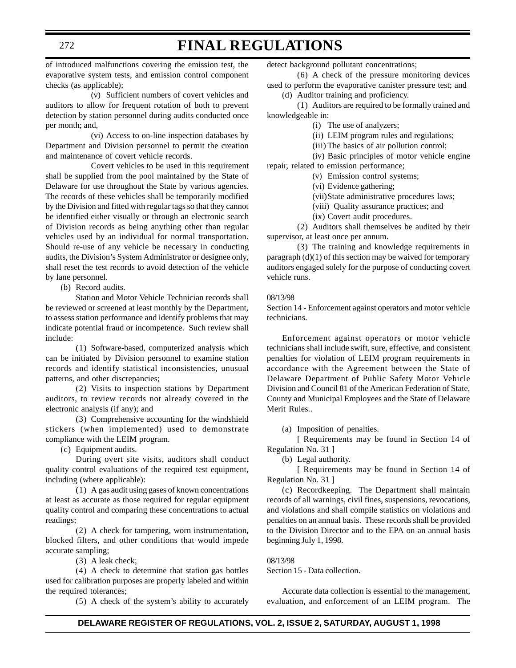of introduced malfunctions covering the emission test, the evaporative system tests, and emission control component checks (as applicable);

(v) Sufficient numbers of covert vehicles and auditors to allow for frequent rotation of both to prevent detection by station personnel during audits conducted once per month; and,

(vi) Access to on-line inspection databases by Department and Division personnel to permit the creation and maintenance of covert vehicle records.

Covert vehicles to be used in this requirement shall be supplied from the pool maintained by the State of Delaware for use throughout the State by various agencies. The records of these vehicles shall be temporarily modified by the Division and fitted with regular tags so that they cannot be identified either visually or through an electronic search of Division records as being anything other than regular vehicles used by an individual for normal transportation. Should re-use of any vehicle be necessary in conducting audits, the Division's System Administrator or designee only, shall reset the test records to avoid detection of the vehicle by lane personnel.

(b) Record audits.

Station and Motor Vehicle Technician records shall be reviewed or screened at least monthly by the Department, to assess station performance and identify problems that may indicate potential fraud or incompetence. Such review shall include:

(1) Software-based, computerized analysis which can be initiated by Division personnel to examine station records and identify statistical inconsistencies, unusual patterns, and other discrepancies;

(2) Visits to inspection stations by Department auditors, to review records not already covered in the electronic analysis (if any); and

(3) Comprehensive accounting for the windshield stickers (when implemented) used to demonstrate compliance with the LEIM program.

(c) Equipment audits.

During overt site visits, auditors shall conduct quality control evaluations of the required test equipment, including (where applicable):

(1) A gas audit using gases of known concentrations at least as accurate as those required for regular equipment quality control and comparing these concentrations to actual readings;

(2) A check for tampering, worn instrumentation, blocked filters, and other conditions that would impede accurate sampling;

(3) A leak check;

(4) A check to determine that station gas bottles used for calibration purposes are properly labeled and within the required tolerances;

(5) A check of the system's ability to accurately

detect background pollutant concentrations;

(6) A check of the pressure monitoring devices used to perform the evaporative canister pressure test; and

(d) Auditor training and proficiency.

(1) Auditors are required to be formally trained and knowledgeable in:

(i) The use of analyzers;

(ii) LEIM program rules and regulations;

(iii) The basics of air pollution control;

(iv) Basic principles of motor vehicle engine repair, related to emission performance;

(v) Emission control systems;

(vi) Evidence gathering;

(vii)State administrative procedures laws;

(viii) Quality assurance practices; and

(ix) Covert audit procedures.

(2) Auditors shall themselves be audited by their supervisor, at least once per annum.

(3) The training and knowledge requirements in paragraph  $(d)(1)$  of this section may be waived for temporary auditors engaged solely for the purpose of conducting covert vehicle runs.

### 08/13/98

Section 14 - Enforcement against operators and motor vehicle technicians.

Enforcement against operators or motor vehicle technicians shall include swift, sure, effective, and consistent penalties for violation of LEIM program requirements in accordance with the Agreement between the State of Delaware Department of Public Safety Motor Vehicle Division and Council 81 of the American Federation of State, County and Municipal Employees and the State of Delaware Merit Rules..

(a) Imposition of penalties.

[ Requirements may be found in Section 14 of Regulation No. 31 ]

(b) Legal authority.

[ Requirements may be found in Section 14 of Regulation No. 31 ]

(c) Recordkeeping. The Department shall maintain records of all warnings, civil fines, suspensions, revocations, and violations and shall compile statistics on violations and penalties on an annual basis. These records shall be provided to the Division Director and to the EPA on an annual basis beginning July 1, 1998.

### 08/13/98

Section 15 - Data collection.

Accurate data collection is essential to the management, evaluation, and enforcement of an LEIM program. The

# **FINAL REGULATIONS**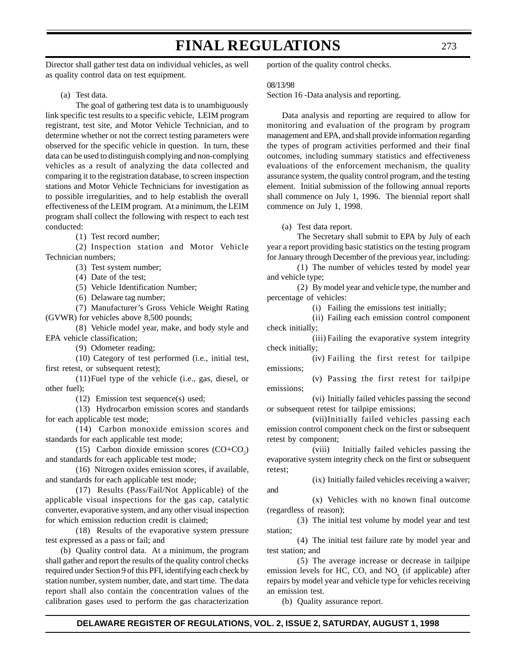Director shall gather test data on individual vehicles, as well as quality control data on test equipment.

(a) Test data.

The goal of gathering test data is to unambiguously link specific test results to a specific vehicle, LEIM program registrant, test site, and Motor Vehicle Technician, and to determine whether or not the correct testing parameters were observed for the specific vehicle in question. In turn, these data can be used to distinguish complying and non-complying vehicles as a result of analyzing the data collected and comparing it to the registration database, to screen inspection stations and Motor Vehicle Technicians for investigation as to possible irregularities, and to help establish the overall effectiveness of the LEIM program. At a minimum, the LEIM program shall collect the following with respect to each test conducted:

(1) Test record number;

(2) Inspection station and Motor Vehicle Technician numbers;

(3) Test system number;

(4) Date of the test;

(5) Vehicle Identification Number;

(6) Delaware tag number;

(7) Manufacturer's Gross Vehicle Weight Rating (GVWR) for vehicles above 8,500 pounds;

(8) Vehicle model year, make, and body style and EPA vehicle classification;

(9) Odometer reading;

(10) Category of test performed (i.e., initial test, first retest, or subsequent retest);

(11)Fuel type of the vehicle (i.e., gas, diesel, or other fuel);

(12) Emission test sequence(s) used;

(13) Hydrocarbon emission scores and standards for each applicable test mode;

(14) Carbon monoxide emission scores and standards for each applicable test mode;

(15) Carbon dioxide emission scores  $(CO+CO<sub>2</sub>)$ and standards for each applicable test mode;

(16) Nitrogen oxides emission scores, if available, and standards for each applicable test mode;

(17) Results (Pass/Fail/Not Applicable) of the applicable visual inspections for the gas cap, catalytic converter, evaporative system, and any other visual inspection for which emission reduction credit is claimed;

(18) Results of the evaporative system pressure test expressed as a pass or fail; and

(b) Quality control data. At a minimum, the program shall gather and report the results of the quality control checks required under Section 9 of this PFI, identifying each check by station number, system number, date, and start time. The data report shall also contain the concentration values of the calibration gases used to perform the gas characterization

portion of the quality control checks.

#### 08/13/98

Section 16 -Data analysis and reporting.

Data analysis and reporting are required to allow for monitoring and evaluation of the program by program management and EPA, and shall provide information regarding the types of program activities performed and their final outcomes, including summary statistics and effectiveness evaluations of the enforcement mechanism, the quality assurance system, the quality control program, and the testing element. Initial submission of the following annual reports shall commence on July 1, 1996. The biennial report shall commence on July 1, 1998.

(a) Test data report.

The Secretary shall submit to EPA by July of each year a report providing basic statistics on the testing program for January through December of the previous year, including:

(1) The number of vehicles tested by model year and vehicle type;

(2) By model year and vehicle type, the number and percentage of vehicles:

(i) Failing the emissions test initially;

(ii) Failing each emission control component check initially;

(iii) Failing the evaporative system integrity check initially;

(iv) Failing the first retest for tailpipe emissions;

(v) Passing the first retest for tailpipe emissions;

(vi) Initially failed vehicles passing the second or subsequent retest for tailpipe emissions;

(vii)Initially failed vehicles passing each emission control component check on the first or subsequent retest by component;

(viii) Initially failed vehicles passing the evaporative system integrity check on the first or subsequent retest;

(ix) Initially failed vehicles receiving a waiver; and

(x) Vehicles with no known final outcome (regardless of reason);

(3) The initial test volume by model year and test station;

(4) The initial test failure rate by model year and test station; and

(5) The average increase or decrease in tailpipe emission levels for HC, CO, and  $NO<sub>x</sub>$  (if applicable) after repairs by model year and vehicle type for vehicles receiving an emission test.

(b) Quality assurance report.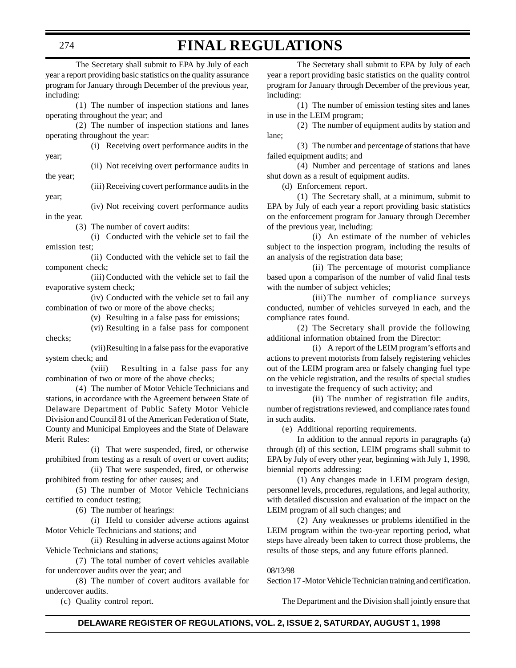The Secretary shall submit to EPA by July of each year a report providing basic statistics on the quality assurance program for January through December of the previous year, including:

(1) The number of inspection stations and lanes operating throughout the year; and

(2) The number of inspection stations and lanes operating throughout the year:

(i) Receiving overt performance audits in the year;

(ii) Not receiving overt performance audits in the year;

(iii) Receiving covert performance audits in the year;

(iv) Not receiving covert performance audits in the year.

(3) The number of covert audits:

(i) Conducted with the vehicle set to fail the emission test;

(ii) Conducted with the vehicle set to fail the component check;

(iii) Conducted with the vehicle set to fail the evaporative system check;

(iv) Conducted with the vehicle set to fail any combination of two or more of the above checks;

(v) Resulting in a false pass for emissions;

(vi) Resulting in a false pass for component

(vii)Resulting in a false pass for the evaporative system check; and

(viii) Resulting in a false pass for any combination of two or more of the above checks;

(4) The number of Motor Vehicle Technicians and stations, in accordance with the Agreement between State of Delaware Department of Public Safety Motor Vehicle Division and Council 81 of the American Federation of State, County and Municipal Employees and the State of Delaware Merit Rules:

(i) That were suspended, fired, or otherwise prohibited from testing as a result of overt or covert audits;

(ii) That were suspended, fired, or otherwise prohibited from testing for other causes; and

(5) The number of Motor Vehicle Technicians certified to conduct testing;

(6) The number of hearings:

(i) Held to consider adverse actions against Motor Vehicle Technicians and stations; and

(ii) Resulting in adverse actions against Motor Vehicle Technicians and stations;

(7) The total number of covert vehicles available for undercover audits over the year; and

(8) The number of covert auditors available for undercover audits.

(c) Quality control report.

The Secretary shall submit to EPA by July of each year a report providing basic statistics on the quality control program for January through December of the previous year, including:

(1) The number of emission testing sites and lanes in use in the LEIM program;

(2) The number of equipment audits by station and lane;

(3) The number and percentage of stations that have failed equipment audits; and

(4) Number and percentage of stations and lanes shut down as a result of equipment audits.

(d) Enforcement report.

(1) The Secretary shall, at a minimum, submit to EPA by July of each year a report providing basic statistics on the enforcement program for January through December of the previous year, including:

(i) An estimate of the number of vehicles subject to the inspection program, including the results of an analysis of the registration data base;

(ii) The percentage of motorist compliance based upon a comparison of the number of valid final tests with the number of subject vehicles;

(iii) The number of compliance surveys conducted, number of vehicles surveyed in each, and the compliance rates found.

(2) The Secretary shall provide the following additional information obtained from the Director:

(i) A report of the LEIM program's efforts and actions to prevent motorists from falsely registering vehicles out of the LEIM program area or falsely changing fuel type on the vehicle registration, and the results of special studies to investigate the frequency of such activity; and

(ii) The number of registration file audits, number of registrations reviewed, and compliance rates found in such audits.

(e) Additional reporting requirements.

In addition to the annual reports in paragraphs (a) through (d) of this section, LEIM programs shall submit to EPA by July of every other year, beginning with July 1, 1998, biennial reports addressing:

(1) Any changes made in LEIM program design, personnel levels, procedures, regulations, and legal authority, with detailed discussion and evaluation of the impact on the LEIM program of all such changes; and

(2) Any weaknesses or problems identified in the LEIM program within the two-year reporting period, what steps have already been taken to correct those problems, the results of those steps, and any future efforts planned.

08/13/98

Section 17 -Motor Vehicle Technician training and certification.

The Department and the Division shall jointly ensure that

checks;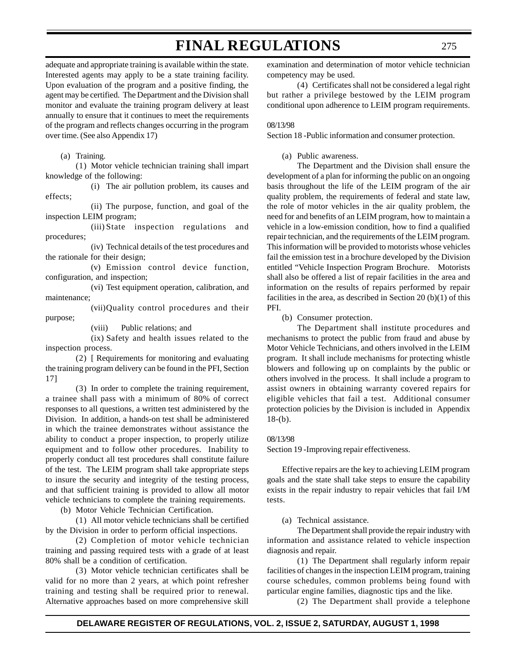adequate and appropriate training is available within the state. Interested agents may apply to be a state training facility. Upon evaluation of the program and a positive finding, the agent may be certified. The Department and the Division shall monitor and evaluate the training program delivery at least annually to ensure that it continues to meet the requirements of the program and reflects changes occurring in the program over time. (See also Appendix 17)

#### (a) Training.

(1) Motor vehicle technician training shall impart knowledge of the following:

(i) The air pollution problem, its causes and effects;

(ii) The purpose, function, and goal of the inspection LEIM program;

(iii) State inspection regulations and procedures;

(iv) Technical details of the test procedures and the rationale for their design;

(v) Emission control device function, configuration, and inspection;

(vi) Test equipment operation, calibration, and maintenance;

(vii)Quality control procedures and their purpose;

(viii) Public relations; and

(ix) Safety and health issues related to the inspection process.

(2) [ Requirements for monitoring and evaluating the training program delivery can be found in the PFI, Section 17]

(3) In order to complete the training requirement, a trainee shall pass with a minimum of 80% of correct responses to all questions, a written test administered by the Division. In addition, a hands-on test shall be administered in which the trainee demonstrates without assistance the ability to conduct a proper inspection, to properly utilize equipment and to follow other procedures. Inability to properly conduct all test procedures shall constitute failure of the test. The LEIM program shall take appropriate steps to insure the security and integrity of the testing process, and that sufficient training is provided to allow all motor vehicle technicians to complete the training requirements.

(b) Motor Vehicle Technician Certification.

(1) All motor vehicle technicians shall be certified by the Division in order to perform official inspections.

(2) Completion of motor vehicle technician training and passing required tests with a grade of at least 80% shall be a condition of certification.

(3) Motor vehicle technician certificates shall be valid for no more than 2 years, at which point refresher training and testing shall be required prior to renewal. Alternative approaches based on more comprehensive skill

examination and determination of motor vehicle technician competency may be used.

(4) Certificates shall not be considered a legal right but rather a privilege bestowed by the LEIM program conditional upon adherence to LEIM program requirements.

#### 08/13/98

Section 18 -Public information and consumer protection.

#### (a) Public awareness.

The Department and the Division shall ensure the development of a plan for informing the public on an ongoing basis throughout the life of the LEIM program of the air quality problem, the requirements of federal and state law, the role of motor vehicles in the air quality problem, the need for and benefits of an LEIM program, how to maintain a vehicle in a low-emission condition, how to find a qualified repair technician, and the requirements of the LEIM program. This information will be provided to motorists whose vehicles fail the emission test in a brochure developed by the Division entitled "Vehicle Inspection Program Brochure. Motorists shall also be offered a list of repair facilities in the area and information on the results of repairs performed by repair facilities in the area, as described in Section 20 $(b)(1)$  of this PFI.

(b) Consumer protection.

The Department shall institute procedures and mechanisms to protect the public from fraud and abuse by Motor Vehicle Technicians, and others involved in the LEIM program. It shall include mechanisms for protecting whistle blowers and following up on complaints by the public or others involved in the process. It shall include a program to assist owners in obtaining warranty covered repairs for eligible vehicles that fail a test. Additional consumer protection policies by the Division is included in Appendix  $18-(b)$ .

#### 08/13/98

Section 19 -Improving repair effectiveness.

Effective repairs are the key to achieving LEIM program goals and the state shall take steps to ensure the capability exists in the repair industry to repair vehicles that fail I/M tests.

(a) Technical assistance.

The Department shall provide the repair industry with information and assistance related to vehicle inspection diagnosis and repair.

(1) The Department shall regularly inform repair facilities of changes in the inspection LEIM program, training course schedules, common problems being found with particular engine families, diagnostic tips and the like.

(2) The Department shall provide a telephone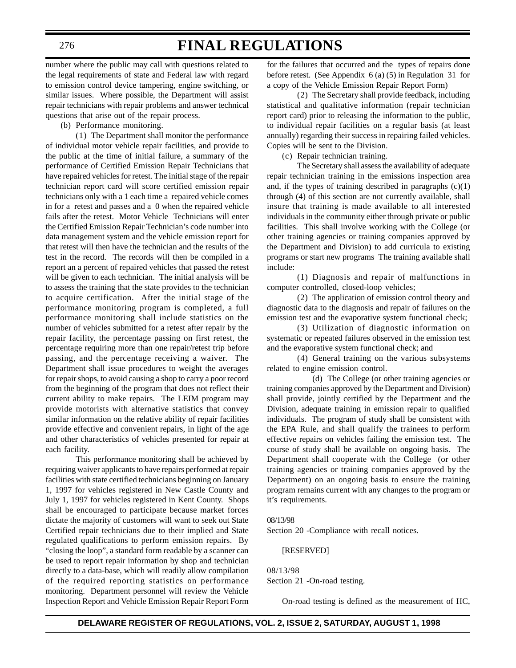number where the public may call with questions related to the legal requirements of state and Federal law with regard to emission control device tampering, engine switching, or similar issues. Where possible, the Department will assist repair technicians with repair problems and answer technical questions that arise out of the repair process.

(b) Performance monitoring.

(1) The Department shall monitor the performance of individual motor vehicle repair facilities, and provide to the public at the time of initial failure, a summary of the performance of Certified Emission Repair Technicians that have repaired vehicles for retest. The initial stage of the repair technician report card will score certified emission repair technicians only with a 1 each time a repaired vehicle comes in for a retest and passes and a 0 when the repaired vehicle fails after the retest. Motor Vehicle Technicians will enter the Certified Emission Repair Technician's code number into data management system and the vehicle emission report for that retest will then have the technician and the results of the test in the record. The records will then be compiled in a report an a percent of repaired vehicles that passed the retest will be given to each technician. The initial analysis will be to assess the training that the state provides to the technician to acquire certification. After the initial stage of the performance monitoring program is completed, a full performance monitoring shall include statistics on the number of vehicles submitted for a retest after repair by the repair facility, the percentage passing on first retest, the percentage requiring more than one repair/retest trip before passing, and the percentage receiving a waiver. The Department shall issue procedures to weight the averages for repair shops, to avoid causing a shop to carry a poor record from the beginning of the program that does not reflect their current ability to make repairs. The LEIM program may provide motorists with alternative statistics that convey similar information on the relative ability of repair facilities provide effective and convenient repairs, in light of the age and other characteristics of vehicles presented for repair at each facility.

This performance monitoring shall be achieved by requiring waiver applicants to have repairs performed at repair facilities with state certified technicians beginning on January 1, 1997 for vehicles registered in New Castle County and July 1, 1997 for vehicles registered in Kent County. Shops shall be encouraged to participate because market forces dictate the majority of customers will want to seek out State Certified repair technicians due to their implied and State regulated qualifications to perform emission repairs. By "closing the loop", a standard form readable by a scanner can be used to report repair information by shop and technician directly to a data-base, which will readily allow compilation of the required reporting statistics on performance monitoring. Department personnel will review the Vehicle Inspection Report and Vehicle Emission Repair Report Form

for the failures that occurred and the types of repairs done before retest. (See Appendix 6 (a) (5) in Regulation 31 for a copy of the Vehicle Emission Repair Report Form)

(2) The Secretary shall provide feedback, including statistical and qualitative information (repair technician report card) prior to releasing the information to the public, to individual repair facilities on a regular basis (at least annually) regarding their success in repairing failed vehicles. Copies will be sent to the Division.

(c) Repair technician training.

The Secretary shall assess the availability of adequate repair technician training in the emissions inspection area and, if the types of training described in paragraphs  $(c)(1)$ through (4) of this section are not currently available, shall insure that training is made available to all interested individuals in the community either through private or public facilities. This shall involve working with the College (or other training agencies or training companies approved by the Department and Division) to add curricula to existing programs or start new programs The training available shall include:

(1) Diagnosis and repair of malfunctions in computer controlled, closed-loop vehicles;

(2) The application of emission control theory and diagnostic data to the diagnosis and repair of failures on the emission test and the evaporative system functional check;

(3) Utilization of diagnostic information on systematic or repeated failures observed in the emission test and the evaporative system functional check; and

(4) General training on the various subsystems related to engine emission control.

(d) The College (or other training agencies or training companies approved by the Department and Division) shall provide, jointly certified by the Department and the Division, adequate training in emission repair to qualified individuals. The program of study shall be consistent with the EPA Rule, and shall qualify the trainees to perform effective repairs on vehicles failing the emission test. The course of study shall be available on ongoing basis. The Department shall cooperate with the College (or other training agencies or training companies approved by the Department) on an ongoing basis to ensure the training program remains current with any changes to the program or it's requirements.

08/13/98 Section 20 -Compliance with recall notices.

[RESERVED]

08/13/98 Section 21 -On-road testing.

On-road testing is defined as the measurement of HC,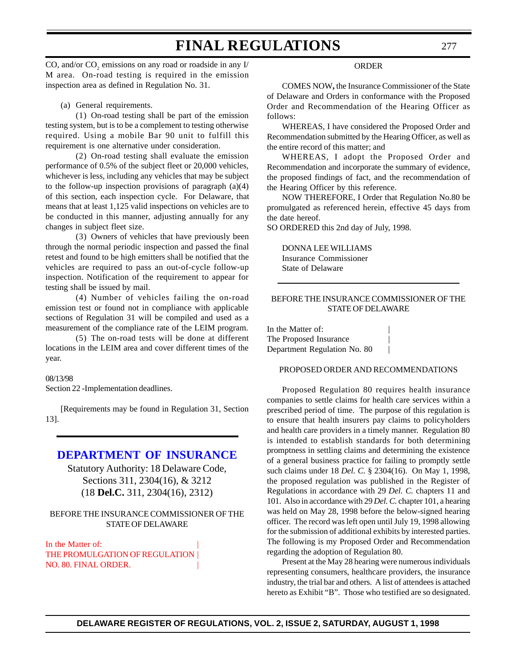CO, and/or  $CO_2$  emissions on any road or roadside in any I/ M area. On-road testing is required in the emission inspection area as defined in Regulation No. 31.

(a) General requirements.

(1) On-road testing shall be part of the emission testing system, but is to be a complement to testing otherwise required. Using a mobile Bar 90 unit to fulfill this requirement is one alternative under consideration.

(2) On-road testing shall evaluate the emission performance of 0.5% of the subject fleet or 20,000 vehicles, whichever is less, including any vehicles that may be subject to the follow-up inspection provisions of paragraph (a)(4) of this section, each inspection cycle. For Delaware, that means that at least 1,125 valid inspections on vehicles are to be conducted in this manner, adjusting annually for any changes in subject fleet size.

(3) Owners of vehicles that have previously been through the normal periodic inspection and passed the final retest and found to be high emitters shall be notified that the vehicles are required to pass an out-of-cycle follow-up inspection. Notification of the requirement to appear for testing shall be issued by mail.

(4) Number of vehicles failing the on-road emission test or found not in compliance with applicable sections of Regulation 31 will be compiled and used as a measurement of the compliance rate of the LEIM program.

(5) The on-road tests will be done at different locations in the LEIM area and cover different times of the year.

#### 08/13/98

Section 22 -Implementation deadlines.

[Requirements may be found in Regulation 31, Section 13].

### **[DEPARTMENT OF INSURANCE](http://www.state.de.us/inscom/index.htm)**

Statutory Authority: 18 Delaware Code, Sections 311, 2304(16), & 3212 (18 **Del.C.** 311, 2304(16), 2312)

### BEFORE THE INSURANCE COMMISSIONER OF THE STATE OF DELAWARE

In the Matter of: [THE PROMULGATION OF REGULATION](#page-3-0) | NO. 80. FINAL ORDER. |

### ORDER

COMES NOW**,** the Insurance Commissioner of the State of Delaware and Orders in conformance with the Proposed Order and Recommendation of the Hearing Officer as follows:

WHEREAS, I have considered the Proposed Order and Recommendation submitted by the Hearing Officer, as well as the entire record of this matter; and

WHEREAS, I adopt the Proposed Order and Recommendation and incorporate the summary of evidence, the proposed findings of fact, and the recommendation of the Hearing Officer by this reference.

NOW THEREFORE, I Order that Regulation No.80 be promulgated as referenced herein, effective 45 days from the date hereof.

SO ORDERED this 2nd day of July, 1998.

DONNA LEE WILLIAMS Insurance Commissioner State of Delaware

### BEFORE THE INSURANCE COMMISSIONER OF THE STATE OF DELAWARE

| In the Matter of:            |  |
|------------------------------|--|
| The Proposed Insurance       |  |
| Department Regulation No. 80 |  |

#### PROPOSED ORDER AND RECOMMENDATIONS

Proposed Regulation 80 requires health insurance companies to settle claims for health care services within a prescribed period of time. The purpose of this regulation is to ensure that health insurers pay claims to policyholders and health care providers in a timely manner. Regulation 80 is intended to establish standards for both determining promptness in settling claims and determining the existence of a general business practice for failing to promptly settle such claims under 18 *Del. C.* § 2304(16). On May 1, 1998, the proposed regulation was published in the Register of Regulations in accordance with 29 *Del. C.* chapters 11 and 101. Also in accordance with 29 *Del. C.* chapter 101, a hearing was held on May 28, 1998 before the below-signed hearing officer. The record was left open until July 19, 1998 allowing for the submission of additional exhibits by interested parties. The following is my Proposed Order and Recommendation regarding the adoption of Regulation 80.

Present at the May 28 hearing were numerous individuals representing consumers, healthcare providers, the insurance industry, the trial bar and others. A list of attendees is attached hereto as Exhibit "B". Those who testified are so designated.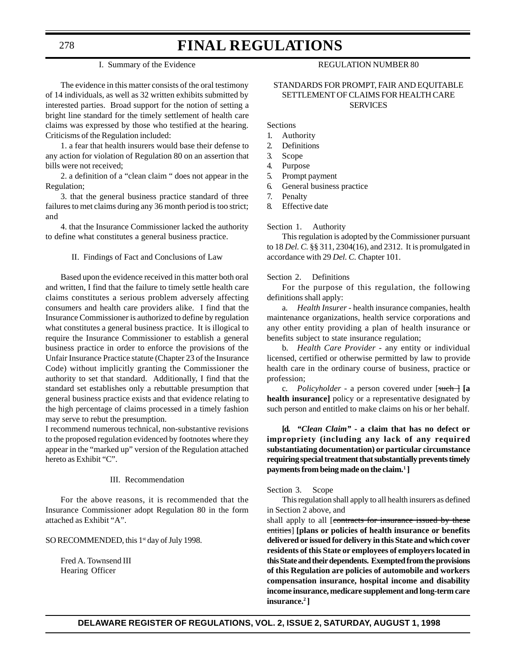### 278

# **FINAL REGULATIONS**

### I. Summary of the Evidence

### The evidence in this matter consists of the oral testimony of 14 individuals, as well as 32 written exhibits submitted by interested parties. Broad support for the notion of setting a bright line standard for the timely settlement of health care claims was expressed by those who testified at the hearing. Criticisms of the Regulation included:

1. a fear that health insurers would base their defense to any action for violation of Regulation 80 on an assertion that bills were not received;

2. a definition of a "clean claim " does not appear in the Regulation;

3. that the general business practice standard of three failures to met claims during any 36 month period is too strict; and

4. that the Insurance Commissioner lacked the authority to define what constitutes a general business practice.

#### II. Findings of Fact and Conclusions of Law

Based upon the evidence received in this matter both oral and written, I find that the failure to timely settle health care claims constitutes a serious problem adversely affecting consumers and health care providers alike. I find that the Insurance Commissioner is authorized to define by regulation what constitutes a general business practice. It is illogical to require the Insurance Commissioner to establish a general business practice in order to enforce the provisions of the Unfair Insurance Practice statute (Chapter 23 of the Insurance Code) without implicitly granting the Commissioner the authority to set that standard. Additionally, I find that the standard set establishes only a rebuttable presumption that general business practice exists and that evidence relating to the high percentage of claims processed in a timely fashion may serve to rebut the presumption.

I recommend numerous technical, non-substantive revisions to the proposed regulation evidenced by footnotes where they appear in the "marked up" version of the Regulation attached hereto as Exhibit "C".

#### III. Recommendation

For the above reasons, it is recommended that the Insurance Commissioner adopt Regulation 80 in the form attached as Exhibit "A".

#### SO RECOMMENDED, this 1<sup>st</sup> day of July 1998.

Fred A. Townsend III Hearing Officer

#### REGULATION NUMBER 80

#### STANDARDS FOR PROMPT, FAIR AND EQUITABLE SETTLEMENT OF CLAIMS FOR HEALTH CARE SERVICES

Sections

- 1. Authority
- 2. Definitions
- 3. Scope
- 4. Purpose
- 5. Prompt payment
- 6. General business practice
- 7. Penalty
- 8. Effective date

#### Section 1. Authority

This regulation is adopted by the Commissioner pursuant to 18 *Del. C.* §§ 311, 2304(16), and 2312. It is promulgated in accordance with 29 *Del. C. C*hapter 101.

#### Section 2. Definitions

For the purpose of this regulation, the following definitions shall apply:

a. *Health Insurer -* health insurance companies, health maintenance organizations, health service corporations and any other entity providing a plan of health insurance or benefits subject to state insurance regulation;

b. *Health Care Provider -* any entity or individual licensed, certified or otherwise permitted by law to provide health care in the ordinary course of business, practice or profession;

c. *Policyholder* - a person covered under [such ] [a **health insurance]** policy or a representative designated by such person and entitled to make claims on his or her behalf.

**[d.** *"Clean Claim"* **- a claim that has no defect or impropriety (including any lack of any required substantiating documentation) or particular circumstance requiring special treatment that substantially prevents timely payments from being made on the claim.1 ]**

Section 3. Scope

This regulation shall apply to all health insurers as defined in Section 2 above, and

shall apply to all [contracts for insurance issued by these entities] **[plans or policies of health insurance or benefits delivered or issued for delivery in this State and which cover residents of this State or employees of employers located in this State and their dependents. Exempted from the provisions of this Regulation are policies of automobile and workers compensation insurance, hospital income and disability income insurance, medicare supplement and long-term care insurance.2 ]**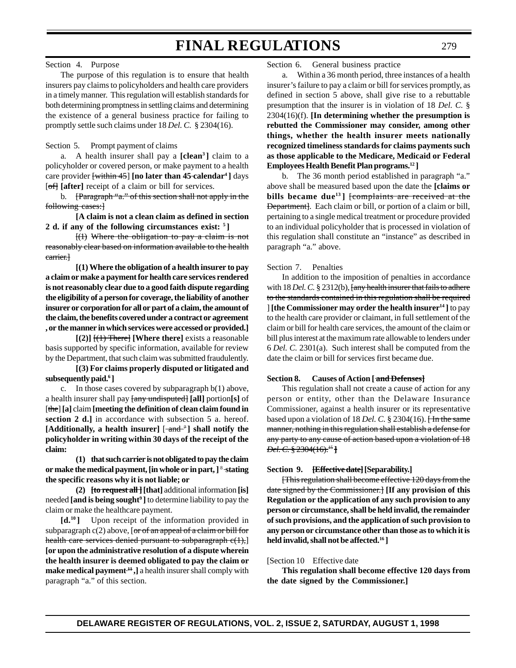Section 4. Purpose

The purpose of this regulation is to ensure that health insurers pay claims to policyholders and health care providers in a timely manner. This regulation will establish standards for both determining promptness in settling claims and determining the existence of a general business practice for failing to promptly settle such claims under 18 *Del. C.* § 2304(16).

Section 5. Prompt payment of claims

a. A health insurer shall pay a **[clean3 ]** claim to a policyholder or covered person, or make payment to a health care provider [within 45] **[no later than 45 calendar4 ]** days [of] [after] receipt of a claim or bill for services.

b. [Paragraph "a." of this section shall not apply in the following cases:

**[A claim is not a clean claim as defined in section 2 d. if any of the following circumstances exist: 5 ]**

[(1) Where the obligation to pay a claim is not reasonably clear based on information available to the health carrier.]

**[(1) Where the obligation of a health insurer to pay a claim or make a payment for health care services rendered is not reasonably clear due to a good faith dispute regarding the eligibility of a person for coverage, the liability of another insurer or corporation for all or part of a claim, the amount of the claim, the benefits covered under a contract or agreement , or the manner in which services were accessed or provided.]**

 $[(2)]$   $[$ ( $[$ 1) There<sup>{</sup>] **[Where there**} exists a reasonable basis supported by specific information, available for review by the Department, that such claim was submitted fraudulently.

**[(3) For claims properly disputed or litigated and subsequently paid.6 ]**

c. In those cases covered by subparagraph b(1) above, a health insurer shall pay [any undisputed] **[all]** portion**[s]** of [the] **[a]** claim **[meeting the definition of clean claim found in section 2 d.**] in accordance with subsection 5 a. hereof.  $[Additionally, a health insert]  $[\text{-}and^{-7}]$  shall notify the$ **policyholder in writing within 30 days of the receipt of the claim:**

**(1) that such carrier is not obligated to pay the claim or make the medical payment, [in whole or in part, ]** <sup>8</sup> **stating the specific reasons why it is not liable; or**

**(2) [to request all ] [that]** additional information **[is]** needed **[and is being sought9 ]** to determine liability to pay the claim or make the healthcare payment.

**[d.10 ]** Upon receipt of the information provided in subparagraph  $c(2)$  above, [or of an appeal of a claim or bill for health care services denied pursuant to subparagraph  $c(1)$ , **[or upon the administrative resolution of a dispute wherein the health insurer is deemed obligated to pay the claim or** make medical payment<sup>11</sup>, a health insurer shall comply with paragraph "a." of this section.

Section 6. General business practice

a. Within a 36 month period, three instances of a health insurer's failure to pay a claim or bill for services promptly, as defined in section 5 above, shall give rise to a rebuttable presumption that the insurer is in violation of 18 *Del. C.* § 2304(16)(f). **[In determining whether the presumption is rebutted the Commissioner may consider, among other things, whether the health insurer meets nationally recognized timeliness standards for claims payments such as those applicable to the Medicare, Medicaid or Federal Employees Health Benefit Plan programs.12 ]**

b. The 36 month period established in paragraph "a." above shall be measured based upon the date the **[claims or bills became due13 ]** [complaints are received at the Department]. Each claim or bill, or portion of a claim or bill, pertaining to a single medical treatment or procedure provided to an individual policyholder that is processed in violation of this regulation shall constitute an "instance" as described in paragraph "a." above.

#### Section 7. Penalties

In addition to the imposition of penalties in accordance with 18 *Del. C.* § 2312(b),  $\frac{1}{2}$  any health insurer that fails to adhere to the standards contained in this regulation shall be required ] **[the Commissioner may order the health insurer14 ]** to pay to the health care provider or claimant, in full settlement of the claim or bill for health care services, the amount of the claim or bill plus interest at the maximum rate allowable to lenders under 6 *Del. C.* 2301(a). Such interest shall be computed from the date the claim or bill for services first became due.

#### **Section 8. Causes of Action [ and Defenses]**

This regulation shall not create a cause of action for any person or entity, other than the Delaware Insurance Commissioner, against a health insurer or its representative based upon a violation of 18 *Del. C.* § 2304(16). <del>[In the same</del> manner, nothing in this regulation shall establish a defense for any party to any cause of action based upon a violation of 18 *Del. C.* § 2304(16).15 **]**

#### **Section 9. [Effective date] [Separability.]**

[This regulation shall become effective 120 days from the date signed by the Commissioner.] **[If any provision of this Regulation or the application of any such provision to any person or circumstance, shall be held invalid, the remainder of such provisions, and the application of such provision to any person or circumstance other than those as to which it is held invalid, shall not be affected.16 ]**

### [Section 10 Effective date

**This regulation shall become effective 120 days from the date signed by the Commissioner.]**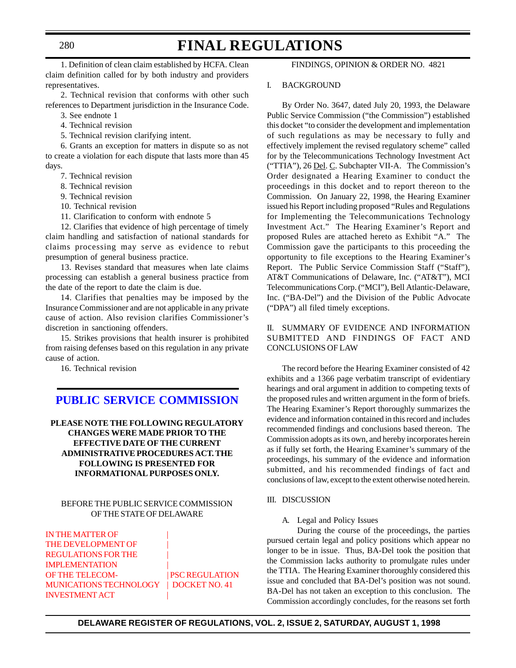1. Definition of clean claim established by HCFA. Clean claim definition called for by both industry and providers representatives.

2. Technical revision that conforms with other such references to Department jurisdiction in the Insurance Code.

- 3. See endnote 1
- 4. Technical revision
- 5. Technical revision clarifying intent.

6. Grants an exception for matters in dispute so as not to create a violation for each dispute that lasts more than 45 days.

- 7. Technical revision
- 8. Technical revision
- 9. Technical revision
- 10. Technical revision
- 11. Clarification to conform with endnote 5

12. Clarifies that evidence of high percentage of timely claim handling and satisfaction of national standards for claims processing may serve as evidence to rebut presumption of general business practice.

13. Revises standard that measures when late claims processing can establish a general business practice from the date of the report to date the claim is due.

14. Clarifies that penalties may be imposed by the Insurance Commissioner and are not applicable in any private cause of action. Also revision clarifies Commissioner's discretion in sanctioning offenders.

15. Strikes provisions that health insurer is prohibited from raising defenses based on this regulation in any private cause of action.

16. Technical revision

### **[PUBLIC SERVICE COMMISSION](http://www.state.de.us/govern/agencies/pubservc/delpsc.htm)**

### **PLEASE NOTE THE FOLLOWING REGULATORY CHANGES WERE MADE PRIOR TO THE EFFECTIVE DATE OF THE CURRENT ADMINISTRATIVE PROCEDURES ACT. THE FOLLOWING IS PRESENTED FOR INFORMATIONAL PURPOSES ONLY.**

### BEFORE THE PUBLIC SERVICE COMMISSION OF THE STATE OF DELAWARE

IN THE MATTER OF THE DEVELOPMENT OF REGULATIONS FOR THE **IMPLEMENTATION** OF THE TELECOM- IPSC REGULATION [MUNICATIONS TECHNOLOGY](#page-3-0) | DOCKET NO. 41 INVESTMENT ACT |

### FINDINGS, OPINION & ORDER NO. 4821

#### I. BACKGROUND

By Order No. 3647, dated July 20, 1993, the Delaware Public Service Commission ("the Commission") established this docket "to consider the development and implementation of such regulations as may be necessary to fully and effectively implement the revised regulatory scheme" called for by the Telecommunications Technology Investment Act ("TTIA"), 26 Del. C. Subchapter VII-A. The Commission's Order designated a Hearing Examiner to conduct the proceedings in this docket and to report thereon to the Commission. On January 22, 1998, the Hearing Examiner issued his Report including proposed "Rules and Regulations for Implementing the Telecommunications Technology Investment Act." The Hearing Examiner's Report and proposed Rules are attached hereto as Exhibit "A." The Commission gave the participants to this proceeding the opportunity to file exceptions to the Hearing Examiner's Report. The Public Service Commission Staff ("Staff"), AT&T Communications of Delaware, Inc. ("AT&T"), MCI Telecommunications Corp. ("MCI"), Bell Atlantic-Delaware, Inc. ("BA-Del") and the Division of the Public Advocate ("DPA") all filed timely exceptions.

### II. SUMMARY OF EVIDENCE AND INFORMATION SUBMITTED AND FINDINGS OF FACT AND CONCLUSIONS OF LAW

The record before the Hearing Examiner consisted of 42 exhibits and a 1366 page verbatim transcript of evidentiary hearings and oral argument in addition to competing texts of the proposed rules and written argument in the form of briefs. The Hearing Examiner's Report thoroughly summarizes the evidence and information contained in this record and includes recommended findings and conclusions based thereon. The Commission adopts as its own, and hereby incorporates herein as if fully set forth, the Hearing Examiner's summary of the proceedings, his summary of the evidence and information submitted, and his recommended findings of fact and conclusions of law, except to the extent otherwise noted herein.

#### III. DISCUSSION

A. Legal and Policy Issues

During the course of the proceedings, the parties pursued certain legal and policy positions which appear no longer to be in issue. Thus, BA-Del took the position that the Commission lacks authority to promulgate rules under the TTIA. The Hearing Examiner thoroughly considered this issue and concluded that BA-Del's position was not sound. BA-Del has not taken an exception to this conclusion. The Commission accordingly concludes, for the reasons set forth

#### 280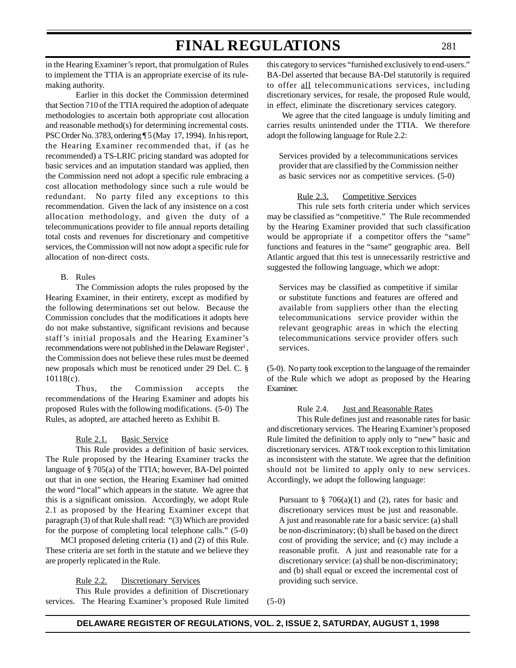in the Hearing Examiner's report, that promulgation of Rules to implement the TTIA is an appropriate exercise of its rulemaking authority.

Earlier in this docket the Commission determined that Section 710 of the TTIA required the adoption of adequate methodologies to ascertain both appropriate cost allocation and reasonable method(s) for determining incremental costs. PSC Order No. 3783, ordering ¶ 5 (May 17, 1994). In his report, the Hearing Examiner recommended that, if (as he recommended) a TS-LRIC pricing standard was adopted for basic services and an imputation standard was applied, then the Commission need not adopt a specific rule embracing a cost allocation methodology since such a rule would be redundant. No party filed any exceptions to this recommendation. Given the lack of any insistence on a cost allocation methodology, and given the duty of a telecommunications provider to file annual reports detailing total costs and revenues for discretionary and competitive services, the Commission will not now adopt a specific rule for allocation of non-direct costs.

### B. Rules

The Commission adopts the rules proposed by the Hearing Examiner, in their entirety, except as modified by the following determinations set out below. Because the Commission concludes that the modifications it adopts here do not make substantive, significant revisions and because staff's initial proposals and the Hearing Examiner's recommendations were not published in the Delaware Register<sup>1</sup>, the Commission does not believe these rules must be deemed new proposals which must be renoticed under 29 Del. C. § 10118(c).

Thus, the Commission accepts the recommendations of the Hearing Examiner and adopts his proposed Rules with the following modifications. (5-0) The Rules, as adopted, are attached hereto as Exhibit B.

#### Rule 2.1. Basic Service

This Rule provides a definition of basic services. The Rule proposed by the Hearing Examiner tracks the language of § 705(a) of the TTIA; however, BA-Del pointed out that in one section, the Hearing Examiner had omitted the word "local" which appears in the statute. We agree that this is a significant omission. Accordingly, we adopt Rule 2.1 as proposed by the Hearing Examiner except that paragraph (3) of that Rule shall read: "(3) Which are provided for the purpose of completing local telephone calls." (5-0)

MCI proposed deleting criteria (1) and (2) of this Rule. These criteria are set forth in the statute and we believe they are properly replicated in the Rule.

#### Rule 2.2. Discretionary Services

This Rule provides a definition of Discretionary services. The Hearing Examiner's proposed Rule limited

this category to services "furnished exclusively to end-users." BA-Del asserted that because BA-Del statutorily is required to offer all telecommunications services, including discretionary services, for resale, the proposed Rule would, in effect, eliminate the discretionary services category.

We agree that the cited language is unduly limiting and carries results unintended under the TTIA. We therefore adopt the following language for Rule 2.2:

Services provided by a telecommunications services provider that are classified by the Commission neither as basic services nor as competitive services. (5-0)

#### Rule 2.3. Competitive Services

This rule sets forth criteria under which services may be classified as "competitive." The Rule recommended by the Hearing Examiner provided that such classification would be appropriate if a competitor offers the "same" functions and features in the "same" geographic area. Bell Atlantic argued that this test is unnecessarily restrictive and suggested the following language, which we adopt:

Services may be classified as competitive if similar or substitute functions and features are offered and available from suppliers other than the electing telecommunications service provider within the relevant geographic areas in which the electing telecommunications service provider offers such services.

(5-0). No party took exception to the language of the remainder of the Rule which we adopt as proposed by the Hearing Examiner.

Rule 2.4. Just and Reasonable Rates

This Rule defines just and reasonable rates for basic and discretionary services. The Hearing Examiner's proposed Rule limited the definition to apply only to "new" basic and discretionary services. AT&T took exception to this limitation as inconsistent with the statute. We agree that the definition should not be limited to apply only to new services. Accordingly, we adopt the following language:

Pursuant to  $\S$  706(a)(1) and (2), rates for basic and discretionary services must be just and reasonable. A just and reasonable rate for a basic service: (a) shall be non-discriminatory; (b) shall be based on the direct cost of providing the service; and (c) may include a reasonable profit. A just and reasonable rate for a discretionary service: (a) shall be non-discriminatory; and (b) shall equal or exceed the incremental cost of providing such service.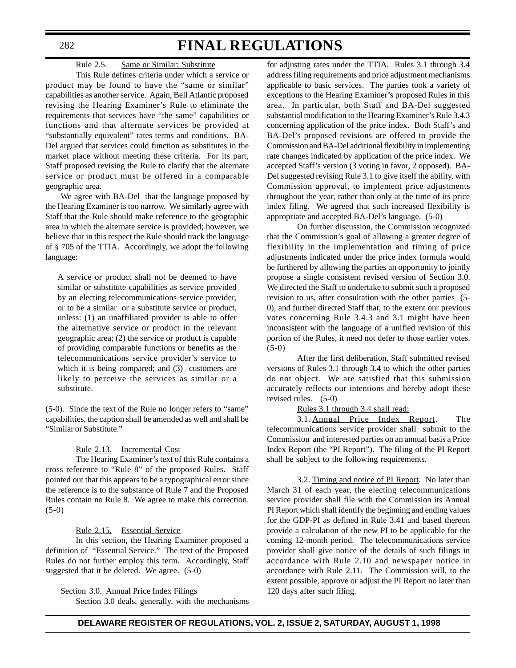### Rule 2.5. Same or Similar; Substitute

This Rule defines criteria under which a service or product may be found to have the "same or similar" capabilities as another service. Again, Bell Atlantic proposed revising the Hearing Examiner's Rule to eliminate the requirements that services have "the same" capabilities or functions and that alternate services be provided at "substantially equivalent" rates terms and conditions. BA-Del argued that services could function as substitutes in the market place without meeting these criteria. For its part, Staff proposed revising the Rule to clarify that the alternate service or product must be offered in a comparable geographic area.

We agree with BA-Del that the language proposed by the Hearing Examiner is too narrow. We similarly agree with Staff that the Rule should make reference to the geographic area in which the alternate service is provided; however, we believe that in this respect the Rule should track the language of § 705 of the TTIA. Accordingly, we adopt the following language:

A service or product shall not be deemed to have similar or substitute capabilities as service provided by an electing telecommunications service provider, or to be a similar or a substitute service or product, unless: (1) an unaffiliated provider is able to offer the alternative service or product in the relevant geographic area; (2) the service or product is capable of providing comparable functions or benefits as the telecommunications service provider's service to which it is being compared; and (3) customers are likely to perceive the services as similar or a substitute.

(5-0). Since the text of the Rule no longer refers to "same" capabilities, the caption shall be amended as well and shall be "Similar or Substitute."

#### Rule 2.13. Incremental Cost

The Hearing Examiner's text of this Rule contains a cross reference to "Rule 8" of the proposed Rules. Staff pointed out that this appears to be a typographical error since the reference is to the substance of Rule 7 and the Proposed Rules contain no Rule 8. We agree to make this correction. (5-0)

### Rule 2.15. Essential Service

In this section, the Hearing Examiner proposed a definition of "Essential Service." The text of the Proposed Rules do not further employ this term. Accordingly, Staff suggested that it be deleted. We agree. (5-0)

#### Section 3.0. Annual Price Index Filings

Section 3.0 deals, generally, with the mechanisms

for adjusting rates under the TTIA. Rules 3.1 through 3.4 address filing requirements and price adjustment mechanisms applicable to basic services. The parties took a variety of exceptions to the Hearing Examiner's proposed Rules in this area. In particular, both Staff and BA-Del suggested substantial modification to the Hearing Examiner's Rule 3.4.3 concerning application of the price index. Both Staff's and BA-Del's proposed revisions are offered to provide the Commission and BA-Del additional flexibility in implementing rate changes indicated by application of the price index. We accepted Staff's version (3 voting in favor, 2 opposed). BA-Del suggested revising Rule 3.1 to give itself the ability, with Commission approval, to implement price adjustments throughout the year, rather than only at the time of its price index filing. We agreed that such increased flexibility is appropriate and accepted BA-Del's language. (5-0)

On further discussion, the Commission recognized that the Commission's goal of allowing a greater degree of flexibility in the implementation and timing of price adjustments indicated under the price index formula would be furthered by allowing the parties an opportunity to jointly propose a single consistent revised version of Section 3.0. We directed the Staff to undertake to submit such a proposed revision to us, after consultation with the other parties (5- 0), and further directed Staff that, to the extent our previous votes concerning Rule 3.4.3 and 3.1 might have been inconsistent with the language of a unified revision of this portion of the Rules, it need not defer to those earlier votes. (5-0)

After the first deliberation, Staff submitted revised versions of Rules 3.1 through 3.4 to which the other parties do not object. We are satisfied that this submission accurately reflects our intentions and hereby adopt these revised rules. (5-0)

#### Rules 3.1 through 3.4 shall read:

3.1. Annual Price Index Report. The telecommunications service provider shall submit to the Commission and interested parties on an annual basis a Price Index Report (the "PI Report"). The filing of the PI Report shall be subject to the following requirements.

3.2. Timing and notice of PI Report. No later than March 31 of each year, the electing telecommunications service provider shall file with the Commission its Annual PI Report which shall identify the beginning and ending values for the GDP-PI as defined in Rule 3.41 and based thereon provide a calculation of the new PI to be applicable for the coming 12-month period. The telecommunications service provider shall give notice of the details of such filings in accordance with Rule 2.10 and newspaper notice in accordance with Rule 2.11. The Commission will, to the extent possible, approve or adjust the PI Report no later than 120 days after such filing.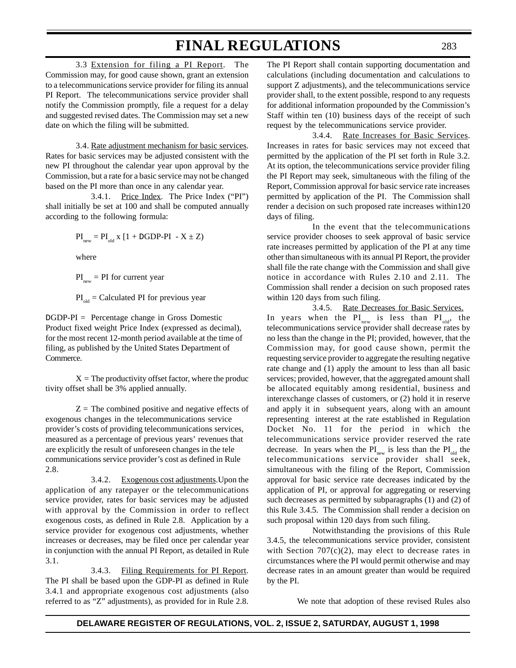3.3 Extension for filing a PI Report. The Commission may, for good cause shown, grant an extension to a telecommunications service provider for filing its annual PI Report. The telecommunications service provider shall notify the Commission promptly, file a request for a delay and suggested revised dates. The Commission may set a new date on which the filing will be submitted.

3.4. Rate adjustment mechanism for basic services. Rates for basic services may be adjusted consistent with the new PI throughout the calendar year upon approval by the Commission, but a rate for a basic service may not be changed based on the PI more than once in any calendar year.

3.4.1. Price Index. The Price Index ("PI") shall initially be set at 100 and shall be computed annually according to the following formula:

$$
PI_{\text{new}} = PI_{\text{old}} \; x \; [1 + \text{DGDP-PI} \; -X \pm Z)
$$

where

 $PI<sub>new</sub> = PI$  for current year

 $\text{PI}_{\text{old}}$  = Calculated PI for previous year

 $DGDP-PI = Percentage change in Gross Domestic$ Product fixed weight Price Index (expressed as decimal), for the most recent 12-month period available at the time of filing, as published by the United States Department of Commerce.

 $X =$ The productivity offset factor, where the produc tivity offset shall be 3% applied annually.

 $Z =$ The combined positive and negative effects of exogenous changes in the telecommunications service provider's costs of providing telecommunications services, measured as a percentage of previous years' revenues that are explicitly the result of unforeseen changes in the tele communications service provider's cost as defined in Rule 2.8.

3.4.2. Exogenous cost adjustments. Upon the application of any ratepayer or the telecommunications service provider, rates for basic services may be adjusted with approval by the Commission in order to reflect exogenous costs, as defined in Rule 2.8. Application by a service provider for exogenous cost adjustments, whether increases or decreases, may be filed once per calendar year in conjunction with the annual PI Report, as detailed in Rule 3.1.

3.4.3. Filing Requirements for PI Report. The PI shall be based upon the GDP-PI as defined in Rule 3.4.1 and appropriate exogenous cost adjustments (also referred to as "Z" adjustments), as provided for in Rule 2.8.

The PI Report shall contain supporting documentation and calculations (including documentation and calculations to support Z adjustments), and the telecommunications service provider shall, to the extent possible, respond to any requests for additional information propounded by the Commission's Staff within ten (10) business days of the receipt of such request by the telecommunications service provider.

3.4.4. Rate Increases for Basic Services. Increases in rates for basic services may not exceed that permitted by the application of the PI set forth in Rule 3.2. At its option, the telecommunications service provider filing the PI Report may seek, simultaneous with the filing of the Report, Commission approval for basic service rate increases permitted by application of the PI. The Commission shall render a decision on such proposed rate increases within120 days of filing.

In the event that the telecommunications service provider chooses to seek approval of basic service rate increases permitted by application of the PI at any time other than simultaneous with its annual PI Report, the provider shall file the rate change with the Commission and shall give notice in accordance with Rules 2.10 and 2.11. The Commission shall render a decision on such proposed rates within 120 days from such filing.

3.4.5. Rate Decreases for Basic Services. In years when the  $PI_{new}$  is less than  $PI_{old}$ , the telecommunications service provider shall decrease rates by no less than the change in the PI; provided, however, that the Commission may, for good cause shown, permit the requesting service provider to aggregate the resulting negative rate change and (1) apply the amount to less than all basic services; provided, however, that the aggregated amount shall be allocated equitably among residential, business and interexchange classes of customers, or (2) hold it in reserve and apply it in subsequent years, along with an amount representing interest at the rate established in Regulation Docket No. 11 for the period in which the telecommunications service provider reserved the rate decrease. In years when the  $PI_{new}$  is less than the  $PI_{old}$  the telecommunications service provider shall seek, simultaneous with the filing of the Report, Commission approval for basic service rate decreases indicated by the application of PI, or approval for aggregating or reserving such decreases as permitted by subparagraphs (1) and (2) of this Rule 3.4.5. The Commission shall render a decision on such proposal within 120 days from such filing.

Notwithstanding the provisions of this Rule 3.4.5, the telecommunications service provider, consistent with Section  $707(c)(2)$ , may elect to decrease rates in circumstances where the PI would permit otherwise and may decrease rates in an amount greater than would be required by the PI.

We note that adoption of these revised Rules also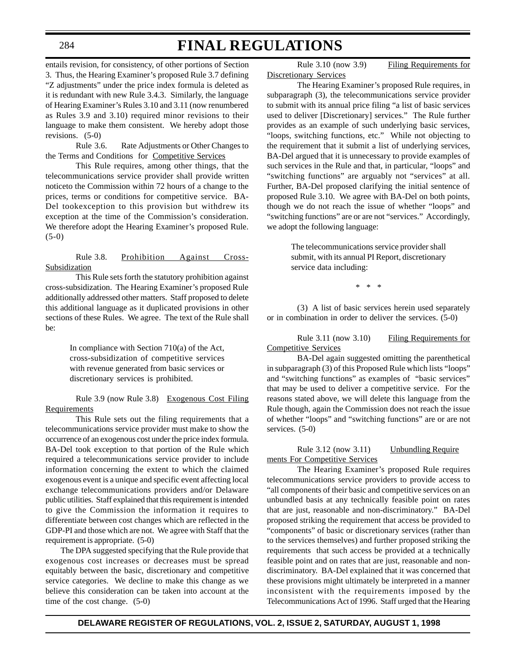#### 284

# **FINAL REGULATIONS**

entails revision, for consistency, of other portions of Section 3. Thus, the Hearing Examiner's proposed Rule 3.7 defining "Z adjustments" under the price index formula is deleted as it is redundant with new Rule 3.4.3. Similarly, the language of Hearing Examiner's Rules 3.10 and 3.11 (now renumbered as Rules 3.9 and 3.10) required minor revisions to their language to make them consistent. We hereby adopt those revisions. (5-0)

Rule 3.6. Rate Adjustments or Other Changes to the Terms and Conditions for Competitive Services

This Rule requires, among other things, that the telecommunications service provider shall provide written noticeto the Commission within 72 hours of a change to the prices, terms or conditions for competitive service. BA-Del tookexception to this provision but withdrew its exception at the time of the Commission's consideration. We therefore adopt the Hearing Examiner's proposed Rule. (5-0)

#### Rule 3.8. Prohibition Against Cross-Subsidization

This Rule sets forth the statutory prohibition against cross-subsidization. The Hearing Examiner's proposed Rule additionally addressed other matters. Staff proposed to delete this additional language as it duplicated provisions in other sections of these Rules. We agree. The text of the Rule shall be:

> In compliance with Section 710(a) of the Act, cross-subsidization of competitive services with revenue generated from basic services or discretionary services is prohibited.

Rule 3.9 (now Rule 3.8) Exogenous Cost Filing **Requirements** 

This Rule sets out the filing requirements that a telecommunications service provider must make to show the occurrence of an exogenous cost under the price index formula. BA-Del took exception to that portion of the Rule which required a telecommunications service provider to include information concerning the extent to which the claimed exogenous event is a unique and specific event affecting local exchange telecommunications providers and/or Delaware public utilities. Staff explained that this requirement is intended to give the Commission the information it requires to differentiate between cost changes which are reflected in the GDP-PI and those which are not. We agree with Staff that the requirement is appropriate. (5-0)

The DPA suggested specifying that the Rule provide that exogenous cost increases or decreases must be spread equitably between the basic, discretionary and competitive service categories. We decline to make this change as we believe this consideration can be taken into account at the time of the cost change. (5-0)

Rule 3.10 (now 3.9) Filing Requirements for Discretionary Services

The Hearing Examiner's proposed Rule requires, in subparagraph (3), the telecommunications service provider to submit with its annual price filing "a list of basic services used to deliver [Discretionary] services." The Rule further provides as an example of such underlying basic services, "loops, switching functions, etc." While not objecting to the requirement that it submit a list of underlying services, BA-Del argued that it is unnecessary to provide examples of such services in the Rule and that, in particular, "loops" and "switching functions" are arguably not "services" at all. Further, BA-Del proposed clarifying the initial sentence of proposed Rule 3.10. We agree with BA-Del on both points, though we do not reach the issue of whether "loops" and "switching functions" are or are not "services." Accordingly, we adopt the following language:

> The telecommunications service provider shall submit, with its annual PI Report, discretionary service data including:

> > \* \* \*

(3) A list of basic services herein used separately or in combination in order to deliver the services. (5-0)

Rule 3.11 (now 3.10) Filing Requirements for Competitive Services

BA-Del again suggested omitting the parenthetical in subparagraph (3) of this Proposed Rule which lists "loops" and "switching functions" as examples of "basic services" that may be used to deliver a competitive service. For the reasons stated above, we will delete this language from the Rule though, again the Commission does not reach the issue of whether "loops" and "switching functions" are or are not services. (5-0)

#### Rule 3.12 (now 3.11) Unbundling Require ments For Competitive Services

The Hearing Examiner's proposed Rule requires telecommunications service providers to provide access to "all components of their basic and competitive services on an unbundled basis at any technically feasible point on rates that are just, reasonable and non-discriminatory." BA-Del proposed striking the requirement that access be provided to "components" of basic or discretionary services (rather than to the services themselves) and further proposed striking the requirements that such access be provided at a technically feasible point and on rates that are just, reasonable and nondiscriminatory. BA-Del explained that it was concerned that these provisions might ultimately be interpreted in a manner inconsistent with the requirements imposed by the Telecommunications Act of 1996. Staff urged that the Hearing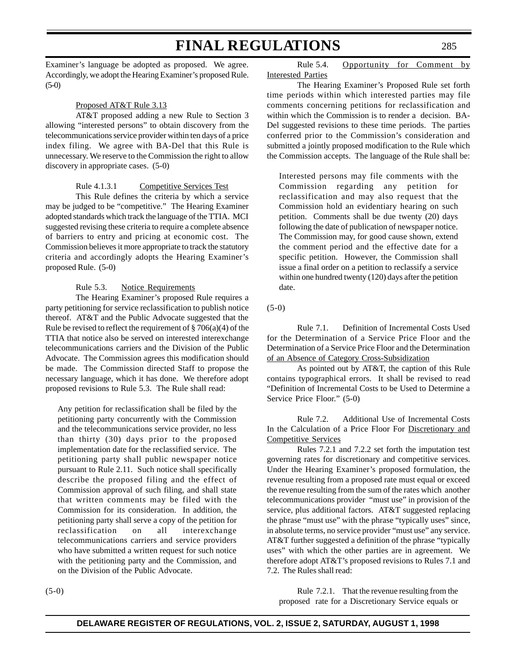Examiner's language be adopted as proposed. We agree. Accordingly, we adopt the Hearing Examiner's proposed Rule.  $(5-0)$ 

#### Proposed AT&T Rule 3.13

AT&T proposed adding a new Rule to Section 3 allowing "interested persons" to obtain discovery from the telecommunications service provider within ten days of a price index filing. We agree with BA-Del that this Rule is unnecessary. We reserve to the Commission the right to allow discovery in appropriate cases. (5-0)

Rule 4.1.3.1 Competitive Services Test

This Rule defines the criteria by which a service may be judged to be "competitive." The Hearing Examiner adopted standards which track the language of the TTIA. MCI suggested revising these criteria to require a complete absence of barriers to entry and pricing at economic cost. The Commission believes it more appropriate to track the statutory criteria and accordingly adopts the Hearing Examiner's proposed Rule. (5-0)

### Rule 5.3. Notice Requirements

The Hearing Examiner's proposed Rule requires a party petitioning for service reclassification to publish notice thereof. AT&T and the Public Advocate suggested that the Rule be revised to reflect the requirement of  $\S 706(a)(4)$  of the TTIA that notice also be served on interested interexchange telecommunications carriers and the Division of the Public Advocate. The Commission agrees this modification should be made. The Commission directed Staff to propose the necessary language, which it has done. We therefore adopt proposed revisions to Rule 5.3. The Rule shall read:

Any petition for reclassification shall be filed by the petitioning party concurrently with the Commission and the telecommunications service provider, no less than thirty (30) days prior to the proposed implementation date for the reclassified service. The petitioning party shall public newspaper notice pursuant to Rule 2.11. Such notice shall specifically describe the proposed filing and the effect of Commission approval of such filing, and shall state that written comments may be filed with the Commission for its consideration. In addition, the petitioning party shall serve a copy of the petition for reclassification on all interexchange telecommunications carriers and service providers who have submitted a written request for such notice with the petitioning party and the Commission, and on the Division of the Public Advocate.

(5-0)

Rule 5.4. Opportunity for Comment by Interested Parties

The Hearing Examiner's Proposed Rule set forth time periods within which interested parties may file comments concerning petitions for reclassification and within which the Commission is to render a decision. BA-Del suggested revisions to these time periods. The parties conferred prior to the Commission's consideration and submitted a jointly proposed modification to the Rule which the Commission accepts. The language of the Rule shall be:

Interested persons may file comments with the Commission regarding any petition for reclassification and may also request that the Commission hold an evidentiary hearing on such petition. Comments shall be due twenty (20) days following the date of publication of newspaper notice. The Commission may, for good cause shown, extend the comment period and the effective date for a specific petition. However, the Commission shall issue a final order on a petition to reclassify a service within one hundred twenty (120) days after the petition date.

(5-0)

Rule 7.1. Definition of Incremental Costs Used for the Determination of a Service Price Floor and the Determination of a Service Price Floor and the Determination of an Absence of Category Cross-Subsidization

As pointed out by AT&T, the caption of this Rule contains typographical errors. It shall be revised to read "Definition of Incremental Costs to be Used to Determine a Service Price Floor." (5-0)

Rule 7.2. Additional Use of Incremental Costs In the Calculation of a Price Floor For Discretionary and Competitive Services

Rules 7.2.1 and 7.2.2 set forth the imputation test governing rates for discretionary and competitive services. Under the Hearing Examiner's proposed formulation, the revenue resulting from a proposed rate must equal or exceed the revenue resulting from the sum of the rates which another telecommunications provider "must use" in provision of the service, plus additional factors. AT&T suggested replacing the phrase "must use" with the phrase "typically uses" since, in absolute terms, no service provider "must use" any service. AT&T further suggested a definition of the phrase "typically uses" with which the other parties are in agreement. We therefore adopt AT&T's proposed revisions to Rules 7.1 and 7.2. The Rules shall read:

Rule 7.2.1. That the revenue resulting from the proposed rate for a Discretionary Service equals or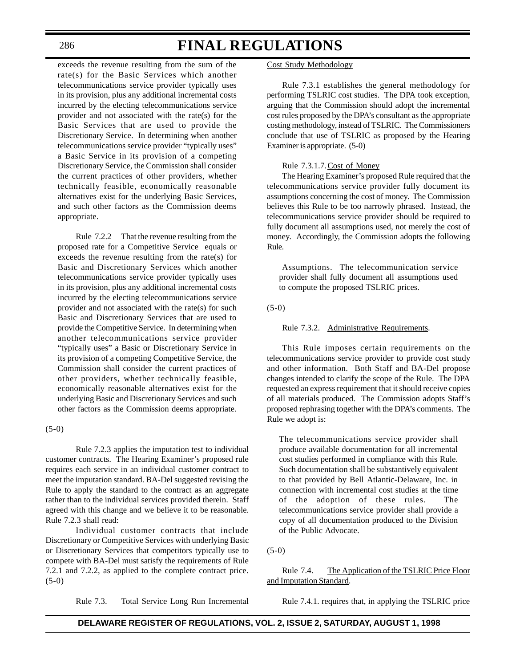exceeds the revenue resulting from the sum of the rate(s) for the Basic Services which another telecommunications service provider typically uses in its provision, plus any additional incremental costs incurred by the electing telecommunications service provider and not associated with the rate(s) for the Basic Services that are used to provide the Discretionary Service. In determining when another telecommunications service provider "typically uses" a Basic Service in its provision of a competing Discretionary Service, the Commission shall consider the current practices of other providers, whether technically feasible, economically reasonable alternatives exist for the underlying Basic Services, and such other factors as the Commission deems appropriate.

Rule 7.2.2 That the revenue resulting from the proposed rate for a Competitive Service equals or exceeds the revenue resulting from the rate(s) for Basic and Discretionary Services which another telecommunications service provider typically uses in its provision, plus any additional incremental costs incurred by the electing telecommunications service provider and not associated with the rate(s) for such Basic and Discretionary Services that are used to provide the Competitive Service. In determining when another telecommunications service provider "typically uses" a Basic or Discretionary Service in its provision of a competing Competitive Service, the Commission shall consider the current practices of other providers, whether technically feasible, economically reasonable alternatives exist for the underlying Basic and Discretionary Services and such other factors as the Commission deems appropriate.

#### (5-0)

Rule 7.2.3 applies the imputation test to individual customer contracts. The Hearing Examiner's proposed rule requires each service in an individual customer contract to meet the imputation standard. BA-Del suggested revising the Rule to apply the standard to the contract as an aggregate rather than to the individual services provided therein. Staff agreed with this change and we believe it to be reasonable. Rule 7.2.3 shall read:

Individual customer contracts that include Discretionary or Competitive Services with underlying Basic or Discretionary Services that competitors typically use to compete with BA-Del must satisfy the requirements of Rule 7.2.1 and 7.2.2, as applied to the complete contract price.  $(5-0)$ 

Rule 7.3. Total Service Long Run Incremental

Cost Study Methodology

Rule 7.3.1 establishes the general methodology for performing TSLRIC cost studies. The DPA took exception, arguing that the Commission should adopt the incremental cost rules proposed by the DPA's consultant as the appropriate costing methodology, instead of TSLRIC. The Commissioners conclude that use of TSLRIC as proposed by the Hearing Examiner is appropriate. (5-0)

#### Rule 7.3.1.7.Cost of Money

The Hearing Examiner's proposed Rule required that the telecommunications service provider fully document its assumptions concerning the cost of money. The Commission believes this Rule to be too narrowly phrased. Instead, the telecommunications service provider should be required to fully document all assumptions used, not merely the cost of money. Accordingly, the Commission adopts the following Rule.

Assumptions. The telecommunication service provider shall fully document all assumptions used to compute the proposed TSLRIC prices.

### (5-0)

Rule 7.3.2. Administrative Requirements.

This Rule imposes certain requirements on the telecommunications service provider to provide cost study and other information. Both Staff and BA-Del propose changes intended to clarify the scope of the Rule. The DPA requested an express requirement that it should receive copies of all materials produced. The Commission adopts Staff's proposed rephrasing together with the DPA's comments. The Rule we adopt is:

The telecommunications service provider shall produce available documentation for all incremental cost studies performed in compliance with this Rule. Such documentation shall be substantively equivalent to that provided by Bell Atlantic-Delaware, Inc. in connection with incremental cost studies at the time of the adoption of these rules. The telecommunications service provider shall provide a copy of all documentation produced to the Division of the Public Advocate.

(5-0)

Rule 7.4. The Application of the TSLRIC Price Floor and Imputation Standard.

Rule 7.4.1. requires that, in applying the TSLRIC price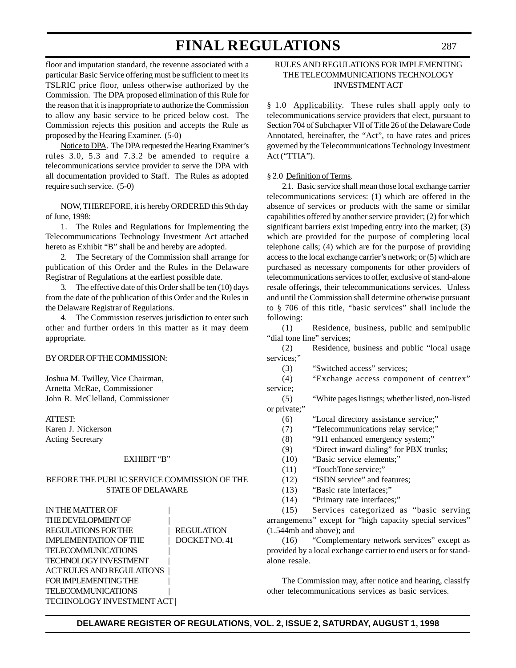floor and imputation standard, the revenue associated with a particular Basic Service offering must be sufficient to meet its TSLRIC price floor, unless otherwise authorized by the Commission. The DPA proposed elimination of this Rule for the reason that it is inappropriate to authorize the Commission to allow any basic service to be priced below cost. The Commission rejects this position and accepts the Rule as proposed by the Hearing Examiner. (5-0)

Notice to DPA. The DPA requested the Hearing Examiner's rules 3.0, 5.3 and 7.3.2 be amended to require a telecommunications service provider to serve the DPA with all documentation provided to Staff. The Rules as adopted require such service. (5-0)

NOW, THEREFORE, it is hereby ORDERED this 9th day of June, 1998:

1. The Rules and Regulations for Implementing the Telecommunications Technology Investment Act attached hereto as Exhibit "B" shall be and hereby are adopted.

2. The Secretary of the Commission shall arrange for publication of this Order and the Rules in the Delaware Registrar of Regulations at the earliest possible date.

3. The effective date of this Order shall be ten (10) days from the date of the publication of this Order and the Rules in the Delaware Registrar of Regulations.

4. The Commission reserves jurisdiction to enter such other and further orders in this matter as it may deem appropriate.

#### BY ORDER OF THE COMMISSION:

Joshua M. Twilley, Vice Chairman, Arnetta McRae, Commissioner John R. McClelland, Commissioner

ATTEST: Karen J. Nickerson Acting Secretary

#### EXHIBIT "B"

### BEFORE THE PUBLIC SERVICE COMMISSION OF THE STATE OF DELAWARE

| IN THE MATTER OF                 |                   |
|----------------------------------|-------------------|
| <b>THE DEVELOPMENT OF</b>        |                   |
| REGULATIONS FOR THE              | <b>REGULATION</b> |
| <b>IMPLEMENTATION OF THE</b>     | DOCKET NO. 41     |
| <b>TELECOMMUNICATIONS</b>        |                   |
| <b>TECHNOLOGY INVESTMENT</b>     |                   |
| ACT RULES AND REGULATIONS        |                   |
| FOR IMPLEMENTING THE             |                   |
| <b>TELECOMMUNICATIONS</b>        |                   |
| <b>TECHNOLOGY INVESTMENT ACT</b> |                   |
|                                  |                   |

### RULES AND REGULATIONS FOR IMPLEMENTING THE TELECOMMUNICATIONS TECHNOLOGY INVESTMENT ACT

§ 1.0 Applicability. These rules shall apply only to telecommunications service providers that elect, pursuant to Section 704 of Subchapter VII of Title 26 of the Delaware Code Annotated, hereinafter, the "Act", to have rates and prices governed by the Telecommunications Technology Investment Act ("TTIA").

#### § 2.0 Definition of Terms.

2.1. Basic service shall mean those local exchange carrier telecommunications services: (1) which are offered in the absence of services or products with the same or similar capabilities offered by another service provider; (2) for which significant barriers exist impeding entry into the market; (3) which are provided for the purpose of completing local telephone calls; (4) which are for the purpose of providing access to the local exchange carrier's network; or (5) which are purchased as necessary components for other providers of telecommunications services to offer, exclusive of stand-alone resale offerings, their telecommunications services. Unless and until the Commission shall determine otherwise pursuant to § 706 of this title, "basic services" shall include the following:

(1) Residence, business, public and semipublic "dial tone line" services;

(2) Residence, business and public "local usage services;"

(3) "Switched access" services;

(4) "Exchange access component of centrex" service;

(5) "White pages listings; whether listed, non-listed or private;"

(6) "Local directory assistance service;"

(7) "Telecommunications relay service;"

(8) "911 enhanced emergency system;"

- (9) "Direct inward dialing" for PBX trunks;
- (10) "Basic service elements;"
- (11) "TouchTone service;"
- (12) "ISDN service" and features;
- (13) "Basic rate interfaces;"
- (14) "Primary rate interfaces;"

(15) Services categorized as "basic serving arrangements" except for "high capacity special services" (1.544mb and above); and

(16) "Complementary network services" except as provided by a local exchange carrier to end users or for standalone resale.

The Commission may, after notice and hearing, classify other telecommunications services as basic services.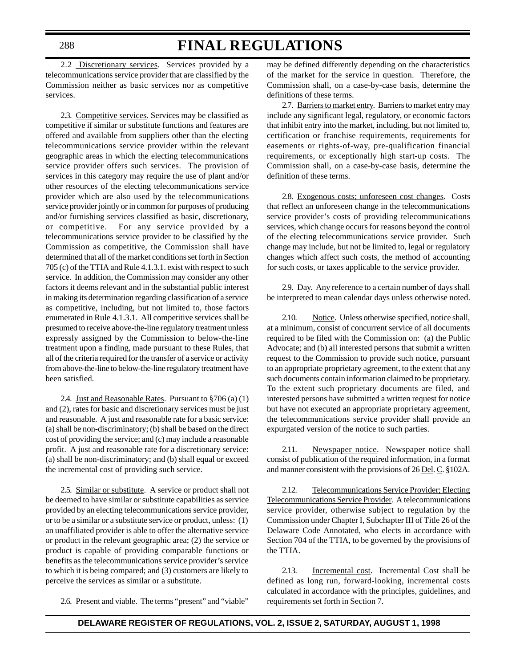2.2 Discretionary services. Services provided by a telecommunications service provider that are classified by the Commission neither as basic services nor as competitive services.

2.3. Competitive services. Services may be classified as competitive if similar or substitute functions and features are offered and available from suppliers other than the electing telecommunications service provider within the relevant geographic areas in which the electing telecommunications service provider offers such services. The provision of services in this category may require the use of plant and/or other resources of the electing telecommunications service provider which are also used by the telecommunications service provider jointly or in common for purposes of producing and/or furnishing services classified as basic, discretionary, or competitive. For any service provided by a telecommunications service provider to be classified by the Commission as competitive, the Commission shall have determined that all of the market conditions set forth in Section 705 (c) of the TTIA and Rule 4.1.3.1. exist with respect to such service. In addition, the Commission may consider any other factors it deems relevant and in the substantial public interest in making its determination regarding classification of a service as competitive, including, but not limited to, those factors enumerated in Rule 4.1.3.1. All competitive services shall be presumed to receive above-the-line regulatory treatment unless expressly assigned by the Commission to below-the-line treatment upon a finding, made pursuant to these Rules, that all of the criteria required for the transfer of a service or activity from above-the-line to below-the-line regulatory treatment have been satisfied.

2.4. Just and Reasonable Rates. Pursuant to §706 (a) (1) and (2), rates for basic and discretionary services must be just and reasonable. A just and reasonable rate for a basic service: (a) shall be non-discriminatory; (b) shall be based on the direct cost of providing the service; and (c) may include a reasonable profit. A just and reasonable rate for a discretionary service: (a) shall be non-discriminatory; and (b) shall equal or exceed the incremental cost of providing such service.

2.5. Similar or substitute. A service or product shall not be deemed to have similar or substitute capabilities as service provided by an electing telecommunications service provider, or to be a similar or a substitute service or product, unless: (1) an unaffiliated provider is able to offer the alternative service or product in the relevant geographic area; (2) the service or product is capable of providing comparable functions or benefits as the telecommunications service provider's service to which it is being compared; and (3) customers are likely to perceive the services as similar or a substitute.

2.6. Present and viable. The terms "present" and "viable"

may be defined differently depending on the characteristics of the market for the service in question. Therefore, the Commission shall, on a case-by-case basis, determine the definitions of these terms.

2.7. Barriers to market entry. Barriers to market entry may include any significant legal, regulatory, or economic factors that inhibit entry into the market, including, but not limited to, certification or franchise requirements, requirements for easements or rights-of-way, pre-qualification financial requirements, or exceptionally high start-up costs. The Commission shall, on a case-by-case basis, determine the definition of these terms.

2.8. Exogenous costs; unforeseen cost changes. Costs that reflect an unforeseen change in the telecommunications service provider's costs of providing telecommunications services, which change occurs for reasons beyond the control of the electing telecommunications service provider. Such change may include, but not be limited to, legal or regulatory changes which affect such costs, the method of accounting for such costs, or taxes applicable to the service provider.

2.9. Day. Any reference to a certain number of days shall be interpreted to mean calendar days unless otherwise noted.

2.10. Notice. Unless otherwise specified, notice shall, at a minimum, consist of concurrent service of all documents required to be filed with the Commission on: (a) the Public Advocate; and (b) all interested persons that submit a written request to the Commission to provide such notice, pursuant to an appropriate proprietary agreement, to the extent that any such documents contain information claimed to be proprietary. To the extent such proprietary documents are filed, and interested persons have submitted a written request for notice but have not executed an appropriate proprietary agreement, the telecommunications service provider shall provide an expurgated version of the notice to such parties.

2.11. Newspaper notice. Newspaper notice shall consist of publication of the required information, in a format and manner consistent with the provisions of 26 Del. C. §102A.

2.12. Telecommunications Service Provider; Electing Telecommunications Service Provider. A telecommunications service provider, otherwise subject to regulation by the Commission under Chapter I, Subchapter III of Title 26 of the Delaware Code Annotated, who elects in accordance with Section 704 of the TTIA, to be governed by the provisions of the TTIA.

2.13. Incremental cost. Incremental Cost shall be defined as long run, forward-looking, incremental costs calculated in accordance with the principles, guidelines, and requirements set forth in Section 7.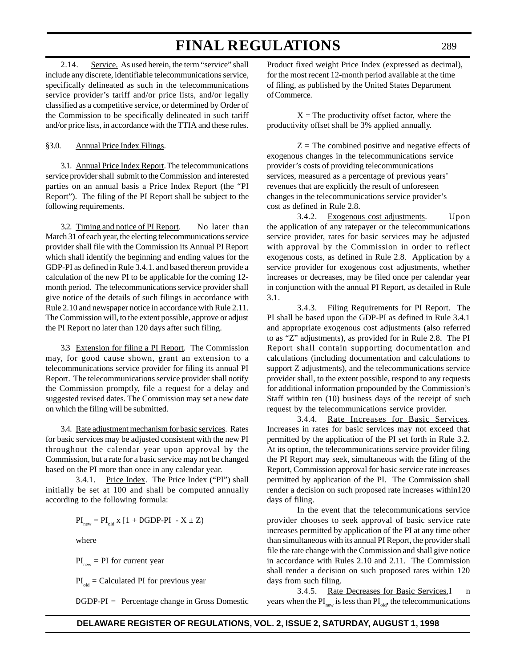2.14. Service. As used herein, the term "service" shall include any discrete, identifiable telecommunications service, specifically delineated as such in the telecommunications service provider's tariff and/or price lists, and/or legally classified as a competitive service, or determined by Order of the Commission to be specifically delineated in such tariff and/or price lists, in accordance with the TTIA and these rules.

§3.0. Annual Price Index Filings.

3.1. Annual Price Index Report.The telecommunications service provider shall submit to the Commission and interested parties on an annual basis a Price Index Report (the "PI Report"). The filing of the PI Report shall be subject to the following requirements.

3.2. Timing and notice of PI Report. No later than March 31 of each year, the electing telecommunications service provider shall file with the Commission its Annual PI Report which shall identify the beginning and ending values for the GDP-PI as defined in Rule 3.4.1. and based thereon provide a calculation of the new PI to be applicable for the coming 12 month period. The telecommunications service provider shall give notice of the details of such filings in accordance with Rule 2.10 and newspaper notice in accordance with Rule 2.11. The Commission will, to the extent possible, approve or adjust the PI Report no later than 120 days after such filing.

3.3 Extension for filing a PI Report. The Commission may, for good cause shown, grant an extension to a telecommunications service provider for filing its annual PI Report. The telecommunications service provider shall notify the Commission promptly, file a request for a delay and suggested revised dates. The Commission may set a new date on which the filing will be submitted.

3.4. Rate adjustment mechanism for basic services. Rates for basic services may be adjusted consistent with the new PI throughout the calendar year upon approval by the Commission, but a rate for a basic service may not be changed based on the PI more than once in any calendar year.

3.4.1. Price Index. The Price Index ("PI") shall initially be set at 100 and shall be computed annually according to the following formula:

$$
PI_{\!\! \rm new} = PI_{\rm old} \ x \ [1+{\rm DGDP\text{-}PI} \ -X \pm Z)
$$

where

 $PI_{new} = PI$  for current year

 $\text{PI}_{\text{old}}$  = Calculated PI for previous year

DGDP-PI = Percentage change in Gross Domestic

Product fixed weight Price Index (expressed as decimal), for the most recent 12-month period available at the time of filing, as published by the United States Department of Commerce.

 $X =$ The productivity offset factor, where the productivity offset shall be 3% applied annually.

 $Z =$ The combined positive and negative effects of exogenous changes in the telecommunications service provider's costs of providing telecommunications services, measured as a percentage of previous years' revenues that are explicitly the result of unforeseen changes in the telecommunications service provider's cost as defined in Rule 2.8.

3.4.2. Exogenous cost adjustments. Upon the application of any ratepayer or the telecommunications service provider, rates for basic services may be adjusted with approval by the Commission in order to reflect exogenous costs, as defined in Rule 2.8. Application by a service provider for exogenous cost adjustments, whether increases or decreases, may be filed once per calendar year in conjunction with the annual PI Report, as detailed in Rule 3.1.

3.4.3. Filing Requirements for PI Report. The PI shall be based upon the GDP-PI as defined in Rule 3.4.1 and appropriate exogenous cost adjustments (also referred to as "Z" adjustments), as provided for in Rule 2.8. The PI Report shall contain supporting documentation and calculations (including documentation and calculations to support Z adjustments), and the telecommunications service provider shall, to the extent possible, respond to any requests for additional information propounded by the Commission's Staff within ten (10) business days of the receipt of such request by the telecommunications service provider.

3.4.4. Rate Increases for Basic Services. Increases in rates for basic services may not exceed that permitted by the application of the PI set forth in Rule 3.2. At its option, the telecommunications service provider filing the PI Report may seek, simultaneous with the filing of the Report, Commission approval for basic service rate increases permitted by application of the PI. The Commission shall render a decision on such proposed rate increases within120 days of filing.

In the event that the telecommunications service provider chooses to seek approval of basic service rate increases permitted by application of the PI at any time other than simultaneous with its annual PI Report, the provider shall file the rate change with the Commission and shall give notice in accordance with Rules 2.10 and 2.11. The Commission shall render a decision on such proposed rates within 120 days from such filing.

3.4.5. Rate Decreases for Basic Services.<sup>I</sup> n years when the  $PI_{new}$  is less than  $PI_{old}$ , the telecommunications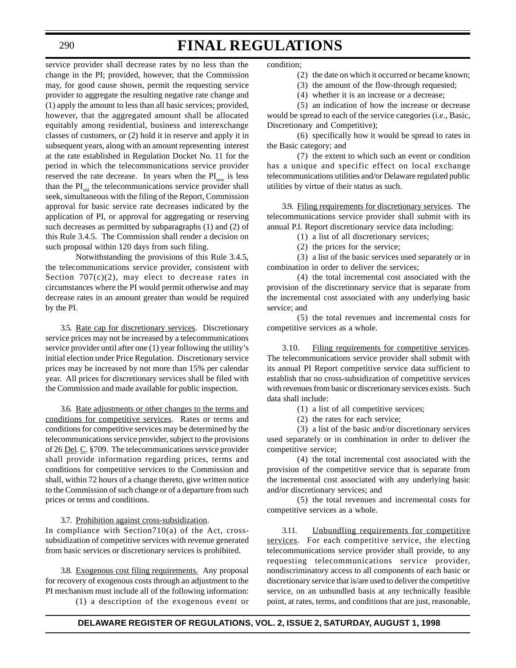service provider shall decrease rates by no less than the change in the PI; provided, however, that the Commission may, for good cause shown, permit the requesting service provider to aggregate the resulting negative rate change and (1) apply the amount to less than all basic services; provided, however, that the aggregated amount shall be allocated equitably among residential, business and interexchange classes of customers, or (2) hold it in reserve and apply it in subsequent years, along with an amount representing interest at the rate established in Regulation Docket No. 11 for the period in which the telecommunications service provider reserved the rate decrease. In years when the  $PI_{new}$  is less than the  $PI<sub>old</sub>$  the telecommunications service provider shall seek, simultaneous with the filing of the Report, Commission approval for basic service rate decreases indicated by the application of PI, or approval for aggregating or reserving such decreases as permitted by subparagraphs (1) and (2) of this Rule 3.4.5. The Commission shall render a decision on such proposal within 120 days from such filing.

Notwithstanding the provisions of this Rule 3.4.5, the telecommunications service provider, consistent with Section  $707(c)(2)$ , may elect to decrease rates in circumstances where the PI would permit otherwise and may decrease rates in an amount greater than would be required by the PI.

3.5. Rate cap for discretionary services. Discretionary service prices may not be increased by a telecommunications service provider until after one (1) year following the utility's initial election under Price Regulation. Discretionary service prices may be increased by not more than 15% per calendar year. All prices for discretionary services shall be filed with the Commission and made available for public inspection.

3.6. Rate adjustments or other changes to the terms and conditions for competitive services. Rates or terms and conditions for competitive services may be determined by the telecommunications service provider, subject to the provisions of 26 Del. C. §709. The telecommunications service provider shall provide information regarding prices, terms and conditions for competitive services to the Commission and shall, within 72 hours of a change thereto, give written notice to the Commission of such change or of a departure from such prices or terms and conditions.

3.7. Prohibition against cross-subsidization.

In compliance with Section $710(a)$  of the Act, crosssubsidization of competitive services with revenue generated from basic services or discretionary services is prohibited.

3.8. Exogenous cost filing requirements. Any proposal for recovery of exogenous costs through an adjustment to the PI mechanism must include all of the following information:

(1) a description of the exogenous event or

condition;

- (2) the date on which it occurred or became known;
- (3) the amount of the flow-through requested;
- (4) whether it is an increase or a decrease;

(5) an indication of how the increase or decrease would be spread to each of the service categories (i.e., Basic, Discretionary and Competitive);

(6) specifically how it would be spread to rates in the Basic category; and

(7) the extent to which such an event or condition has a unique and specific effect on local exchange telecommunications utilities and/or Delaware regulated public utilities by virtue of their status as such.

3.9. Filing requirements for discretionary services. The telecommunications service provider shall submit with its annual P.I. Report discretionary service data including:

(1) a list of all discretionary services;

(2) the prices for the service;

(3) a list of the basic services used separately or in combination in order to deliver the services;

(4) the total incremental cost associated with the provision of the discretionary service that is separate from the incremental cost associated with any underlying basic service; and

(5) the total revenues and incremental costs for competitive services as a whole.

3.10. Filing requirements for competitive services. The telecommunications service provider shall submit with its annual PI Report competitive service data sufficient to establish that no cross-subsidization of competitive services with revenues from basic or discretionary services exists. Such data shall include:

- (1) a list of all competitive services;
- (2) the rates for each service;

(3) a list of the basic and/or discretionary services used separately or in combination in order to deliver the competitive service;

(4) the total incremental cost associated with the provision of the competitive service that is separate from the incremental cost associated with any underlying basic and/or discretionary services; and

(5) the total revenues and incremental costs for competitive services as a whole.

3.11. Unbundling requirements for competitive services. For each competitive service, the electing telecommunications service provider shall provide, to any requesting telecommunications service provider, nondiscriminatory access to all components of each basic or discretionary service that is/are used to deliver the competitive service, on an unbundled basis at any technically feasible point, at rates, terms, and conditions that are just, reasonable,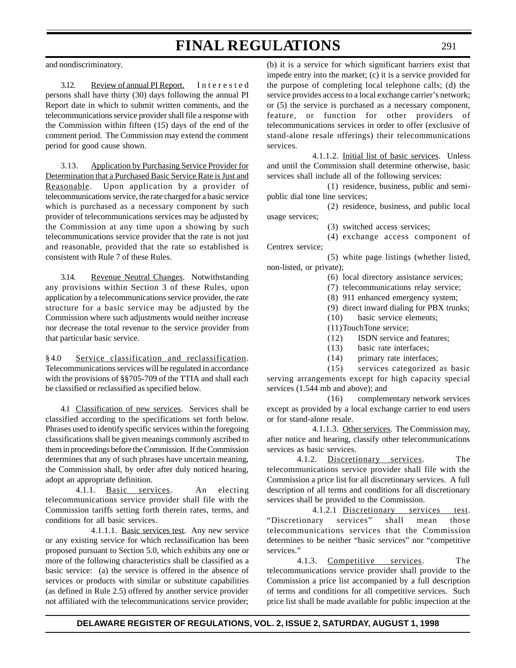and nondiscriminatory.

3.12. Review of annual PI Report. Interested persons shall have thirty (30) days following the annual PI Report date in which to submit written comments, and the telecommunications service provider shall file a response with the Commission within fifteen (15) days of the end of the comment period. The Commission may extend the comment period for good cause shown.

3.13. Application by Purchasing Service Provider for Determination that a Purchased Basic Service Rate is Just and Reasonable. Upon application by a provider of telecommunications service, the rate charged for a basic service which is purchased as a necessary component by such provider of telecommunications services may be adjusted by the Commission at any time upon a showing by such telecommunications service provider that the rate is not just and reasonable, provided that the rate so established is consistent with Rule 7 of these Rules.

3.14. Revenue Neutral Changes. Notwithstanding any provisions within Section 3 of these Rules, upon application by a telecommunications service provider, the rate structure for a basic service may be adjusted by the Commission where such adjustments would neither increase nor decrease the total revenue to the service provider from that particular basic service.

§ 4.0 Service classification and reclassification. Telecommunications services will be regulated in accordance with the provisions of §§705-709 of the TTIA and shall each be classified or reclassified as specified below.

4.1 Classification of new services. Services shall be classified according to the specifications set forth below. Phrases used to identify specific services within the foregoing classifications shall be given meanings commonly ascribed to them in proceedings before the Commission. If the Commission determines that any of such phrases have uncertain meaning, the Commission shall, by order after duly noticed hearing, adopt an appropriate definition.

4.1.1. Basic services. An electing telecommunications service provider shall file with the Commission tariffs setting forth therein rates, terms, and conditions for all basic services.

4.1.1.1. Basic services test. Any new service or any existing service for which reclassification has been proposed pursuant to Section 5.0, which exhibits any one or more of the following characteristics shall be classified as a basic service: (a) the service is offered in the absence of services or products with similar or substitute capabilities (as defined in Rule 2.5) offered by another service provider not affiliated with the telecommunications service provider;

(b) it is a service for which significant barriers exist that impede entry into the market; (c) it is a service provided for the purpose of completing local telephone calls; (d) the service provides access to a local exchange carrier's network; or (5) the service is purchased as a necessary component, feature, or function for other providers of telecommunications services in order to offer (exclusive of stand-alone resale offerings) their telecommunications services.

4.1.1.2. Initial list of basic services. Unless and until the Commission shall determine otherwise, basic services shall include all of the following services:

(1) residence, business, public and semipublic dial tone line services;

(2) residence, business, and public local usage services;

(3) switched access services;

(4) exchange access component of Centrex service;

(5) white page listings (whether listed, non-listed, or private);

(6) local directory assistance services;

(7) telecommunications relay service;

(8) 911 enhanced emergency system;

(9) direct inward dialing for PBX trunks;

(10) basic service elements;

(11)TouchTone service;

(12) ISDN service and features;

(13) basic rate interfaces;

(14) primary rate interfaces;

(15) services categorized as basic serving arrangements except for high capacity special services (1.544 mb and above); and

(16) complementary network services except as provided by a local exchange carrier to end users or for stand-alone resale.

4.1.1.3. Other services. The Commission may, after notice and hearing, classify other telecommunications services as basic services.

4.1.2. Discretionary services. The telecommunications service provider shall file with the Commission a price list for all discretionary services. A full description of all terms and conditions for all discretionary services shall be provided to the Commission.

4.1.2.1 Discretionary services test. "Discretionary services" shall mean those telecommunications services that the Commission determines to be neither "basic services" nor "competitive services."

4.1.3. Competitive services. The telecommunications service provider shall provide to the Commission a price list accompanied by a full description of terms and conditions for all competitive services. Such price list shall be made available for public inspection at the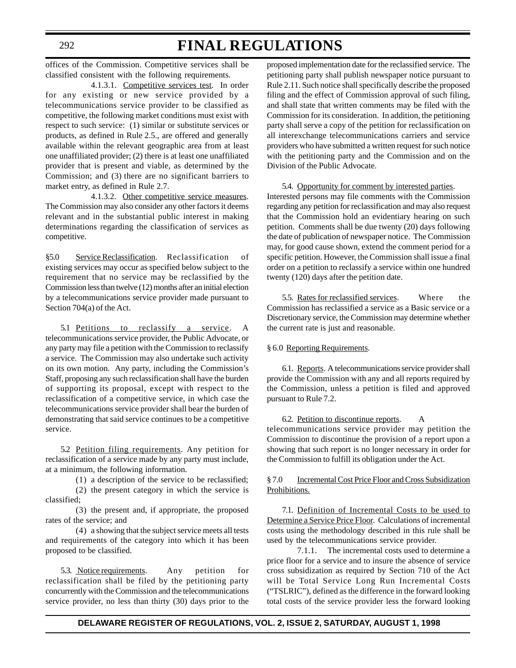offices of the Commission. Competitive services shall be classified consistent with the following requirements.

4.1.3.1. Competitive services test. In order for any existing or new service provided by a telecommunications service provider to be classified as competitive, the following market conditions must exist with respect to such service: (1) similar or substitute services or products, as defined in Rule 2.5., are offered and generally available within the relevant geographic area from at least one unaffiliated provider; (2) there is at least one unaffiliated provider that is present and viable, as determined by the Commission; and (3) there are no significant barriers to market entry, as defined in Rule 2.7.

4.1.3.2. Other competitive service measures. The Commission may also consider any other factors it deems relevant and in the substantial public interest in making determinations regarding the classification of services as competitive.

§5.0 Service Reclassification. Reclassification of existing services may occur as specified below subject to the requirement that no service may be reclassified by the Commission less than twelve (12) months after an initial election by a telecommunications service provider made pursuant to Section 704(a) of the Act.

5.1 Petitions to reclassify a service. A telecommunications service provider, the Public Advocate, or any party may file a petition with the Commission to reclassify a service. The Commission may also undertake such activity on its own motion. Any party, including the Commission's Staff, proposing any such reclassification shall have the burden of supporting its proposal, except with respect to the reclassification of a competitive service, in which case the telecommunications service provider shall bear the burden of demonstrating that said service continues to be a competitive service.

5.2 Petition filing requirements. Any petition for reclassification of a service made by any party must include, at a minimum, the following information.

(1) a description of the service to be reclassified;

(2) the present category in which the service is classified;

(3) the present and, if appropriate, the proposed rates of the service; and

(4) a showing that the subject service meets all tests and requirements of the category into which it has been proposed to be classified.

5.3. Notice requirements. Any petition for reclassification shall be filed by the petitioning party concurrently with the Commission and the telecommunications service provider, no less than thirty (30) days prior to the

proposed implementation date for the reclassified service. The petitioning party shall publish newspaper notice pursuant to Rule 2.11. Such notice shall specifically describe the proposed filing and the effect of Commission approval of such filing, and shall state that written comments may be filed with the Commission for its consideration. In addition, the petitioning party shall serve a copy of the petition for reclassification on all interexchange telecommunications carriers and service providers who have submitted a written request for such notice with the petitioning party and the Commission and on the Division of the Public Advocate.

5.4. Opportunity for comment by interested parties. Interested persons may file comments with the Commission regarding any petition for reclassification and may also request that the Commission hold an evidentiary hearing on such petition. Comments shall be due twenty (20) days following the date of publication of newspaper notice. The Commission may, for good cause shown, extend the comment period for a specific petition. However, the Commission shall issue a final

order on a petition to reclassify a service within one hundred

5.5. Rates for reclassified services. Where the Commission has reclassified a service as a Basic service or a Discretionary service, the Commission may determine whether the current rate is just and reasonable.

### § 6.0 Reporting Requirements.

twenty (120) days after the petition date.

6.1. Reports. A telecommunications service provider shall provide the Commission with any and all reports required by the Commission, unless a petition is filed and approved pursuant to Rule 7.2.

6.2. Petition to discontinue reports. A telecommunications service provider may petition the Commission to discontinue the provision of a report upon a showing that such report is no longer necessary in order for the Commission to fulfill its obligation under the Act.

### § 7.0 Incremental Cost Price Floor and Cross Subsidization Prohibitions.

7.1. Definition of Incremental Costs to be used to Determine a Service Price Floor. Calculations of incremental costs using the methodology described in this rule shall be used by the telecommunications service provider.

7.1.1. The incremental costs used to determine a price floor for a service and to insure the absence of service cross subsidization as required by Section 710 of the Act will be Total Service Long Run Incremental Costs ("TSLRIC"), defined as the difference in the forward looking total costs of the service provider less the forward looking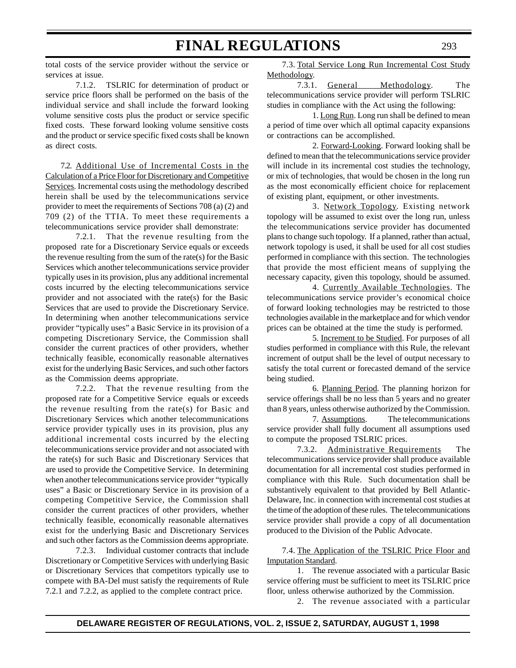total costs of the service provider without the service or services at issue.

7.1.2. TSLRIC for determination of product or service price floors shall be performed on the basis of the individual service and shall include the forward looking volume sensitive costs plus the product or service specific fixed costs. These forward looking volume sensitive costs and the product or service specific fixed costs shall be known as direct costs.

7.2. Additional Use of Incremental Costs in the Calculation of a Price Floor for Discretionary and Competitive Services. Incremental costs using the methodology described herein shall be used by the telecommunications service provider to meet the requirements of Sections 708 (a) (2) and 709 (2) of the TTIA. To meet these requirements a telecommunications service provider shall demonstrate:

7.2.1. That the revenue resulting from the proposed rate for a Discretionary Service equals or exceeds the revenue resulting from the sum of the rate(s) for the Basic Services which another telecommunications service provider typically uses in its provision, plus any additional incremental costs incurred by the electing telecommunications service provider and not associated with the rate(s) for the Basic Services that are used to provide the Discretionary Service. In determining when another telecommunications service provider "typically uses" a Basic Service in its provision of a competing Discretionary Service, the Commission shall consider the current practices of other providers, whether technically feasible, economically reasonable alternatives exist for the underlying Basic Services, and such other factors as the Commission deems appropriate.

7.2.2. That the revenue resulting from the proposed rate for a Competitive Service equals or exceeds the revenue resulting from the rate(s) for Basic and Discretionary Services which another telecommunications service provider typically uses in its provision, plus any additional incremental costs incurred by the electing telecommunications service provider and not associated with the rate(s) for such Basic and Discretionary Services that are used to provide the Competitive Service. In determining when another telecommunications service provider "typically uses" a Basic or Discretionary Service in its provision of a competing Competitive Service, the Commission shall consider the current practices of other providers, whether technically feasible, economically reasonable alternatives exist for the underlying Basic and Discretionary Services and such other factors as the Commission deems appropriate.

7.2.3. Individual customer contracts that include Discretionary or Competitive Services with underlying Basic or Discretionary Services that competitors typically use to compete with BA-Del must satisfy the requirements of Rule 7.2.1 and 7.2.2, as applied to the complete contract price.

7.3. Total Service Long Run Incremental Cost Study Methodology.

7.3.1. General Methodology. The telecommunications service provider will perform TSLRIC studies in compliance with the Act using the following:

1. Long Run. Long run shall be defined to mean a period of time over which all optimal capacity expansions or contractions can be accomplished.

2. Forward-Looking. Forward looking shall be defined to mean that the telecommunications service provider will include in its incremental cost studies the technology, or mix of technologies, that would be chosen in the long run as the most economically efficient choice for replacement of existing plant, equipment, or other investments.

3. Network Topology. Existing network topology will be assumed to exist over the long run, unless the telecommunications service provider has documented plans to change such topology. If a planned, rather than actual, network topology is used, it shall be used for all cost studies performed in compliance with this section. The technologies that provide the most efficient means of supplying the necessary capacity, given this topology, should be assumed.

4. Currently Available Technologies. The telecommunications service provider's economical choice of forward looking technologies may be restricted to those technologies available in the marketplace and for which vendor prices can be obtained at the time the study is performed.

5. Increment to be Studied. For purposes of all studies performed in compliance with this Rule, the relevant increment of output shall be the level of output necessary to satisfy the total current or forecasted demand of the service being studied.

6. Planning Period. The planning horizon for service offerings shall be no less than 5 years and no greater than 8 years, unless otherwise authorized by the Commission.

7. Assumptions. The telecommunications service provider shall fully document all assumptions used to compute the proposed TSLRIC prices.

7.3.2. Administrative Requirements The telecommunications service provider shall produce available documentation for all incremental cost studies performed in compliance with this Rule. Such documentation shall be substantively equivalent to that provided by Bell Atlantic-Delaware, Inc. in connection with incremental cost studies at the time of the adoption of these rules. The telecommunications service provider shall provide a copy of all documentation produced to the Division of the Public Advocate.

7.4. The Application of the TSLRIC Price Floor and Imputation Standard.

1. The revenue associated with a particular Basic service offering must be sufficient to meet its TSLRIC price floor, unless otherwise authorized by the Commission.

2. The revenue associated with a particular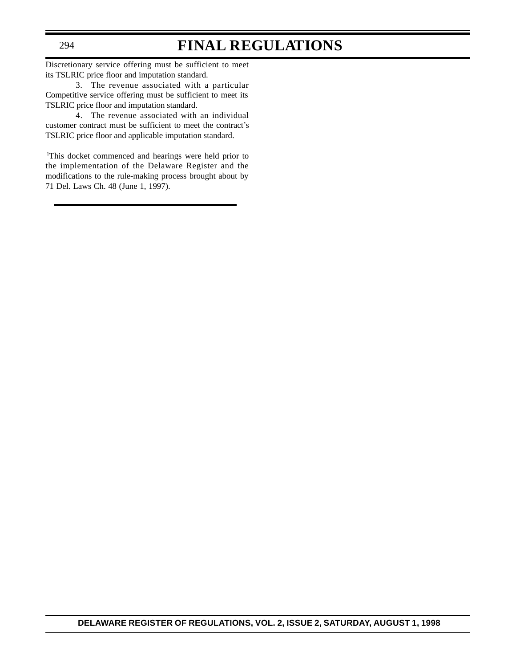294

# **FINAL REGULATIONS**

Discretionary service offering must be sufficient to meet its TSLRIC price floor and imputation standard.

3. The revenue associated with a particular Competitive service offering must be sufficient to meet its TSLRIC price floor and imputation standard.

4. The revenue associated with an individual customer contract must be sufficient to meet the contract's TSLRIC price floor and applicable imputation standard.

1 This docket commenced and hearings were held prior to the implementation of the Delaware Register and the modifications to the rule-making process brought about by 71 Del. Laws Ch. 48 (June 1, 1997).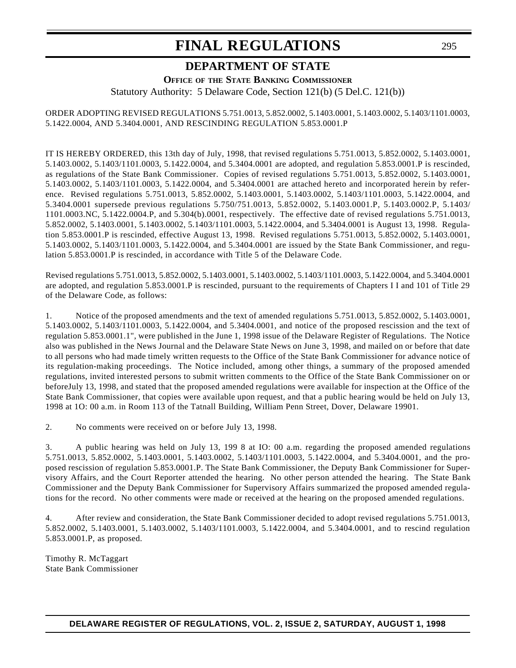### **DEPARTMENT OF STATE**

**OFFICE OF THE STATE BANKING COMMISSIONER**

Statutory Authority: 5 Delaware Code, Section 121(b) (5 Del.C. 121(b))

ORDER ADOPTING REVISED REGULATIONS 5.751.0013, 5.852.0002, 5.1403.0001, 5.1403.0002, 5.1403/1101.0003, 5.1422.0004, AND 5.3404.0001, AND RESCINDING REGULATION 5.853.0001.P

IT IS HEREBY ORDERED, this 13th day of July, 1998, that revised regulations 5.751.0013, 5.852.0002, 5.1403.0001, 5.1403.0002, 5.1403/1101.0003, 5.1422.0004, and 5.3404.0001 are adopted, and regulation 5.853.0001.P is rescinded, as regulations of the State Bank Commissioner. Copies of revised regulations 5.751.0013, 5.852.0002, 5.1403.0001, 5.1403.0002, 5.1403/1101.0003, 5.1422.0004, and 5.3404.0001 are attached hereto and incorporated herein by reference. Revised regulations 5.751.0013, 5.852.0002, 5.1403.0001, 5.1403.0002, 5.1403/1101.0003, 5.1422.0004, and 5.3404.0001 supersede previous regulations 5.750/751.0013, 5.852.0002, 5.1403.0001.P, 5.1403.0002.P, 5.1403/ 1101.0003.NC, 5.1422.0004.P, and 5.304(b).0001, respectively. The effective date of revised regulations 5.751.0013, 5.852.0002, 5.1403.0001, 5.1403.0002, 5.1403/1101.0003, 5.1422.0004, and 5.3404.0001 is August 13, 1998. Regulation 5.853.0001.P is rescinded, effective August 13, 1998. Revised regulations 5.751.0013, 5.852.0002, 5.1403.0001, 5.1403.0002, 5.1403/1101.0003, 5.1422.0004, and 5.3404.0001 are issued by the State Bank Commissioner, and regulation 5.853.0001.P is rescinded, in accordance with Title 5 of the Delaware Code.

Revised regulations 5.751.0013, 5.852.0002, 5.1403.0001, 5.1403.0002, 5.1403/1101.0003, 5.1422.0004, and 5.3404.0001 are adopted, and regulation 5.853.0001.P is rescinded, pursuant to the requirements of Chapters I I and 101 of Title 29 of the Delaware Code, as follows:

1. Notice of the proposed amendments and the text of amended regulations 5.751.0013, 5.852.0002, 5.1403.0001, 5.1403.0002, 5.1403/1101.0003, 5.1422.0004, and 5.3404.0001, and notice of the proposed rescission and the text of regulation 5.853.0001.1", were published in the June 1, 1998 issue of the Delaware Register of Regulations. The Notice also was published in the News Journal and the Delaware State News on June 3, 1998, and mailed on or before that date to all persons who had made timely written requests to the Office of the State Bank Commissioner for advance notice of its regulation-making proceedings. The Notice included, among other things, a summary of the proposed amended regulations, invited interested persons to submit written comments to the Office of the State Bank Commissioner on or beforeJuly 13, 1998, and stated that the proposed amended regulations were available for inspection at the Office of the State Bank Commissioner, that copies were available upon request, and that a public hearing would be held on July 13, 1998 at 1O: 00 a.m. in Room 113 of the Tatnall Building, William Penn Street, Dover, Delaware 19901.

2. No comments were received on or before July 13, 1998.

3. A public hearing was held on July 13, 199 8 at IO: 00 a.m. regarding the proposed amended regulations 5.751.0013, 5.852.0002, 5.1403.0001, 5.1403.0002, 5.1403/1101.0003, 5.1422.0004, and 5.3404.0001, and the proposed rescission of regulation 5.853.0001.P. The State Bank Commissioner, the Deputy Bank Commissioner for Supervisory Affairs, and the Court Reporter attended the hearing. No other person attended the hearing. The State Bank Commissioner and the Deputy Bank Commissioner for Supervisory Affairs summarized the proposed amended regulations for the record. No other comments were made or received at the hearing on the proposed amended regulations.

4. After review and consideration, the State Bank Commissioner decided to adopt revised regulations 5.751.0013, 5.852.0002, 5.1403.0001, 5.1403.0002, 5.1403/1101.0003, 5.1422.0004, and 5.3404.0001, and to rescind regulation 5.853.0001.P, as proposed.

Timothy R. McTaggart State Bank Commissioner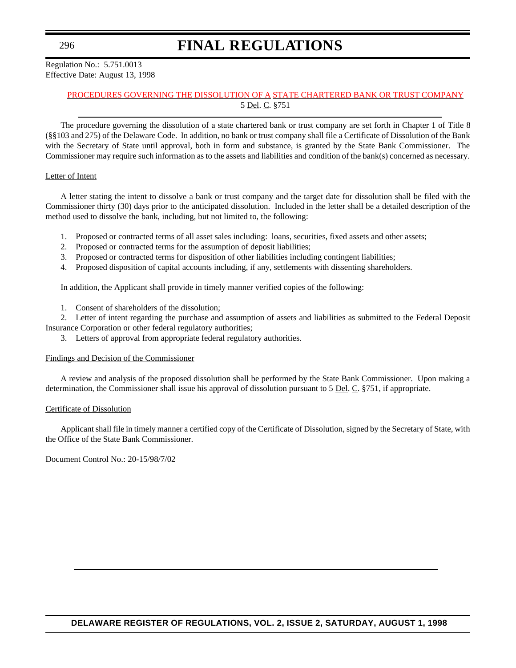Regulation No.: 5.751.0013 Effective Date: August 13, 1998

### [PROCEDURES GOVERNING THE DISSOLUTION OF A STATE CHARTERED BANK OR TRUST COMPANY](#page-4-0) 5 Del. C. §751

The procedure governing the dissolution of a state chartered bank or trust company are set forth in Chapter 1 of Title 8 (§§103 and 275) of the Delaware Code. In addition, no bank or trust company shall file a Certificate of Dissolution of the Bank with the Secretary of State until approval, both in form and substance, is granted by the State Bank Commissioner. The Commissioner may require such information as to the assets and liabilities and condition of the bank(s) concerned as necessary.

### Letter of Intent

A letter stating the intent to dissolve a bank or trust company and the target date for dissolution shall be filed with the Commissioner thirty (30) days prior to the anticipated dissolution. Included in the letter shall be a detailed description of the method used to dissolve the bank, including, but not limited to, the following:

- 1. Proposed or contracted terms of all asset sales including: loans, securities, fixed assets and other assets;
- 2. Proposed or contracted terms for the assumption of deposit liabilities;
- 3. Proposed or contracted terms for disposition of other liabilities including contingent liabilities;
- 4. Proposed disposition of capital accounts including, if any, settlements with dissenting shareholders.

In addition, the Applicant shall provide in timely manner verified copies of the following:

1. Consent of shareholders of the dissolution;

2. Letter of intent regarding the purchase and assumption of assets and liabilities as submitted to the Federal Deposit Insurance Corporation or other federal regulatory authorities;

3. Letters of approval from appropriate federal regulatory authorities.

### Findings and Decision of the Commissioner

A review and analysis of the proposed dissolution shall be performed by the State Bank Commissioner. Upon making a determination, the Commissioner shall issue his approval of dissolution pursuant to 5 Del. C. §751, if appropriate.

### Certificate of Dissolution

Applicant shall file in timely manner a certified copy of the Certificate of Dissolution, signed by the Secretary of State, with the Office of the State Bank Commissioner.

Document Control No.: 20-15/98/7/02

296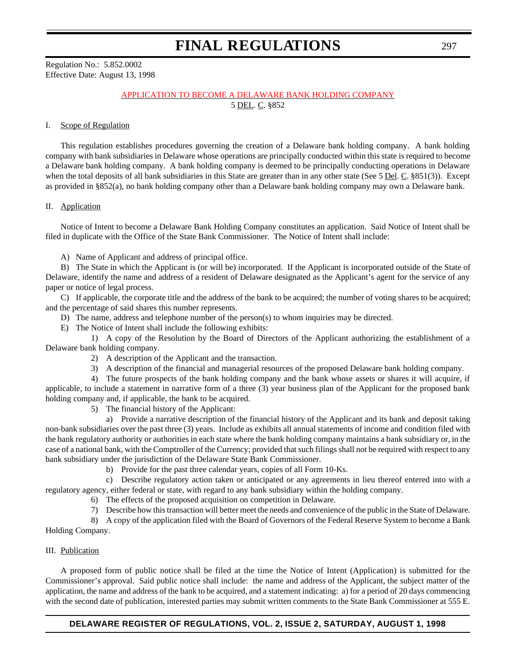Regulation No.: 5.852.0002 Effective Date: August 13, 1998

### [APPLICATION TO BECOME A DELAWARE BANK HOLDING COMPANY](#page-4-0) 5 DEL. C. §852

### I. Scope of Regulation

This regulation establishes procedures governing the creation of a Delaware bank holding company. A bank holding company with bank subsidiaries in Delaware whose operations are principally conducted within this state is required to become a Delaware bank holding company. A bank holding company is deemed to be principally conducting operations in Delaware when the total deposits of all bank subsidiaries in this State are greater than in any other state (See 5 Del. C. §851(3)). Except as provided in §852(a), no bank holding company other than a Delaware bank holding company may own a Delaware bank.

#### II. Application

Notice of Intent to become a Delaware Bank Holding Company constitutes an application. Said Notice of Intent shall be filed in duplicate with the Office of the State Bank Commissioner. The Notice of Intent shall include:

A) Name of Applicant and address of principal office.

B) The State in which the Applicant is (or will be) incorporated. If the Applicant is incorporated outside of the State of Delaware, identify the name and address of a resident of Delaware designated as the Applicant's agent for the service of any paper or notice of legal process.

C) If applicable, the corporate title and the address of the bank to be acquired; the number of voting shares to be acquired; and the percentage of said shares this number represents.

D) The name, address and telephone number of the person(s) to whom inquiries may be directed.

E) The Notice of Intent shall include the following exhibits:

1) A copy of the Resolution by the Board of Directors of the Applicant authorizing the establishment of a Delaware bank holding company.

2) A description of the Applicant and the transaction.

3) A description of the financial and managerial resources of the proposed Delaware bank holding company.

4) The future prospects of the bank holding company and the bank whose assets or shares it will acquire, if applicable, to include a statement in narrative form of a three (3) year business plan of the Applicant for the proposed bank holding company and, if applicable, the bank to be acquired.

5) The financial history of the Applicant:

a) Provide a narrative description of the financial history of the Applicant and its bank and deposit taking non-bank subsidiaries over the past three (3) years. Include as exhibits all annual statements of income and condition filed with the bank regulatory authority or authorities in each state where the bank holding company maintains a bank subsidiary or, in the case of a national bank, with the Comptroller of the Currency; provided that such filings shall not be required with respect to any bank subsidiary under the jurisdiction of the Delaware State Bank Commissioner.

b) Provide for the past three calendar years, copies of all Form 10-Ks.

c) Describe regulatory action taken or anticipated or any agreements in lieu thereof entered into with a regulatory agency, either federal or state, with regard to any bank subsidiary within the holding company.

6) The effects of the proposed acquisition on competition in Delaware.

7) Describe how this transaction will better meet the needs and convenience of the public in the State of Delaware.

8) A copy of the application filed with the Board of Governors of the Federal Reserve System to become a Bank Holding Company.

#### III. Publication

A proposed form of public notice shall be filed at the time the Notice of Intent (Application) is submitted for the Commissioner's approval. Said public notice shall include: the name and address of the Applicant, the subject matter of the application, the name and address of the bank to be acquired, and a statement indicating: a) for a period of 20 days commencing with the second date of publication, interested parties may submit written comments to the State Bank Commissioner at 555 E.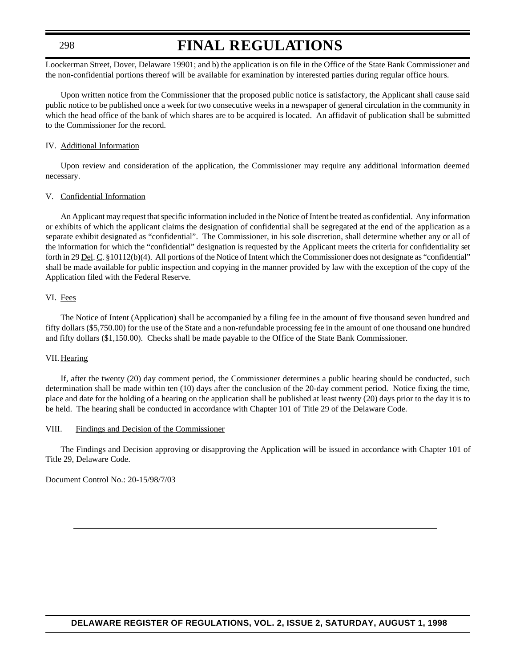#### 298

# **FINAL REGULATIONS**

Loockerman Street, Dover, Delaware 19901; and b) the application is on file in the Office of the State Bank Commissioner and the non-confidential portions thereof will be available for examination by interested parties during regular office hours.

Upon written notice from the Commissioner that the proposed public notice is satisfactory, the Applicant shall cause said public notice to be published once a week for two consecutive weeks in a newspaper of general circulation in the community in which the head office of the bank of which shares are to be acquired is located. An affidavit of publication shall be submitted to the Commissioner for the record.

#### IV. Additional Information

Upon review and consideration of the application, the Commissioner may require any additional information deemed necessary.

#### V. Confidential Information

An Applicant may request that specific information included in the Notice of Intent be treated as confidential. Any information or exhibits of which the applicant claims the designation of confidential shall be segregated at the end of the application as a separate exhibit designated as "confidential". The Commissioner, in his sole discretion, shall determine whether any or all of the information for which the "confidential" designation is requested by the Applicant meets the criteria for confidentiality set forth in 29 Del. C. §10112(b)(4). All portions of the Notice of Intent which the Commissioner does not designate as "confidential" shall be made available for public inspection and copying in the manner provided by law with the exception of the copy of the Application filed with the Federal Reserve.

#### VI. Fees

The Notice of Intent (Application) shall be accompanied by a filing fee in the amount of five thousand seven hundred and fifty dollars (\$5,750.00) for the use of the State and a non-refundable processing fee in the amount of one thousand one hundred and fifty dollars (\$1,150.00). Checks shall be made payable to the Office of the State Bank Commissioner.

### VII. Hearing

If, after the twenty (20) day comment period, the Commissioner determines a public hearing should be conducted, such determination shall be made within ten (10) days after the conclusion of the 20-day comment period. Notice fixing the time, place and date for the holding of a hearing on the application shall be published at least twenty (20) days prior to the day it is to be held. The hearing shall be conducted in accordance with Chapter 101 of Title 29 of the Delaware Code.

#### VIII. Findings and Decision of the Commissioner

The Findings and Decision approving or disapproving the Application will be issued in accordance with Chapter 101 of Title 29, Delaware Code.

#### Document Control No.: 20-15/98/7/03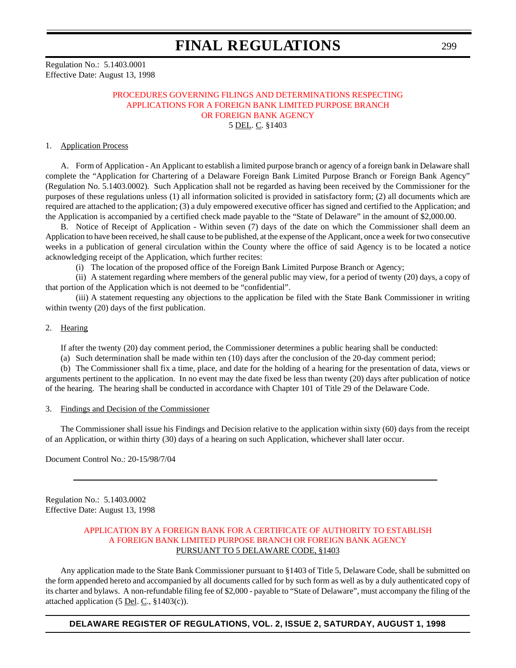Regulation No.: 5.1403.0001 Effective Date: August 13, 1998

### [PROCEDURES GOVERNING FILINGS AND DETERMINATIONS RESPECTING](#page-4-0) APPLICATIONS FOR A FOREIGN BANK LIMITED PURPOSE BRANCH OR FOREIGN BANK AGENCY 5 DEL. C. §1403

#### 1. Application Process

A. Form of Application - An Applicant to establish a limited purpose branch or agency of a foreign bank in Delaware shall complete the "Application for Chartering of a Delaware Foreign Bank Limited Purpose Branch or Foreign Bank Agency" (Regulation No. 5.1403.0002). Such Application shall not be regarded as having been received by the Commissioner for the purposes of these regulations unless (1) all information solicited is provided in satisfactory form; (2) all documents which are required are attached to the application; (3) a duly empowered executive officer has signed and certified to the Application; and the Application is accompanied by a certified check made payable to the "State of Delaware" in the amount of \$2,000.00.

B. Notice of Receipt of Application - Within seven (7) days of the date on which the Commissioner shall deem an Application to have been received, he shall cause to be published, at the expense of the Applicant, once a week for two consecutive weeks in a publication of general circulation within the County where the office of said Agency is to be located a notice acknowledging receipt of the Application, which further recites:

(i) The location of the proposed office of the Foreign Bank Limited Purpose Branch or Agency;

(ii) A statement regarding where members of the general public may view, for a period of twenty (20) days, a copy of that portion of the Application which is not deemed to be "confidential".

(iii) A statement requesting any objections to the application be filed with the State Bank Commissioner in writing within twenty (20) days of the first publication.

#### 2. Hearing

If after the twenty (20) day comment period, the Commissioner determines a public hearing shall be conducted:

(a) Such determination shall be made within ten (10) days after the conclusion of the 20-day comment period;

(b) The Commissioner shall fix a time, place, and date for the holding of a hearing for the presentation of data, views or arguments pertinent to the application. In no event may the date fixed be less than twenty (20) days after publication of notice of the hearing. The hearing shall be conducted in accordance with Chapter 101 of Title 29 of the Delaware Code.

#### 3. Findings and Decision of the Commissioner

The Commissioner shall issue his Findings and Decision relative to the application within sixty (60) days from the receipt of an Application, or within thirty (30) days of a hearing on such Application, whichever shall later occur.

Document Control No.: 20-15/98/7/04

Regulation No.: 5.1403.0002 Effective Date: August 13, 1998

### [APPLICATION BY A FOREIGN BANK FOR A CERTIFICATE OF AUTHORITY TO ESTABLISH](#page-4-0) A FOREIGN BANK LIMITED PURPOSE BRANCH OR FOREIGN BANK AGENCY PURSUANT TO 5 DELAWARE CODE, §1403

Any application made to the State Bank Commissioner pursuant to §1403 of Title 5, Delaware Code, shall be submitted on the form appended hereto and accompanied by all documents called for by such form as well as by a duly authenticated copy of its charter and bylaws. A non-refundable filing fee of \$2,000 - payable to "State of Delaware", must accompany the filing of the attached application  $(5 \text{ Del. C.}, \text{§}1403(c))$ .

**DELAWARE REGISTER OF REGULATIONS, VOL. 2, ISSUE 2, SATURDAY, AUGUST 1, 1998**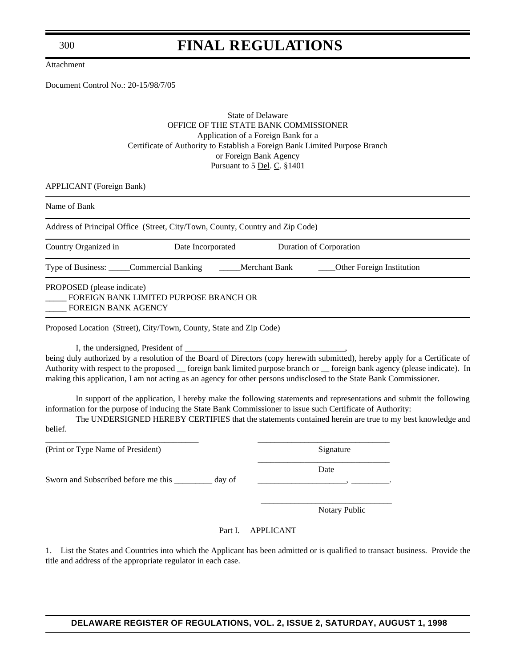Attachment

Document Control No.: 20-15/98/7/05

### State of Delaware OFFICE OF THE STATE BANK COMMISSIONER Application of a Foreign Bank for a Certificate of Authority to Establish a Foreign Bank Limited Purpose Branch or Foreign Bank Agency Pursuant to 5 Del. C. §1401

APPLICANT (Foreign Bank)

| Name of Bank<br>Address of Principal Office (Street, City/Town, County, Country and Zip Code) |                                                                    |               |                                  |  |
|-----------------------------------------------------------------------------------------------|--------------------------------------------------------------------|---------------|----------------------------------|--|
|                                                                                               |                                                                    |               |                                  |  |
| Type of Business: ______Commercial Banking                                                    |                                                                    | Merchant Bank | <b>Other Foreign Institution</b> |  |
| PROPOSED (please indicate)<br><b>FOREIGN BANK AGENCY</b>                                      | FOREIGN BANK LIMITED PURPOSE BRANCH OR                             |               |                                  |  |
|                                                                                               | Proposed Location (Street), City/Town, County, State and Zip Code) |               |                                  |  |

I, the undersigned, President of  $\_\_$ 

being duly authorized by a resolution of the Board of Directors (copy herewith submitted), hereby apply for a Certificate of Authority with respect to the proposed \_\_ foreign bank limited purpose branch or \_\_ foreign bank agency (please indicate). In making this application, I am not acting as an agency for other persons undisclosed to the State Bank Commissioner.

In support of the application, I hereby make the following statements and representations and submit the following information for the purpose of inducing the State Bank Commissioner to issue such Certificate of Authority:

The UNDERSIGNED HEREBY CERTIFIES that the statements contained herein are true to my best knowledge and belief.

Sworn and Subscribed before me this \_\_\_\_\_\_\_\_\_\_\_\_\_\_ day of

| (Prir<br>∵or Tyne Name of<br>$-$<br>------- |  |
|---------------------------------------------|--|

\_\_\_\_\_\_\_\_\_\_\_\_\_\_\_\_\_\_\_\_\_\_\_\_\_\_\_\_\_\_\_

 $\frac{1}{2}$  . The contract of the contract of the contract of the contract of the contract of the contract of the contract of the contract of the contract of the contract of the contract of the contract of the contract of t

Date

Notary Public

Part I. APPLICANT

1. List the States and Countries into which the Applicant has been admitted or is qualified to transact business. Provide the title and address of the appropriate regulator in each case.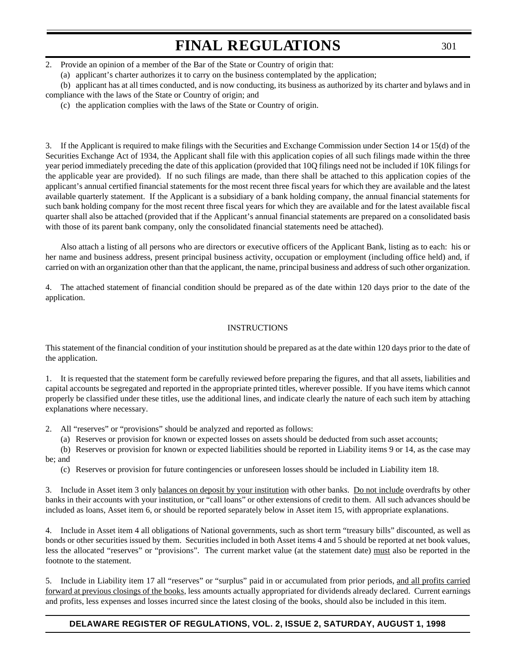2. Provide an opinion of a member of the Bar of the State or Country of origin that:

(a) applicant's charter authorizes it to carry on the business contemplated by the application;

(b) applicant has at all times conducted, and is now conducting, its business as authorized by its charter and bylaws and in compliance with the laws of the State or Country of origin; and

(c) the application complies with the laws of the State or Country of origin.

3. If the Applicant is required to make filings with the Securities and Exchange Commission under Section 14 or 15(d) of the Securities Exchange Act of 1934, the Applicant shall file with this application copies of all such filings made within the three year period immediately preceding the date of this application (provided that 10Q filings need not be included if 10K filings for the applicable year are provided). If no such filings are made, than there shall be attached to this application copies of the applicant's annual certified financial statements for the most recent three fiscal years for which they are available and the latest available quarterly statement. If the Applicant is a subsidiary of a bank holding company, the annual financial statements for such bank holding company for the most recent three fiscal years for which they are available and for the latest available fiscal quarter shall also be attached (provided that if the Applicant's annual financial statements are prepared on a consolidated basis with those of its parent bank company, only the consolidated financial statements need be attached).

Also attach a listing of all persons who are directors or executive officers of the Applicant Bank, listing as to each: his or her name and business address, present principal business activity, occupation or employment (including office held) and, if carried on with an organization other than that the applicant, the name, principal business and address of such other organization.

4. The attached statement of financial condition should be prepared as of the date within 120 days prior to the date of the application.

#### INSTRUCTIONS

This statement of the financial condition of your institution should be prepared as at the date within 120 days prior to the date of the application.

1. It is requested that the statement form be carefully reviewed before preparing the figures, and that all assets, liabilities and capital accounts be segregated and reported in the appropriate printed titles, wherever possible. If you have items which cannot properly be classified under these titles, use the additional lines, and indicate clearly the nature of each such item by attaching explanations where necessary.

2. All "reserves" or "provisions" should be analyzed and reported as follows:

- (a) Reserves or provision for known or expected losses on assets should be deducted from such asset accounts;
- (b) Reserves or provision for known or expected liabilities should be reported in Liability items 9 or 14, as the case may be; and
	- (c) Reserves or provision for future contingencies or unforeseen losses should be included in Liability item 18.

3. Include in Asset item 3 only balances on deposit by your institution with other banks. Do not include overdrafts by other banks in their accounts with your institution, or "call loans" or other extensions of credit to them. All such advances should be included as loans, Asset item 6, or should be reported separately below in Asset item 15, with appropriate explanations.

4. Include in Asset item 4 all obligations of National governments, such as short term "treasury bills" discounted, as well as bonds or other securities issued by them. Securities included in both Asset items 4 and 5 should be reported at net book values, less the allocated "reserves" or "provisions". The current market value (at the statement date) must also be reported in the footnote to the statement.

5. Include in Liability item 17 all "reserves" or "surplus" paid in or accumulated from prior periods, and all profits carried forward at previous closings of the books, less amounts actually appropriated for dividends already declared. Current earnings and profits, less expenses and losses incurred since the latest closing of the books, should also be included in this item.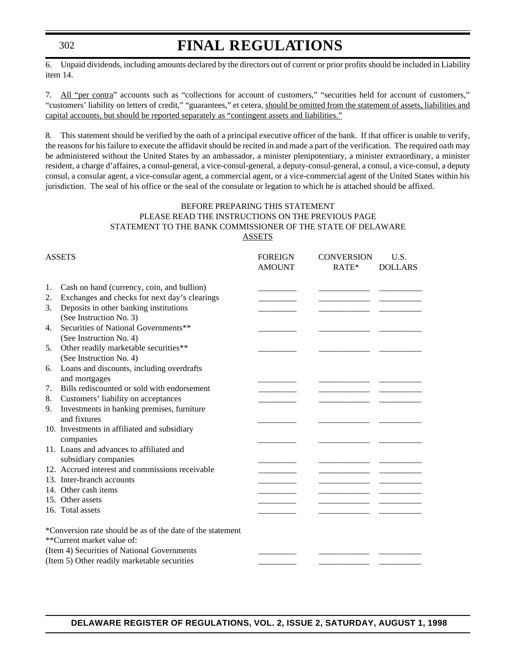6. Unpaid dividends, including amounts declared by the directors out of current or prior profits should be included in Liability item 14.

7. All "per contra" accounts such as "collections for account of customers," "securities held for account of customers," "customers' liability on letters of credit," "guarantees," et cetera, should be omitted from the statement of assets, liabilities and capital accounts, but should be reported separately as "contingent assets and liabilities."

8. This statement should be verified by the oath of a principal executive officer of the bank. If that officer is unable to verify, the reasons for his failure to execute the affidavit should be recited in and made a part of the verification. The required oath may be administered without the United States by an ambassador, a minister plenipotentiary, a minister extraordinary, a minister resident, a charge d'affaires, a consul-general, a vice-consul-general, a deputy-consul-general, a consul, a vice-consul, a deputy consul, a consular agent, a vice-consular agent, a commercial agent, or a vice-commercial agent of the United States within his jurisdiction. The seal of his office or the seal of the consulate or legation to which he is attached should be affixed.

#### BEFORE PREPARING THIS STATEMENT PLEASE READ THE INSTRUCTIONS ON THE PREVIOUS PAGE STATEMENT TO THE BANK COMMISSIONER OF THE STATE OF DELAWARE **ASSETS**

|                | <b>ASSETS</b>                                              | <b>FOREIGN</b> | <b>CONVERSION</b> | U.S.           |
|----------------|------------------------------------------------------------|----------------|-------------------|----------------|
|                |                                                            | <b>AMOUNT</b>  | RATE*             | <b>DOLLARS</b> |
| 1.             | Cash on hand (currency, coin, and bullion)                 |                |                   |                |
| 2.             | Exchanges and checks for next day's clearings              |                |                   |                |
| 3.             | Deposits in other banking institutions                     |                |                   |                |
|                | (See Instruction No. 3)                                    |                |                   |                |
| $\mathbf{4}$ . | Securities of National Governments**                       |                |                   |                |
|                | (See Instruction No. 4)                                    |                |                   |                |
| 5.             | Other readily marketable securities**                      |                |                   |                |
|                | (See Instruction No. 4)                                    |                |                   |                |
| 6.             | Loans and discounts, including overdrafts                  |                |                   |                |
|                | and mortgages                                              |                |                   |                |
| 7.             | Bills rediscounted or sold with endorsement                |                |                   |                |
| 8.             | Customers' liability on acceptances                        |                |                   |                |
| 9.             | Investments in banking premises, furniture                 |                |                   |                |
|                | and fixtures                                               |                |                   |                |
|                | 10. Investments in affiliated and subsidiary               |                |                   |                |
|                | companies                                                  |                |                   |                |
|                | 11. Loans and advances to affiliated and                   |                |                   |                |
|                | subsidiary companies                                       |                |                   |                |
|                | 12. Accrued interest and commissions receivable            |                |                   |                |
|                | 13. Inter-branch accounts                                  |                |                   |                |
|                | 14. Other cash items                                       |                |                   |                |
|                | 15. Other assets                                           |                |                   |                |
|                | 16. Total assets                                           |                |                   |                |
|                |                                                            |                |                   |                |
|                | *Conversion rate should be as of the date of the statement |                |                   |                |
|                | **Current market value of:                                 |                |                   |                |
|                | (Item 4) Securities of National Governments                |                |                   |                |
|                | (Item 5) Other readily marketable securities               |                |                   |                |

**DELAWARE REGISTER OF REGULATIONS, VOL. 2, ISSUE 2, SATURDAY, AUGUST 1, 1998**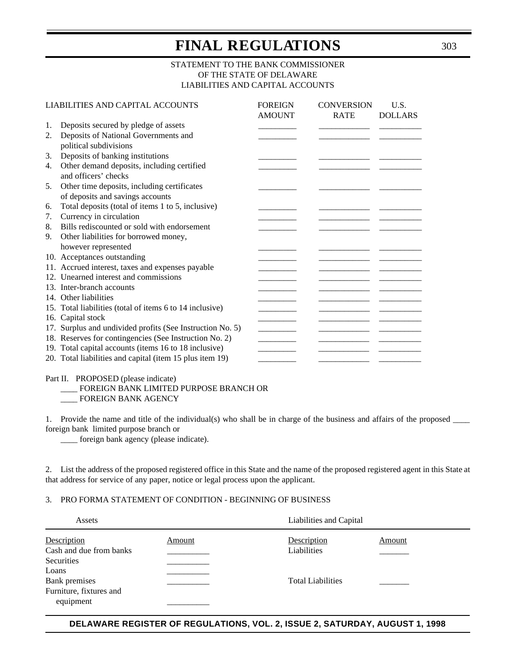#### STATEMENT TO THE BANK COMMISSIONER OF THE STATE OF DELAWARE LIABILITIES AND CAPITAL ACCOUNTS

|    | LIABILITIES AND CAPITAL ACCOUNTS                          | <b>FOREIGN</b> | <b>CONVERSION</b> | U.S.           |
|----|-----------------------------------------------------------|----------------|-------------------|----------------|
|    |                                                           | <b>AMOUNT</b>  | <b>RATE</b>       | <b>DOLLARS</b> |
| 1. | Deposits secured by pledge of assets                      |                |                   |                |
| 2. | Deposits of National Governments and                      |                |                   |                |
|    | political subdivisions                                    |                |                   |                |
| 3. | Deposits of banking institutions                          |                |                   |                |
| 4. | Other demand deposits, including certified                |                |                   |                |
|    | and officers' checks                                      |                |                   |                |
| 5. | Other time deposits, including certificates               |                |                   |                |
|    | of deposits and savings accounts                          |                |                   |                |
| 6. | Total deposits (total of items 1 to 5, inclusive)         |                |                   |                |
| 7. | Currency in circulation                                   |                |                   |                |
| 8. | Bills rediscounted or sold with endorsement               |                |                   |                |
| 9. | Other liabilities for borrowed money,                     |                |                   |                |
|    | however represented                                       |                |                   |                |
|    | 10. Acceptances outstanding                               |                |                   |                |
|    | 11. Accrued interest, taxes and expenses payable          |                |                   |                |
|    | 12. Unearned interest and commissions                     |                |                   |                |
|    | 13. Inter-branch accounts                                 |                |                   |                |
|    | 14. Other liabilities                                     |                |                   |                |
|    | 15. Total liabilities (total of items 6 to 14 inclusive)  |                |                   |                |
|    | 16. Capital stock                                         |                |                   |                |
|    | 17. Surplus and undivided profits (See Instruction No. 5) |                |                   |                |
|    | 18. Reserves for contingencies (See Instruction No. 2)    |                |                   |                |
|    | 19. Total capital accounts (items 16 to 18 inclusive)     |                |                   |                |
|    | 20. Total liabilities and capital (item 15 plus item 19)  |                |                   |                |

#### Part II. PROPOSED (please indicate)

\_\_\_\_ FOREIGN BANK LIMITED PURPOSE BRANCH OR

\_\_\_\_ FOREIGN BANK AGENCY

1. Provide the name and title of the individual(s) who shall be in charge of the business and affairs of the proposed \_\_\_\_ foreign bank limited purpose branch or

\_\_\_\_ foreign bank agency (please indicate).

2. List the address of the proposed registered office in this State and the name of the proposed registered agent in this State at that address for service of any paper, notice or legal process upon the applicant.

#### 3. PRO FORMA STATEMENT OF CONDITION - BEGINNING OF BUSINESS

| Assets                                                                                                                 |        | Liabilities and Capital                                |        |  |
|------------------------------------------------------------------------------------------------------------------------|--------|--------------------------------------------------------|--------|--|
| Description<br>Cash and due from banks<br>Securities<br>Loans<br>Bank premises<br>Furniture, fixtures and<br>equipment | Amount | Description<br>Liabilities<br><b>Total Liabilities</b> | Amount |  |
|                                                                                                                        |        |                                                        |        |  |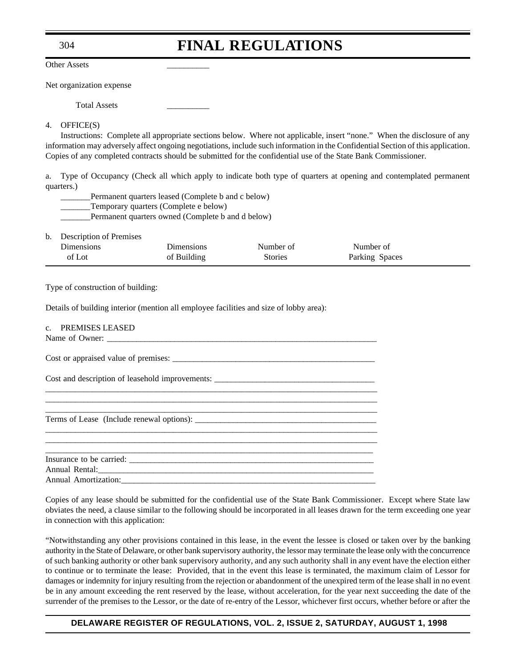#### 304

## **FINAL REGULATIONS**

Other Assets \_\_\_\_\_\_\_\_\_\_

Net organization expense

Total Assets \_\_\_\_\_\_\_\_\_\_

#### 4. OFFICE(S)

Instructions: Complete all appropriate sections below. Where not applicable, insert "none." When the disclosure of any information may adversely affect ongoing negotiations, include such information in the Confidential Section of this application. Copies of any completed contracts should be submitted for the confidential use of the State Bank Commissioner.

a. Type of Occupancy (Check all which apply to indicate both type of quarters at opening and contemplated permanent quarters.)

Permanent quarters leased (Complete b and c below)

\_\_\_\_\_\_\_Temporary quarters (Complete e below)

Permanent quarters owned (Complete b and d below)

b. Description of Premises

| emensions. | ensions. | Number of | Number of                |  |
|------------|----------|-----------|--------------------------|--|
|            |          |           |                          |  |
| of Lot     |          | tories    | <b>Spaces</b><br>Parking |  |

Type of construction of building:

Details of building interior (mention all employee facilities and size of lobby area):

c. PREMISES LEASED

| Cost and description of leasehold improvements: _________________________________ |
|-----------------------------------------------------------------------------------|
|                                                                                   |
| Annual Rental: <u>Contract Communication</u>                                      |

Copies of any lease should be submitted for the confidential use of the State Bank Commissioner. Except where State law obviates the need, a clause similar to the following should be incorporated in all leases drawn for the term exceeding one year in connection with this application:

"Notwithstanding any other provisions contained in this lease, in the event the lessee is closed or taken over by the banking authority in the State of Delaware, or other bank supervisory authority, the lessor may terminate the lease only with the concurrence of such banking authority or other bank supervisory authority, and any such authority shall in any event have the election either to continue or to terminate the lease: Provided, that in the event this lease is terminated, the maximum claim of Lessor for damages or indemnity for injury resulting from the rejection or abandonment of the unexpired term of the lease shall in no event be in any amount exceeding the rent reserved by the lease, without acceleration, for the year next succeeding the date of the surrender of the premises to the Lessor, or the date of re-entry of the Lessor, whichever first occurs, whether before or after the

#### **DELAWARE REGISTER OF REGULATIONS, VOL. 2, ISSUE 2, SATURDAY, AUGUST 1, 1998**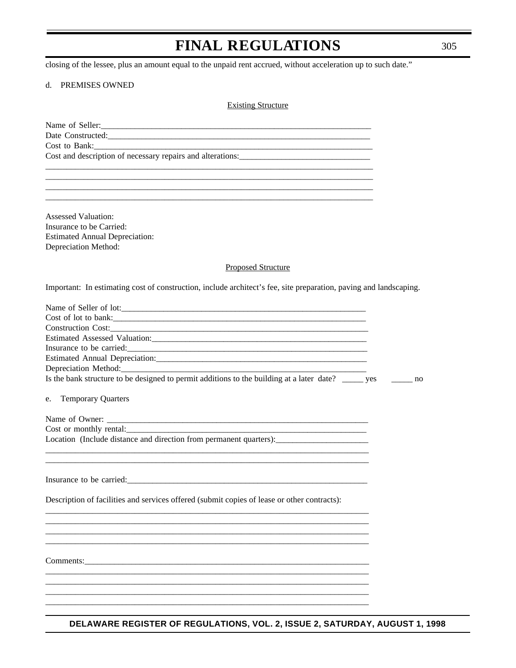closing of the lessee, plus an amount equal to the unpaid rent accrued, without acceleration up to such date."

#### d. PREMISES OWNED

#### Existing Structure

| Cost to Bank: North Cost of Bank:                                                                                 |                                       |
|-------------------------------------------------------------------------------------------------------------------|---------------------------------------|
|                                                                                                                   |                                       |
|                                                                                                                   |                                       |
|                                                                                                                   |                                       |
|                                                                                                                   |                                       |
| <b>Assessed Valuation:</b>                                                                                        |                                       |
| Insurance to be Carried:                                                                                          |                                       |
| <b>Estimated Annual Depreciation:</b>                                                                             |                                       |
| Depreciation Method:                                                                                              |                                       |
| <b>Proposed Structure</b>                                                                                         |                                       |
| Important: In estimating cost of construction, include architect's fee, site preparation, paving and landscaping. |                                       |
|                                                                                                                   |                                       |
| Cost of lot to bank:                                                                                              |                                       |
|                                                                                                                   |                                       |
|                                                                                                                   |                                       |
| Insurance to be carried:                                                                                          |                                       |
|                                                                                                                   |                                       |
|                                                                                                                   |                                       |
| Is the bank structure to be designed to permit additions to the building at a later date? _____ yes               | $\frac{1}{\sqrt{1-\frac{1}{2}}}\n$ no |
| e. Temporary Quarters                                                                                             |                                       |
|                                                                                                                   |                                       |
|                                                                                                                   |                                       |
| Location (Include distance and direction from permanent quarters): ______________                                 |                                       |
|                                                                                                                   |                                       |
|                                                                                                                   |                                       |
|                                                                                                                   |                                       |
| Description of facilities and services offered (submit copies of lease or other contracts):                       |                                       |
|                                                                                                                   |                                       |
|                                                                                                                   |                                       |
|                                                                                                                   |                                       |
|                                                                                                                   |                                       |
|                                                                                                                   |                                       |
|                                                                                                                   |                                       |
|                                                                                                                   |                                       |
|                                                                                                                   |                                       |

#### **DELAWARE REGISTER OF REGULATIONS, VOL. 2, ISSUE 2, SATURDAY, AUGUST 1, 1998**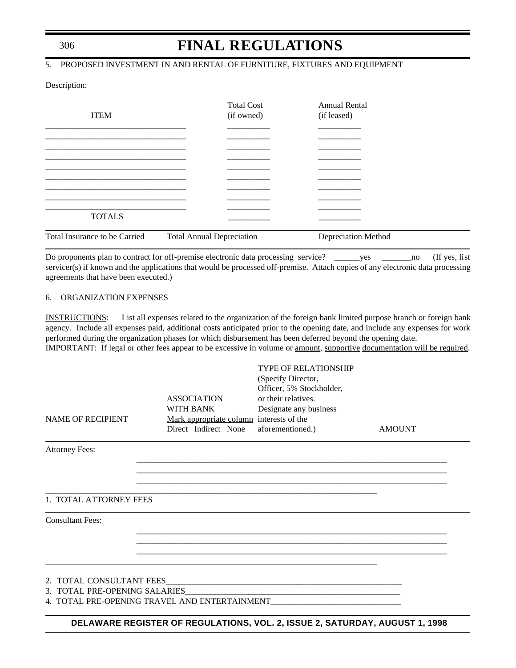#### 306

## **FINAL REGULATIONS**

#### 5. PROPOSED INVESTMENT IN AND RENTAL OF FURNITURE, FIXTURES AND EQUIPMENT

#### Description:

| <b>ITEM</b>                   | <b>Total Cost</b><br>(if owned)  | <b>Annual Rental</b><br>(if leased) |  |
|-------------------------------|----------------------------------|-------------------------------------|--|
|                               |                                  |                                     |  |
|                               |                                  |                                     |  |
|                               |                                  |                                     |  |
|                               |                                  |                                     |  |
|                               |                                  |                                     |  |
|                               |                                  |                                     |  |
|                               |                                  |                                     |  |
|                               |                                  |                                     |  |
| <b>TOTALS</b>                 |                                  |                                     |  |
| Total Insurance to be Carried | <b>Total Annual Depreciation</b> | Depreciation Method                 |  |

Do proponents plan to contract for off-premise electronic data processing service? \_\_\_\_\_\_yes \_\_\_\_\_\_\_no (If yes, list servicer(s) if known and the applications that would be processed off-premise. Attach copies of any electronic data processing agreements that have been executed.)

#### 6. ORGANIZATION EXPENSES

INSTRUCTIONS: List all expenses related to the organization of the foreign bank limited purpose branch or foreign bank agency. Include all expenses paid, additional costs anticipated prior to the opening date, and include any expenses for work performed during the organization phases for which disbursement has been deferred beyond the opening date. IMPORTANT: If legal or other fees appear to be excessive in volume or amount, supportive documentation will be required.

 $T$   $\overline{r}$   $\overline{r}$ 

|                          |                                          | TYPE OF RELATIONSHIP     |               |  |
|--------------------------|------------------------------------------|--------------------------|---------------|--|
|                          |                                          | (Specify Director,       |               |  |
|                          |                                          | Officer, 5% Stockholder, |               |  |
|                          | <b>ASSOCIATION</b>                       | or their relatives.      |               |  |
|                          | WITH BANK                                | Designate any business   |               |  |
| <b>NAME OF RECIPIENT</b> | Mark appropriate column interests of the |                          |               |  |
|                          | Direct Indirect None                     | aforementioned.)         | <b>AMOUNT</b> |  |
| <b>Attorney Fees:</b>    |                                          |                          |               |  |
|                          |                                          |                          |               |  |
|                          |                                          |                          |               |  |
|                          |                                          |                          |               |  |
|                          |                                          |                          |               |  |

### 1. TOTAL ATTORNEY FEES

Consultant Fees:

#### 2. TOTAL CONSULTANT FEES\_\_\_\_\_\_\_\_\_\_\_\_\_\_\_\_\_\_\_\_\_\_\_\_\_\_\_\_\_\_\_\_\_\_\_\_\_\_\_\_\_\_\_\_\_\_\_\_\_\_\_\_\_\_\_\_

- 3. TOTAL PRE-OPENING SALARIES\_\_\_\_\_\_\_\_\_\_\_\_\_\_\_\_\_\_\_\_\_\_\_\_\_\_\_\_\_\_\_\_\_\_\_\_\_\_\_\_\_\_\_\_\_\_\_\_\_\_\_
- 4. TOTAL PRE-OPENING TRAVEL AND ENTERTAINMENT\_

\_\_\_\_\_\_\_\_\_\_\_\_\_\_\_\_\_\_\_\_\_\_\_\_\_\_\_\_\_\_\_\_\_\_\_\_\_\_\_\_\_\_\_\_\_\_\_\_\_\_\_\_\_\_\_\_\_\_\_\_\_\_\_\_\_\_\_\_\_\_\_\_\_\_\_\_\_\_

**DELAWARE REGISTER OF REGULATIONS, VOL. 2, ISSUE 2, SATURDAY, AUGUST 1, 1998**

\_\_\_\_\_\_\_\_\_\_\_\_\_\_\_\_\_\_\_\_\_\_\_\_\_\_\_\_\_\_\_\_\_\_\_\_\_\_\_\_\_\_\_\_\_\_\_\_\_\_\_\_\_\_\_\_\_\_\_\_\_\_\_\_\_\_\_\_\_\_\_\_\_ \_\_\_\_\_\_\_\_\_\_\_\_\_\_\_\_\_\_\_\_\_\_\_\_\_\_\_\_\_\_\_\_\_\_\_\_\_\_\_\_\_\_\_\_\_\_\_\_\_\_\_\_\_\_\_\_\_\_\_\_\_\_\_\_\_\_\_\_\_\_\_\_\_ \_\_\_\_\_\_\_\_\_\_\_\_\_\_\_\_\_\_\_\_\_\_\_\_\_\_\_\_\_\_\_\_\_\_\_\_\_\_\_\_\_\_\_\_\_\_\_\_\_\_\_\_\_\_\_\_\_\_\_\_\_\_\_\_\_\_\_\_\_\_\_\_\_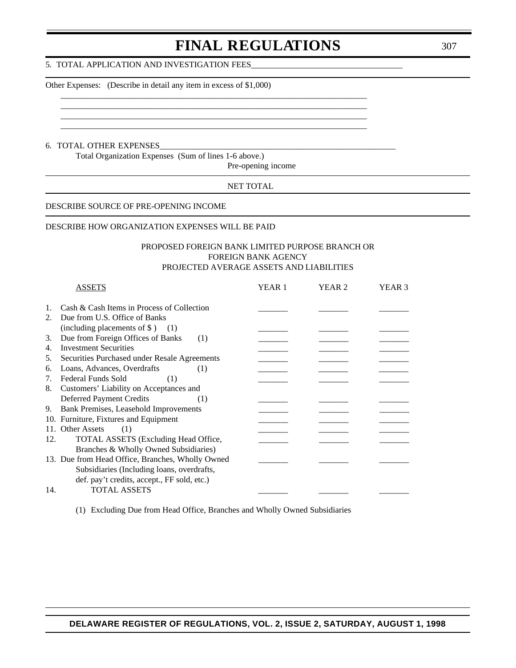\_\_\_\_\_\_\_\_\_\_\_\_\_\_\_\_\_\_\_\_\_\_\_\_\_\_\_\_\_\_\_\_\_\_\_\_\_\_\_\_\_\_\_\_\_\_\_\_\_\_\_\_\_\_\_\_\_\_\_\_\_\_\_\_\_\_\_\_\_\_\_\_ \_\_\_\_\_\_\_\_\_\_\_\_\_\_\_\_\_\_\_\_\_\_\_\_\_\_\_\_\_\_\_\_\_\_\_\_\_\_\_\_\_\_\_\_\_\_\_\_\_\_\_\_\_\_\_\_\_\_\_\_\_\_\_\_\_\_\_\_\_\_\_\_ \_\_\_\_\_\_\_\_\_\_\_\_\_\_\_\_\_\_\_\_\_\_\_\_\_\_\_\_\_\_\_\_\_\_\_\_\_\_\_\_\_\_\_\_\_\_\_\_\_\_\_\_\_\_\_\_\_\_\_\_\_\_\_\_\_\_\_\_\_\_\_\_ \_\_\_\_\_\_\_\_\_\_\_\_\_\_\_\_\_\_\_\_\_\_\_\_\_\_\_\_\_\_\_\_\_\_\_\_\_\_\_\_\_\_\_\_\_\_\_\_\_\_\_\_\_\_\_\_\_\_\_\_\_\_\_\_\_\_\_\_\_\_\_\_

#### 5. TOTAL APPLICATION AND INVESTIGATION FEES\_

Other Expenses: (Describe in detail any item in excess of \$1,000)

#### 6. TOTAL OTHER EXPENSES\_\_\_\_\_\_\_\_\_\_\_\_\_\_\_\_\_\_\_\_\_\_\_\_\_\_\_\_\_\_\_\_\_\_\_\_\_\_\_\_\_\_\_\_\_\_\_\_\_\_\_\_\_\_\_\_

Total Organization Expenses (Sum of lines 1-6 above.)

Pre-opening income

#### NET TOTAL

#### DESCRIBE SOURCE OF PRE-OPENING INCOME

#### DESCRIBE HOW ORGANIZATION EXPENSES WILL BE PAID

#### PROPOSED FOREIGN BANK LIMITED PURPOSE BRANCH OR FOREIGN BANK AGENCY PROJECTED AVERAGE ASSETS AND LIABILITIES

|                | <b>ASSETS</b>                                    | YEAR 1 | YEAR <sub>2</sub> | YEAR 3 |
|----------------|--------------------------------------------------|--------|-------------------|--------|
| $\mathbf{1}$ . | Cash & Cash Items in Process of Collection       |        |                   |        |
| 2.             | Due from U.S. Office of Banks                    |        |                   |        |
|                | (including placements of $\$$ ) (1)              |        |                   |        |
| 3.             | Due from Foreign Offices of Banks<br>(1)         |        |                   |        |
| $\mathbf{4}$ . | <b>Investment Securities</b>                     |        |                   |        |
| 5.             | Securities Purchased under Resale Agreements     |        |                   |        |
| 6.             | Loans, Advances, Overdrafts<br>(1)               |        |                   |        |
| 7.             | Federal Funds Sold<br>(1)                        |        |                   |        |
| 8.             | Customers' Liability on Acceptances and          |        |                   |        |
|                | Deferred Payment Credits<br>(1)                  |        |                   |        |
| 9.             | Bank Premises, Leasehold Improvements            |        |                   |        |
|                | 10. Furniture, Fixtures and Equipment            |        |                   |        |
|                | 11. Other Assets<br>(1)                          |        |                   |        |
| 12.            | TOTAL ASSETS (Excluding Head Office,             |        |                   |        |
|                | Branches & Wholly Owned Subsidiaries)            |        |                   |        |
|                | 13. Due from Head Office, Branches, Wholly Owned |        |                   |        |
|                | Subsidiaries (Including loans, overdrafts,       |        |                   |        |
|                | def. pay't credits, accept., FF sold, etc.)      |        |                   |        |
| 14.            | <b>TOTAL ASSETS</b>                              |        |                   |        |

(1) Excluding Due from Head Office, Branches and Wholly Owned Subsidiaries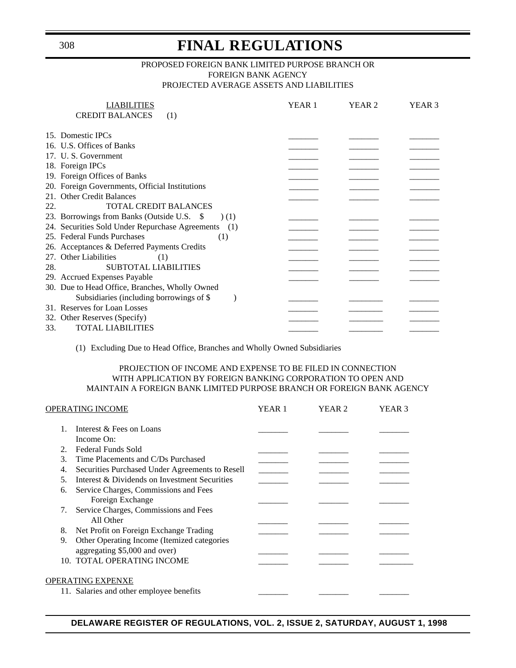#### PROPOSED FOREIGN BANK LIMITED PURPOSE BRANCH OR

FOREIGN BANK AGENCY

PROJECTED AVERAGE ASSETS AND LIABILITIES

|     | <b>LIABILITIES</b>                                  | YEAR <sub>1</sub> | YEAR <sub>2</sub> | YEAR <sub>3</sub> |
|-----|-----------------------------------------------------|-------------------|-------------------|-------------------|
|     | <b>CREDIT BALANCES</b><br>(1)                       |                   |                   |                   |
|     |                                                     |                   |                   |                   |
|     | 15. Domestic IPCs                                   |                   |                   |                   |
|     | 16. U.S. Offices of Banks                           |                   |                   |                   |
|     | 17. U. S. Government                                |                   |                   |                   |
|     | 18. Foreign IPCs                                    |                   |                   |                   |
|     | 19. Foreign Offices of Banks                        |                   |                   |                   |
|     | 20. Foreign Governments, Official Institutions      |                   |                   |                   |
|     | 21. Other Credit Balances                           |                   |                   |                   |
| 22. | TOTAL CREDIT BALANCES                               |                   |                   |                   |
|     | 23. Borrowings from Banks (Outside U.S. \$<br>(1)   |                   |                   |                   |
|     | 24. Securities Sold Under Repurchase Agreements (1) |                   |                   |                   |
|     | 25. Federal Funds Purchases<br>(1)                  |                   |                   |                   |
|     | 26. Acceptances & Deferred Payments Credits         |                   |                   |                   |
|     | 27. Other Liabilities<br>(1)                        |                   |                   |                   |
| 28. | SUBTOTAL LIABILITIES                                |                   |                   |                   |
|     | 29. Accrued Expenses Payable                        |                   |                   |                   |
|     |                                                     |                   |                   |                   |
|     | 30. Due to Head Office, Branches, Wholly Owned      |                   |                   |                   |
|     | Subsidiaries (including borrowings of \$            |                   |                   |                   |
|     | 31. Reserves for Loan Losses                        |                   |                   |                   |
|     | 32. Other Reserves (Specify)                        |                   |                   |                   |
| 33. | <b>TOTAL LIABILITIES</b>                            |                   |                   |                   |

(1) Excluding Due to Head Office, Branches and Wholly Owned Subsidiaries

#### PROJECTION OF INCOME AND EXPENSE TO BE FILED IN CONNECTION WITH APPLICATION BY FOREIGN BANKING CORPORATION TO OPEN AND MAINTAIN A FOREIGN BANK LIMITED PURPOSE BRANCH OR FOREIGN BANK AGENCY

|             | OPERATING INCOME                                | YEAR 1 | YEAR 2 | YEAR 3 |  |
|-------------|-------------------------------------------------|--------|--------|--------|--|
|             |                                                 |        |        |        |  |
|             | Interest & Fees on Loans                        |        |        |        |  |
|             | Income On:                                      |        |        |        |  |
| $2^{\circ}$ | Federal Funds Sold                              |        |        |        |  |
| 3           | Time Placements and C/Ds Purchased              |        |        |        |  |
| 4.          | Securities Purchased Under Agreements to Resell |        |        |        |  |
| 5.          | Interest & Dividends on Investment Securities   |        |        |        |  |
| 6.          | Service Charges, Commissions and Fees           |        |        |        |  |
|             | Foreign Exchange                                |        |        |        |  |
| 7.          | Service Charges, Commissions and Fees           |        |        |        |  |
|             | All Other                                       |        |        |        |  |
| 8.          | Net Profit on Foreign Exchange Trading          |        |        |        |  |
| 9.          | Other Operating Income (Itemized categories     |        |        |        |  |
|             | aggregating \$5,000 and over)                   |        |        |        |  |
|             | 10. TOTAL OPERATING INCOME                      |        |        |        |  |
|             |                                                 |        |        |        |  |
|             | OPERATING EXPENXE                               |        |        |        |  |
|             | 11. Salaries and other employee benefits        |        |        |        |  |
|             |                                                 |        |        |        |  |

### **DELAWARE REGISTER OF REGULATIONS, VOL. 2, ISSUE 2, SATURDAY, AUGUST 1, 1998**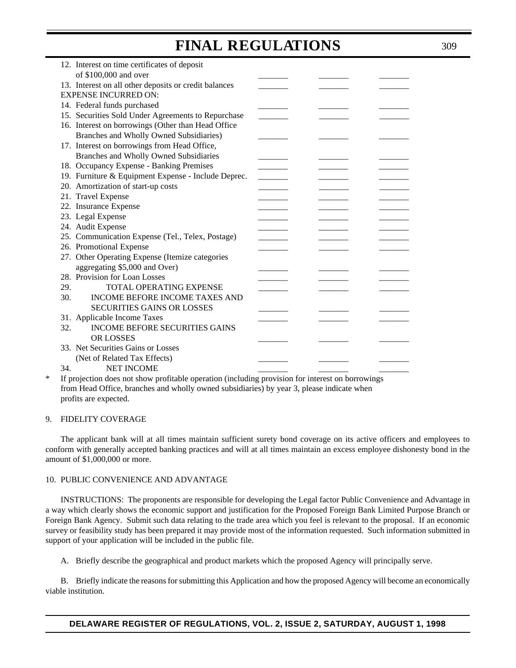|     | 12. Interest on time certificates of deposit          |  |  |
|-----|-------------------------------------------------------|--|--|
|     | of \$100,000 and over                                 |  |  |
|     | 13. Interest on all other deposits or credit balances |  |  |
|     | <b>EXPENSE INCURRED ON:</b>                           |  |  |
|     | 14. Federal funds purchased                           |  |  |
|     | 15. Securities Sold Under Agreements to Repurchase    |  |  |
|     | 16. Interest on borrowings (Other than Head Office    |  |  |
|     | Branches and Wholly Owned Subsidiaries)               |  |  |
|     | 17. Interest on borrowings from Head Office,          |  |  |
|     | Branches and Wholly Owned Subsidiaries                |  |  |
|     | 18. Occupancy Expense - Banking Premises              |  |  |
|     | 19. Furniture & Equipment Expense - Include Deprec.   |  |  |
|     | 20. Amortization of start-up costs                    |  |  |
|     | 21. Travel Expense                                    |  |  |
|     | 22. Insurance Expense                                 |  |  |
|     | 23. Legal Expense                                     |  |  |
|     | 24. Audit Expense                                     |  |  |
|     | 25. Communication Expense (Tel., Telex, Postage)      |  |  |
|     | 26. Promotional Expense                               |  |  |
|     | 27. Other Operating Expense (Itemize categories       |  |  |
|     | aggregating \$5,000 and Over)                         |  |  |
|     | 28. Provision for Loan Losses                         |  |  |
| 29. | <b>TOTAL OPERATING EXPENSE</b>                        |  |  |
| 30. | <b>INCOME BEFORE INCOME TAXES AND</b>                 |  |  |
|     | <b>SECURITIES GAINS OR LOSSES</b>                     |  |  |
|     | 31. Applicable Income Taxes                           |  |  |
| 32. | <b>INCOME BEFORE SECURITIES GAINS</b>                 |  |  |
|     | OR LOSSES                                             |  |  |
|     | 33. Net Securities Gains or Losses                    |  |  |
|     | (Net of Related Tax Effects)                          |  |  |
| 34. | <b>NET INCOME</b>                                     |  |  |

\* If projection does not show profitable operation (including provision for interest on borrowings from Head Office, branches and wholly owned subsidiaries) by year 3, please indicate when profits are expected.

#### 9. FIDELITY COVERAGE

The applicant bank will at all times maintain sufficient surety bond coverage on its active officers and employees to conform with generally accepted banking practices and will at all times maintain an excess employee dishonesty bond in the amount of \$1,000,000 or more.

#### 10. PUBLIC CONVENIENCE AND ADVANTAGE

INSTRUCTIONS: The proponents are responsible for developing the Legal factor Public Convenience and Advantage in a way which clearly shows the economic support and justification for the Proposed Foreign Bank Limited Purpose Branch or Foreign Bank Agency. Submit such data relating to the trade area which you feel is relevant to the proposal. If an economic survey or feasibility study has been prepared it may provide most of the information requested. Such information submitted in support of your application will be included in the public file.

A. Briefly describe the geographical and product markets which the proposed Agency will principally serve.

B. Briefly indicate the reasons for submitting this Application and how the proposed Agency will become an economically viable institution.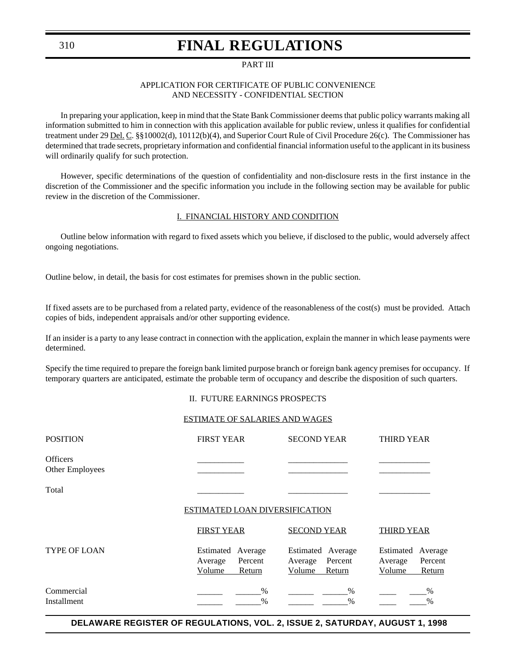#### PART III

#### APPLICATION FOR CERTIFICATE OF PUBLIC CONVENIENCE AND NECESSITY - CONFIDENTIAL SECTION

In preparing your application, keep in mind that the State Bank Commissioner deems that public policy warrants making all information submitted to him in connection with this application available for public review, unless it qualifies for confidential treatment under 29 Del. C. §§10002(d), 10112(b)(4), and Superior Court Rule of Civil Procedure 26(c). The Commissioner has determined that trade secrets, proprietary information and confidential financial information useful to the applicant in its business will ordinarily qualify for such protection.

However, specific determinations of the question of confidentiality and non-disclosure rests in the first instance in the discretion of the Commissioner and the specific information you include in the following section may be available for public review in the discretion of the Commissioner.

#### I. FINANCIAL HISTORY AND CONDITION

Outline below information with regard to fixed assets which you believe, if disclosed to the public, would adversely affect ongoing negotiations.

Outline below, in detail, the basis for cost estimates for premises shown in the public section.

If fixed assets are to be purchased from a related party, evidence of the reasonableness of the cost(s) must be provided. Attach copies of bids, independent appraisals and/or other supporting evidence.

If an insider is a party to any lease contract in connection with the application, explain the manner in which lease payments were determined.

Specify the time required to prepare the foreign bank limited purpose branch or foreign bank agency premises for occupancy. If temporary quarters are anticipated, estimate the probable term of occupancy and describe the disposition of such quarters.

#### II. FUTURE EARNINGS PROSPECTS

#### ESTIMATE OF SALARIES AND WAGES

| <b>POSITION</b>                    | <b>FIRST YEAR</b>                                              | <b>SECOND YEAR</b>                                          | <b>THIRD YEAR</b>                                              |
|------------------------------------|----------------------------------------------------------------|-------------------------------------------------------------|----------------------------------------------------------------|
| <b>Officers</b><br>Other Employees |                                                                |                                                             |                                                                |
| Total                              |                                                                |                                                             |                                                                |
|                                    | ESTIMATED LOAN DIVERSIFICATION                                 |                                                             |                                                                |
|                                    | <b>FIRST YEAR</b>                                              | <b>SECOND YEAR</b>                                          | <b>THIRD YEAR</b>                                              |
| <b>TYPE OF LOAN</b>                | Estimated<br>Average<br>Percent<br>Average<br>Volume<br>Return | Estimated Average<br>Percent<br>Average<br>Volume<br>Return | Estimated<br>Average<br>Percent<br>Average<br>Volume<br>Return |
| Commercial<br><b>Installment</b>   | $\frac{0}{0}$<br>$\frac{0}{0}$                                 | $\frac{0}{0}$<br>$\%$                                       | $\%$<br>$\%$                                                   |

**DELAWARE REGISTER OF REGULATIONS, VOL. 2, ISSUE 2, SATURDAY, AUGUST 1, 1998**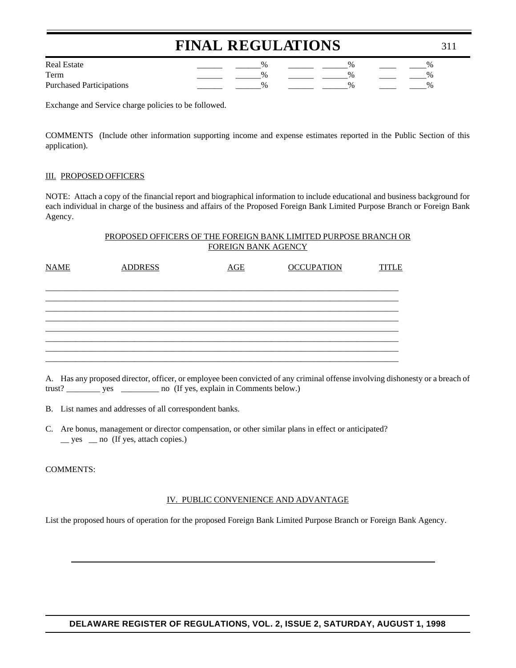| <b>Real Estate</b>              |  | 0 <sub>k</sub> | $\%$ |
|---------------------------------|--|----------------|------|
| Term                            |  |                | 0/2  |
| <b>Purchased Participations</b> |  | 0/             | 0/2  |

Exchange and Service charge policies to be followed.

COMMENTS (Include other information supporting income and expense estimates reported in the Public Section of this application).

#### III. PROPOSED OFFICERS

NOTE: Attach a copy of the financial report and biographical information to include educational and business background for each individual in charge of the business and affairs of the Proposed Foreign Bank Limited Purpose Branch or Foreign Bank Agency.

#### PROPOSED OFFICERS OF THE FOREIGN BANK LIMITED PURPOSE BRANCH OR FOREIGN BANK AGENCY

| <b>NAME</b> | <b>ADDRESS</b> | AGE | <b>OCCUPATION</b> | <b>TITLE</b> |
|-------------|----------------|-----|-------------------|--------------|
|             |                |     |                   |              |
|             |                |     |                   |              |
|             |                |     |                   |              |
|             |                |     |                   |              |
|             |                |     |                   |              |
|             |                |     |                   |              |

A. Has any proposed director, officer, or employee been convicted of any criminal offense involving dishonesty or a breach of trust? \_\_\_\_\_\_\_\_ yes \_\_\_\_\_\_\_\_\_ no (If yes, explain in Comments below.)

B. List names and addresses of all correspondent banks.

C. Are bonus, management or director compensation, or other similar plans in effect or anticipated? \_\_ yes \_\_ no (If yes, attach copies.)

COMMENTS:

#### IV. PUBLIC CONVENIENCE AND ADVANTAGE

List the proposed hours of operation for the proposed Foreign Bank Limited Purpose Branch or Foreign Bank Agency.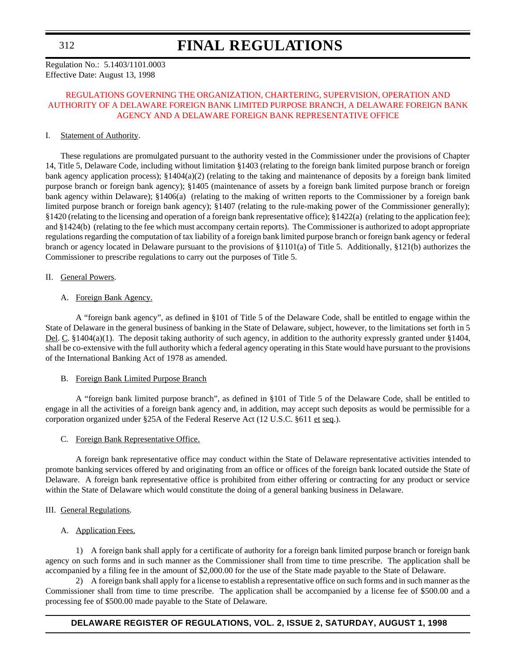Regulation No.: 5.1403/1101.0003 Effective Date: August 13, 1998

#### REGULATIONS GOVERNING THE ORGANIZATION, CHARTERING, SUPERVISION, OPERATION AND [AUTHORITY OF A DELAWARE FOREIGN BANK LIMITED PURPOSE BRANCH, A DELAWARE FOREIGN BANK](#page-4-0) AGENCY AND A DELAWARE FOREIGN BANK REPRESENTATIVE OFFICE

#### I. Statement of Authority.

These regulations are promulgated pursuant to the authority vested in the Commissioner under the provisions of Chapter 14, Title 5, Delaware Code, including without limitation §1403 (relating to the foreign bank limited purpose branch or foreign bank agency application process);  $\S1404(a)(2)$  (relating to the taking and maintenance of deposits by a foreign bank limited purpose branch or foreign bank agency); §1405 (maintenance of assets by a foreign bank limited purpose branch or foreign bank agency within Delaware); §1406(a) (relating to the making of written reports to the Commissioner by a foreign bank limited purpose branch or foreign bank agency); §1407 (relating to the rule-making power of the Commissioner generally); §1420 (relating to the licensing and operation of a foreign bank representative office); §1422(a) (relating to the application fee); and §1424(b) (relating to the fee which must accompany certain reports). The Commissioner is authorized to adopt appropriate regulations regarding the computation of tax liability of a foreign bank limited purpose branch or foreign bank agency or federal branch or agency located in Delaware pursuant to the provisions of §1101(a) of Title 5. Additionally, §121(b) authorizes the Commissioner to prescribe regulations to carry out the purposes of Title 5.

#### II. General Powers.

#### A. Foreign Bank Agency.

A "foreign bank agency", as defined in §101 of Title 5 of the Delaware Code, shall be entitled to engage within the State of Delaware in the general business of banking in the State of Delaware, subject, however, to the limitations set forth in 5 Del. C. §1404(a)(1). The deposit taking authority of such agency, in addition to the authority expressly granted under §1404, shall be co-extensive with the full authority which a federal agency operating in this State would have pursuant to the provisions of the International Banking Act of 1978 as amended.

#### B. Foreign Bank Limited Purpose Branch

A "foreign bank limited purpose branch", as defined in §101 of Title 5 of the Delaware Code, shall be entitled to engage in all the activities of a foreign bank agency and, in addition, may accept such deposits as would be permissible for a corporation organized under §25A of the Federal Reserve Act (12 U.S.C. §611 et seq.).

#### C. Foreign Bank Representative Office.

A foreign bank representative office may conduct within the State of Delaware representative activities intended to promote banking services offered by and originating from an office or offices of the foreign bank located outside the State of Delaware. A foreign bank representative office is prohibited from either offering or contracting for any product or service within the State of Delaware which would constitute the doing of a general banking business in Delaware.

#### III. General Regulations.

#### A. Application Fees.

1) A foreign bank shall apply for a certificate of authority for a foreign bank limited purpose branch or foreign bank agency on such forms and in such manner as the Commissioner shall from time to time prescribe. The application shall be accompanied by a filing fee in the amount of \$2,000.00 for the use of the State made payable to the State of Delaware.

2) A foreign bank shall apply for a license to establish a representative office on such forms and in such manner as the Commissioner shall from time to time prescribe. The application shall be accompanied by a license fee of \$500.00 and a processing fee of \$500.00 made payable to the State of Delaware.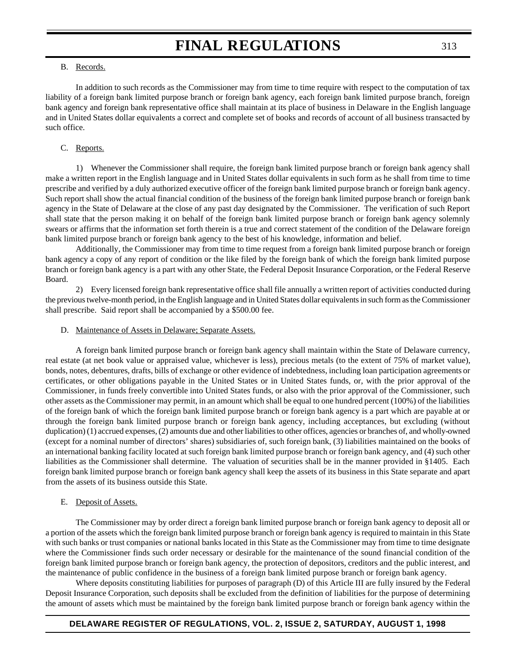#### B. Records.

In addition to such records as the Commissioner may from time to time require with respect to the computation of tax liability of a foreign bank limited purpose branch or foreign bank agency, each foreign bank limited purpose branch, foreign bank agency and foreign bank representative office shall maintain at its place of business in Delaware in the English language and in United States dollar equivalents a correct and complete set of books and records of account of all business transacted by such office.

#### C. Reports.

1) Whenever the Commissioner shall require, the foreign bank limited purpose branch or foreign bank agency shall make a written report in the English language and in United States dollar equivalents in such form as he shall from time to time prescribe and verified by a duly authorized executive officer of the foreign bank limited purpose branch or foreign bank agency. Such report shall show the actual financial condition of the business of the foreign bank limited purpose branch or foreign bank agency in the State of Delaware at the close of any past day designated by the Commissioner. The verification of such Report shall state that the person making it on behalf of the foreign bank limited purpose branch or foreign bank agency solemnly swears or affirms that the information set forth therein is a true and correct statement of the condition of the Delaware foreign bank limited purpose branch or foreign bank agency to the best of his knowledge, information and belief.

Additionally, the Commissioner may from time to time request from a foreign bank limited purpose branch or foreign bank agency a copy of any report of condition or the like filed by the foreign bank of which the foreign bank limited purpose branch or foreign bank agency is a part with any other State, the Federal Deposit Insurance Corporation, or the Federal Reserve Board.

2) Every licensed foreign bank representative office shall file annually a written report of activities conducted during the previous twelve-month period, in the English language and in United States dollar equivalents in such form as the Commissioner shall prescribe. Said report shall be accompanied by a \$500.00 fee.

#### D. Maintenance of Assets in Delaware; Separate Assets.

A foreign bank limited purpose branch or foreign bank agency shall maintain within the State of Delaware currency, real estate (at net book value or appraised value, whichever is less), precious metals (to the extent of 75% of market value), bonds, notes, debentures, drafts, bills of exchange or other evidence of indebtedness, including loan participation agreements or certificates, or other obligations payable in the United States or in United States funds, or, with the prior approval of the Commissioner, in funds freely convertible into United States funds, or also with the prior approval of the Commissioner, such other assets as the Commissioner may permit, in an amount which shall be equal to one hundred percent (100%) of the liabilities of the foreign bank of which the foreign bank limited purpose branch or foreign bank agency is a part which are payable at or through the foreign bank limited purpose branch or foreign bank agency, including acceptances, but excluding (without duplication) (1) accrued expenses, (2) amounts due and other liabilities to other offices, agencies or branches of, and wholly-owned (except for a nominal number of directors' shares) subsidiaries of, such foreign bank, (3) liabilities maintained on the books of an international banking facility located at such foreign bank limited purpose branch or foreign bank agency, and (4) such other liabilities as the Commissioner shall determine. The valuation of securities shall be in the manner provided in §1405. Each foreign bank limited purpose branch or foreign bank agency shall keep the assets of its business in this State separate and apart from the assets of its business outside this State.

#### E. Deposit of Assets.

The Commissioner may by order direct a foreign bank limited purpose branch or foreign bank agency to deposit all or a portion of the assets which the foreign bank limited purpose branch or foreign bank agency is required to maintain in this State with such banks or trust companies or national banks located in this State as the Commissioner may from time to time designate where the Commissioner finds such order necessary or desirable for the maintenance of the sound financial condition of the foreign bank limited purpose branch or foreign bank agency, the protection of depositors, creditors and the public interest, and the maintenance of public confidence in the business of a foreign bank limited purpose branch or foreign bank agency.

Where deposits constituting liabilities for purposes of paragraph (D) of this Article III are fully insured by the Federal Deposit Insurance Corporation, such deposits shall be excluded from the definition of liabilities for the purpose of determining the amount of assets which must be maintained by the foreign bank limited purpose branch or foreign bank agency within the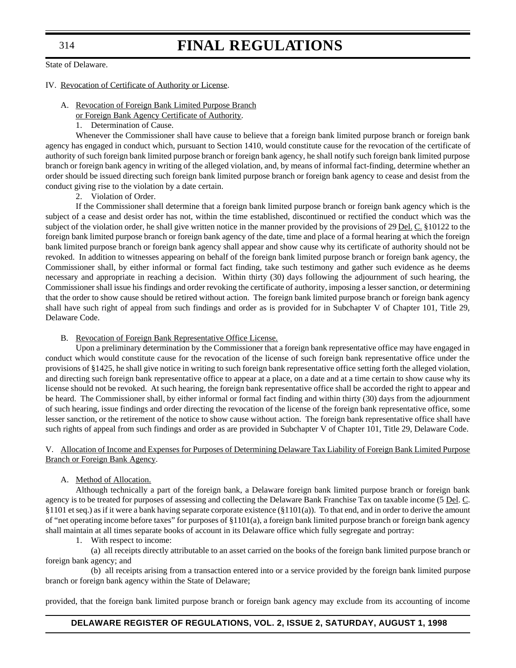State of Delaware.

#### IV. Revocation of Certificate of Authority or License.

- A. Revocation of Foreign Bank Limited Purpose Branch
	- or Foreign Bank Agency Certificate of Authority.
	- 1. Determination of Cause.

Whenever the Commissioner shall have cause to believe that a foreign bank limited purpose branch or foreign bank agency has engaged in conduct which, pursuant to Section 1410, would constitute cause for the revocation of the certificate of authority of such foreign bank limited purpose branch or foreign bank agency, he shall notify such foreign bank limited purpose branch or foreign bank agency in writing of the alleged violation, and, by means of informal fact-finding, determine whether an order should be issued directing such foreign bank limited purpose branch or foreign bank agency to cease and desist from the conduct giving rise to the violation by a date certain.

2. Violation of Order.

If the Commissioner shall determine that a foreign bank limited purpose branch or foreign bank agency which is the subject of a cease and desist order has not, within the time established, discontinued or rectified the conduct which was the subject of the violation order, he shall give written notice in the manner provided by the provisions of 29 Del. C. §10122 to the foreign bank limited purpose branch or foreign bank agency of the date, time and place of a formal hearing at which the foreign bank limited purpose branch or foreign bank agency shall appear and show cause why its certificate of authority should not be revoked. In addition to witnesses appearing on behalf of the foreign bank limited purpose branch or foreign bank agency, the Commissioner shall, by either informal or formal fact finding, take such testimony and gather such evidence as he deems necessary and appropriate in reaching a decision. Within thirty (30) days following the adjournment of such hearing, the Commissioner shall issue his findings and order revoking the certificate of authority, imposing a lesser sanction, or determining that the order to show cause should be retired without action. The foreign bank limited purpose branch or foreign bank agency shall have such right of appeal from such findings and order as is provided for in Subchapter V of Chapter 101, Title 29, Delaware Code.

B. Revocation of Foreign Bank Representative Office License.

Upon a preliminary determination by the Commissioner that a foreign bank representative office may have engaged in conduct which would constitute cause for the revocation of the license of such foreign bank representative office under the provisions of §1425, he shall give notice in writing to such foreign bank representative office setting forth the alleged violation, and directing such foreign bank representative office to appear at a place, on a date and at a time certain to show cause why its license should not be revoked. At such hearing, the foreign bank representative office shall be accorded the right to appear and be heard. The Commissioner shall, by either informal or formal fact finding and within thirty (30) days from the adjournment of such hearing, issue findings and order directing the revocation of the license of the foreign bank representative office, some lesser sanction, or the retirement of the notice to show cause without action. The foreign bank representative office shall have such rights of appeal from such findings and order as are provided in Subchapter V of Chapter 101, Title 29, Delaware Code.

#### V. Allocation of Income and Expenses for Purposes of Determining Delaware Tax Liability of Foreign Bank Limited Purpose Branch or Foreign Bank Agency.

#### A. Method of Allocation.

Although technically a part of the foreign bank, a Delaware foreign bank limited purpose branch or foreign bank agency is to be treated for purposes of assessing and collecting the Delaware Bank Franchise Tax on taxable income (5 Del. C. §1101 et seq.) as if it were a bank having separate corporate existence (§1101(a)). To that end, and in order to derive the amount of "net operating income before taxes" for purposes of §1101(a), a foreign bank limited purpose branch or foreign bank agency shall maintain at all times separate books of account in its Delaware office which fully segregate and portray:

1. With respect to income:

(a) all receipts directly attributable to an asset carried on the books of the foreign bank limited purpose branch or foreign bank agency; and

(b) all receipts arising from a transaction entered into or a service provided by the foreign bank limited purpose branch or foreign bank agency within the State of Delaware;

provided, that the foreign bank limited purpose branch or foreign bank agency may exclude from its accounting of income

#### **DELAWARE REGISTER OF REGULATIONS, VOL. 2, ISSUE 2, SATURDAY, AUGUST 1, 1998**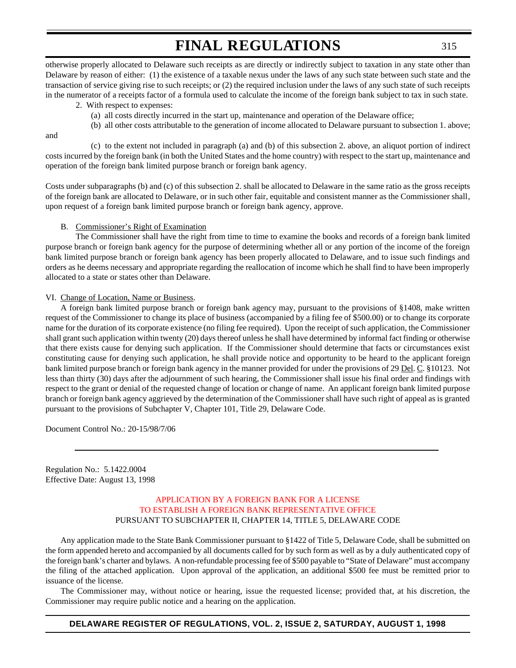otherwise properly allocated to Delaware such receipts as are directly or indirectly subject to taxation in any state other than Delaware by reason of either: (1) the existence of a taxable nexus under the laws of any such state between such state and the transaction of service giving rise to such receipts; or (2) the required inclusion under the laws of any such state of such receipts in the numerator of a receipts factor of a formula used to calculate the income of the foreign bank subject to tax in such state.

- 2. With respect to expenses:
	- (a) all costs directly incurred in the start up, maintenance and operation of the Delaware office;
	- (b) all other costs attributable to the generation of income allocated to Delaware pursuant to subsection 1. above;

and

(c) to the extent not included in paragraph (a) and (b) of this subsection 2. above, an aliquot portion of indirect costs incurred by the foreign bank (in both the United States and the home country) with respect to the start up, maintenance and operation of the foreign bank limited purpose branch or foreign bank agency.

Costs under subparagraphs (b) and (c) of this subsection 2. shall be allocated to Delaware in the same ratio as the gross receipts of the foreign bank are allocated to Delaware, or in such other fair, equitable and consistent manner as the Commissioner shall, upon request of a foreign bank limited purpose branch or foreign bank agency, approve.

#### B. Commissioner's Right of Examination

The Commissioner shall have the right from time to time to examine the books and records of a foreign bank limited purpose branch or foreign bank agency for the purpose of determining whether all or any portion of the income of the foreign bank limited purpose branch or foreign bank agency has been properly allocated to Delaware, and to issue such findings and orders as he deems necessary and appropriate regarding the reallocation of income which he shall find to have been improperly allocated to a state or states other than Delaware.

#### VI. Change of Location, Name or Business.

A foreign bank limited purpose branch or foreign bank agency may, pursuant to the provisions of §1408, make written request of the Commissioner to change its place of business (accompanied by a filing fee of \$500.00) or to change its corporate name for the duration of its corporate existence (no filing fee required). Upon the receipt of such application, the Commissioner shall grant such application within twenty (20) days thereof unless he shall have determined by informal fact finding or otherwise that there exists cause for denying such application. If the Commissioner should determine that facts or circumstances exist constituting cause for denying such application, he shall provide notice and opportunity to be heard to the applicant foreign bank limited purpose branch or foreign bank agency in the manner provided for under the provisions of 29 Del. C. §10123. Not less than thirty (30) days after the adjournment of such hearing, the Commissioner shall issue his final order and findings with respect to the grant or denial of the requested change of location or change of name. An applicant foreign bank limited purpose branch or foreign bank agency aggrieved by the determination of the Commissioner shall have such right of appeal as is granted pursuant to the provisions of Subchapter V, Chapter 101, Title 29, Delaware Code.

Document Control No.: 20-15/98/7/06

Regulation No.: 5.1422.0004 Effective Date: August 13, 1998

#### APPLICATION BY A FOREIGN BANK FOR A LICENSE TO ESTABLISH A FOREIGN BANK REPRESENTATIVE OFFICE [PURSUANT TO SUBCHAPTER II, CHAPTER 14, TITLE 5, DELAWARE CODE](#page-4-0)

Any application made to the State Bank Commissioner pursuant to §1422 of Title 5, Delaware Code, shall be submitted on the form appended hereto and accompanied by all documents called for by such form as well as by a duly authenticated copy of the foreign bank's charter and bylaws. A non-refundable processing fee of \$500 payable to "State of Delaware" must accompany the filing of the attached application. Upon approval of the application, an additional \$500 fee must be remitted prior to issuance of the license.

The Commissioner may, without notice or hearing, issue the requested license; provided that, at his discretion, the Commissioner may require public notice and a hearing on the application.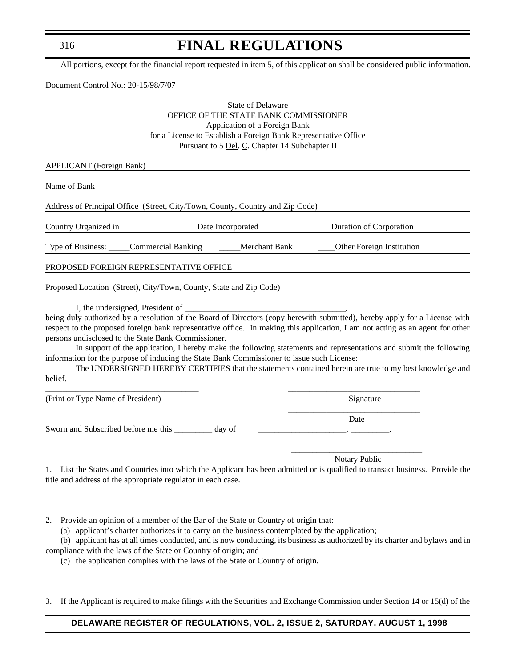316

## **FINAL REGULATIONS**

All portions, except for the financial report requested in item 5, of this application shall be considered public information.

Document Control No.: 20-15/98/7/07

#### State of Delaware OFFICE OF THE STATE BANK COMMISSIONER Application of a Foreign Bank for a License to Establish a Foreign Bank Representative Office Pursuant to 5 Del. C. Chapter 14 Subchapter II

APPLICANT (Foreign Bank)

Name of Bank

Address of Principal Office (Street, City/Town, County, Country and Zip Code)

Country Organized in Date Incorporated Duration of Corporation

Type of Business: \_\_\_\_\_Commercial Banking \_\_\_\_\_Merchant Bank \_\_\_\_Other Foreign Institution

PROPOSED FOREIGN REPRESENTATIVE OFFICE

Proposed Location (Street), City/Town, County, State and Zip Code)

I, the undersigned, President of

being duly authorized by a resolution of the Board of Directors (copy herewith submitted), hereby apply for a License with respect to the proposed foreign bank representative office. In making this application, I am not acting as an agent for other persons undisclosed to the State Bank Commissioner.

In support of the application, I hereby make the following statements and representations and submit the following information for the purpose of inducing the State Bank Commissioner to issue such License:

The UNDERSIGNED HEREBY CERTIFIES that the statements contained herein are true to my best knowledge and belief.

| (Print or Type Name of President)             | Signature |
|-----------------------------------------------|-----------|
|                                               | Date      |
| Sworn and Subscribed before me this<br>day of |           |

 $\overline{\phantom{a}}$  , and the set of the set of the set of the set of the set of the set of the set of the set of the set of the set of the set of the set of the set of the set of the set of the set of the set of the set of the s Notary Public

1. List the States and Countries into which the Applicant has been admitted or is qualified to transact business. Provide the title and address of the appropriate regulator in each case.

2. Provide an opinion of a member of the Bar of the State or Country of origin that:

(a) applicant's charter authorizes it to carry on the business contemplated by the application;

(b) applicant has at all times conducted, and is now conducting, its business as authorized by its charter and bylaws and in compliance with the laws of the State or Country of origin; and

(c) the application complies with the laws of the State or Country of origin.

3. If the Applicant is required to make filings with the Securities and Exchange Commission under Section 14 or 15(d) of the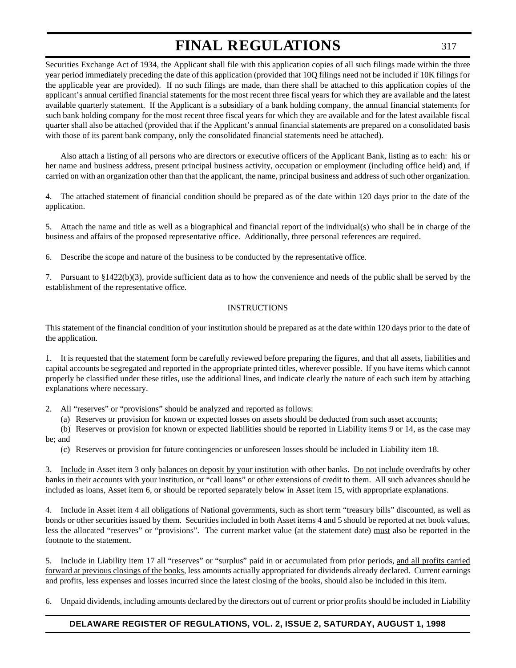Securities Exchange Act of 1934, the Applicant shall file with this application copies of all such filings made within the three year period immediately preceding the date of this application (provided that 10Q filings need not be included if 10K filings for the applicable year are provided). If no such filings are made, than there shall be attached to this application copies of the applicant's annual certified financial statements for the most recent three fiscal years for which they are available and the latest available quarterly statement. If the Applicant is a subsidiary of a bank holding company, the annual financial statements for such bank holding company for the most recent three fiscal years for which they are available and for the latest available fiscal quarter shall also be attached (provided that if the Applicant's annual financial statements are prepared on a consolidated basis with those of its parent bank company, only the consolidated financial statements need be attached).

Also attach a listing of all persons who are directors or executive officers of the Applicant Bank, listing as to each: his or her name and business address, present principal business activity, occupation or employment (including office held) and, if carried on with an organization other than that the applicant, the name, principal business and address of such other organization.

4. The attached statement of financial condition should be prepared as of the date within 120 days prior to the date of the application.

5. Attach the name and title as well as a biographical and financial report of the individual(s) who shall be in charge of the business and affairs of the proposed representative office. Additionally, three personal references are required.

6. Describe the scope and nature of the business to be conducted by the representative office.

7. Pursuant to §1422(b)(3), provide sufficient data as to how the convenience and needs of the public shall be served by the establishment of the representative office.

#### INSTRUCTIONS

This statement of the financial condition of your institution should be prepared as at the date within 120 days prior to the date of the application.

1. It is requested that the statement form be carefully reviewed before preparing the figures, and that all assets, liabilities and capital accounts be segregated and reported in the appropriate printed titles, wherever possible. If you have items which cannot properly be classified under these titles, use the additional lines, and indicate clearly the nature of each such item by attaching explanations where necessary.

2. All "reserves" or "provisions" should be analyzed and reported as follows:

(a) Reserves or provision for known or expected losses on assets should be deducted from such asset accounts;

(b) Reserves or provision for known or expected liabilities should be reported in Liability items 9 or 14, as the case may be; and

(c) Reserves or provision for future contingencies or unforeseen losses should be included in Liability item 18.

3. Include in Asset item 3 only balances on deposit by your institution with other banks. Do not include overdrafts by other banks in their accounts with your institution, or "call loans" or other extensions of credit to them. All such advances should be included as loans, Asset item 6, or should be reported separately below in Asset item 15, with appropriate explanations.

4. Include in Asset item 4 all obligations of National governments, such as short term "treasury bills" discounted, as well as bonds or other securities issued by them. Securities included in both Asset items 4 and 5 should be reported at net book values, less the allocated "reserves" or "provisions". The current market value (at the statement date) must also be reported in the footnote to the statement.

5. Include in Liability item 17 all "reserves" or "surplus" paid in or accumulated from prior periods, and all profits carried forward at previous closings of the books, less amounts actually appropriated for dividends already declared. Current earnings and profits, less expenses and losses incurred since the latest closing of the books, should also be included in this item.

6. Unpaid dividends, including amounts declared by the directors out of current or prior profits should be included in Liability

### **DELAWARE REGISTER OF REGULATIONS, VOL. 2, ISSUE 2, SATURDAY, AUGUST 1, 1998**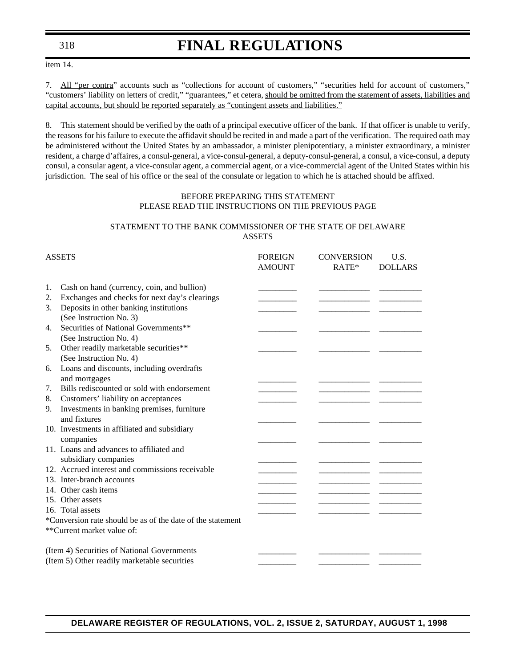item 14.

7. All "per contra" accounts such as "collections for account of customers," "securities held for account of customers," "customers' liability on letters of credit," "guarantees," et cetera, should be omitted from the statement of assets, liabilities and capital accounts, but should be reported separately as "contingent assets and liabilities."

8. This statement should be verified by the oath of a principal executive officer of the bank. If that officer is unable to verify, the reasons for his failure to execute the affidavit should be recited in and made a part of the verification. The required oath may be administered without the United States by an ambassador, a minister plenipotentiary, a minister extraordinary, a minister resident, a charge d'affaires, a consul-general, a vice-consul-general, a deputy-consul-general, a consul, a vice-consul, a deputy consul, a consular agent, a vice-consular agent, a commercial agent, or a vice-commercial agent of the United States within his jurisdiction. The seal of his office or the seal of the consulate or legation to which he is attached should be affixed.

#### BEFORE PREPARING THIS STATEMENT PLEASE READ THE INSTRUCTIONS ON THE PREVIOUS PAGE

#### STATEMENT TO THE BANK COMMISSIONER OF THE STATE OF DELAWARE ASSETS

|                | <b>ASSETS</b>                                              | <b>FOREIGN</b> | <b>CONVERSION</b> | U.S.           |
|----------------|------------------------------------------------------------|----------------|-------------------|----------------|
|                |                                                            | <b>AMOUNT</b>  | RATE*             | <b>DOLLARS</b> |
| 1.             | Cash on hand (currency, coin, and bullion)                 |                |                   |                |
| 2.             | Exchanges and checks for next day's clearings              |                |                   |                |
| 3.             | Deposits in other banking institutions                     |                |                   |                |
|                | (See Instruction No. 3)                                    |                |                   |                |
| $\mathbf{4}$ . | Securities of National Governments**                       |                |                   |                |
|                | (See Instruction No. 4)                                    |                |                   |                |
| 5.             | Other readily marketable securities**                      |                |                   |                |
|                | (See Instruction No. 4)                                    |                |                   |                |
| 6.             | Loans and discounts, including overdrafts                  |                |                   |                |
|                | and mortgages                                              |                |                   |                |
| 7.             | Bills rediscounted or sold with endorsement                |                |                   |                |
| 8.             | Customers' liability on acceptances                        |                |                   |                |
| 9.             | Investments in banking premises, furniture                 |                |                   |                |
|                | and fixtures                                               |                |                   |                |
|                | 10. Investments in affiliated and subsidiary               |                |                   |                |
|                | companies                                                  |                |                   |                |
|                | 11. Loans and advances to affiliated and                   |                |                   |                |
|                | subsidiary companies                                       |                |                   |                |
|                | 12. Accrued interest and commissions receivable            |                |                   |                |
|                | 13. Inter-branch accounts                                  |                |                   |                |
|                | 14. Other cash items                                       |                |                   |                |
|                | 15. Other assets                                           |                |                   |                |
|                | 16. Total assets                                           |                |                   |                |
|                | *Conversion rate should be as of the date of the statement |                |                   |                |
|                | **Current market value of:                                 |                |                   |                |
|                | (Item 4) Securities of National Governments                |                |                   |                |
|                | (Item 5) Other readily marketable securities               |                |                   |                |

### **DELAWARE REGISTER OF REGULATIONS, VOL. 2, ISSUE 2, SATURDAY, AUGUST 1, 1998**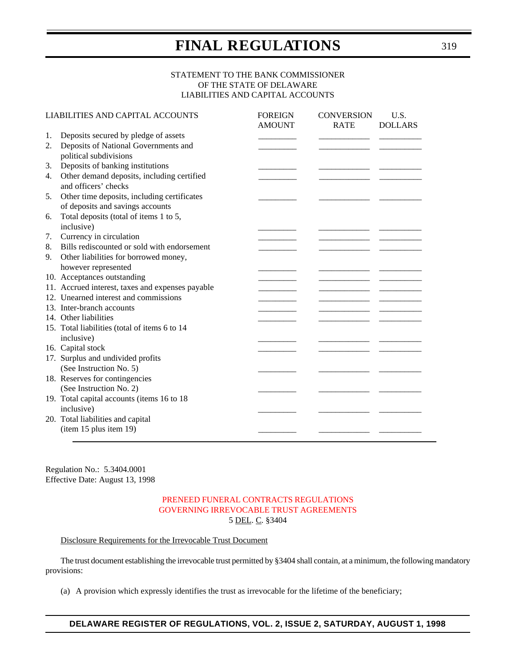#### STATEMENT TO THE BANK COMMISSIONER OF THE STATE OF DELAWARE LIABILITIES AND CAPITAL ACCOUNTS

|    | <b>LIABILITIES AND CAPITAL ACCOUNTS</b>          | <b>FOREIGN</b> | <b>CONVERSION</b> | U.S.           |
|----|--------------------------------------------------|----------------|-------------------|----------------|
|    |                                                  | <b>AMOUNT</b>  | <b>RATE</b>       | <b>DOLLARS</b> |
| 1. | Deposits secured by pledge of assets             |                |                   |                |
| 2. | Deposits of National Governments and             |                |                   |                |
|    | political subdivisions                           |                |                   |                |
| 3. | Deposits of banking institutions                 |                |                   |                |
| 4. | Other demand deposits, including certified       |                |                   |                |
|    | and officers' checks                             |                |                   |                |
| 5. | Other time deposits, including certificates      |                |                   |                |
|    | of deposits and savings accounts                 |                |                   |                |
| 6. | Total deposits (total of items 1 to 5,           |                |                   |                |
|    | inclusive)                                       |                |                   |                |
| 7. | Currency in circulation                          |                |                   |                |
| 8. | Bills rediscounted or sold with endorsement      |                |                   |                |
| 9. | Other liabilities for borrowed money,            |                |                   |                |
|    | however represented                              |                |                   |                |
|    | 10. Acceptances outstanding                      |                |                   |                |
|    | 11. Accrued interest, taxes and expenses payable |                |                   |                |
|    | 12. Unearned interest and commissions            |                |                   |                |
|    | 13. Inter-branch accounts                        |                |                   |                |
|    | 14. Other liabilities                            |                |                   |                |
|    | 15. Total liabilities (total of items 6 to 14    |                |                   |                |
|    | inclusive)                                       |                |                   |                |
|    | 16. Capital stock                                |                |                   |                |
|    | 17. Surplus and undivided profits                |                |                   |                |
|    | (See Instruction No. 5)                          |                |                   |                |
|    | 18. Reserves for contingencies                   |                |                   |                |
|    | (See Instruction No. 2)                          |                |                   |                |
|    | 19. Total capital accounts (items 16 to 18       |                |                   |                |
|    | inclusive)                                       |                |                   |                |
|    | 20. Total liabilities and capital                |                |                   |                |
|    | (item 15 plus item 19)                           |                |                   |                |
|    |                                                  |                |                   |                |

Regulation No.: 5.3404.0001 Effective Date: August 13, 1998

#### PRENEED FUNERAL CONTRACTS REGULATIONS [GOVERNING IRREVOCABLE TRUST AGREEMENTS](#page-4-0) 5 DEL. C. §3404

#### Disclosure Requirements for the Irrevocable Trust Document

The trust document establishing the irrevocable trust permitted by §3404 shall contain, at a minimum, the following mandatory provisions:

(a) A provision which expressly identifies the trust as irrevocable for the lifetime of the beneficiary;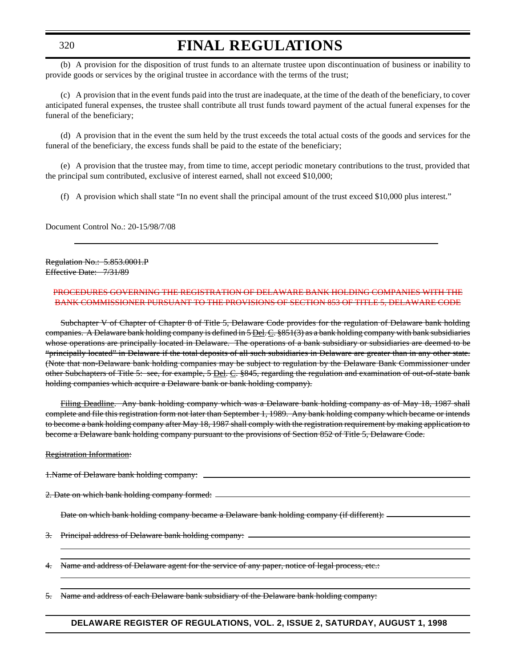(b) A provision for the disposition of trust funds to an alternate trustee upon discontinuation of business or inability to provide goods or services by the original trustee in accordance with the terms of the trust;

(c) A provision that in the event funds paid into the trust are inadequate, at the time of the death of the beneficiary, to cover anticipated funeral expenses, the trustee shall contribute all trust funds toward payment of the actual funeral expenses for the funeral of the beneficiary;

(d) A provision that in the event the sum held by the trust exceeds the total actual costs of the goods and services for the funeral of the beneficiary, the excess funds shall be paid to the estate of the beneficiary;

(e) A provision that the trustee may, from time to time, accept periodic monetary contributions to the trust, provided that the principal sum contributed, exclusive of interest earned, shall not exceed \$10,000;

(f) A provision which shall state "In no event shall the principal amount of the trust exceed \$10,000 plus interest."

Document Control No.: 20-15/98/7/08

Regulation No.: 5.853.0001.P Effective Date: 7/31/89

#### [PROCEDURES GOVERNING THE REGISTRATION OF DELAWARE BANK HOLDING COMPANIES WITH THE](#page-4-0) BANK COMMISSIONER PURSUANT TO THE PROVISIONS OF SECTION 853 OF TITLE 5, DELAWARE CODE

Subchapter V of Chapter of Chapter 8 of Title 5, Delaware Code provides for the regulation of Delaware bank holding companies. A Delaware bank holding company is defined in 5 Del. C. §851(3) as a bank holding company with bank subsidiaries whose operations are principally located in Delaware. The operations of a bank subsidiary or subsidiaries are deemed to be "principally located" in Delaware if the total deposits of all such subsidiaries in Delaware are greater than in any other state. (Note that non-Delaware bank holding companies may be subject to regulation by the Delaware Bank Commissioner under other Subchapters of Title 5: see, for example, 5 Del. C. §845, regarding the regulation and examination of out-of-state bank holding companies which acquire a Delaware bank or bank holding company).

Filing Deadline. Any bank holding company which was a Delaware bank holding company as of May 18, 1987 shall complete and file this registration form not later than September 1, 1989. Any bank holding company which became or intends to become a bank holding company after May 18, 1987 shall comply with the registration requirement by making application to become a Delaware bank holding company pursuant to the provisions of Section 852 of Title 5, Delaware Code.

#### Registration Information:

| 1. Name of Delaware bank holding company:       |  |
|-------------------------------------------------|--|
|                                                 |  |
| 2. Date on which bank holding company formed: . |  |

Date on which bank holding company became a Delaware bank holding company (if different):

- 3. Principal address of Delaware bank holding company:
- 4. Name and address of Delaware agent for the service of any paper, notice of legal process, etc.:
- Name and address of each Delaware bank subsidiary of the Delaware bank holding company: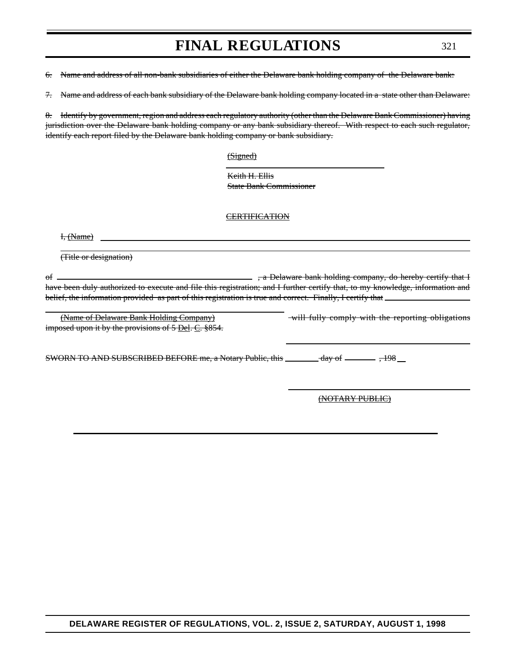Name and address of all non-bank subsidiaries of either the Delaware bank holding company of the Delaware bank:

7. Name and address of each bank subsidiary of the Delaware bank holding company located in a state other than Delaware:

8. Identify by government, region and address each regulatory authority (other than the Delaware Bank Commissioner) having jurisdiction over the Delaware bank holding company or any bank subsidiary thereof. With respect to each such regulator, identify each report filed by the Delaware bank holding company or bank subsidiary.

(Signed)

Keith H. Ellis State Bank Commissioner

#### **CERTIFICATION**

I, (Name)

(Title or designation)

of , a Delaware bank holding company, do hereby certify that I have been duly authorized to execute and file this registration; and I further certify that, to my knowledge, information and belief, the information provided as part of this registration is true and correct. Finally, I certify that \_

| (Name of Delaware Bank Holding Company)                      | -will fully comply with the reporting obligations |
|--------------------------------------------------------------|---------------------------------------------------|
| imposed upon it by the provisions of 5 <u>Del</u> . C. §854. |                                                   |

SWORN TO AND SUBSCRIBED BEFORE me, a Notary Public, this  $\frac{1}{198}$  day of  $\frac{1}{198}$ 

(NOTARY PUBLIC)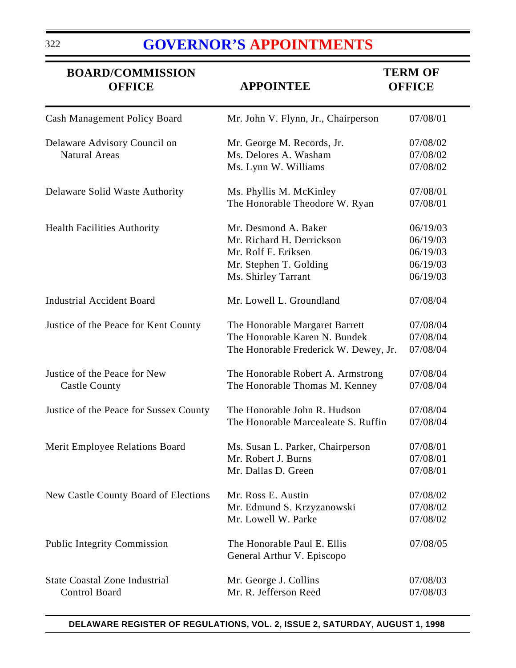## **[GOVERNOR'S](http://www.state.de.us/governor/index.htm) [APPOINTMENTS](#page-4-0)**

| <b>BOARD/COMMISSION</b><br><b>OFFICE</b> | <b>APPOINTEE</b>                      | <b>TERM OF</b><br><b>OFFICE</b> |
|------------------------------------------|---------------------------------------|---------------------------------|
| <b>Cash Management Policy Board</b>      | Mr. John V. Flynn, Jr., Chairperson   | 07/08/01                        |
| Delaware Advisory Council on             | Mr. George M. Records, Jr.            | 07/08/02                        |
| <b>Natural Areas</b>                     | Ms. Delores A. Washam                 | 07/08/02                        |
|                                          | Ms. Lynn W. Williams                  | 07/08/02                        |
| Delaware Solid Waste Authority           | Ms. Phyllis M. McKinley               | 07/08/01                        |
|                                          | The Honorable Theodore W. Ryan        | 07/08/01                        |
| <b>Health Facilities Authority</b>       | Mr. Desmond A. Baker                  | 06/19/03                        |
|                                          | Mr. Richard H. Derrickson             | 06/19/03                        |
|                                          | Mr. Rolf F. Eriksen                   | 06/19/03                        |
|                                          | Mr. Stephen T. Golding                | 06/19/03                        |
|                                          | Ms. Shirley Tarrant                   | 06/19/03                        |
| <b>Industrial Accident Board</b>         | Mr. Lowell L. Groundland              | 07/08/04                        |
| Justice of the Peace for Kent County     | The Honorable Margaret Barrett        | 07/08/04                        |
|                                          | The Honorable Karen N. Bundek         | 07/08/04                        |
|                                          | The Honorable Frederick W. Dewey, Jr. | 07/08/04                        |
| Justice of the Peace for New             | The Honorable Robert A. Armstrong     | 07/08/04                        |
| <b>Castle County</b>                     | The Honorable Thomas M. Kenney        | 07/08/04                        |
| Justice of the Peace for Sussex County   | The Honorable John R. Hudson          | 07/08/04                        |
|                                          | The Honorable Marcealeate S. Ruffin   | 07/08/04                        |
| Merit Employee Relations Board           | Ms. Susan L. Parker, Chairperson      | 07/08/01                        |
|                                          | Mr. Robert J. Burns                   | 07/08/01                        |
|                                          | Mr. Dallas D. Green                   | 07/08/01                        |
| New Castle County Board of Elections     | Mr. Ross E. Austin                    | 07/08/02                        |
|                                          | Mr. Edmund S. Krzyzanowski            | 07/08/02                        |
|                                          | Mr. Lowell W. Parke                   | 07/08/02                        |
| <b>Public Integrity Commission</b>       | The Honorable Paul E. Ellis           | 07/08/05                        |
|                                          | General Arthur V. Episcopo            |                                 |
| <b>State Coastal Zone Industrial</b>     | Mr. George J. Collins                 | 07/08/03                        |
| <b>Control Board</b>                     | Mr. R. Jefferson Reed                 | 07/08/03                        |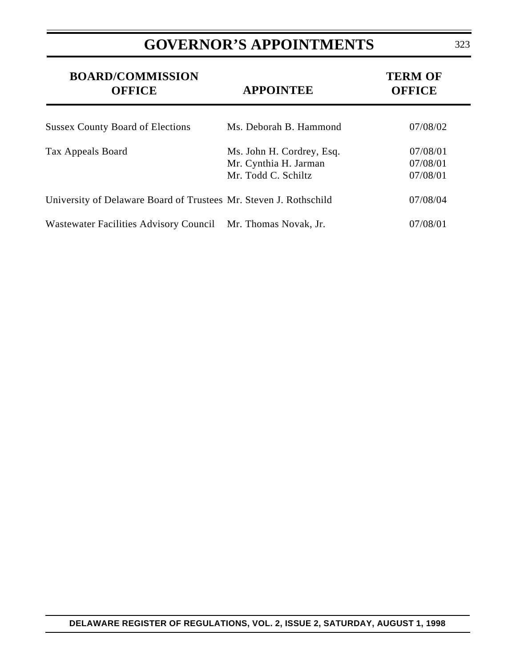# **GOVERNOR'S APPOINTMENTS**

| <b>BOARD/COMMISSION</b><br><b>OFFICE</b>                          | <b>APPOINTEE</b>                                                          | <b>TERM OF</b><br><b>OFFICE</b>  |
|-------------------------------------------------------------------|---------------------------------------------------------------------------|----------------------------------|
| <b>Sussex County Board of Elections</b>                           | Ms. Deborah B. Hammond                                                    | 07/08/02                         |
| Tax Appeals Board                                                 | Ms. John H. Cordrey, Esq.<br>Mr. Cynthia H. Jarman<br>Mr. Todd C. Schiltz | 07/08/01<br>07/08/01<br>07/08/01 |
| University of Delaware Board of Trustees Mr. Steven J. Rothschild |                                                                           | 07/08/04                         |
| Wastewater Facilities Advisory Council Mr. Thomas Novak, Jr.      |                                                                           | 07/08/01                         |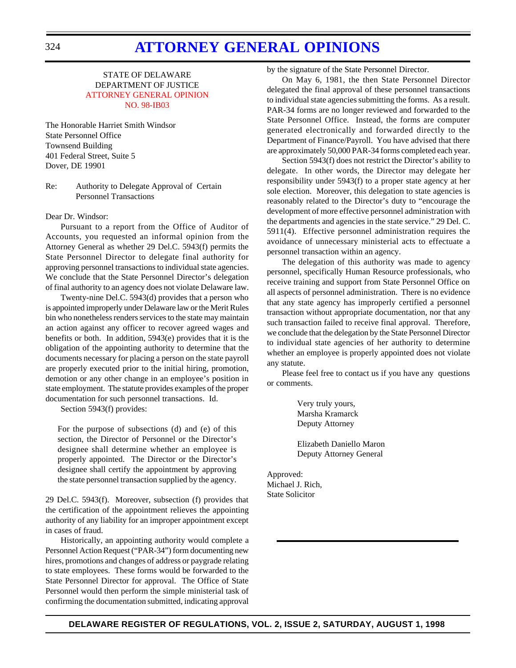### **[ATTORNEY GENERAL OPINIONS](http://www.state.de.us/attgen/index.htm)**

#### STATE OF DELAWARE DEPARTMENT OF JUSTICE [ATTORNEY GENERAL OPINION](#page-4-0) NO. 98-IB03

The Honorable Harriet Smith Windsor State Personnel Office Townsend Building 401 Federal Street, Suite 5 Dover, DE 19901

Re: Authority to Delegate Approval of Certain Personnel Transactions

Dear Dr. Windsor:

Pursuant to a report from the Office of Auditor of Accounts, you requested an informal opinion from the Attorney General as whether 29 Del.C. 5943(f) permits the State Personnel Director to delegate final authority for approving personnel transactions to individual state agencies. We conclude that the State Personnel Director's delegation of final authority to an agency does not violate Delaware law.

Twenty-nine Del.C. 5943(d) provides that a person who is appointed improperly under Delaware law or the Merit Rules bin who nonetheless renders services to the state may maintain an action against any officer to recover agreed wages and benefits or both. In addition, 5943(e) provides that it is the obligation of the appointing authority to determine that the documents necessary for placing a person on the state payroll are properly executed prior to the initial hiring, promotion, demotion or any other change in an employee's position in state employment. The statute provides examples of the proper documentation for such personnel transactions. Id.

Section 5943(f) provides:

For the purpose of subsections (d) and (e) of this section, the Director of Personnel or the Director's designee shall determine whether an employee is properly appointed. The Director or the Director's designee shall certify the appointment by approving the state personnel transaction supplied by the agency.

29 Del.C. 5943(f). Moreover, subsection (f) provides that the certification of the appointment relieves the appointing authority of any liability for an improper appointment except in cases of fraud.

Historically, an appointing authority would complete a Personnel Action Request ("PAR-34") form documenting new hires, promotions and changes of address or paygrade relating to state employees. These forms would be forwarded to the State Personnel Director for approval. The Office of State Personnel would then perform the simple ministerial task of confirming the documentation submitted, indicating approval by the signature of the State Personnel Director.

On May 6, 1981, the then State Personnel Director delegated the final approval of these personnel transactions to individual state agencies submitting the forms. As a result. PAR-34 forms are no longer reviewed and forwarded to the State Personnel Office. Instead, the forms are computer generated electronically and forwarded directly to the Department of Finance/Payroll. You have advised that there are approximately 50,000 PAR-34 forms completed each year.

Section 5943(f) does not restrict the Director's ability to delegate. In other words, the Director may delegate her responsibility under 5943(f) to a proper state agency at her sole election. Moreover, this delegation to state agencies is reasonably related to the Director's duty to "encourage the development of more effective personnel administration with the departments and agencies in the state service." 29 Del. C. 5911(4). Effective personnel administration requires the avoidance of unnecessary ministerial acts to effectuate a personnel transaction within an agency.

The delegation of this authority was made to agency personnel, specifically Human Resource professionals, who receive training and support from State Personnel Office on all aspects of personnel administration. There is no evidence that any state agency has improperly certified a personnel transaction without appropriate documentation, nor that any such transaction failed to receive final approval. Therefore, we conclude that the delegation by the State Personnel Director to individual state agencies of her authority to determine whether an employee is properly appointed does not violate any statute.

Please feel free to contact us if you have any questions or comments.

> Very truly yours, Marsha Kramarck Deputy Attorney

Elizabeth Daniello Maron Deputy Attorney General

Approved: Michael J. Rich, State Solicitor

**DELAWARE REGISTER OF REGULATIONS, VOL. 2, ISSUE 2, SATURDAY, AUGUST 1, 1998**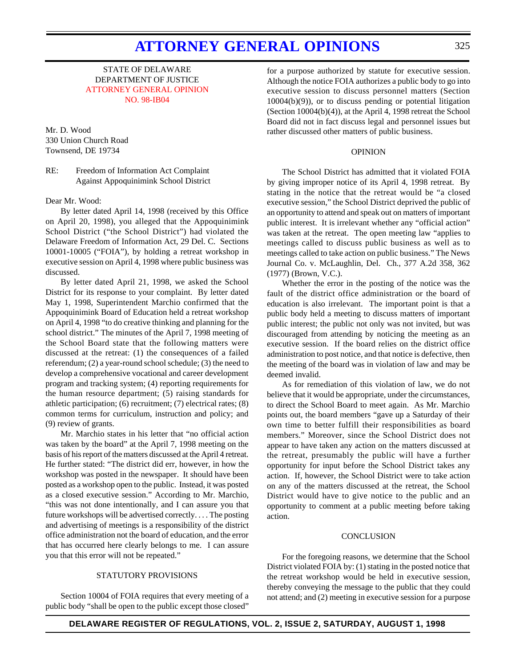### **[ATTORNEY GENERAL OPINIONS](http://www.state.de.us/attgen/index.htm)**

#### STATE OF DELAWARE DEPARTMENT OF JUSTICE [ATTORNEY GENERAL OPINION](#page-4-0) NO. 98-IB04

Mr. D. Wood 330 Union Church Road Townsend, DE 19734

RE: Freedom of Information Act Complaint Against Appoquinimink School District

Dear Mr. Wood:

By letter dated April 14, 1998 (received by this Office on April 20, 1998), you alleged that the Appoquinimink School District ("the School District") had violated the Delaware Freedom of Information Act, 29 Del. C. Sections 10001-10005 ("FOIA"), by holding a retreat workshop in executive session on April 4, 1998 where public business was discussed.

By letter dated April 21, 1998, we asked the School District for its response to your complaint. By letter dated May 1, 1998, Superintendent Marchio confirmed that the Appoquinimink Board of Education held a retreat workshop on April 4, 1998 "to do creative thinking and planning for the school district." The minutes of the April 7, 1998 meeting of the School Board state that the following matters were discussed at the retreat: (1) the consequences of a failed referendum; (2) a year-round school schedule; (3) the need to develop a comprehensive vocational and career development program and tracking system; (4) reporting requirements for the human resource department; (5) raising standards for athletic participation; (6) recruitment; (7) electrical rates; (8) common terms for curriculum, instruction and policy; and (9) review of grants.

Mr. Marchio states in his letter that "no official action was taken by the board" at the April 7, 1998 meeting on the basis of his report of the matters discussed at the April 4 retreat. He further stated: "The district did err, however, in how the workshop was posted in the newspaper. It should have been posted as a workshop open to the public. Instead, it was posted as a closed executive session." According to Mr. Marchio, "this was not done intentionally, and I can assure you that future workshops will be advertised correctly. . . . The posting and advertising of meetings is a responsibility of the district office administration not the board of education, and the error that has occurred here clearly belongs to me. I can assure you that this error will not be repeated."

#### STATUTORY PROVISIONS

Section 10004 of FOIA requires that every meeting of a public body "shall be open to the public except those closed"

for a purpose authorized by statute for executive session. Although the notice FOIA authorizes a public body to go into executive session to discuss personnel matters (Section 10004(b)(9)), or to discuss pending or potential litigation (Section 10004(b)(4)), at the April 4, 1998 retreat the School Board did not in fact discuss legal and personnel issues but rather discussed other matters of public business.

#### OPINION

The School District has admitted that it violated FOIA by giving improper notice of its April 4, 1998 retreat. By stating in the notice that the retreat would be "a closed executive session," the School District deprived the public of an opportunity to attend and speak out on matters of important public interest. It is irrelevant whether any "official action" was taken at the retreat. The open meeting law "applies to meetings called to discuss public business as well as to meetings called to take action on public business." The News Journal Co. v. McLaughlin, Del. Ch., 377 A.2d 358, 362 (1977) (Brown, V.C.).

Whether the error in the posting of the notice was the fault of the district office administration or the board of education is also irrelevant. The important point is that a public body held a meeting to discuss matters of important public interest; the public not only was not invited, but was discouraged from attending by noticing the meeting as an executive session. If the board relies on the district office administration to post notice, and that notice is defective, then the meeting of the board was in violation of law and may be deemed invalid.

As for remediation of this violation of law, we do not believe that it would be appropriate, under the circumstances, to direct the School Board to meet again. As Mr. Marchio points out, the board members "gave up a Saturday of their own time to better fulfill their responsibilities as board members." Moreover, since the School District does not appear to have taken any action on the matters discussed at the retreat, presumably the public will have a further opportunity for input before the School District takes any action. If, however, the School District were to take action on any of the matters discussed at the retreat, the School District would have to give notice to the public and an opportunity to comment at a public meeting before taking action.

#### **CONCLUSION**

For the foregoing reasons, we determine that the School District violated FOIA by: (1) stating in the posted notice that the retreat workshop would be held in executive session, thereby conveying the message to the public that they could not attend; and (2) meeting in executive session for a purpose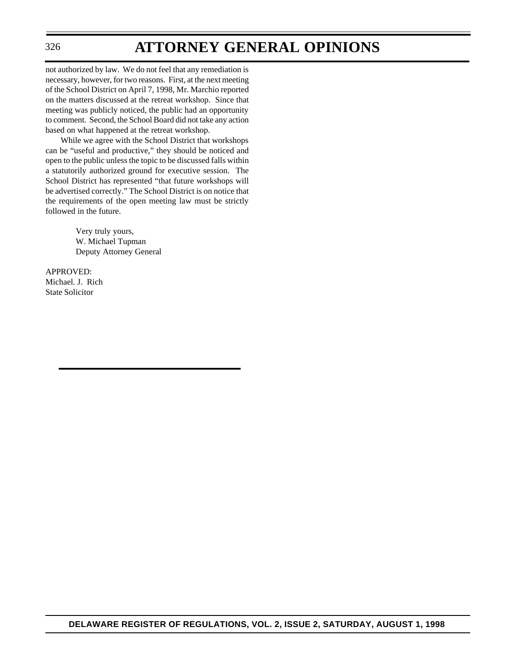## **ATTORNEY GENERAL OPINIONS**

not authorized by law. We do not feel that any remediation is necessary, however, for two reasons. First, at the next meeting of the School District on April 7, 1998, Mr. Marchio reported on the matters discussed at the retreat workshop. Since that meeting was publicly noticed, the public had an opportunity to comment. Second, the School Board did not take any action based on what happened at the retreat workshop.

While we agree with the School District that workshops can be "useful and productive," they should be noticed and open to the public unless the topic to be discussed falls within a statutorily authorized ground for executive session. The School District has represented "that future workshops will be advertised correctly." The School District is on notice that the requirements of the open meeting law must be strictly followed in the future.

> Very truly yours, W. Michael Tupman Deputy Attorney General

APPROVED: Michael. J. Rich State Solicitor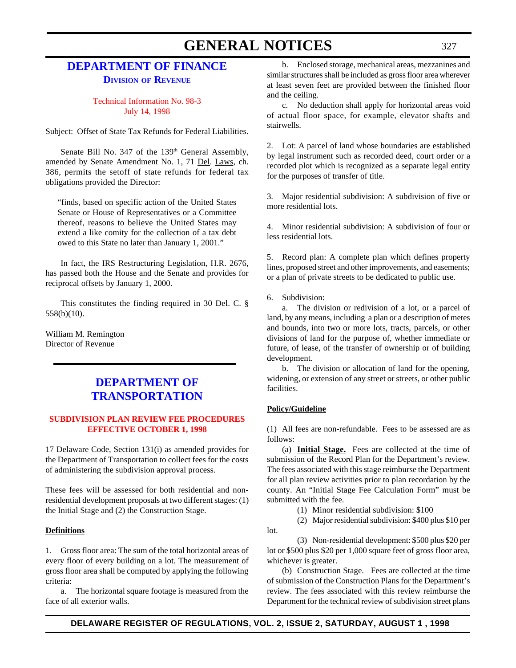# **GENERAL NOTICES**

### **[DEPARTMENT OF FINANCE](http://www.state.de.us/govern/agencies/revenue/revenue.htm) DIVISION OF REVENUE**

#### [Technical Information No. 98-3](#page-4-0) July 14, 1998

Subject: Offset of State Tax Refunds for Federal Liabilities.

Senate Bill No. 347 of the 139<sup>th</sup> General Assembly, amended by Senate Amendment No. 1, 71 Del. Laws, ch. 386, permits the setoff of state refunds for federal tax obligations provided the Director:

"finds, based on specific action of the United States Senate or House of Representatives or a Committee thereof, reasons to believe the United States may extend a like comity for the collection of a tax debt owed to this State no later than January 1, 2001."

In fact, the IRS Restructuring Legislation, H.R. 2676, has passed both the House and the Senate and provides for reciprocal offsets by January 1, 2000.

This constitutes the finding required in 30 <u>Del</u>. C. § 558(b)(10).

William M. Remington Director of Revenue

### **DEPARTMENT OF [TRANSPORTATION](http://www.state.de.us/deldot/index.html)**

#### **[SUBDIVISION PLAN REVIEW FEE PROCEDURES](#page-4-0) EFFECTIVE OCTOBER 1, 1998**

17 Delaware Code, Section 131(i) as amended provides for the Department of Transportation to collect fees for the costs of administering the subdivision approval process.

These fees will be assessed for both residential and nonresidential development proposals at two different stages: (1) the Initial Stage and (2) the Construction Stage.

#### **Definitions**

1. Gross floor area: The sum of the total horizontal areas of every floor of every building on a lot. The measurement of gross floor area shall be computed by applying the following criteria:

a. The horizontal square footage is measured from the face of all exterior walls.

b. Enclosed storage, mechanical areas, mezzanines and similar structures shall be included as gross floor area wherever at least seven feet are provided between the finished floor and the ceiling.

c. No deduction shall apply for horizontal areas void of actual floor space, for example, elevator shafts and stairwells.

2. Lot: A parcel of land whose boundaries are established by legal instrument such as recorded deed, court order or a recorded plot which is recognized as a separate legal entity for the purposes of transfer of title.

3. Major residential subdivision: A subdivision of five or more residential lots.

4. Minor residential subdivision: A subdivision of four or less residential lots.

5. Record plan: A complete plan which defines property lines, proposed street and other improvements, and easements; or a plan of private streets to be dedicated to public use.

6. Subdivision:

a. The division or redivision of a lot, or a parcel of land, by any means, including a plan or a description of metes and bounds, into two or more lots, tracts, parcels, or other divisions of land for the purpose of, whether immediate or future, of lease, of the transfer of ownership or of building development.

b. The division or allocation of land for the opening, widening, or extension of any street or streets, or other public facilities.

#### **Policy/Guideline**

(1) All fees are non-refundable. Fees to be assessed are as follows:

(a) **Initial Stage.** Fees are collected at the time of submission of the Record Plan for the Department's review. The fees associated with this stage reimburse the Department for all plan review activities prior to plan recordation by the county. An "Initial Stage Fee Calculation Form" must be submitted with the fee.

- (1) Minor residential subdivision: \$100
- (2) Major residential subdivision: \$400 plus \$10 per

(3) Non-residential development: \$500 plus \$20 per lot or \$500 plus \$20 per 1,000 square feet of gross floor area, whichever is greater.

(b) Construction Stage. Fees are collected at the time of submission of the Construction Plans for the Department's review. The fees associated with this review reimburse the Department for the technical review of subdivision street plans

lot.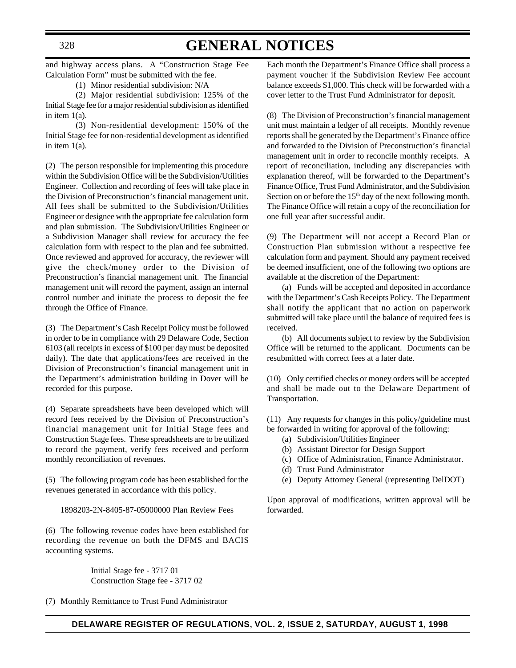328

# **GENERAL NOTICES**

and highway access plans. A "Construction Stage Fee Calculation Form" must be submitted with the fee.

(1) Minor residential subdivision: N/A

(2) Major residential subdivision: 125% of the Initial Stage fee for a major residential subdivision as identified in item  $1(a)$ .

(3) Non-residential development: 150% of the Initial Stage fee for non-residential development as identified in item  $1(a)$ .

(2) The person responsible for implementing this procedure within the Subdivision Office will be the Subdivision/Utilities Engineer. Collection and recording of fees will take place in the Division of Preconstruction's financial management unit. All fees shall be submitted to the Subdivision/Utilities Engineer or designee with the appropriate fee calculation form and plan submission. The Subdivision/Utilities Engineer or a Subdivision Manager shall review for accuracy the fee calculation form with respect to the plan and fee submitted. Once reviewed and approved for accuracy, the reviewer will give the check/money order to the Division of Preconstruction's financial management unit. The financial management unit will record the payment, assign an internal control number and initiate the process to deposit the fee through the Office of Finance.

(3) The Department's Cash Receipt Policy must be followed in order to be in compliance with 29 Delaware Code, Section 6103 (all receipts in excess of \$100 per day must be deposited daily). The date that applications/fees are received in the Division of Preconstruction's financial management unit in the Department's administration building in Dover will be recorded for this purpose.

(4) Separate spreadsheets have been developed which will record fees received by the Division of Preconstruction's financial management unit for Initial Stage fees and Construction Stage fees. These spreadsheets are to be utilized to record the payment, verify fees received and perform monthly reconciliation of revenues.

(5) The following program code has been established for the revenues generated in accordance with this policy.

1898203-2N-8405-87-05000000 Plan Review Fees

(6) The following revenue codes have been established for recording the revenue on both the DFMS and BACIS accounting systems.

> Initial Stage fee - 3717 01 Construction Stage fee - 3717 02

(7) Monthly Remittance to Trust Fund Administrator

Each month the Department's Finance Office shall process a payment voucher if the Subdivision Review Fee account balance exceeds \$1,000. This check will be forwarded with a cover letter to the Trust Fund Administrator for deposit.

(8) The Division of Preconstruction's financial management unit must maintain a ledger of all receipts. Monthly revenue reports shall be generated by the Department's Finance office and forwarded to the Division of Preconstruction's financial management unit in order to reconcile monthly receipts. A report of reconciliation, including any discrepancies with explanation thereof, will be forwarded to the Department's Finance Office, Trust Fund Administrator, and the Subdivision Section on or before the  $15<sup>th</sup>$  day of the next following month. The Finance Office will retain a copy of the reconciliation for one full year after successful audit.

(9) The Department will not accept a Record Plan or Construction Plan submission without a respective fee calculation form and payment. Should any payment received be deemed insufficient, one of the following two options are available at the discretion of the Department:

(a) Funds will be accepted and deposited in accordance with the Department's Cash Receipts Policy. The Department shall notify the applicant that no action on paperwork submitted will take place until the balance of required fees is received.

(b) All documents subject to review by the Subdivision Office will be returned to the applicant. Documents can be resubmitted with correct fees at a later date.

(10) Only certified checks or money orders will be accepted and shall be made out to the Delaware Department of Transportation.

(11) Any requests for changes in this policy/guideline must be forwarded in writing for approval of the following:

- (a) Subdivision/Utilities Engineer
- (b) Assistant Director for Design Support
- (c) Office of Administration, Finance Administrator.
- (d) Trust Fund Administrator
- (e) Deputy Attorney General (representing DelDOT)

Upon approval of modifications, written approval will be forwarded.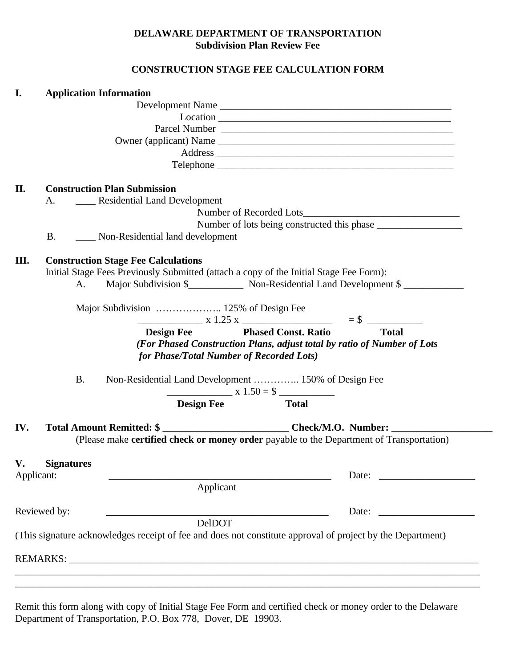### **DELAWARE DEPARTMENT OF TRANSPORTATION Subdivision Plan Review Fee**

### **CONSTRUCTION STAGE FEE CALCULATION FORM**

| I.         |                                     |           | <b>Application Information</b>                                                                             |  |
|------------|-------------------------------------|-----------|------------------------------------------------------------------------------------------------------------|--|
|            |                                     |           | Development Name                                                                                           |  |
|            |                                     |           |                                                                                                            |  |
|            |                                     |           | Parcel Number                                                                                              |  |
|            |                                     |           |                                                                                                            |  |
|            |                                     |           |                                                                                                            |  |
|            |                                     |           |                                                                                                            |  |
| II.        | <b>Construction Plan Submission</b> |           |                                                                                                            |  |
|            | А.                                  |           | <b>Example 2</b> Residential Land Development                                                              |  |
|            |                                     |           |                                                                                                            |  |
|            |                                     |           |                                                                                                            |  |
|            | <b>B.</b>                           |           | Non-Residential land development                                                                           |  |
| Ш.         |                                     |           | <b>Construction Stage Fee Calculations</b>                                                                 |  |
|            |                                     |           | Initial Stage Fees Previously Submitted (attach a copy of the Initial Stage Fee Form):                     |  |
|            |                                     | A.        |                                                                                                            |  |
|            |                                     |           |                                                                                                            |  |
|            |                                     |           |                                                                                                            |  |
|            |                                     |           | $\frac{1}{2}$ x 1.25 x $\frac{1}{2}$ = \$                                                                  |  |
|            |                                     |           | <b>Design Fee</b><br><b>Phased Const. Ratio</b><br><b>Total</b>                                            |  |
|            |                                     |           | (For Phased Construction Plans, adjust total by ratio of Number of Lots                                    |  |
|            |                                     |           | for Phase/Total Number of Recorded Lots)                                                                   |  |
|            |                                     | <b>B.</b> | Non-Residential Land Development  150% of Design Fee<br>$x 1.50 = $$                                       |  |
|            |                                     |           | <b>Design Fee</b><br><b>Total</b>                                                                          |  |
| IV.        |                                     |           | Total Amount Remitted: \$ _________________________________Check/M.O. Number: _______________________      |  |
|            |                                     |           | (Please make certified check or money order payable to the Department of Transportation)                   |  |
|            |                                     |           |                                                                                                            |  |
| V.         | <b>Signatures</b>                   |           |                                                                                                            |  |
| Applicant: |                                     |           | Date:<br><u> 1980 - Jan Barbarat, manala</u><br>Applicant                                                  |  |
|            |                                     |           |                                                                                                            |  |
|            | Reviewed by:                        |           |                                                                                                            |  |
|            |                                     |           | <b>DelDOT</b>                                                                                              |  |
|            |                                     |           | (This signature acknowledges receipt of fee and does not constitute approval of project by the Department) |  |
|            |                                     |           |                                                                                                            |  |
|            |                                     |           |                                                                                                            |  |
|            |                                     |           |                                                                                                            |  |
|            |                                     |           |                                                                                                            |  |

Remit this form along with copy of Initial Stage Fee Form and certified check or money order to the Delaware Department of Transportation, P.O. Box 778, Dover, DE 19903.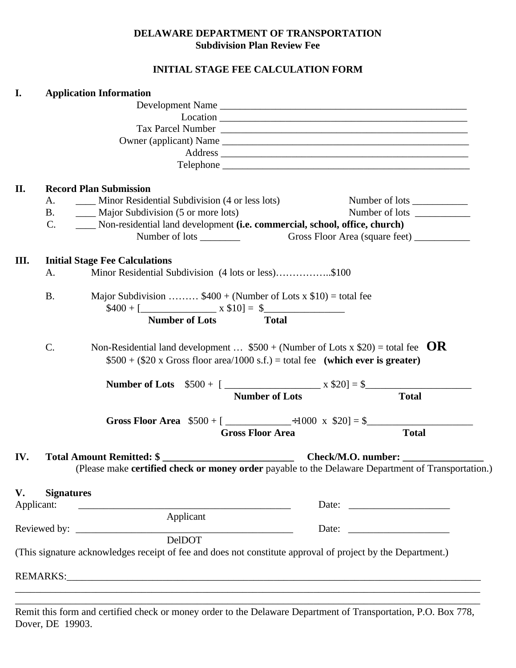### **DELAWARE DEPARTMENT OF TRANSPORTATION Subdivision Plan Review Fee**

### **INITIAL STAGE FEE CALCULATION FORM**

| I.         |                   | <b>Application Information</b>                                                                                                  |                |
|------------|-------------------|---------------------------------------------------------------------------------------------------------------------------------|----------------|
|            |                   | Development Name                                                                                                                |                |
|            |                   |                                                                                                                                 |                |
|            |                   |                                                                                                                                 |                |
|            |                   | Owner (applicant) Name                                                                                                          |                |
|            |                   |                                                                                                                                 |                |
|            |                   |                                                                                                                                 |                |
| II.        |                   | <b>Record Plan Submission</b>                                                                                                   |                |
|            | A.                | Minor Residential Subdivision (4 or less lots)                                                                                  | Number of lots |
|            | <b>B.</b>         | ____ Major Subdivision (5 or more lots)                                                                                         | Number of lots |
|            | C.                | Non-residential land development (i.e. commercial, school, office, church)                                                      |                |
|            |                   |                                                                                                                                 |                |
| Ш.         |                   | <b>Initial Stage Fee Calculations</b>                                                                                           |                |
|            | A.                | Minor Residential Subdivision (4 lots or less)\$100                                                                             |                |
|            |                   |                                                                                                                                 |                |
|            | <b>B.</b>         | Major Subdivision $$400 + (Number of Lost x $10) = total fee$                                                                   |                |
|            |                   | $$400 + [$ x \$10] = \$                                                                                                         |                |
|            |                   | <b>Number of Lots</b><br><b>Total</b>                                                                                           |                |
|            |                   |                                                                                                                                 |                |
|            | $C$ .             | Non-Residential land development $$500 + (Number of Lost x $20) = total fee \t OR$                                              |                |
|            |                   | $$500 + ($20 \times \text{Gross floor area}/1000 \text{ s.f.}) = \text{total fee}$ (which ever is greater)                      |                |
|            |                   |                                                                                                                                 |                |
|            |                   |                                                                                                                                 |                |
|            |                   | <b>Number of Lots</b>                                                                                                           | <b>Total</b>   |
|            |                   |                                                                                                                                 |                |
|            |                   | <b>Gross Floor Area</b>                                                                                                         | <b>Total</b>   |
| IV.        |                   |                                                                                                                                 |                |
|            |                   | Total Amount Remitted: \$<br>(Please make certified check or money order payable to the Delaware Department of Transportation.) |                |
|            |                   |                                                                                                                                 |                |
| V.         | <b>Signatures</b> |                                                                                                                                 |                |
| Applicant: |                   |                                                                                                                                 |                |
|            |                   | Applicant                                                                                                                       |                |
|            |                   |                                                                                                                                 |                |
|            |                   |                                                                                                                                 |                |
|            |                   | (This signature acknowledges receipt of fee and does not constitute approval of project by the Department.)                     |                |
|            |                   |                                                                                                                                 |                |
|            |                   |                                                                                                                                 |                |
|            |                   |                                                                                                                                 |                |

Remit this form and certified check or money order to the Delaware Department of Transportation, P.O. Box 778, Dover, DE 19903.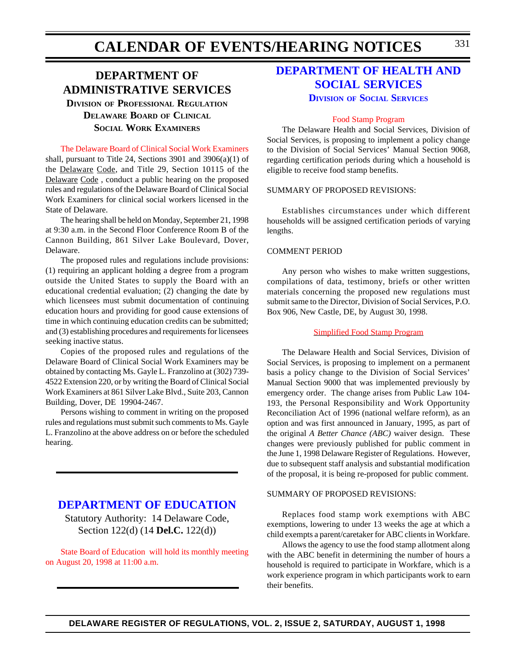### **CALENDAR OF EVENTS/HEARING NOTICES**

### **DEPARTMENT OF ADMINISTRATIVE SERVICES**

**DIVISION OF PROFESSIONAL REGULATION DELAWARE BOARD OF CLINICAL SOCIAL WORK EXAMINERS**

[The Delaware Board of Clinical Social Work Examiners](#page-4-0)

shall, pursuant to Title 24, Sections 3901 and 3906(a)(1) of the Delaware Code, and Title 29, Section 10115 of the Delaware Code , conduct a public hearing on the proposed rules and regulations of the Delaware Board of Clinical Social Work Examiners for clinical social workers licensed in the State of Delaware.

The hearing shall be held on Monday, September 21, 1998 at 9:30 a.m. in the Second Floor Conference Room B of the Cannon Building, 861 Silver Lake Boulevard, Dover, Delaware.

The proposed rules and regulations include provisions: (1) requiring an applicant holding a degree from a program outside the United States to supply the Board with an educational credential evaluation; (2) changing the date by which licensees must submit documentation of continuing education hours and providing for good cause extensions of time in which continuing education credits can be submitted; and (3) establishing procedures and requirements for licensees seeking inactive status.

Copies of the proposed rules and regulations of the Delaware Board of Clinical Social Work Examiners may be obtained by contacting Ms. Gayle L. Franzolino at (302) 739- 4522 Extension 220, or by writing the Board of Clinical Social Work Examiners at 861 Silver Lake Blvd., Suite 203, Cannon Building, Dover, DE 19904-2467.

Persons wishing to comment in writing on the proposed rules and regulations must submit such comments to Ms. Gayle L. Franzolino at the above address on or before the scheduled hearing.

### **[DEPARTMENT OF EDUCATION](www.doe.state.de.us)**

Statutory Authority: 14 Delaware Code, Section 122(d) (14 **Del.C.** 122(d))

[State Board of Education will hold its monthly meeting](#page-4-0) on August 20, 1998 at 11:00 a.m.

### **[DEPARTMENT OF HEALTH AND](http://www.state.de.us/govern/agencies/dhss/irm/dss/dsshome.htm) SOCIAL SERVICES**

**DIVISION OF SOCIAL SERVICES**

#### [Food Stamp Program](#page-4-0)

The Delaware Health and Social Services, Division of Social Services, is proposing to implement a policy change to the Division of Social Services' Manual Section 9068, regarding certification periods during which a household is eligible to receive food stamp benefits.

#### SUMMARY OF PROPOSED REVISIONS:

Establishes circumstances under which different households will be assigned certification periods of varying lengths.

### COMMENT PERIOD

Any person who wishes to make written suggestions, compilations of data, testimony, briefs or other written materials concerning the proposed new regulations must submit same to the Director, Division of Social Services, P.O. Box 906, New Castle, DE, by August 30, 1998.

#### [Simplified Food Stamp Program](#page-4-0)

The Delaware Health and Social Services, Division of Social Services, is proposing to implement on a permanent basis a policy change to the Division of Social Services' Manual Section 9000 that was implemented previously by emergency order. The change arises from Public Law 104- 193, the Personal Responsibility and Work Opportunity Reconciliation Act of 1996 (national welfare reform), as an option and was first announced in January, 1995, as part of the original *A Better Chance (ABC)* waiver design. These changes were previously published for public comment in the June 1, 1998 Delaware Register of Regulations. However, due to subsequent staff analysis and substantial modification of the proposal, it is being re-proposed for public comment.

#### SUMMARY OF PROPOSED REVISIONS:

Replaces food stamp work exemptions with ABC exemptions, lowering to under 13 weeks the age at which a child exempts a parent/caretaker for ABC clients in Workfare.

Allows the agency to use the food stamp allotment along with the ABC benefit in determining the number of hours a household is required to participate in Workfare, which is a work experience program in which participants work to earn their benefits.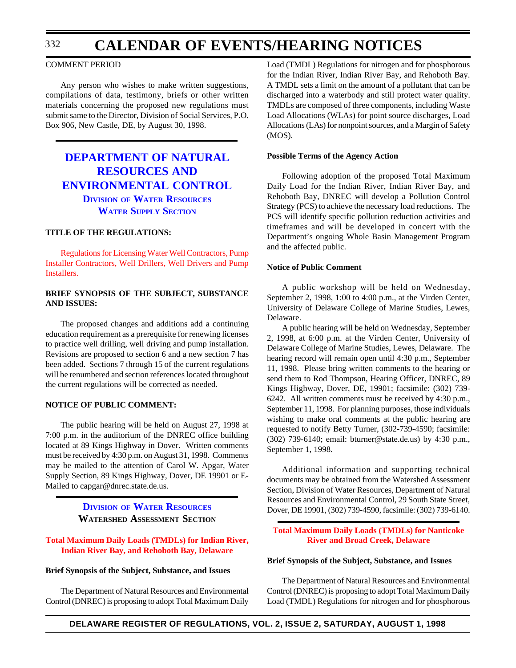332

### **CALENDAR OF EVENTS/HEARING NOTICES**

#### COMMENT PERIOD

Any person who wishes to make written suggestions, compilations of data, testimony, briefs or other written materials concerning the proposed new regulations must submit same to the Director, Division of Social Services, P.O. Box 906, New Castle, DE, by August 30, 1998.

### **DEPARTMENT OF NATURAL RESOURCES AND [ENVIRONMENTAL CONTROL](http://www.dnrec.state.de.us/water.htm) DIVISION OF WATER RESOURCES WATER SUPPLY SECTION**

#### **TITLE OF THE REGULATIONS:**

Regulations for Licensing Water Well Contractors, Pump [Installer Contractors, Well Drillers, Well Drivers and Pump](#page-4-0) Installers.

#### **BRIEF SYNOPSIS OF THE SUBJECT, SUBSTANCE AND ISSUES:**

The proposed changes and additions add a continuing education requirement as a prerequisite for renewing licenses to practice well drilling, well driving and pump installation. Revisions are proposed to section 6 and a new section 7 has been added. Sections 7 through 15 of the current regulations will be renumbered and section references located throughout the current regulations will be corrected as needed.

#### **NOTICE OF PUBLIC COMMENT:**

The public hearing will be held on August 27, 1998 at 7:00 p.m. in the auditorium of the DNREC office building located at 89 Kings Highway in Dover. Written comments must be received by 4:30 p.m. on August 31, 1998. Comments may be mailed to the attention of Carol W. Apgar, Water Supply Section, 89 Kings Highway, Dover, DE 19901 or E-Mailed to capgar@dnrec.state.de.us.

### **DIVISION OF WATER [RESOURCES](http://www.dnrec.state.de.us/water.htm) WATERSHED ASSESSMENT SECTION**

#### **[Total Maximum Daily Loads \(TMDLs\) for Indian River,](#page-4-0) Indian River Bay, and Rehoboth Bay, Delaware**

#### **Brief Synopsis of the Subject, Substance, and Issues**

The Department of Natural Resources and Environmental Control (DNREC) is proposing to adopt Total Maximum Daily Load (TMDL) Regulations for nitrogen and for phosphorous for the Indian River, Indian River Bay, and Rehoboth Bay. A TMDL sets a limit on the amount of a pollutant that can be discharged into a waterbody and still protect water quality. TMDLs are composed of three components, including Waste Load Allocations (WLAs) for point source discharges, Load Allocations (LAs) for nonpoint sources, and a Margin of Safety (MOS).

#### **Possible Terms of the Agency Action**

Following adoption of the proposed Total Maximum Daily Load for the Indian River, Indian River Bay, and Rehoboth Bay, DNREC will develop a Pollution Control Strategy (PCS) to achieve the necessary load reductions. The PCS will identify specific pollution reduction activities and timeframes and will be developed in concert with the Department's ongoing Whole Basin Management Program and the affected public.

#### **Notice of Public Comment**

A public workshop will be held on Wednesday, September 2, 1998, 1:00 to 4:00 p.m., at the Virden Center, University of Delaware College of Marine Studies, Lewes, Delaware.

A public hearing will be held on Wednesday, September 2, 1998, at 6:00 p.m. at the Virden Center, University of Delaware College of Marine Studies, Lewes, Delaware. The hearing record will remain open until 4:30 p.m., September 11, 1998. Please bring written comments to the hearing or send them to Rod Thompson, Hearing Officer, DNREC, 89 Kings Highway, Dover, DE, 19901; facsimile: (302) 739- 6242. All written comments must be received by 4:30 p.m., September 11, 1998. For planning purposes, those individuals wishing to make oral comments at the public hearing are requested to notify Betty Turner, (302-739-4590; facsimile: (302) 739-6140; email: bturner@state.de.us) by 4:30 p.m., September 1, 1998.

Additional information and supporting technical documents may be obtained from the Watershed Assessment Section, Division of Water Resources, Department of Natural Resources and Environmental Control, 29 South State Street, Dover, DE 19901, (302) 739-4590, facsimile: (302) 739-6140.

#### **[Total Maximum Daily Loads \(TMDLs\) for Nanticoke](#page-4-0) River and Broad Creek, Delaware**

#### **Brief Synopsis of the Subject, Substance, and Issues**

The Department of Natural Resources and Environmental Control (DNREC) is proposing to adopt Total Maximum Daily Load (TMDL) Regulations for nitrogen and for phosphorous